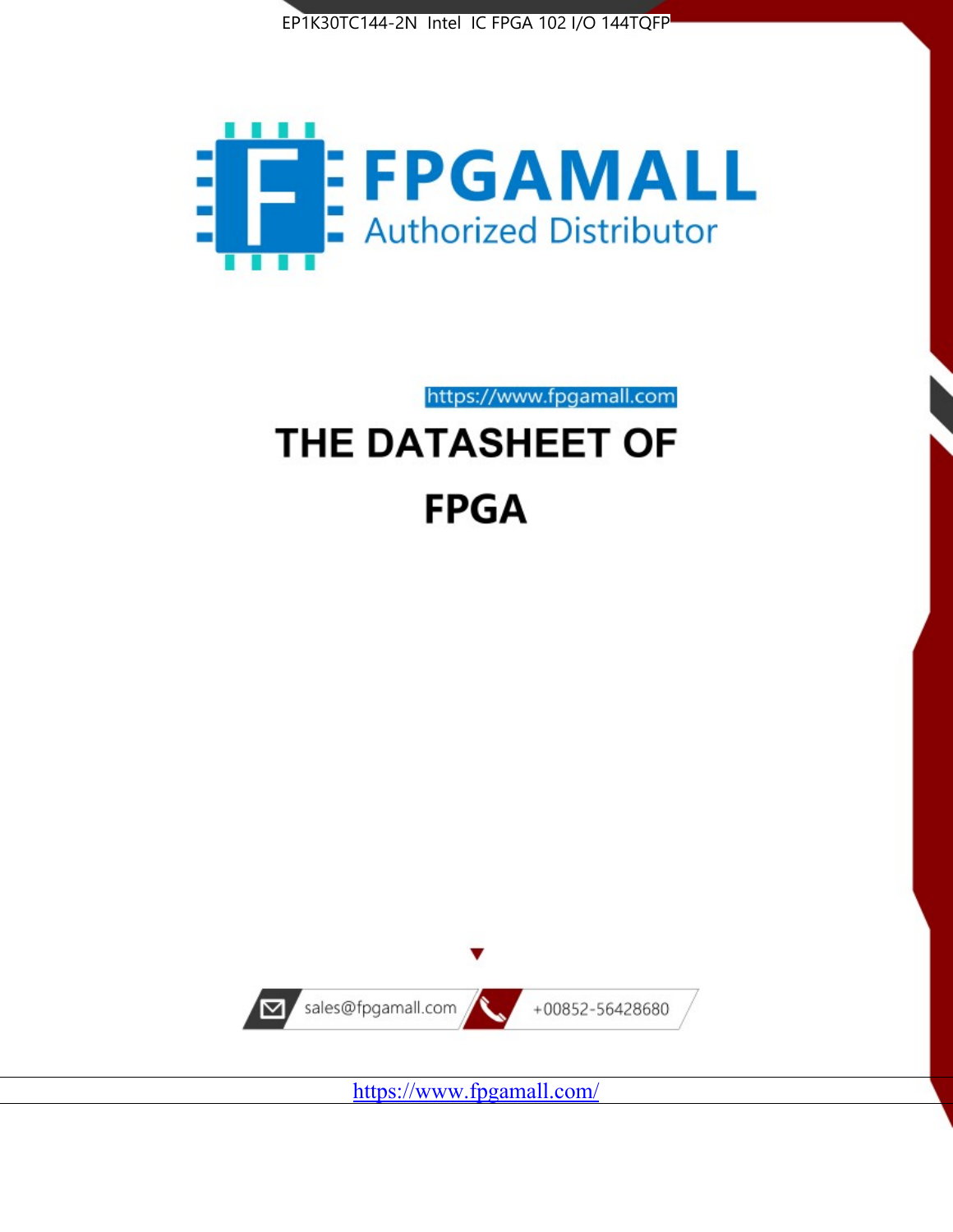



https://www.fpgamall.com

# THE DATASHEET OF **FPGA**



<https://www.fpgamall.com/>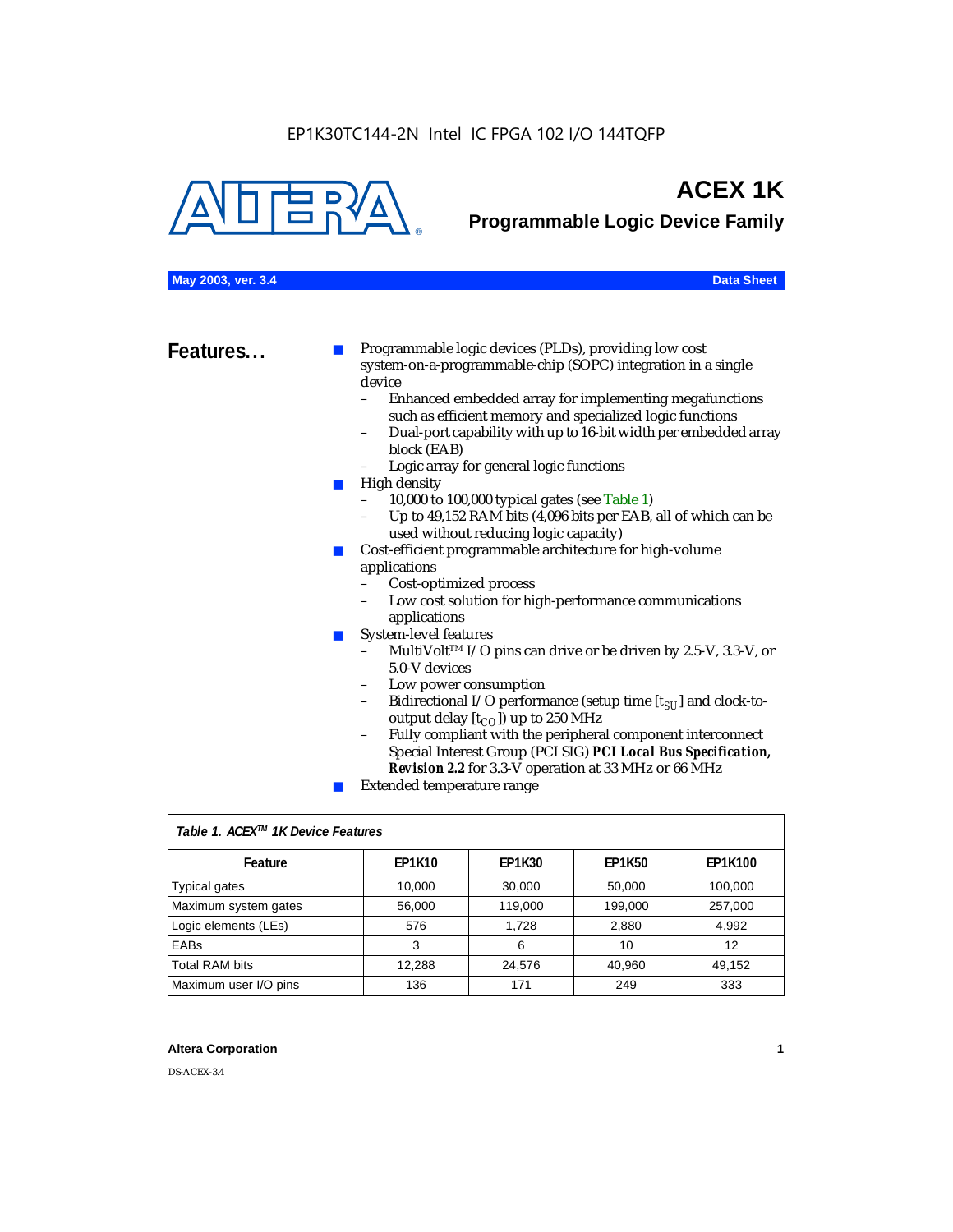

# **ACEX 1K**

**Programmable Logic Device Family**

### **May 2003, ver. 3.4 Data Sheet**

**Features...** ■ Programmable logic devices (PLDs), providing low cost system-on-a-programmable-chip (SOPC) integration in a single device

- Enhanced embedded array for implementing megafunctions such as efficient memory and specialized logic functions
- Dual-port capability with up to 16-bit width per embedded array block (EAB)
- Logic array for general logic functions
- High density
	- 10,000 to 100,000 typical gates (see Table 1)
	- Up to 49,152 RAM bits (4,096 bits per EAB, all of which can be used without reducing logic capacity)
- Cost-efficient programmable architecture for high-volume applications
	- Cost-optimized process
	- Low cost solution for high-performance communications applications
- System-level features
	- MultiVolt<sup>™</sup> I/O pins can drive or be driven by 2.5-V, 3.3-V, or 5.0-V devices
	- Low power consumption
	- Bidirectional I/O performance (setup time [ $t_{SU}$ ] and clock-tooutput delay  $[t_{CO}]$ ) up to 250 MHz
	- Fully compliant with the peripheral component interconnect Special Interest Group (PCI SIG) *PCI Local Bus Specification, Revision 2.2* for 3.3-V operation at 33 MHz or 66 MHz
	- Extended temperature range

| Table 1. ACEX™ 1K Device Features |               |               |               |                |  |  |
|-----------------------------------|---------------|---------------|---------------|----------------|--|--|
| Feature                           | <b>EP1K10</b> | <b>EP1K30</b> | <b>EP1K50</b> | <b>EP1K100</b> |  |  |
| <b>Typical gates</b>              | 10,000        | 30,000        | 50,000        | 100,000        |  |  |
| Maximum system gates              | 56,000        | 119,000       | 199,000       | 257,000        |  |  |
| Logic elements (LEs)              | 576           | 1.728         | 2,880         | 4,992          |  |  |
| <b>EABs</b>                       | 3             | 6             | 10            | 12             |  |  |
| <b>Total RAM bits</b>             | 12,288        | 24,576        | 40,960        | 49,152         |  |  |
| Maximum user I/O pins             | 136           | 171           | 249           | 333            |  |  |

### **Altera Corporation 1**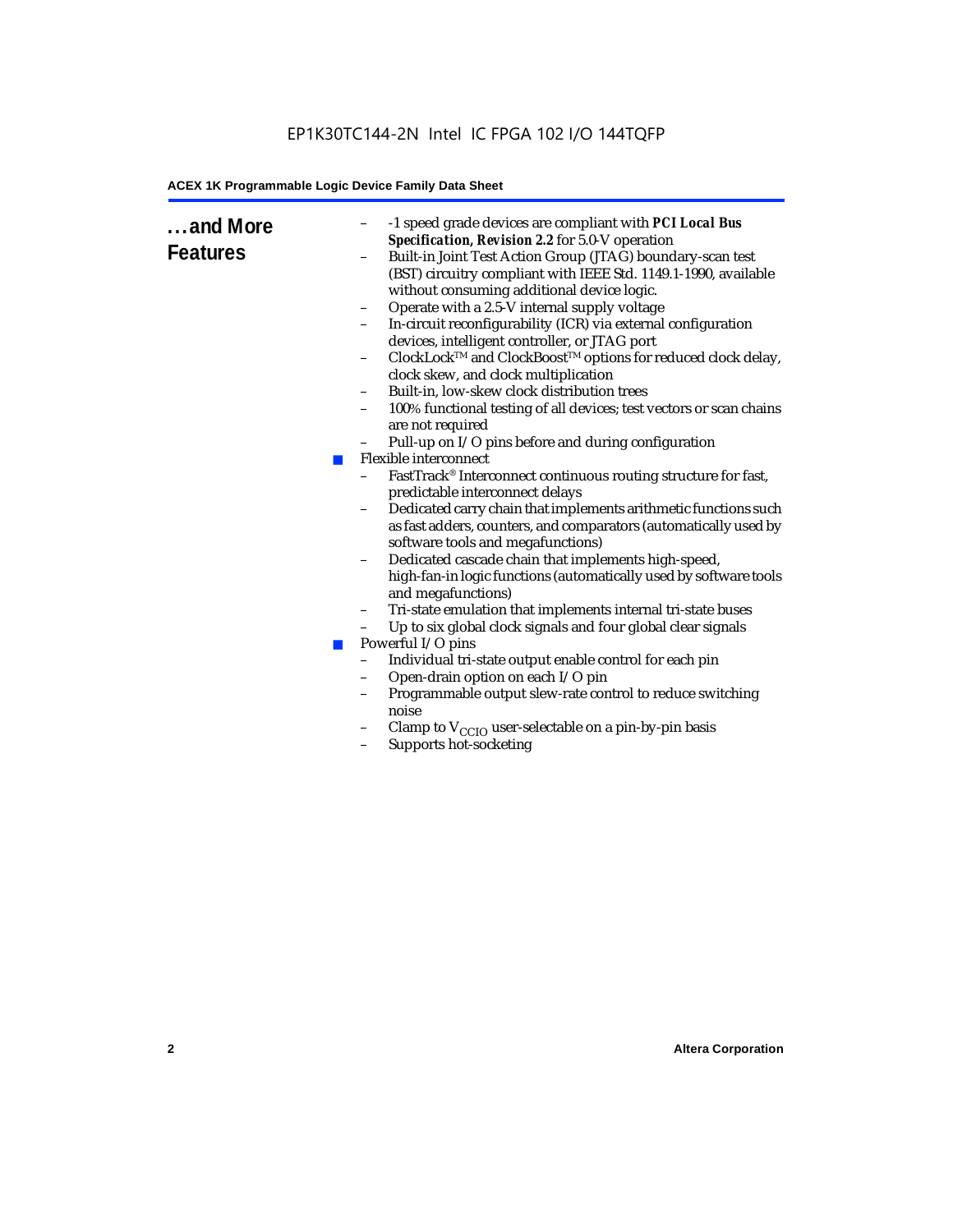### EP1K30TC144-2N Intel IC FPGA 102 I/O 144TQFP

### **ACEX 1K Programmable Logic Device Family Data Sheet**

| and More<br><b>Features</b> | -1 speed grade devices are compliant with PCI Local Bus<br>Specification, Revision 2.2 for 5.0-V operation<br>Built-in Joint Test Action Group (JTAG) boundary-scan test<br>(BST) circuitry compliant with IEEE Std. 1149.1-1990, available<br>without consuming additional device logic.<br>Operate with a 2.5-V internal supply voltage<br>$\qquad \qquad -$<br>In-circuit reconfigurability (ICR) via external configuration<br>devices, intelligent controller, or JTAG port<br>ClockLock™ and ClockBoost™ options for reduced clock delay,<br>clock skew, and clock multiplication<br>Built-in, low-skew clock distribution trees<br>$\qquad \qquad -$<br>100% functional testing of all devices; test vectors or scan chains<br>-<br>are not required<br>Pull-up on I/O pins before and during configuration<br>Flexible interconnect<br><b>College</b><br>FastTrack® Interconnect continuous routing structure for fast,<br>predictable interconnect delays<br>Dedicated carry chain that implements arithmetic functions such<br>$\qquad \qquad -$<br>as fast adders, counters, and comparators (automatically used by<br>software tools and megafunctions)<br>Dedicated cascade chain that implements high-speed,<br>$\qquad \qquad -$<br>high-fan-in logic functions (automatically used by software tools<br>and megafunctions)<br>Tri-state emulation that implements internal tri-state buses<br>$\qquad \qquad -$<br>Up to six global clock signals and four global clear signals<br>-<br>Powerful I/O pins<br><b>COL</b><br>Individual tri-state output enable control for each pin<br>$\overline{a}$<br>Open-drain option on each I/O pin<br>$\qquad \qquad -$<br>Programmable output slew-rate control to reduce switching<br>$\qquad \qquad -$<br>noise<br>Clamp to $V_{\text{CCIO}}$ user-selectable on a pin-by-pin basis<br>Supports hot-socketing<br>$\qquad \qquad -$ |
|-----------------------------|----------------------------------------------------------------------------------------------------------------------------------------------------------------------------------------------------------------------------------------------------------------------------------------------------------------------------------------------------------------------------------------------------------------------------------------------------------------------------------------------------------------------------------------------------------------------------------------------------------------------------------------------------------------------------------------------------------------------------------------------------------------------------------------------------------------------------------------------------------------------------------------------------------------------------------------------------------------------------------------------------------------------------------------------------------------------------------------------------------------------------------------------------------------------------------------------------------------------------------------------------------------------------------------------------------------------------------------------------------------------------------------------------------------------------------------------------------------------------------------------------------------------------------------------------------------------------------------------------------------------------------------------------------------------------------------------------------------------------------------------------------------------------------------------------------------------------------------------------------------------------------------------|
|                             |                                                                                                                                                                                                                                                                                                                                                                                                                                                                                                                                                                                                                                                                                                                                                                                                                                                                                                                                                                                                                                                                                                                                                                                                                                                                                                                                                                                                                                                                                                                                                                                                                                                                                                                                                                                                                                                                                              |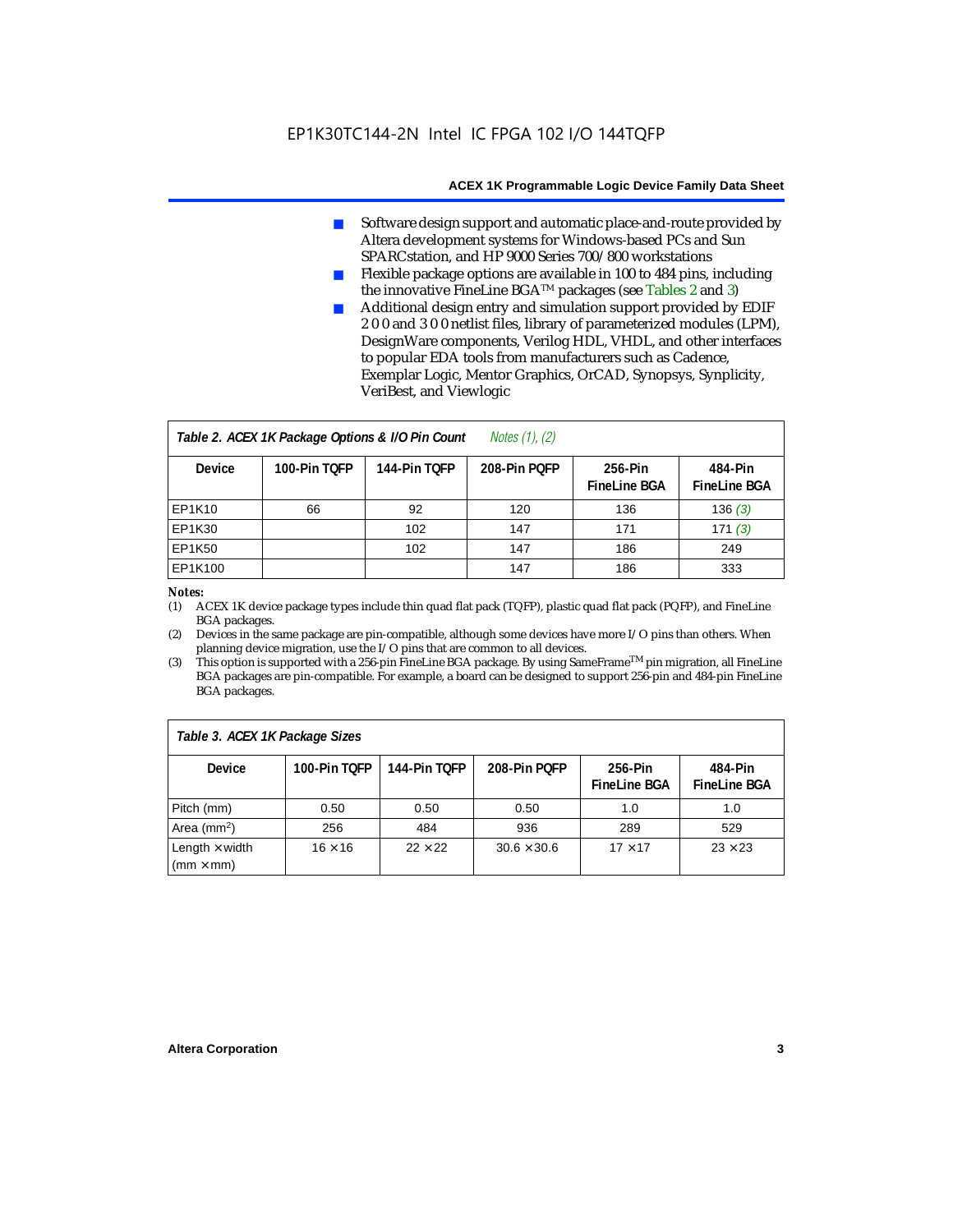- Software design support and automatic place-and-route provided by Altera development systems for Windows-based PCs and Sun SPARCstation, and HP 9000 Series 700/800 workstations
- Flexible package options are available in 100 to 484 pins, including the innovative FineLine BGATM packages (see Tables 2 and 3)
- Additional design entry and simulation support provided by EDIF 2 0 0 and 3 0 0 netlist files, library of parameterized modules (LPM), DesignWare components, Verilog HDL, VHDL, and other interfaces to popular EDA tools from manufacturers such as Cadence, Exemplar Logic, Mentor Graphics, OrCAD, Synopsys, Synplicity, VeriBest, and Viewlogic

| <i>Notes <math>(1)</math>, <math>(2)</math></i><br>Table 2. ACEX 1K Package Options & I/O Pin Count |              |              |              |                                |                                |  |  |
|-----------------------------------------------------------------------------------------------------|--------------|--------------|--------------|--------------------------------|--------------------------------|--|--|
| <b>Device</b>                                                                                       | 100-Pin TOFP | 144-Pin TOFP | 208-Pin POFP | 256-Pin<br><b>FineLine BGA</b> | 484-Pin<br><b>FineLine BGA</b> |  |  |
| <b>EP1K10</b>                                                                                       | 66           | 92           | 120          | 136                            | 136(3)                         |  |  |
| <b>EP1K30</b>                                                                                       |              | 102          | 147          | 171                            | 171(3)                         |  |  |
| <b>EP1K50</b>                                                                                       |              | 102          | 147          | 186                            | 249                            |  |  |
| EP1K100                                                                                             |              |              | 147          | 186                            | 333                            |  |  |

#### *Notes:*

(1) ACEX 1K device package types include thin quad flat pack (TQFP), plastic quad flat pack (PQFP), and FineLine BGA packages.

(2) Devices in the same package are pin-compatible, although some devices have more I/O pins than others. When planning device migration, use the I/O pins that are common to all devices.

(3) This option is supported with a 256-pin FineLine BGA package. By using SameFrameTM pin migration, all FineLine BGA packages are pin-compatible. For example, a board can be designed to support 256-pin and 484-pin FineLine BGA packages.

| Table 3. ACEX 1K Package Sizes                           |                |                |                    |                                |                                |  |
|----------------------------------------------------------|----------------|----------------|--------------------|--------------------------------|--------------------------------|--|
| <b>Device</b>                                            | 100-Pin TOFP   | 144-Pin TOFP   | 208-Pin POFP       | 256-Pin<br><b>FineLine BGA</b> | 484-Pin<br><b>FineLine BGA</b> |  |
| Pitch (mm)                                               | 0.50           | 0.50           | 0.50               | 1.0                            | 1.0                            |  |
| Area ( $mm2$ )                                           | 256            | 484            | 936                | 289                            | 529                            |  |
| Length $\times$ width<br>$\mathsf{mmm}\times\mathsf{mm}$ | $16 \times 16$ | $22 \times 22$ | $30.6 \times 30.6$ | $17 \times 17$                 | $23 \times 23$                 |  |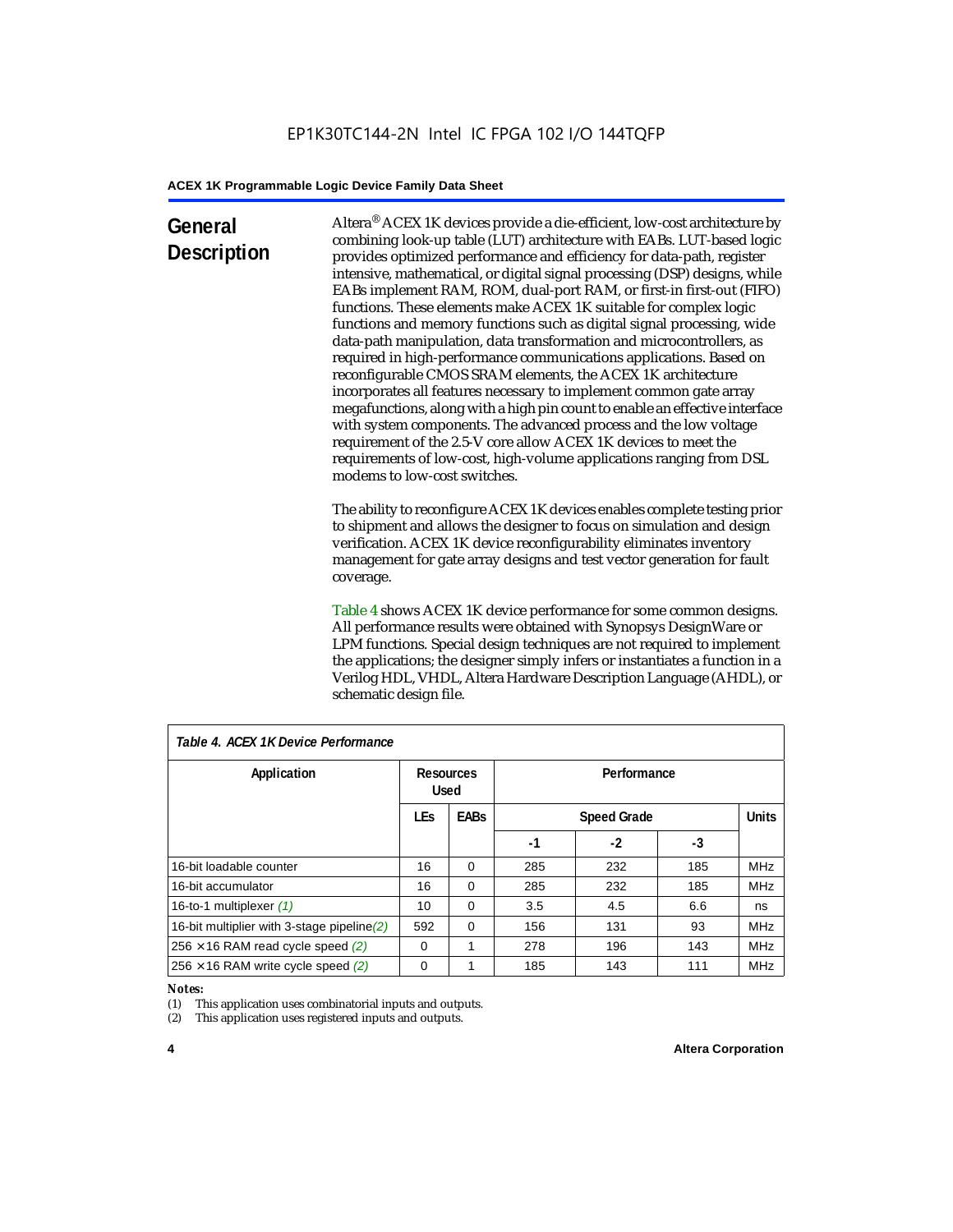## **General Description**

Altera® ACEX 1K devices provide a die-efficient, low-cost architecture by combining look-up table (LUT) architecture with EABs. LUT-based logic provides optimized performance and efficiency for data-path, register intensive, mathematical, or digital signal processing (DSP) designs, while EABs implement RAM, ROM, dual-port RAM, or first-in first-out (FIFO) functions. These elements make ACEX 1K suitable for complex logic functions and memory functions such as digital signal processing, wide data-path manipulation, data transformation and microcontrollers, as required in high-performance communications applications. Based on reconfigurable CMOS SRAM elements, the ACEX 1K architecture incorporates all features necessary to implement common gate array megafunctions, along with a high pin count to enable an effective interface with system components. The advanced process and the low voltage requirement of the 2.5-V core allow ACEX 1K devices to meet the requirements of low-cost, high-volume applications ranging from DSL modems to low-cost switches.

The ability to reconfigure ACEX 1K devices enables complete testing prior to shipment and allows the designer to focus on simulation and design verification. ACEX 1K device reconfigurability eliminates inventory management for gate array designs and test vector generation for fault coverage.

Table 4 shows ACEX 1K device performance for some common designs. All performance results were obtained with Synopsys DesignWare or LPM functions. Special design techniques are not required to implement the applications; the designer simply infers or instantiates a function in a Verilog HDL, VHDL, Altera Hardware Description Language (AHDL), or schematic design file.

| Table 4. ACEX 1K Device Performance         |                          |             |             |                    |     |              |  |
|---------------------------------------------|--------------------------|-------------|-------------|--------------------|-----|--------------|--|
| Application                                 | Resources<br><b>Used</b> |             | Performance |                    |     |              |  |
|                                             | <b>LEs</b>               | <b>EABs</b> |             | <b>Speed Grade</b> |     | <b>Units</b> |  |
|                                             |                          |             | -1          | -2                 | -3  |              |  |
| 16-bit loadable counter                     | 16                       | $\Omega$    | 285         | 232                | 185 | <b>MHz</b>   |  |
| 16-bit accumulator                          | 16                       | $\Omega$    | 285         | 232                | 185 | <b>MHz</b>   |  |
| 16-to-1 multiplexer (1)                     | 10                       | $\Omega$    | 3.5         | 4.5                | 6.6 | ns           |  |
| 16-bit multiplier with 3-stage pipeline (2) | 592                      | $\Omega$    | 156         | 131                | 93  | <b>MHz</b>   |  |
| $256 \times 16$ RAM read cycle speed (2)    | $\Omega$                 | 1           | 278         | 196                | 143 | <b>MHz</b>   |  |
| $256 \times 16$ RAM write cycle speed (2)   | 0                        |             | 185         | 143                | 111 | <b>MHz</b>   |  |

### *Table 4. ACEX 1K Device Performance*

#### *Notes:*

(1) This application uses combinatorial inputs and outputs.

(2) This application uses registered inputs and outputs.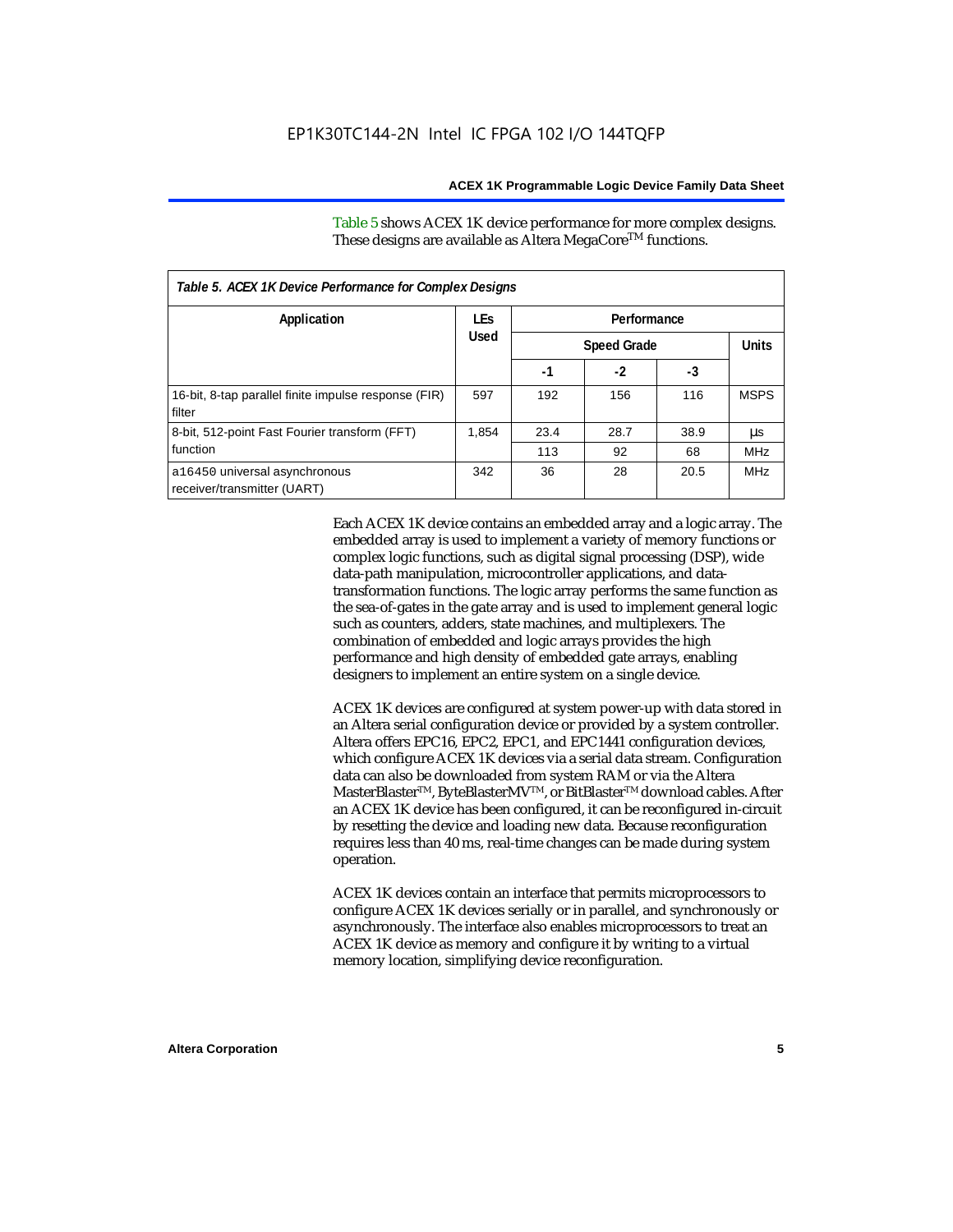Table 5 shows ACEX 1K device performance for more complex designs. These designs are available as Altera MegaCore<sup>TM</sup> functions.

| Table 5. ACEX 1K Device Performance for Complex Designs        |            |      |                    |      |              |  |
|----------------------------------------------------------------|------------|------|--------------------|------|--------------|--|
| Application                                                    | <b>LEs</b> |      |                    |      |              |  |
|                                                                | Used       |      | <b>Speed Grade</b> |      | <b>Units</b> |  |
|                                                                |            | -1   | $-2$               | -3   |              |  |
| 16-bit, 8-tap parallel finite impulse response (FIR)<br>filter | 597        | 192  | 156                | 116  | <b>MSPS</b>  |  |
| 8-bit, 512-point Fast Fourier transform (FFT)                  | 1.854      | 23.4 | 28.7               | 38.9 | μs           |  |
| function                                                       |            | 113  | 92                 | 68   | <b>MHz</b>   |  |
| a16450 universal asynchronous<br>receiver/transmitter (UART)   | 342        | 36   | 28                 | 20.5 | <b>MHz</b>   |  |

Each ACEX 1K device contains an embedded array and a logic array. The embedded array is used to implement a variety of memory functions or complex logic functions, such as digital signal processing (DSP), wide data-path manipulation, microcontroller applications, and datatransformation functions. The logic array performs the same function as the sea-of-gates in the gate array and is used to implement general logic such as counters, adders, state machines, and multiplexers. The combination of embedded and logic arrays provides the high performance and high density of embedded gate arrays, enabling designers to implement an entire system on a single device.

ACEX 1K devices are configured at system power-up with data stored in an Altera serial configuration device or provided by a system controller. Altera offers EPC16, EPC2, EPC1, and EPC1441 configuration devices, which configure ACEX 1K devices via a serial data stream. Configuration data can also be downloaded from system RAM or via the Altera MasterBlaster™, ByteBlasterMV™, or BitBlaster™ download cables. After an ACEX 1K device has been configured, it can be reconfigured in-circuit by resetting the device and loading new data. Because reconfiguration requires less than 40 ms, real-time changes can be made during system operation.

ACEX 1K devices contain an interface that permits microprocessors to configure ACEX 1K devices serially or in parallel, and synchronously or asynchronously. The interface also enables microprocessors to treat an ACEX 1K device as memory and configure it by writing to a virtual memory location, simplifying device reconfiguration.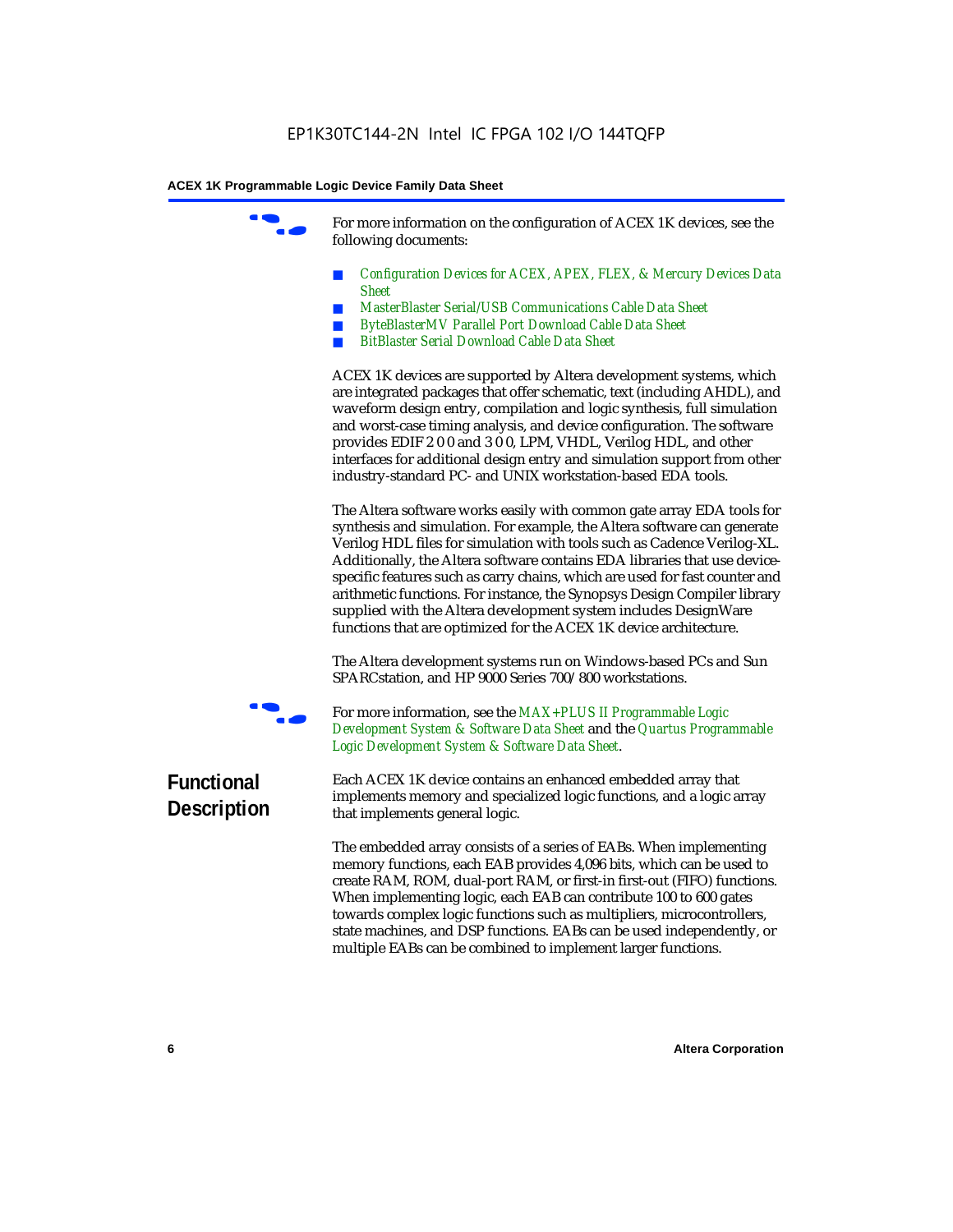For more information on the configuration of ACEX 1K devices, see the following documents:

- *Configuration Devices for ACEX, APEX, FLEX, & Mercury Devices Data Sheet*
- *MasterBlaster Serial/USB Communications Cable Data Sheet*
- *ByteBlasterMV Parallel Port Download Cable Data Sheet*
- *BitBlaster Serial Download Cable Data Sheet*

ACEX 1K devices are supported by Altera development systems, which are integrated packages that offer schematic, text (including AHDL), and waveform design entry, compilation and logic synthesis, full simulation and worst-case timing analysis, and device configuration. The software provides EDIF 2 0 0 and 3 0 0, LPM, VHDL, Verilog HDL, and other interfaces for additional design entry and simulation support from other industry-standard PC- and UNIX workstation-based EDA tools.

The Altera software works easily with common gate array EDA tools for synthesis and simulation. For example, the Altera software can generate Verilog HDL files for simulation with tools such as Cadence Verilog-XL. Additionally, the Altera software contains EDA libraries that use devicespecific features such as carry chains, which are used for fast counter and arithmetic functions. For instance, the Synopsys Design Compiler library supplied with the Altera development system includes DesignWare functions that are optimized for the ACEX 1K device architecture.

The Altera development systems run on Windows-based PCs and Sun SPARCstation, and HP 9000 Series 700/800 workstations.



For more information, see the *MAX+PLUS II Programmable Logic Development System & Software Data Sheet* and the *Quartus Programmable Logic Development System & Software Data Sheet*.

## **Functional Description**

Each ACEX 1K device contains an enhanced embedded array that implements memory and specialized logic functions, and a logic array that implements general logic.

The embedded array consists of a series of EABs. When implementing memory functions, each EAB provides 4,096 bits, which can be used to create RAM, ROM, dual-port RAM, or first-in first-out (FIFO) functions. When implementing logic, each EAB can contribute 100 to 600 gates towards complex logic functions such as multipliers, microcontrollers, state machines, and DSP functions. EABs can be used independently, or multiple EABs can be combined to implement larger functions.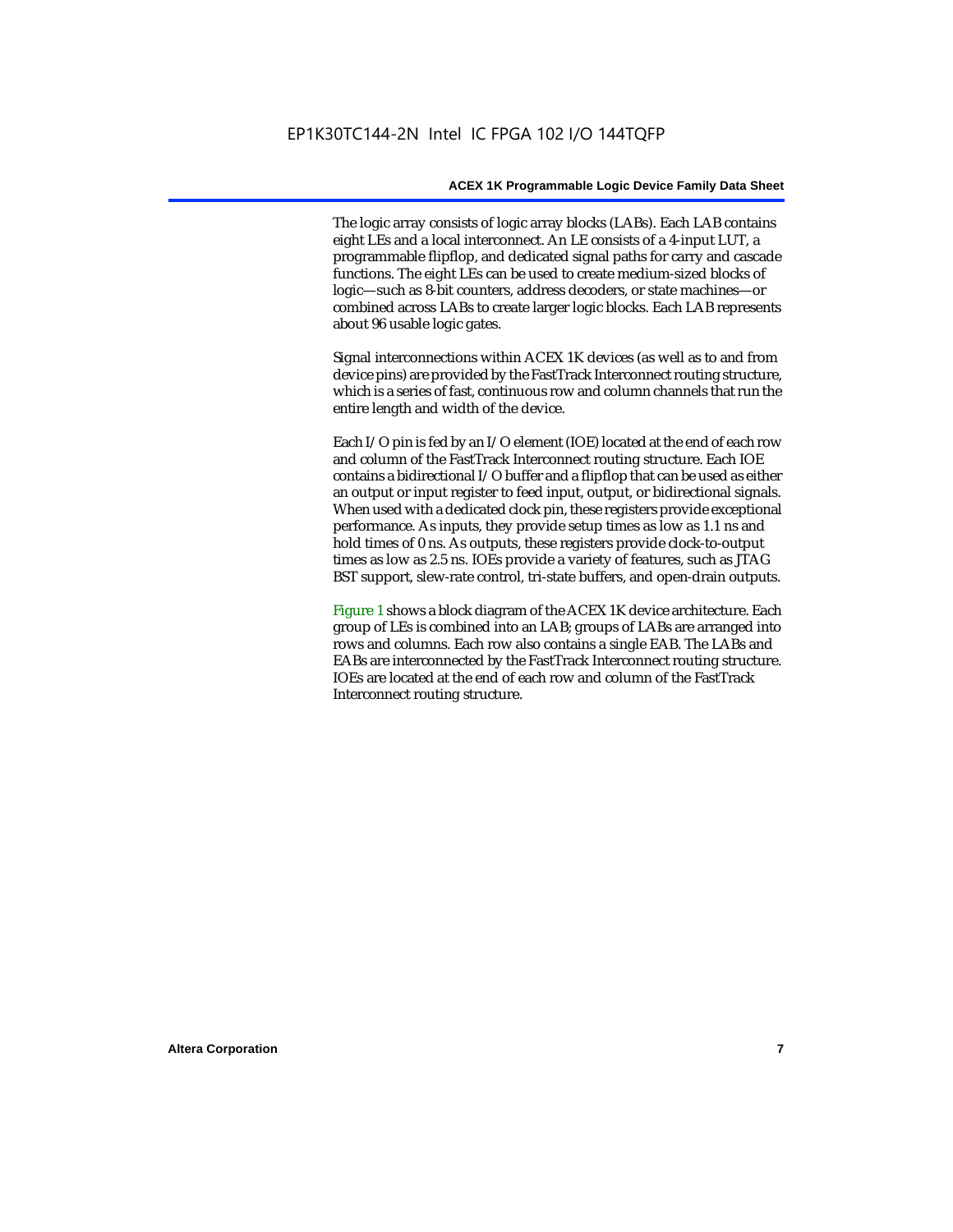The logic array consists of logic array blocks (LABs). Each LAB contains eight LEs and a local interconnect. An LE consists of a 4-input LUT, a programmable flipflop, and dedicated signal paths for carry and cascade functions. The eight LEs can be used to create medium-sized blocks of logic—such as 8-bit counters, address decoders, or state machines—or combined across LABs to create larger logic blocks. Each LAB represents about 96 usable logic gates.

Signal interconnections within ACEX 1K devices (as well as to and from device pins) are provided by the FastTrack Interconnect routing structure, which is a series of fast, continuous row and column channels that run the entire length and width of the device.

Each I/O pin is fed by an I/O element (IOE) located at the end of each row and column of the FastTrack Interconnect routing structure. Each IOE contains a bidirectional I/O buffer and a flipflop that can be used as either an output or input register to feed input, output, or bidirectional signals. When used with a dedicated clock pin, these registers provide exceptional performance. As inputs, they provide setup times as low as 1.1 ns and hold times of 0 ns. As outputs, these registers provide clock-to-output times as low as 2.5 ns. IOEs provide a variety of features, such as JTAG BST support, slew-rate control, tri-state buffers, and open-drain outputs.

Figure 1 shows a block diagram of the ACEX 1K device architecture. Each group of LEs is combined into an LAB; groups of LABs are arranged into rows and columns. Each row also contains a single EAB. The LABs and EABs are interconnected by the FastTrack Interconnect routing structure. IOEs are located at the end of each row and column of the FastTrack Interconnect routing structure.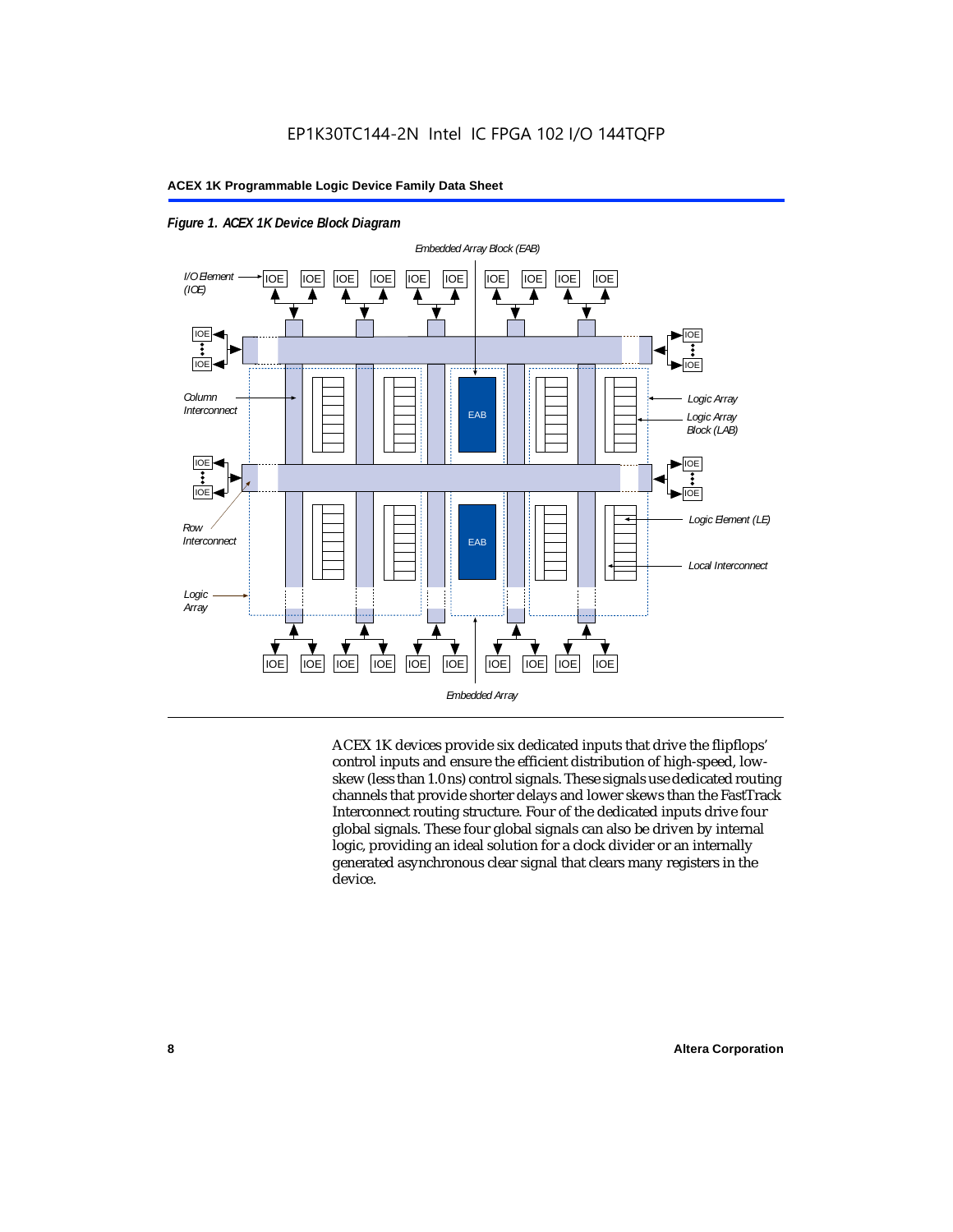

*Figure 1. ACEX 1K Device Block Diagram*

ACEX 1K devices provide six dedicated inputs that drive the flipflops' control inputs and ensure the efficient distribution of high-speed, lowskew (less than 1.0 ns) control signals. These signals use dedicated routing channels that provide shorter delays and lower skews than the FastTrack Interconnect routing structure. Four of the dedicated inputs drive four global signals. These four global signals can also be driven by internal logic, providing an ideal solution for a clock divider or an internally generated asynchronous clear signal that clears many registers in the device.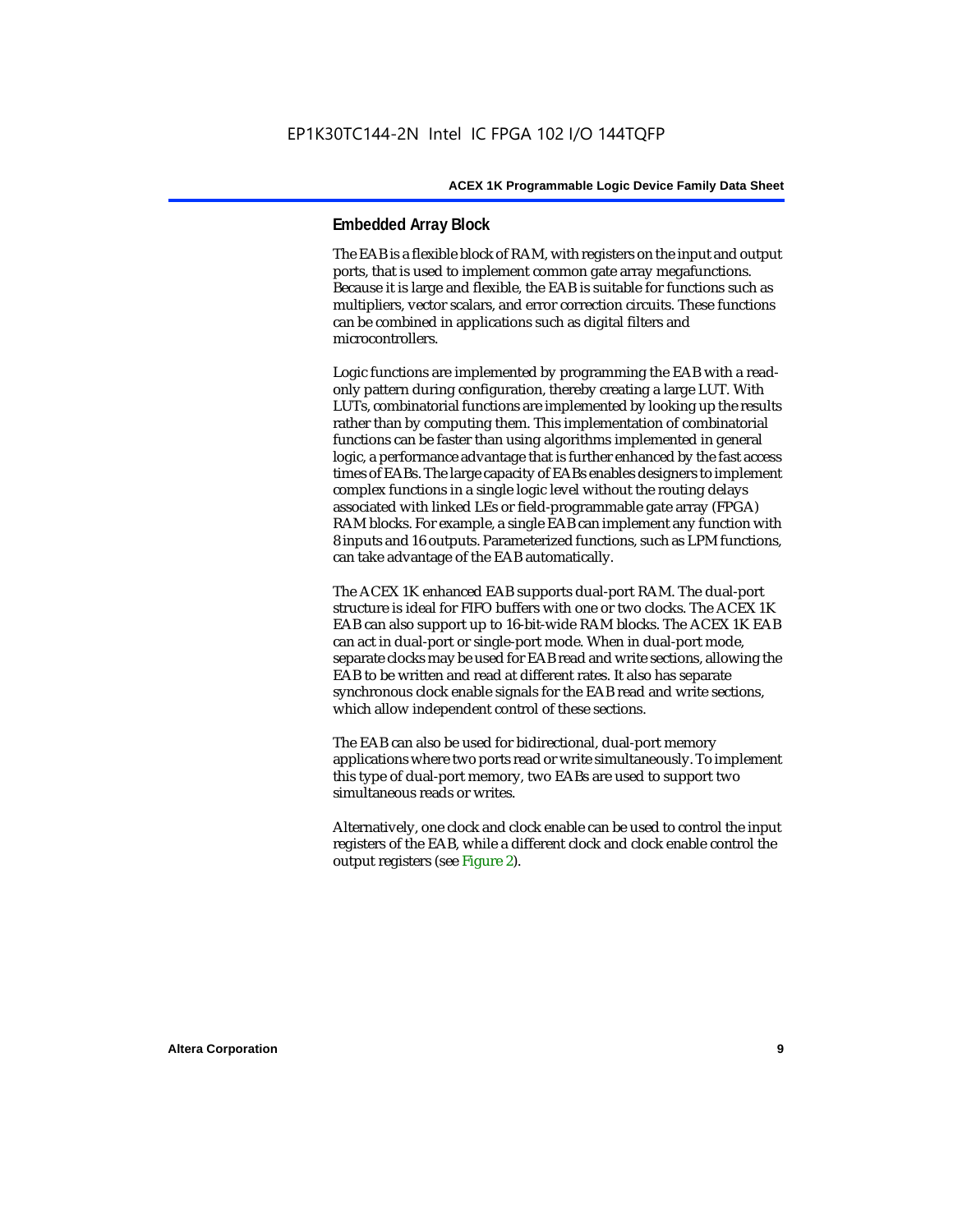### **Embedded Array Block**

The EAB is a flexible block of RAM, with registers on the input and output ports, that is used to implement common gate array megafunctions. Because it is large and flexible, the EAB is suitable for functions such as multipliers, vector scalars, and error correction circuits. These functions can be combined in applications such as digital filters and microcontrollers.

Logic functions are implemented by programming the EAB with a readonly pattern during configuration, thereby creating a large LUT. With LUTs, combinatorial functions are implemented by looking up the results rather than by computing them. This implementation of combinatorial functions can be faster than using algorithms implemented in general logic, a performance advantage that is further enhanced by the fast access times of EABs. The large capacity of EABs enables designers to implement complex functions in a single logic level without the routing delays associated with linked LEs or field-programmable gate array (FPGA) RAM blocks. For example, a single EAB can implement any function with 8 inputs and 16 outputs. Parameterized functions, such as LPM functions, can take advantage of the EAB automatically.

The ACEX 1K enhanced EAB supports dual-port RAM. The dual-port structure is ideal for FIFO buffers with one or two clocks. The ACEX 1K EAB can also support up to 16-bit-wide RAM blocks. The ACEX 1K EAB can act in dual-port or single-port mode. When in dual-port mode, separate clocks may be used for EAB read and write sections, allowing the EAB to be written and read at different rates. It also has separate synchronous clock enable signals for the EAB read and write sections, which allow independent control of these sections.

The EAB can also be used for bidirectional, dual-port memory applications where two ports read or write simultaneously. To implement this type of dual-port memory, two EABs are used to support two simultaneous reads or writes.

Alternatively, one clock and clock enable can be used to control the input registers of the EAB, while a different clock and clock enable control the output registers (see Figure 2).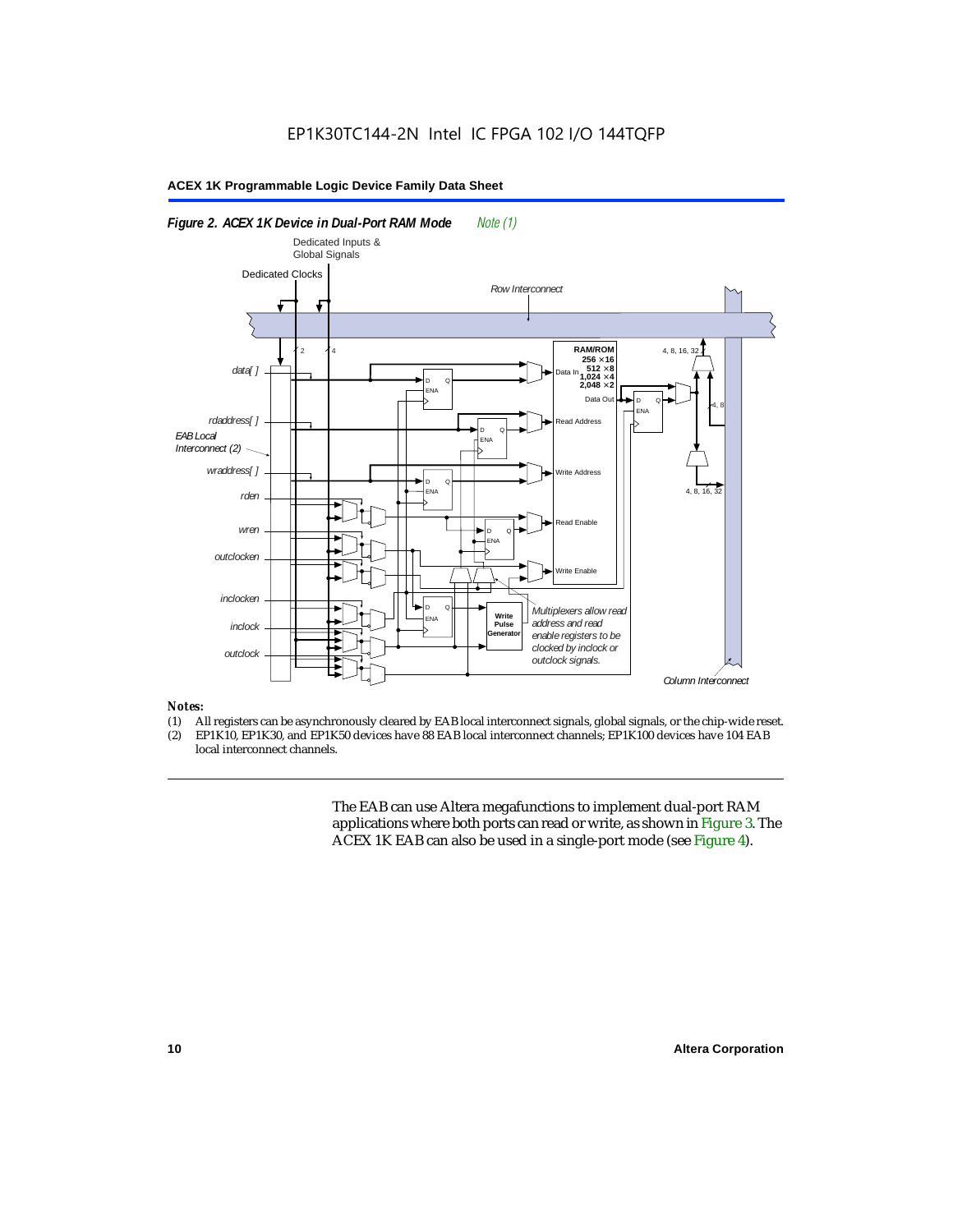

### *Notes:*

- (1) All registers can be asynchronously cleared by EAB local interconnect signals, global signals, or the chip-wide reset.<br>(2) EP1K10. EP1K30. and EP1K50 devices have 88 EAB local interconnect channels: EP1K100 devices hav
- EP1K10, EP1K30, and EP1K50 devices have 88 EAB local interconnect channels; EP1K100 devices have 104 EAB local interconnect channels.

The EAB can use Altera megafunctions to implement dual-port RAM applications where both ports can read or write, as shown in Figure 3. The ACEX 1K EAB can also be used in a single-port mode (see Figure 4).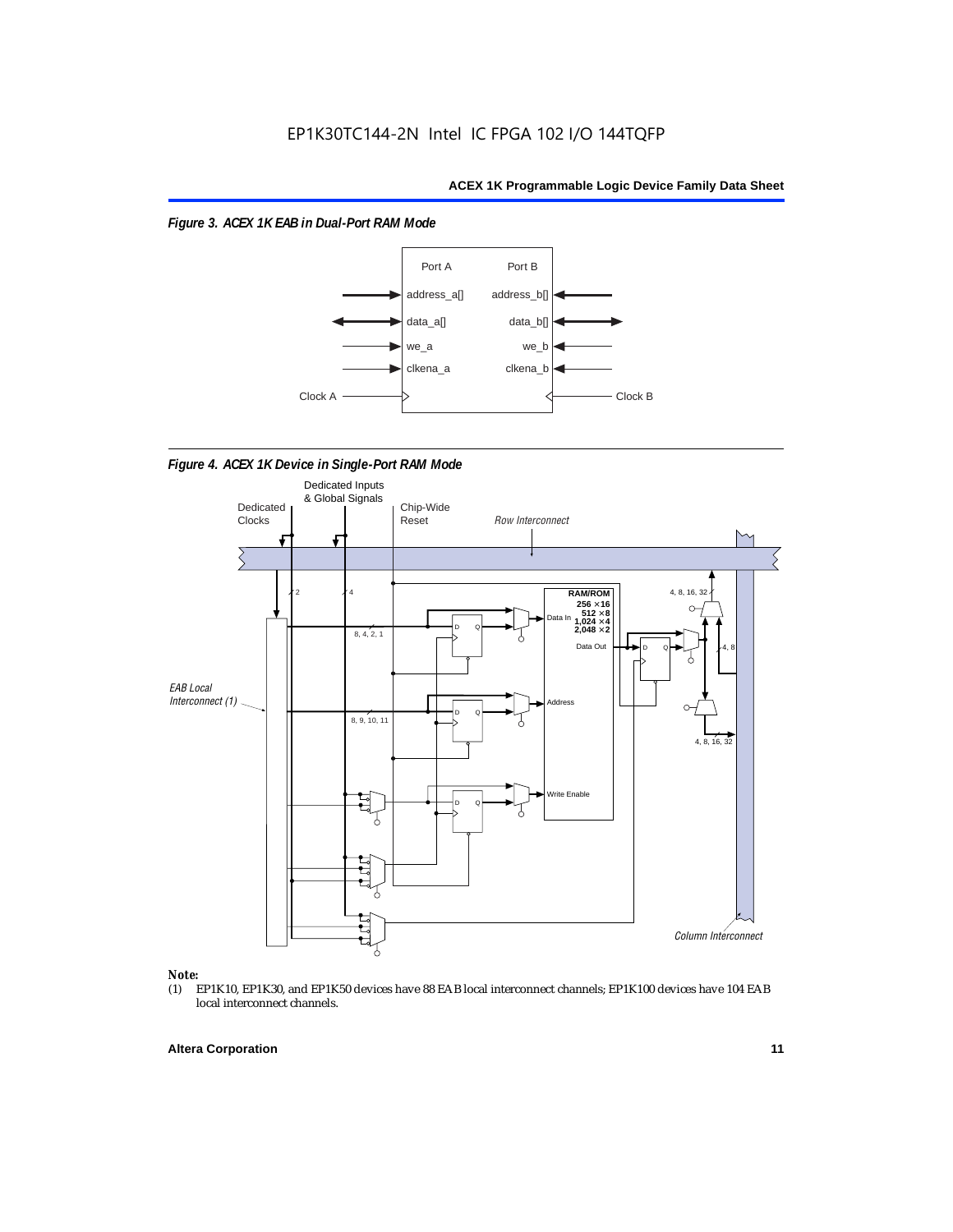*Figure 3. ACEX 1K EAB in Dual-Port RAM Mode*



*Figure 4. ACEX 1K Device in Single-Port RAM Mode* 



## *Note:*<br>(1) **H**

EP1K10, EP1K30, and EP1K50 devices have 88 EAB local interconnect channels; EP1K100 devices have 104 EAB local interconnect channels.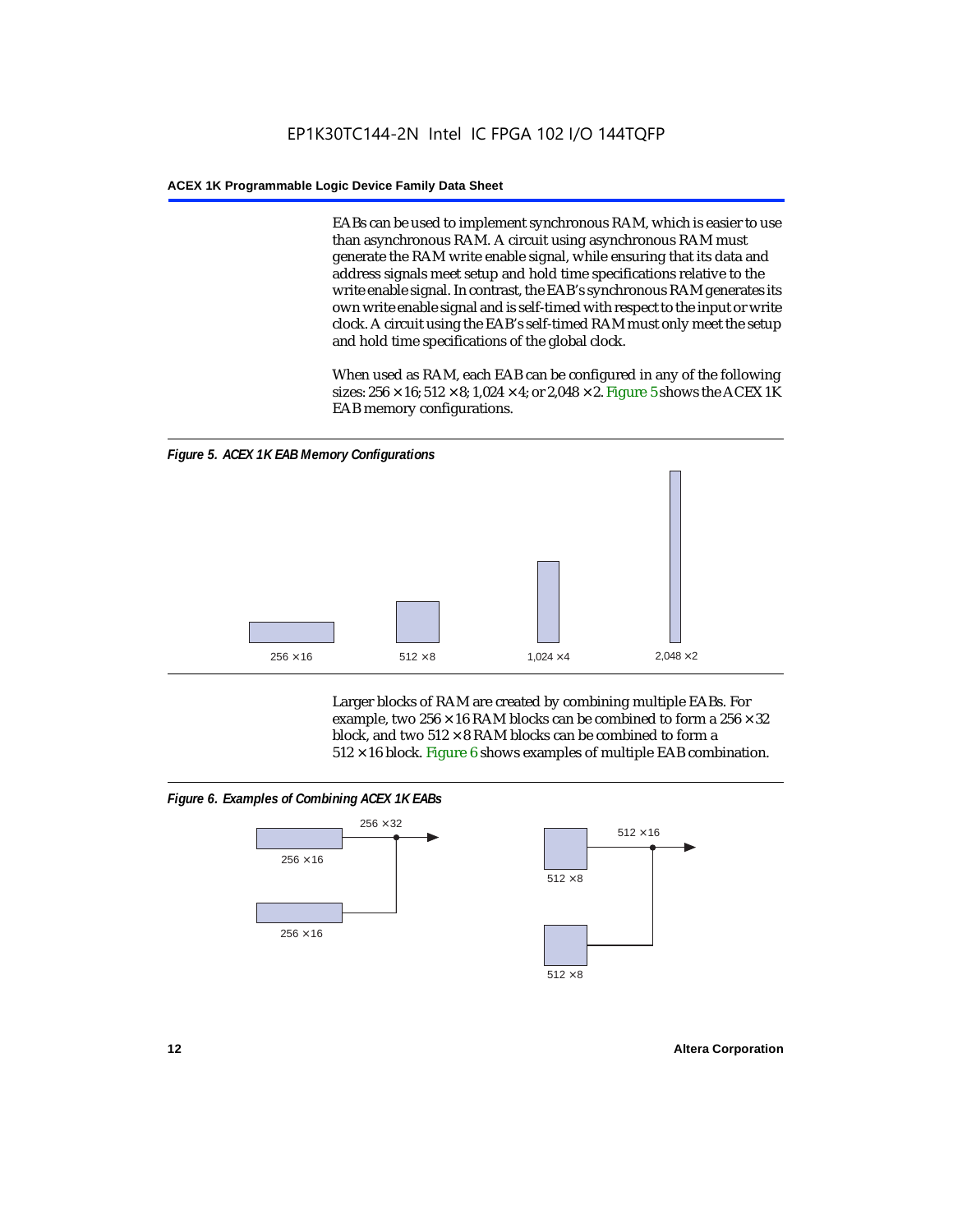EABs can be used to implement synchronous RAM, which is easier to use than asynchronous RAM. A circuit using asynchronous RAM must generate the RAM write enable signal, while ensuring that its data and address signals meet setup and hold time specifications relative to the write enable signal. In contrast, the EAB's synchronous RAM generates its own write enable signal and is self-timed with respect to the input or write clock. A circuit using the EAB's self-timed RAM must only meet the setup and hold time specifications of the global clock.

When used as RAM, each EAB can be configured in any of the following sizes:  $256 \times 16$ ;  $512 \times 8$ ;  $1,024 \times 4$ ; or  $2,048 \times 2$ . Figure 5 shows the ACEX 1K EAB memory configurations.



Larger blocks of RAM are created by combining multiple EABs. For example, two  $256 \times 16$  RAM blocks can be combined to form a  $256 \times 32$ block, and two  $512 \times 8$  RAM blocks can be combined to form a  $512 \times 16$  block. Figure 6 shows examples of multiple EAB combination.

### *Figure 6. Examples of Combining ACEX 1K EABs*



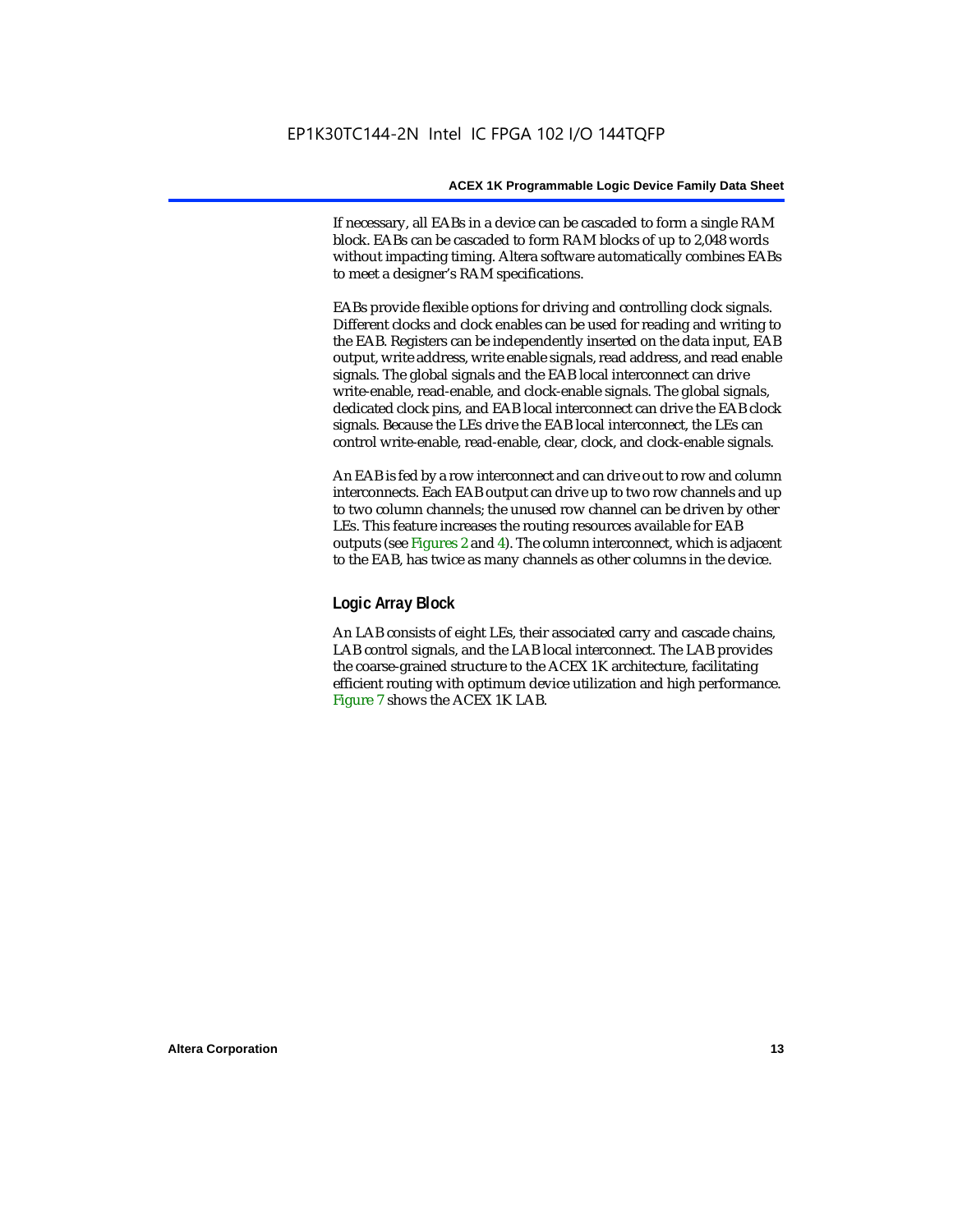If necessary, all EABs in a device can be cascaded to form a single RAM block. EABs can be cascaded to form RAM blocks of up to 2,048 words without impacting timing. Altera software automatically combines EABs to meet a designer's RAM specifications.

EABs provide flexible options for driving and controlling clock signals. Different clocks and clock enables can be used for reading and writing to the EAB. Registers can be independently inserted on the data input, EAB output, write address, write enable signals, read address, and read enable signals. The global signals and the EAB local interconnect can drive write-enable, read-enable, and clock-enable signals. The global signals, dedicated clock pins, and EAB local interconnect can drive the EAB clock signals. Because the LEs drive the EAB local interconnect, the LEs can control write-enable, read-enable, clear, clock, and clock-enable signals.

An EAB is fed by a row interconnect and can drive out to row and column interconnects. Each EAB output can drive up to two row channels and up to two column channels; the unused row channel can be driven by other LEs. This feature increases the routing resources available for EAB outputs (see Figures 2 and 4). The column interconnect, which is adjacent to the EAB, has twice as many channels as other columns in the device.

### **Logic Array Block**

An LAB consists of eight LEs, their associated carry and cascade chains, LAB control signals, and the LAB local interconnect. The LAB provides the coarse-grained structure to the ACEX 1K architecture, facilitating efficient routing with optimum device utilization and high performance. Figure 7 shows the ACEX 1K LAB.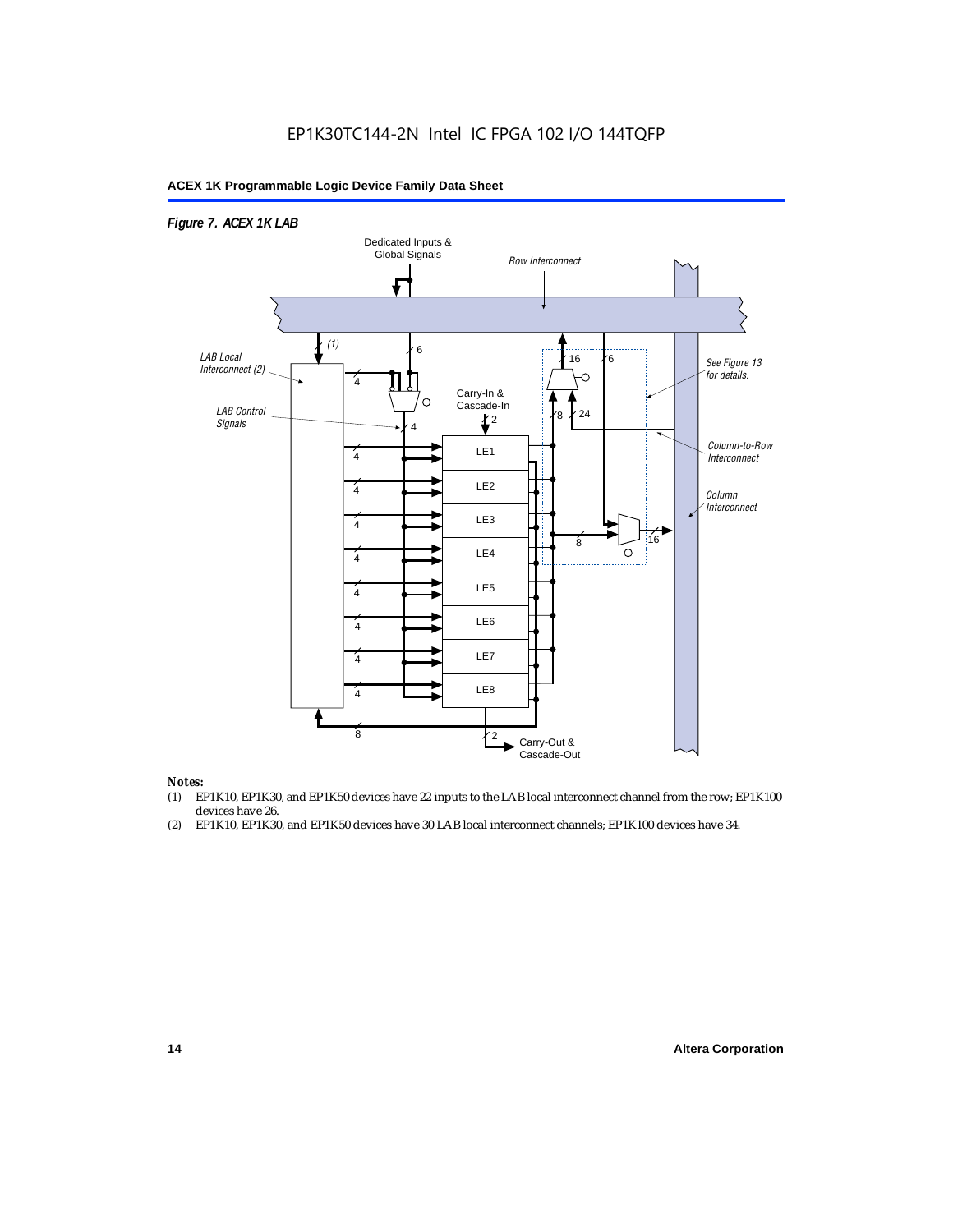### EP1K30TC144-2N Intel IC FPGA 102 I/O 144TQFP

### **ACEX 1K Programmable Logic Device Family Data Sheet**



#### *Notes:*

- (1) EP1K10, EP1K30, and EP1K50 devices have 22 inputs to the LAB local interconnect channel from the row; EP1K100 devices have 26.
- (2) EP1K10, EP1K30, and EP1K50 devices have 30 LAB local interconnect channels; EP1K100 devices have 34.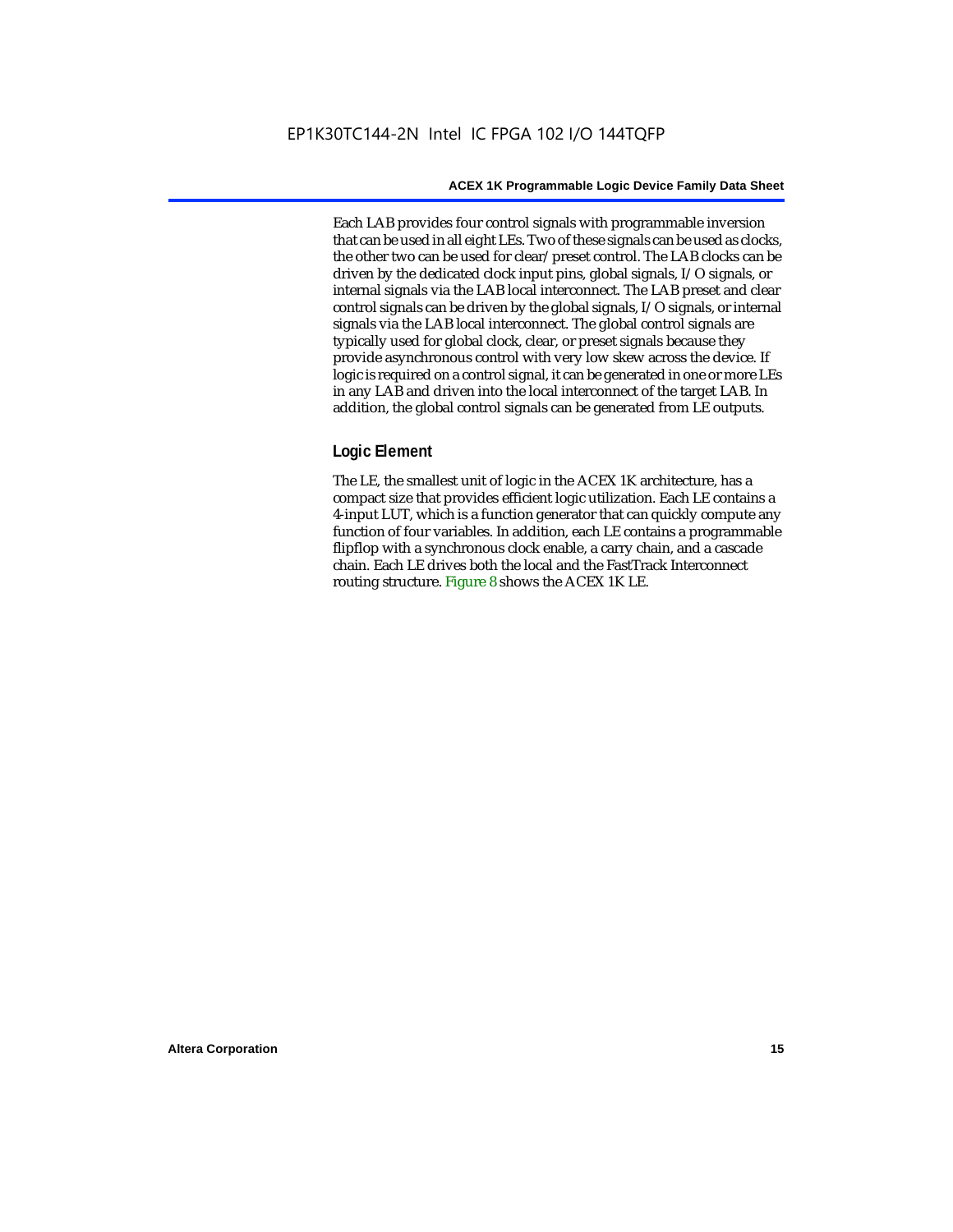Each LAB provides four control signals with programmable inversion that can be used in all eight LEs. Two of these signals can be used as clocks, the other two can be used for clear/preset control. The LAB clocks can be driven by the dedicated clock input pins, global signals, I/O signals, or internal signals via the LAB local interconnect. The LAB preset and clear control signals can be driven by the global signals, I/O signals, or internal signals via the LAB local interconnect. The global control signals are typically used for global clock, clear, or preset signals because they provide asynchronous control with very low skew across the device. If logic is required on a control signal, it can be generated in one or more LEs in any LAB and driven into the local interconnect of the target LAB. In addition, the global control signals can be generated from LE outputs.

### **Logic Element**

The LE, the smallest unit of logic in the ACEX 1K architecture, has a compact size that provides efficient logic utilization. Each LE contains a 4-input LUT, which is a function generator that can quickly compute any function of four variables. In addition, each LE contains a programmable flipflop with a synchronous clock enable, a carry chain, and a cascade chain. Each LE drives both the local and the FastTrack Interconnect routing structure. Figure 8 shows the ACEX 1K LE.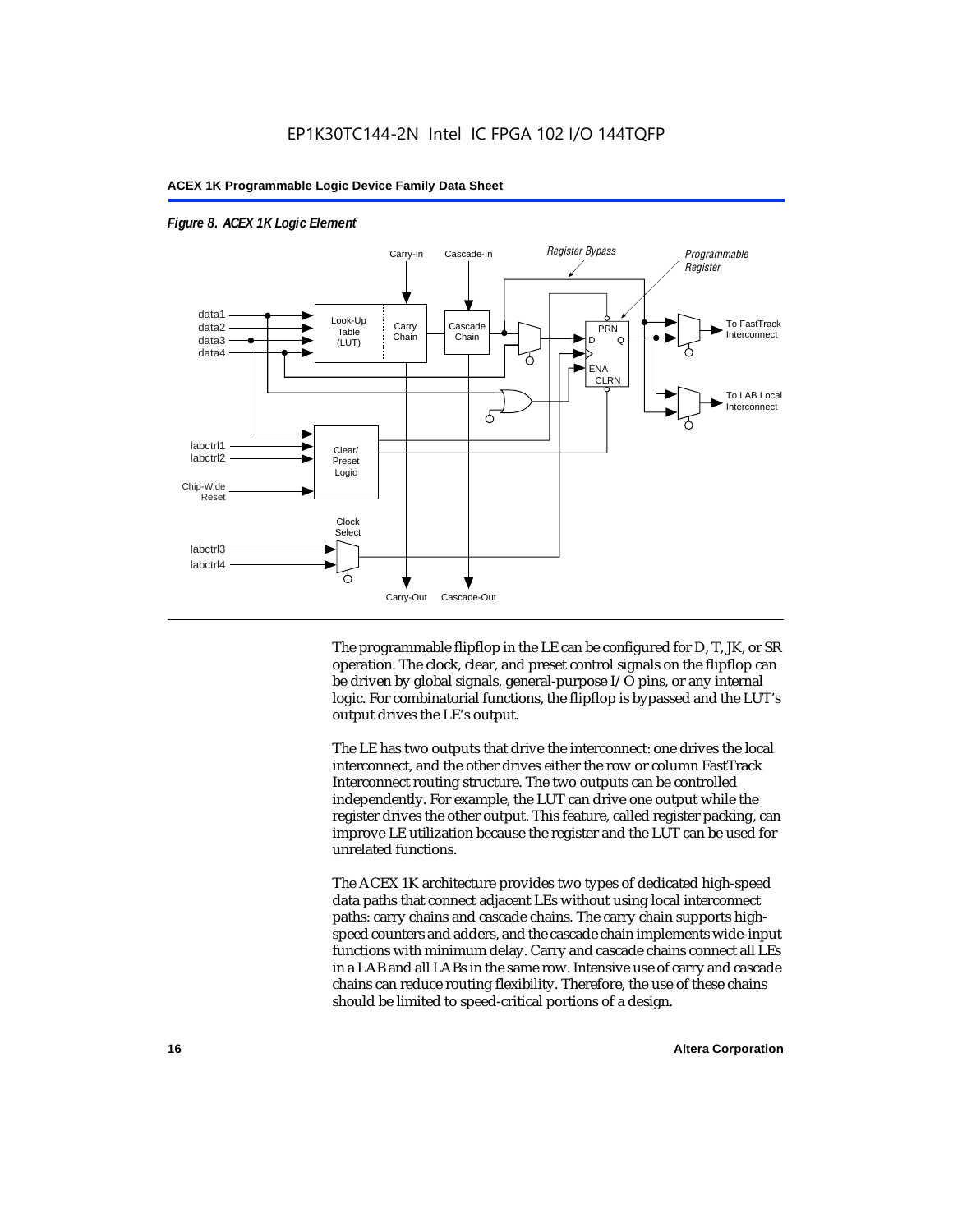

### *Figure 8. ACEX 1K Logic Element*

The programmable flipflop in the LE can be configured for D, T, JK, or SR operation. The clock, clear, and preset control signals on the flipflop can be driven by global signals, general-purpose I/O pins, or any internal logic. For combinatorial functions, the flipflop is bypassed and the LUT's output drives the LE's output.

The LE has two outputs that drive the interconnect: one drives the local interconnect, and the other drives either the row or column FastTrack Interconnect routing structure. The two outputs can be controlled independently. For example, the LUT can drive one output while the register drives the other output. This feature, called register packing, can improve LE utilization because the register and the LUT can be used for unrelated functions.

The ACEX 1K architecture provides two types of dedicated high-speed data paths that connect adjacent LEs without using local interconnect paths: carry chains and cascade chains. The carry chain supports highspeed counters and adders, and the cascade chain implements wide-input functions with minimum delay. Carry and cascade chains connect all LEs in a LAB and all LABs in the same row. Intensive use of carry and cascade chains can reduce routing flexibility. Therefore, the use of these chains should be limited to speed-critical portions of a design.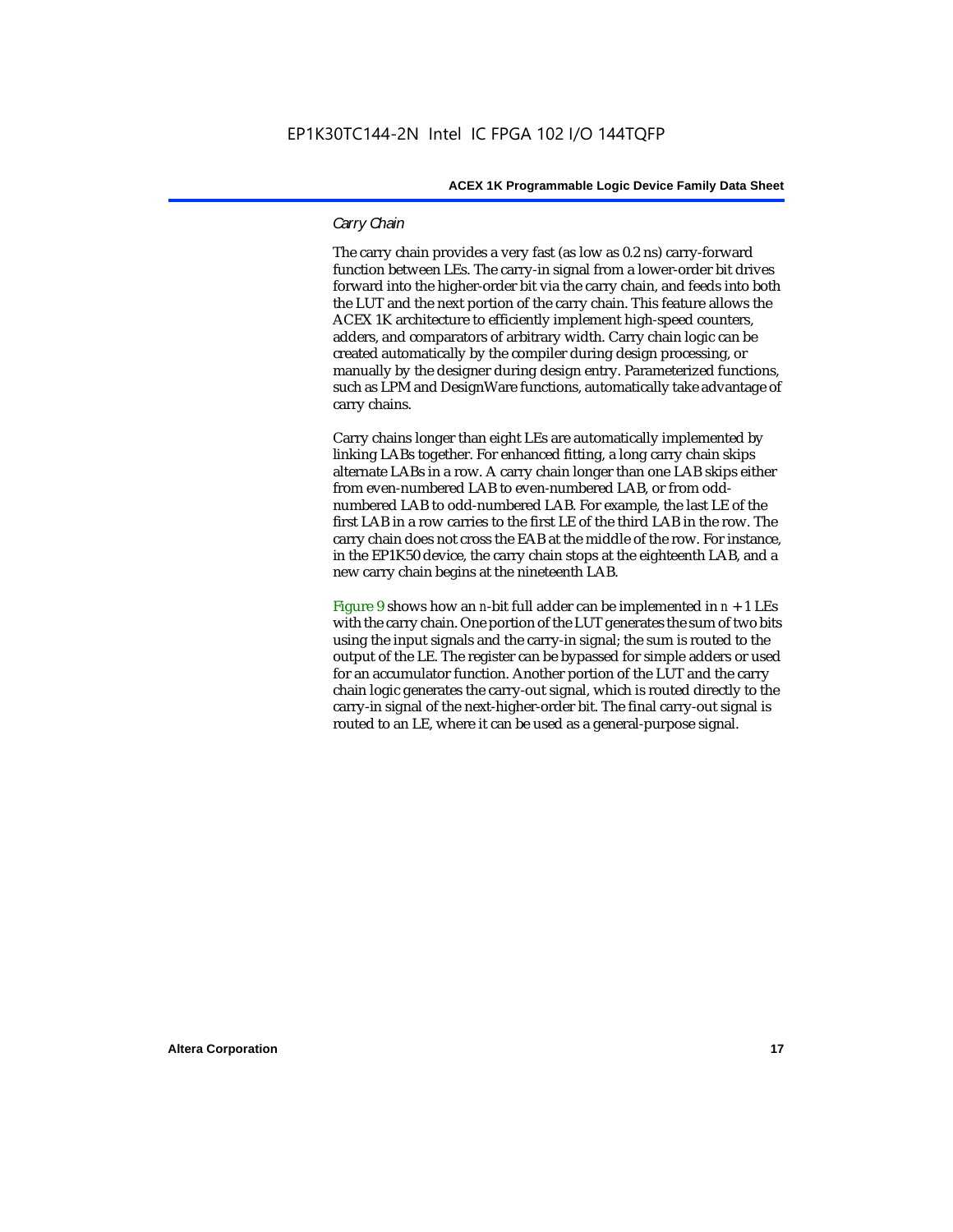### *Carry Chain*

The carry chain provides a very fast (as low as 0.2 ns) carry-forward function between LEs. The carry-in signal from a lower-order bit drives forward into the higher-order bit via the carry chain, and feeds into both the LUT and the next portion of the carry chain. This feature allows the ACEX 1K architecture to efficiently implement high-speed counters, adders, and comparators of arbitrary width. Carry chain logic can be created automatically by the compiler during design processing, or manually by the designer during design entry. Parameterized functions, such as LPM and DesignWare functions, automatically take advantage of carry chains.

Carry chains longer than eight LEs are automatically implemented by linking LABs together. For enhanced fitting, a long carry chain skips alternate LABs in a row. A carry chain longer than one LAB skips either from even-numbered LAB to even-numbered LAB, or from oddnumbered LAB to odd-numbered LAB. For example, the last LE of the first LAB in a row carries to the first LE of the third LAB in the row. The carry chain does not cross the EAB at the middle of the row. For instance, in the EP1K50 device, the carry chain stops at the eighteenth LAB, and a new carry chain begins at the nineteenth LAB.

Figure 9 shows how an *n*-bit full adder can be implemented in  $n + 1$  LEs with the carry chain. One portion of the LUT generates the sum of two bits using the input signals and the carry-in signal; the sum is routed to the output of the LE. The register can be bypassed for simple adders or used for an accumulator function. Another portion of the LUT and the carry chain logic generates the carry-out signal, which is routed directly to the carry-in signal of the next-higher-order bit. The final carry-out signal is routed to an LE, where it can be used as a general-purpose signal.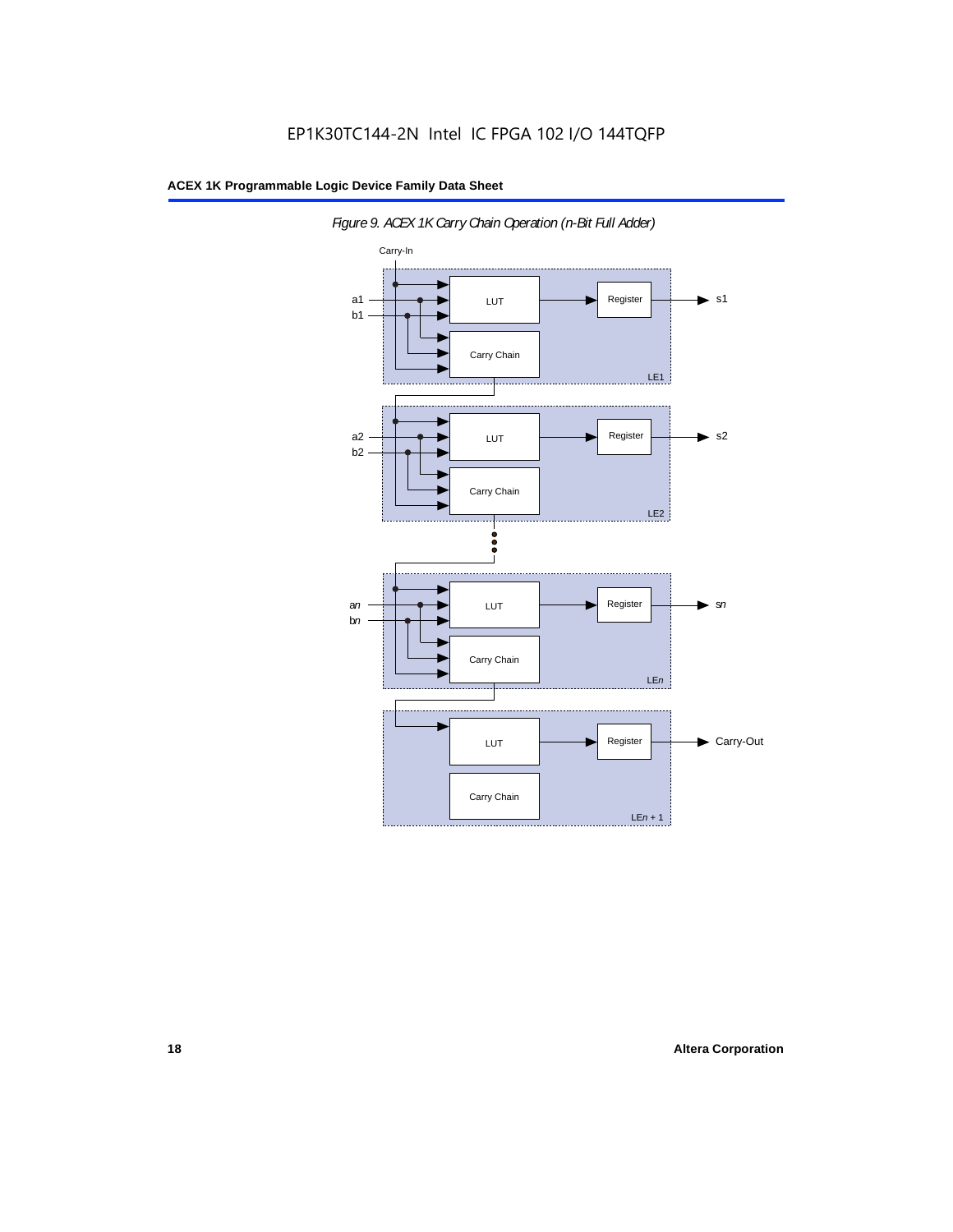

*Figure 9. ACEX 1K Carry Chain Operation (n-Bit Full Adder)*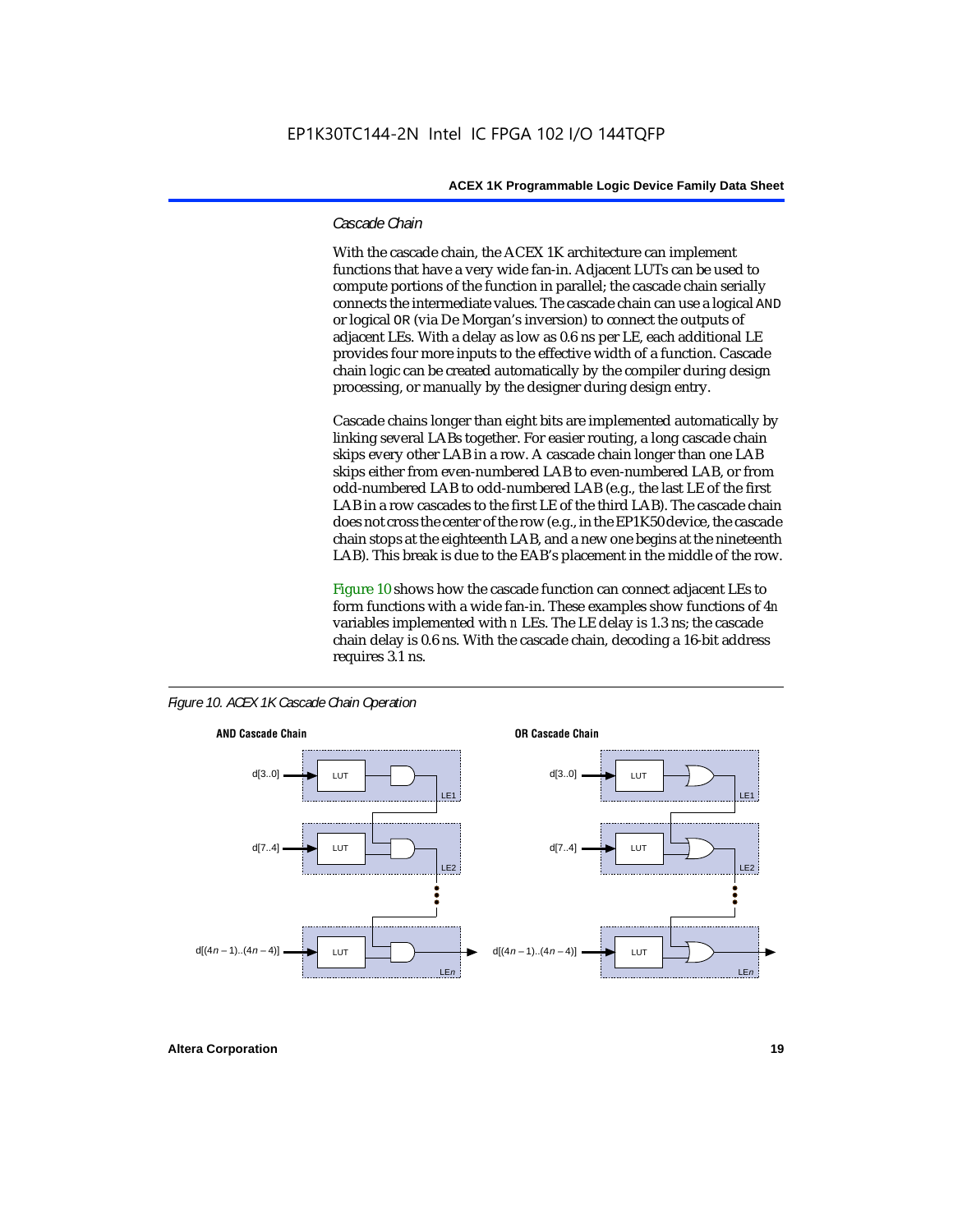### *Cascade Chain*

With the cascade chain, the ACEX 1K architecture can implement functions that have a very wide fan-in. Adjacent LUTs can be used to compute portions of the function in parallel; the cascade chain serially connects the intermediate values. The cascade chain can use a logical AND or logical OR (via De Morgan's inversion) to connect the outputs of adjacent LEs. With a delay as low as 0.6 ns per LE, each additional LE provides four more inputs to the effective width of a function. Cascade chain logic can be created automatically by the compiler during design processing, or manually by the designer during design entry.

Cascade chains longer than eight bits are implemented automatically by linking several LABs together. For easier routing, a long cascade chain skips every other LAB in a row. A cascade chain longer than one LAB skips either from even-numbered LAB to even-numbered LAB, or from odd-numbered LAB to odd-numbered LAB (e.g., the last LE of the first LAB in a row cascades to the first LE of the third LAB). The cascade chain does not cross the center of the row (e.g., in the EP1K50 device, the cascade chain stops at the eighteenth LAB, and a new one begins at the nineteenth LAB). This break is due to the EAB's placement in the middle of the row.

Figure 10 shows how the cascade function can connect adjacent LEs to form functions with a wide fan-in. These examples show functions of 4*n* variables implemented with *n* LEs. The LE delay is 1.3 ns; the cascade chain delay is 0.6 ns. With the cascade chain, decoding a 16-bit address requires 3.1 ns.



*Figure 10. ACEX 1K Cascade Chain Operation*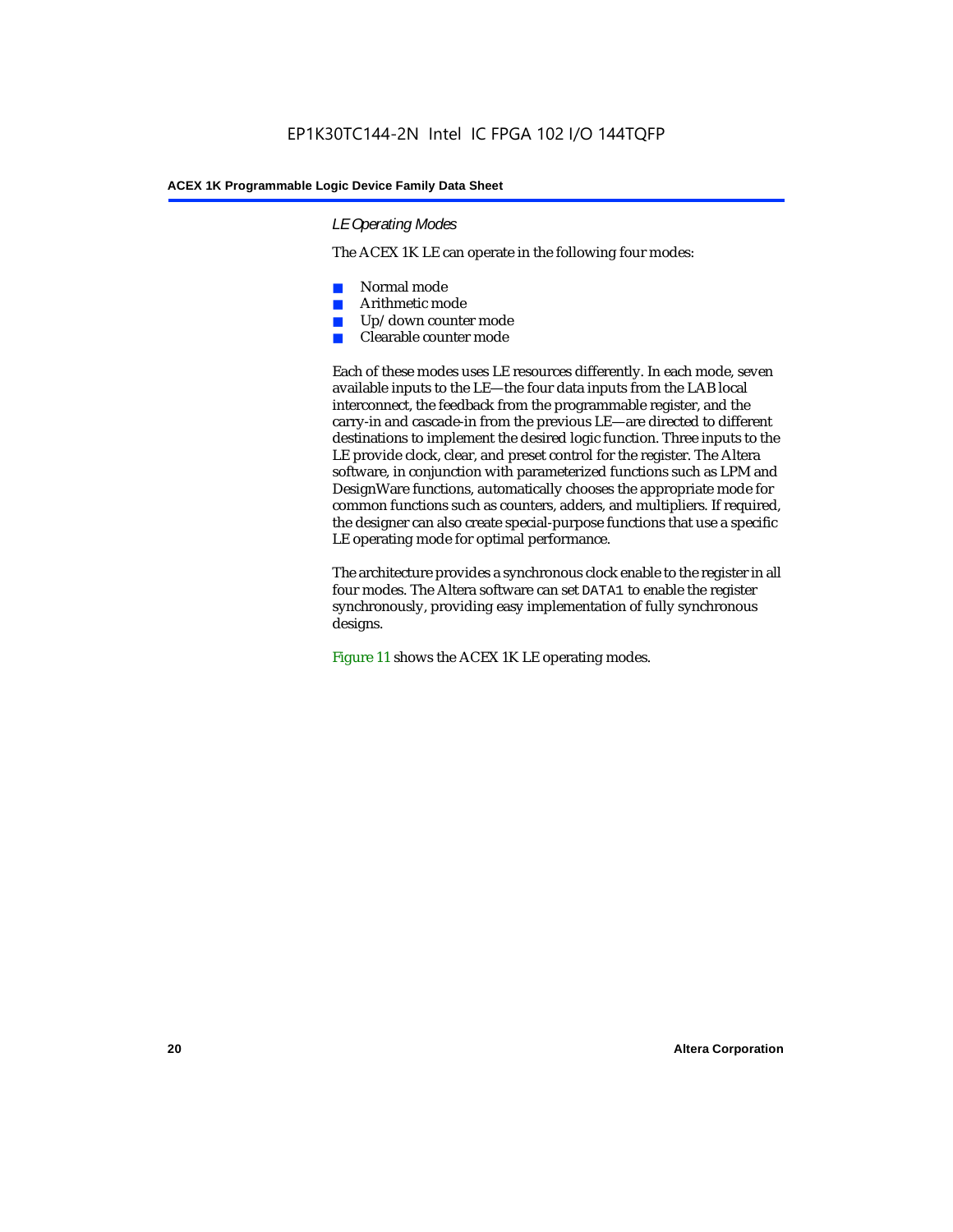### *LE Operating Modes*

The ACEX 1K LE can operate in the following four modes:

- Normal mode
- Arithmetic mode
- Up/down counter mode
- Clearable counter mode

Each of these modes uses LE resources differently. In each mode, seven available inputs to the LE—the four data inputs from the LAB local interconnect, the feedback from the programmable register, and the carry-in and cascade-in from the previous LE—are directed to different destinations to implement the desired logic function. Three inputs to the LE provide clock, clear, and preset control for the register. The Altera software, in conjunction with parameterized functions such as LPM and DesignWare functions, automatically chooses the appropriate mode for common functions such as counters, adders, and multipliers. If required, the designer can also create special-purpose functions that use a specific LE operating mode for optimal performance.

The architecture provides a synchronous clock enable to the register in all four modes. The Altera software can set DATA1 to enable the register synchronously, providing easy implementation of fully synchronous designs.

Figure 11 shows the ACEX 1K LE operating modes.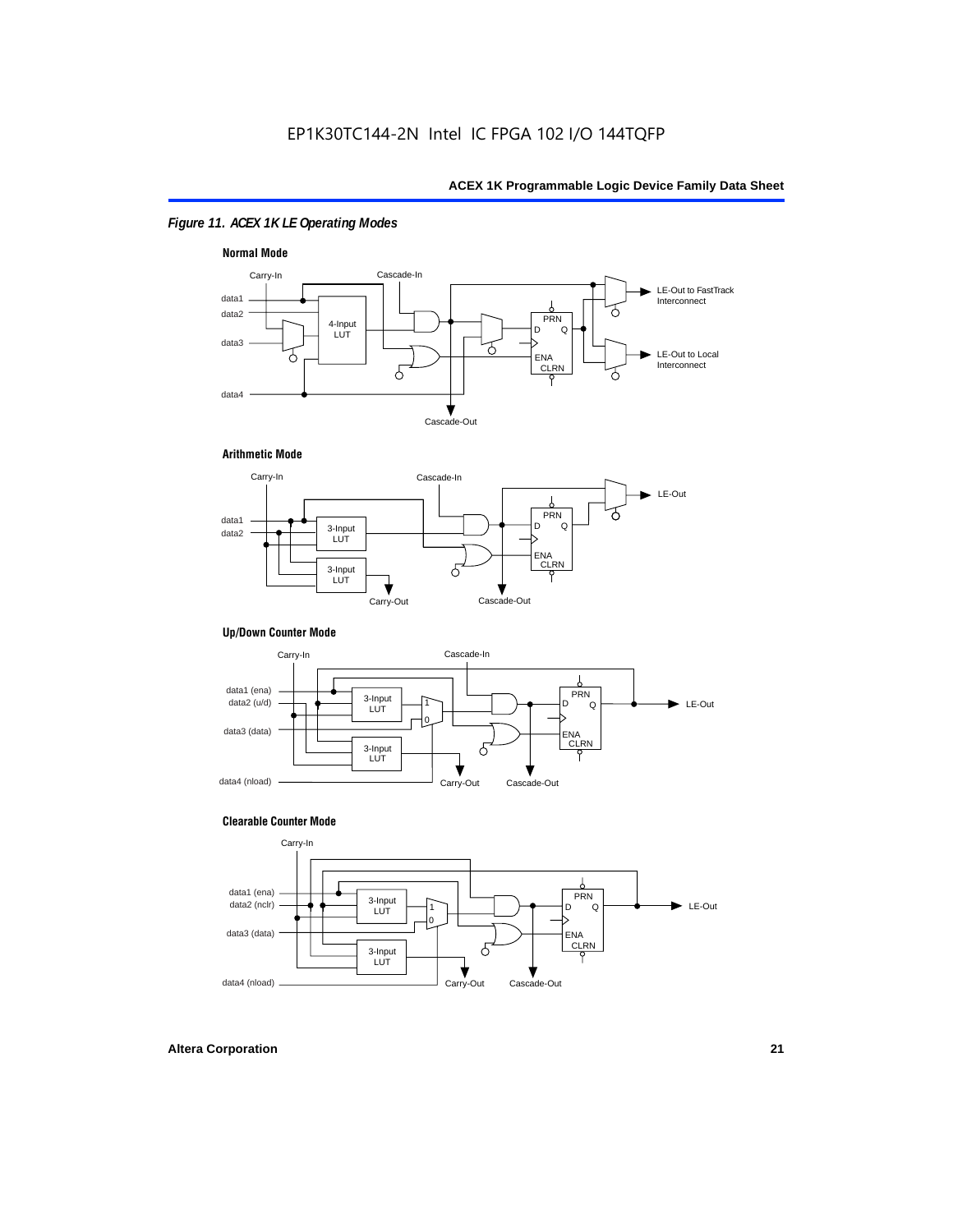### *Figure 11. ACEX 1K LE Operating Modes*



### **Arithmetic Mode**



### **Up/Down Counter Mode**



### **Clearable Counter Mode**

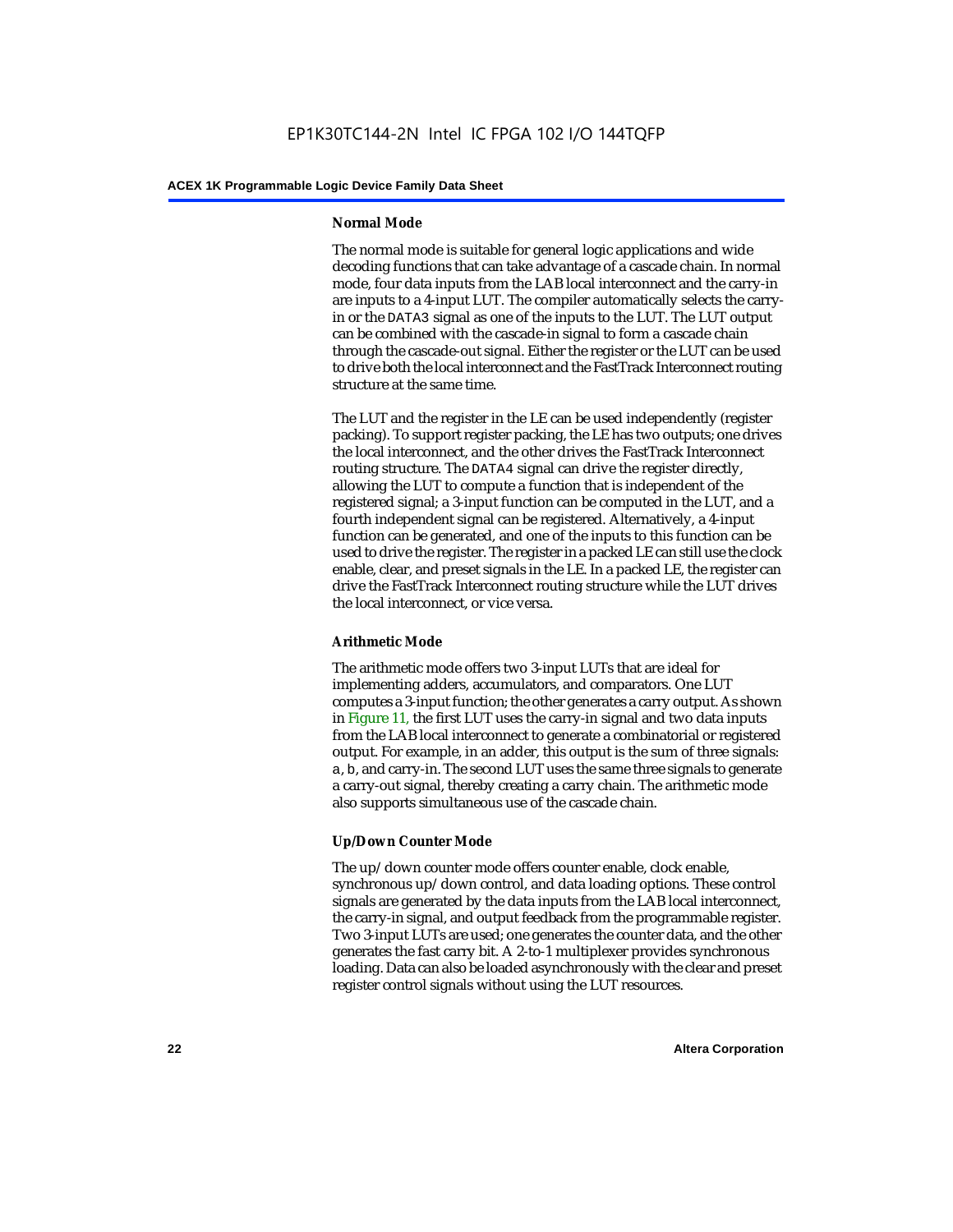### **Normal Mode**

The normal mode is suitable for general logic applications and wide decoding functions that can take advantage of a cascade chain. In normal mode, four data inputs from the LAB local interconnect and the carry-in are inputs to a 4-input LUT. The compiler automatically selects the carryin or the DATA3 signal as one of the inputs to the LUT. The LUT output can be combined with the cascade-in signal to form a cascade chain through the cascade-out signal. Either the register or the LUT can be used to drive both the local interconnect and the FastTrack Interconnect routing structure at the same time.

The LUT and the register in the LE can be used independently (register packing). To support register packing, the LE has two outputs; one drives the local interconnect, and the other drives the FastTrack Interconnect routing structure. The DATA4 signal can drive the register directly, allowing the LUT to compute a function that is independent of the registered signal; a 3-input function can be computed in the LUT, and a fourth independent signal can be registered. Alternatively, a 4-input function can be generated, and one of the inputs to this function can be used to drive the register. The register in a packed LE can still use the clock enable, clear, and preset signals in the LE. In a packed LE, the register can drive the FastTrack Interconnect routing structure while the LUT drives the local interconnect, or vice versa.

### **Arithmetic Mode**

The arithmetic mode offers two 3-input LUTs that are ideal for implementing adders, accumulators, and comparators. One LUT computes a 3-input function; the other generates a carry output. As shown in Figure 11, the first LUT uses the carry-in signal and two data inputs from the LAB local interconnect to generate a combinatorial or registered output. For example, in an adder, this output is the sum of three signals: a, b, and carry-in. The second LUT uses the same three signals to generate a carry-out signal, thereby creating a carry chain. The arithmetic mode also supports simultaneous use of the cascade chain.

### **Up/Down Counter Mode**

The up/down counter mode offers counter enable, clock enable, synchronous up/down control, and data loading options. These control signals are generated by the data inputs from the LAB local interconnect, the carry-in signal, and output feedback from the programmable register. Two 3-input LUTs are used; one generates the counter data, and the other generates the fast carry bit. A 2-to-1 multiplexer provides synchronous loading. Data can also be loaded asynchronously with the clear and preset register control signals without using the LUT resources.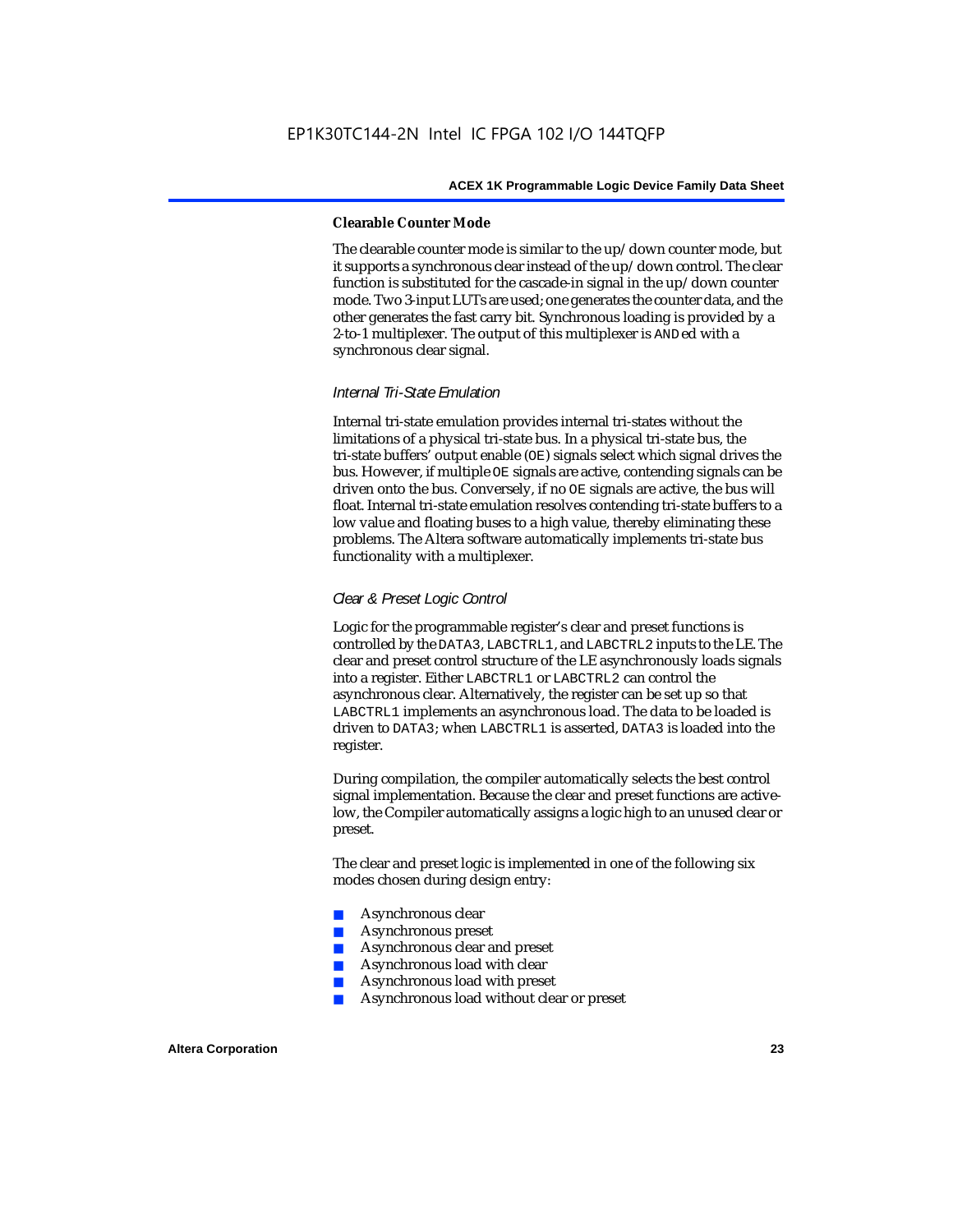### **Clearable Counter Mode**

The clearable counter mode is similar to the up/down counter mode, but it supports a synchronous clear instead of the up/down control. The clear function is substituted for the cascade-in signal in the up/down counter mode. Two 3-input LUTs are used; one generates the counter data, and the other generates the fast carry bit. Synchronous loading is provided by a 2-to-1 multiplexer. The output of this multiplexer is ANDed with a synchronous clear signal.

### *Internal Tri-State Emulation*

Internal tri-state emulation provides internal tri-states without the limitations of a physical tri-state bus. In a physical tri-state bus, the tri-state buffers' output enable (OE) signals select which signal drives the bus. However, if multiple OE signals are active, contending signals can be driven onto the bus. Conversely, if no OE signals are active, the bus will float. Internal tri-state emulation resolves contending tri-state buffers to a low value and floating buses to a high value, thereby eliminating these problems. The Altera software automatically implements tri-state bus functionality with a multiplexer.

### *Clear & Preset Logic Control*

Logic for the programmable register's clear and preset functions is controlled by the DATA3, LABCTRL1, and LABCTRL2 inputs to the LE. The clear and preset control structure of the LE asynchronously loads signals into a register. Either LABCTRL1 or LABCTRL2 can control the asynchronous clear. Alternatively, the register can be set up so that LABCTRL1 implements an asynchronous load. The data to be loaded is driven to DATA3; when LABCTRL1 is asserted, DATA3 is loaded into the register.

During compilation, the compiler automatically selects the best control signal implementation. Because the clear and preset functions are activelow, the Compiler automatically assigns a logic high to an unused clear or preset.

The clear and preset logic is implemented in one of the following six modes chosen during design entry:

- Asynchronous clear
- Asynchronous preset
- Asynchronous clear and preset
- Asynchronous load with clear
- Asynchronous load with preset
- Asynchronous load without clear or preset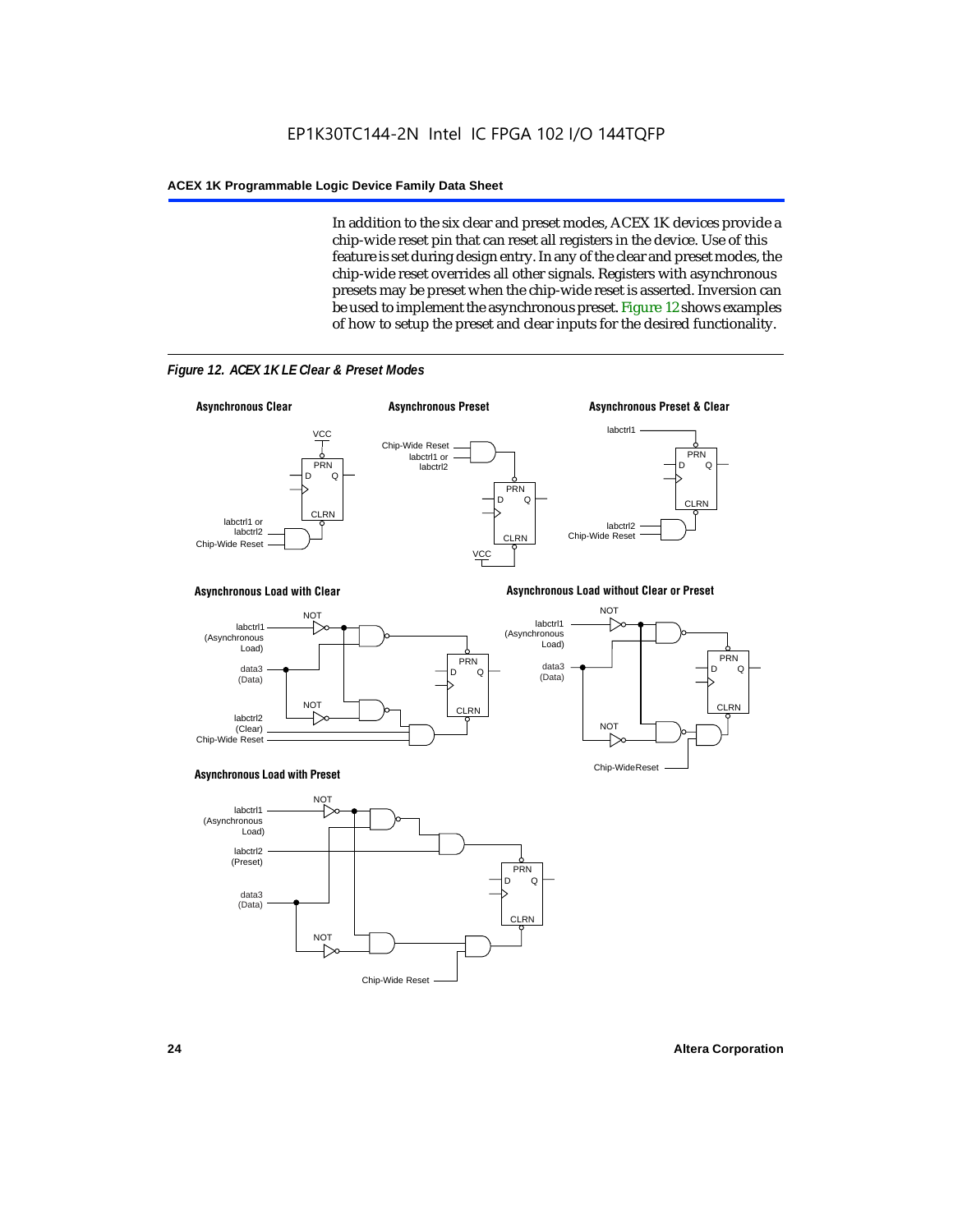In addition to the six clear and preset modes, ACEX 1K devices provide a chip-wide reset pin that can reset all registers in the device. Use of this feature is set during design entry. In any of the clear and preset modes, the chip-wide reset overrides all other signals. Registers with asynchronous presets may be preset when the chip-wide reset is asserted. Inversion can be used to implement the asynchronous preset. Figure 12 shows examples of how to setup the preset and clear inputs for the desired functionality.



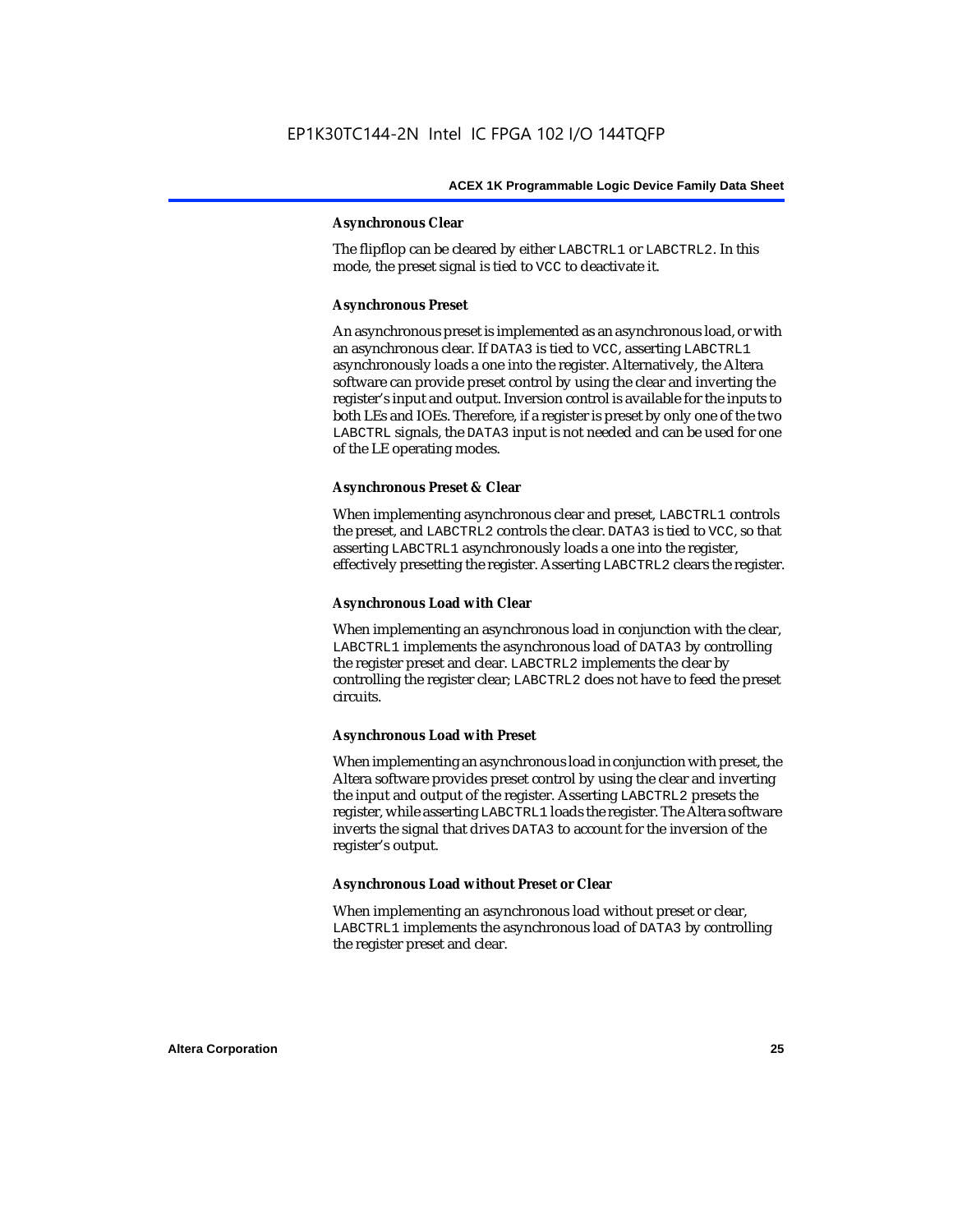### **Asynchronous Clear**

The flipflop can be cleared by either LABCTRL1 or LABCTRL2. In this mode, the preset signal is tied to VCC to deactivate it.

### **Asynchronous Preset**

An asynchronous preset is implemented as an asynchronous load, or with an asynchronous clear. If DATA3 is tied to VCC, asserting LABCTRL1 asynchronously loads a one into the register. Alternatively, the Altera software can provide preset control by using the clear and inverting the register's input and output. Inversion control is available for the inputs to both LEs and IOEs. Therefore, if a register is preset by only one of the two LABCTRL signals, the DATA3 input is not needed and can be used for one of the LE operating modes.

### **Asynchronous Preset & Clear**

When implementing asynchronous clear and preset, LABCTRL1 controls the preset, and LABCTRL2 controls the clear. DATA3 is tied to VCC, so that asserting LABCTRL1 asynchronously loads a one into the register, effectively presetting the register. Asserting LABCTRL2 clears the register.

### **Asynchronous Load with Clear**

When implementing an asynchronous load in conjunction with the clear, LABCTRL1 implements the asynchronous load of DATA3 by controlling the register preset and clear. LABCTRL2 implements the clear by controlling the register clear; LABCTRL2 does not have to feed the preset circuits.

### **Asynchronous Load with Preset**

When implementing an asynchronous load in conjunction with preset, the Altera software provides preset control by using the clear and inverting the input and output of the register. Asserting LABCTRL2 presets the register, while asserting LABCTRL1 loads the register. The Altera software inverts the signal that drives DATA3 to account for the inversion of the register's output.

### **Asynchronous Load without Preset or Clear**

When implementing an asynchronous load without preset or clear, LABCTRL1 implements the asynchronous load of DATA3 by controlling the register preset and clear.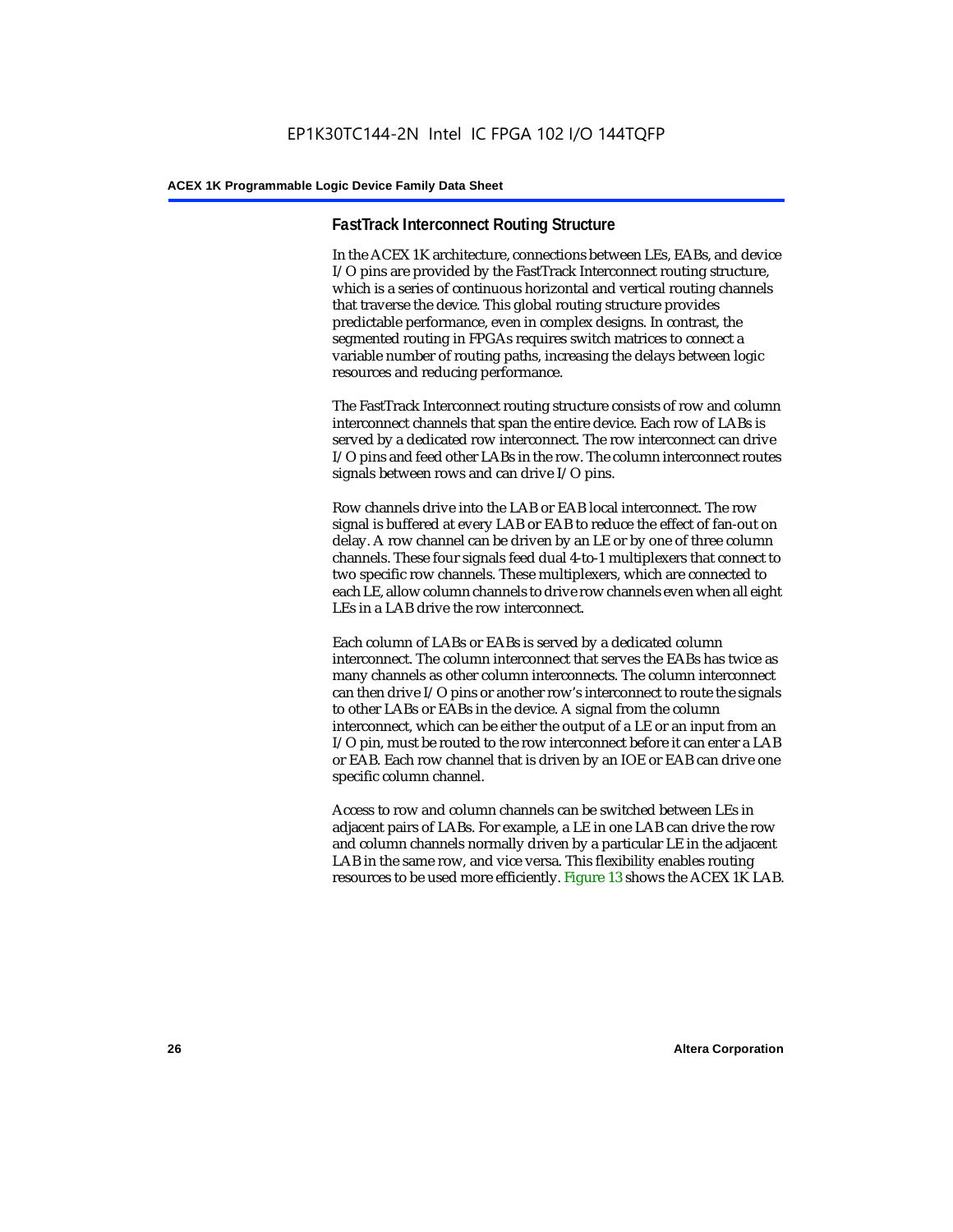### **FastTrack Interconnect Routing Structure**

In the ACEX 1K architecture, connections between LEs, EABs, and device I/O pins are provided by the FastTrack Interconnect routing structure, which is a series of continuous horizontal and vertical routing channels that traverse the device. This global routing structure provides predictable performance, even in complex designs. In contrast, the segmented routing in FPGAs requires switch matrices to connect a variable number of routing paths, increasing the delays between logic resources and reducing performance.

The FastTrack Interconnect routing structure consists of row and column interconnect channels that span the entire device. Each row of LABs is served by a dedicated row interconnect. The row interconnect can drive I/O pins and feed other LABs in the row. The column interconnect routes signals between rows and can drive I/O pins.

Row channels drive into the LAB or EAB local interconnect. The row signal is buffered at every LAB or EAB to reduce the effect of fan-out on delay. A row channel can be driven by an LE or by one of three column channels. These four signals feed dual 4-to-1 multiplexers that connect to two specific row channels. These multiplexers, which are connected to each LE, allow column channels to drive row channels even when all eight LEs in a LAB drive the row interconnect.

Each column of LABs or EABs is served by a dedicated column interconnect. The column interconnect that serves the EABs has twice as many channels as other column interconnects. The column interconnect can then drive I/O pins or another row's interconnect to route the signals to other LABs or EABs in the device. A signal from the column interconnect, which can be either the output of a LE or an input from an I/O pin, must be routed to the row interconnect before it can enter a LAB or EAB. Each row channel that is driven by an IOE or EAB can drive one specific column channel.

Access to row and column channels can be switched between LEs in adjacent pairs of LABs. For example, a LE in one LAB can drive the row and column channels normally driven by a particular LE in the adjacent LAB in the same row, and vice versa. This flexibility enables routing resources to be used more efficiently. Figure 13 shows the ACEX 1K LAB.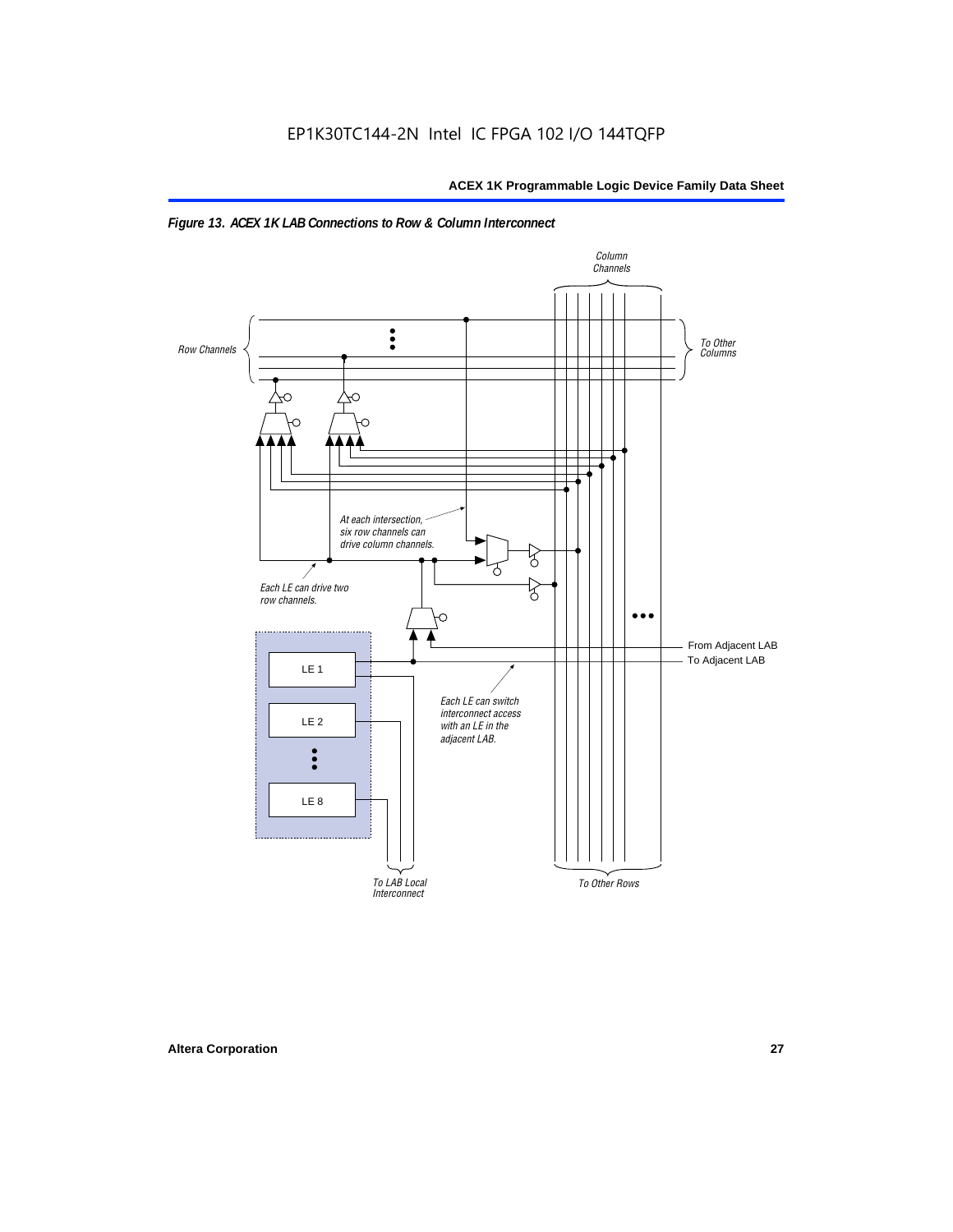

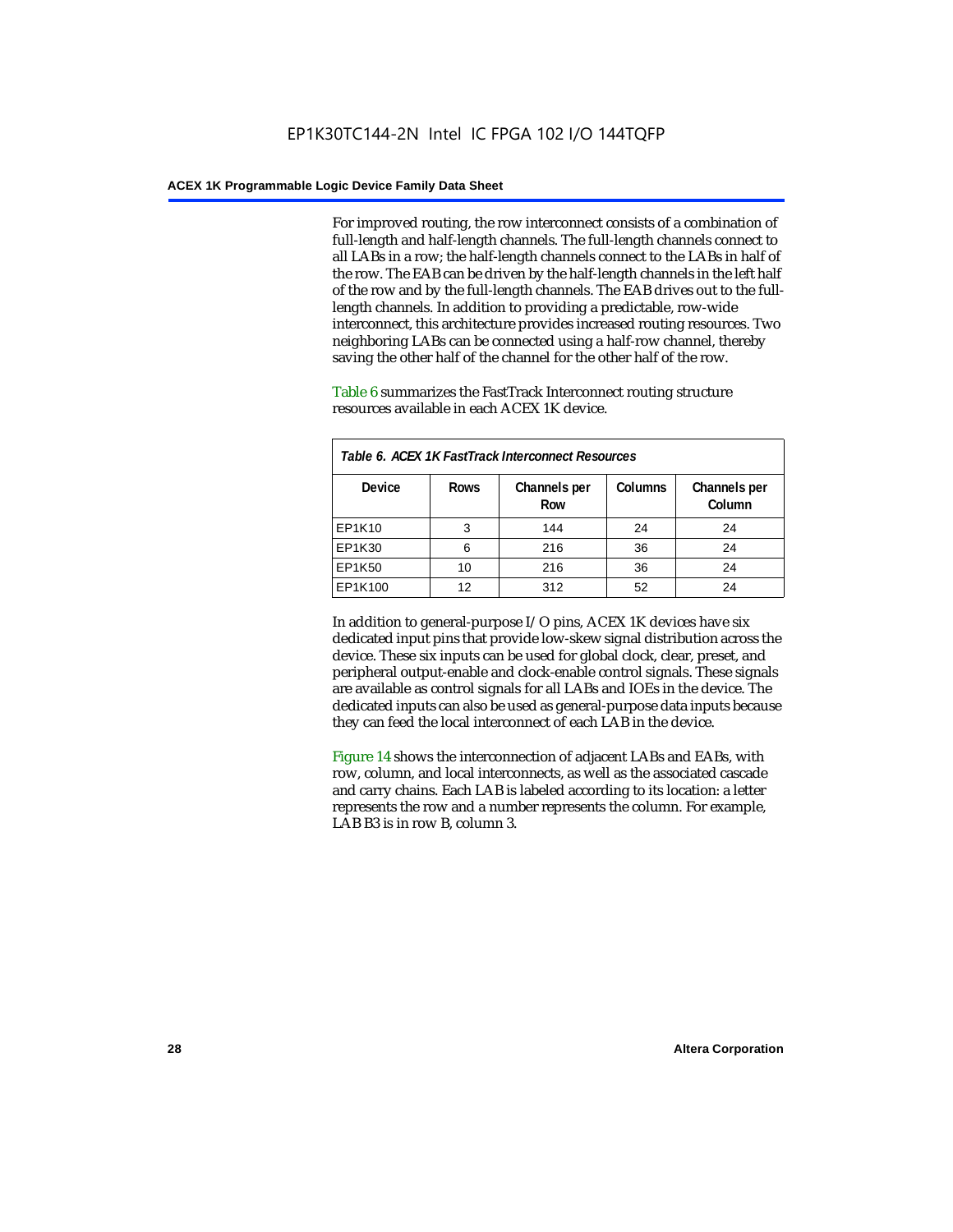For improved routing, the row interconnect consists of a combination of full-length and half-length channels. The full-length channels connect to all LABs in a row; the half-length channels connect to the LABs in half of the row. The EAB can be driven by the half-length channels in the left half of the row and by the full-length channels. The EAB drives out to the fulllength channels. In addition to providing a predictable, row-wide interconnect, this architecture provides increased routing resources. Two neighboring LABs can be connected using a half-row channel, thereby saving the other half of the channel for the other half of the row.

Table 6 summarizes the FastTrack Interconnect routing structure resources available in each ACEX 1K device.

| Table 6. ACEX 1K FastTrack Interconnect Resources |             |                     |                |                        |  |
|---------------------------------------------------|-------------|---------------------|----------------|------------------------|--|
| <b>Device</b>                                     | <b>Rows</b> | Channels per<br>Row | <b>Columns</b> | Channels per<br>Column |  |
| EP1K10                                            | 3           | 144                 | 24             | 24                     |  |
| EP1K30                                            | 6           | 216                 | 36             | 24                     |  |
| EP1K50                                            | 10          | 216                 | 36             | 24                     |  |
| EP1K100                                           | 12          | 312                 | 52             | 24                     |  |

In addition to general-purpose I/O pins, ACEX 1K devices have six dedicated input pins that provide low-skew signal distribution across the device. These six inputs can be used for global clock, clear, preset, and peripheral output-enable and clock-enable control signals. These signals are available as control signals for all LABs and IOEs in the device. The dedicated inputs can also be used as general-purpose data inputs because they can feed the local interconnect of each LAB in the device.

Figure 14 shows the interconnection of adjacent LABs and EABs, with row, column, and local interconnects, as well as the associated cascade and carry chains. Each LAB is labeled according to its location: a letter represents the row and a number represents the column. For example, LAB B3 is in row B, column 3.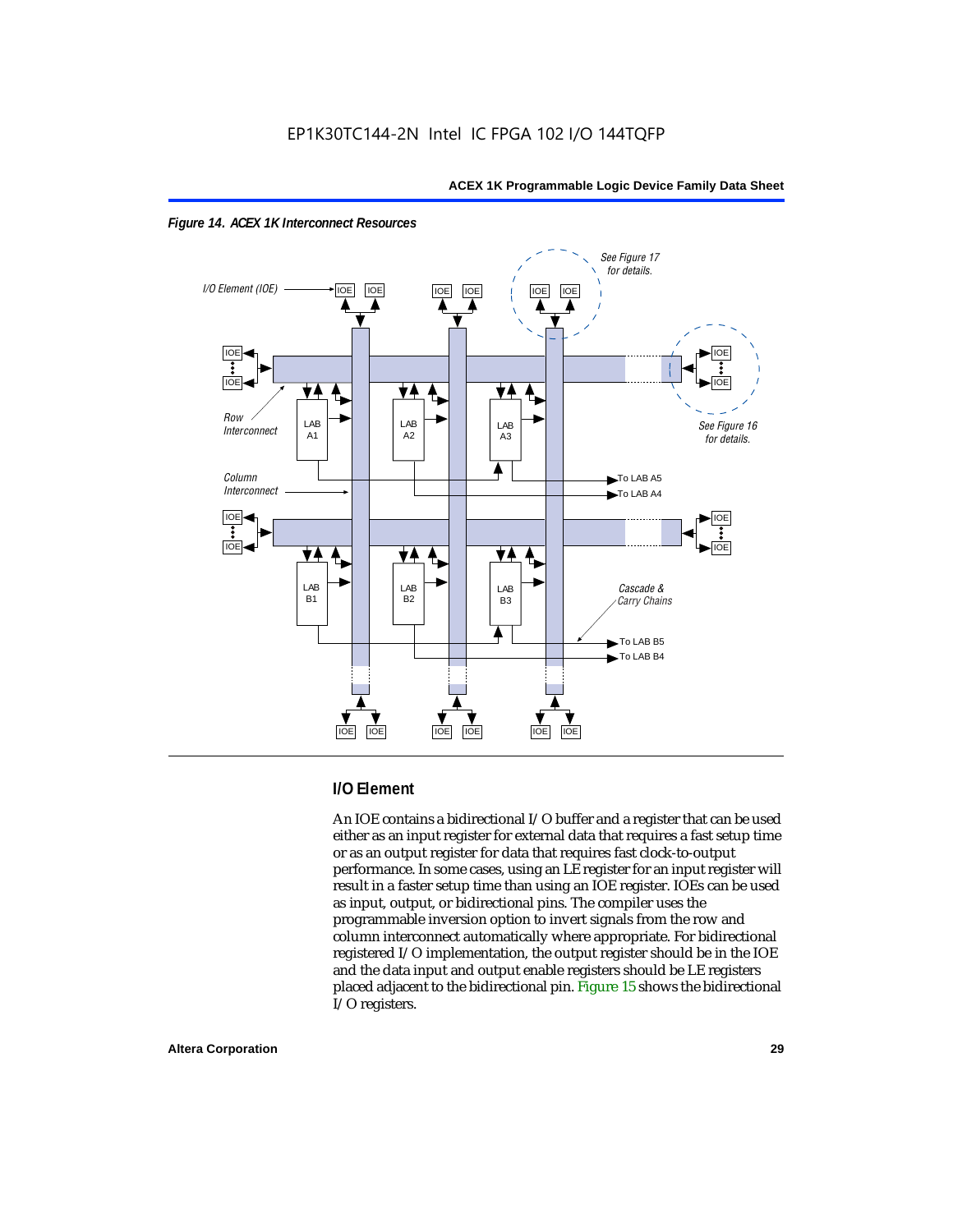



### **I/O Element**

An IOE contains a bidirectional I/O buffer and a register that can be used either as an input register for external data that requires a fast setup time or as an output register for data that requires fast clock-to-output performance. In some cases, using an LE register for an input register will result in a faster setup time than using an IOE register. IOEs can be used as input, output, or bidirectional pins. The compiler uses the programmable inversion option to invert signals from the row and column interconnect automatically where appropriate. For bidirectional registered I/O implementation, the output register should be in the IOE and the data input and output enable registers should be LE registers placed adjacent to the bidirectional pin. Figure 15 shows the bidirectional I/O registers.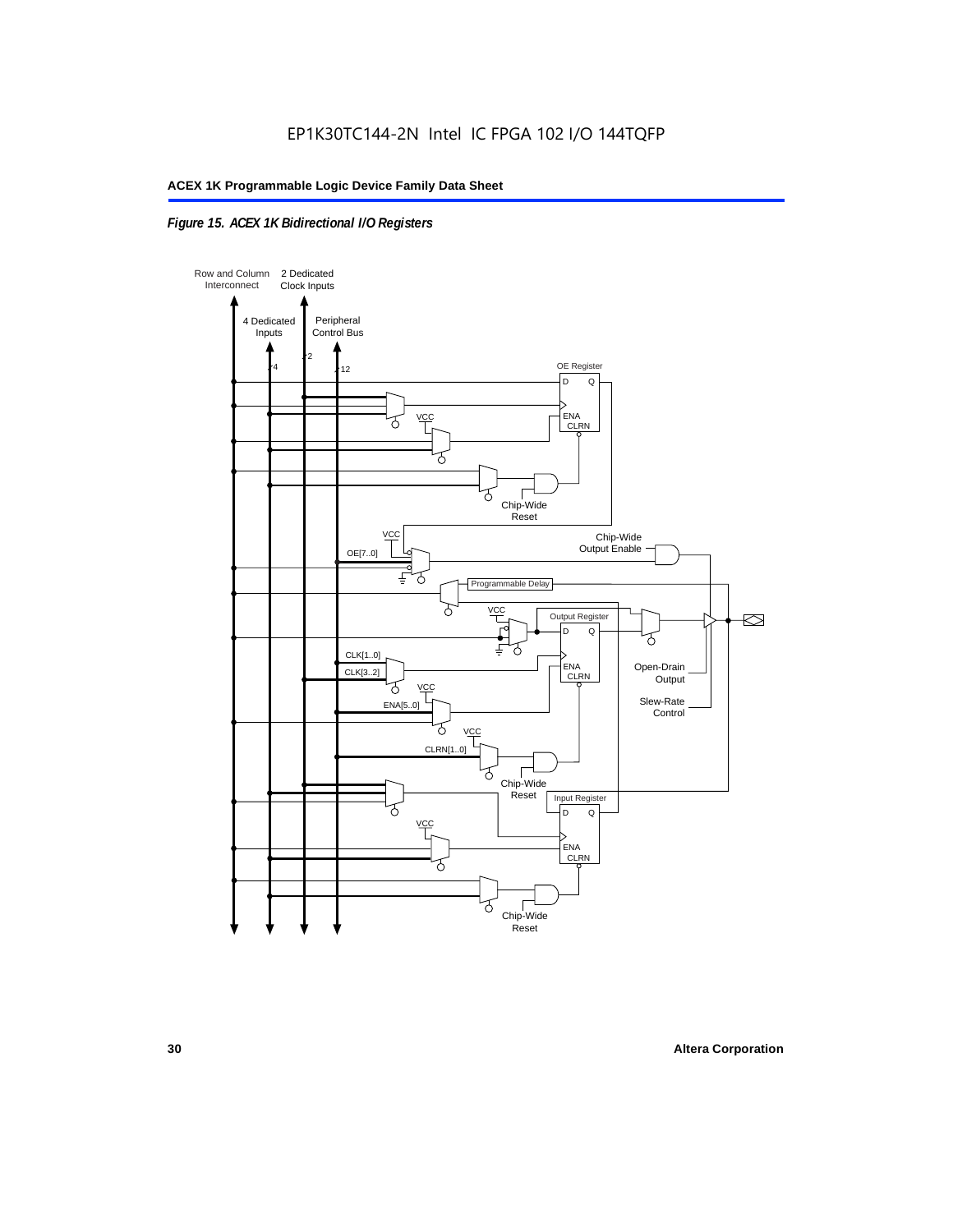### *Figure 15. ACEX 1K Bidirectional I/O Registers*

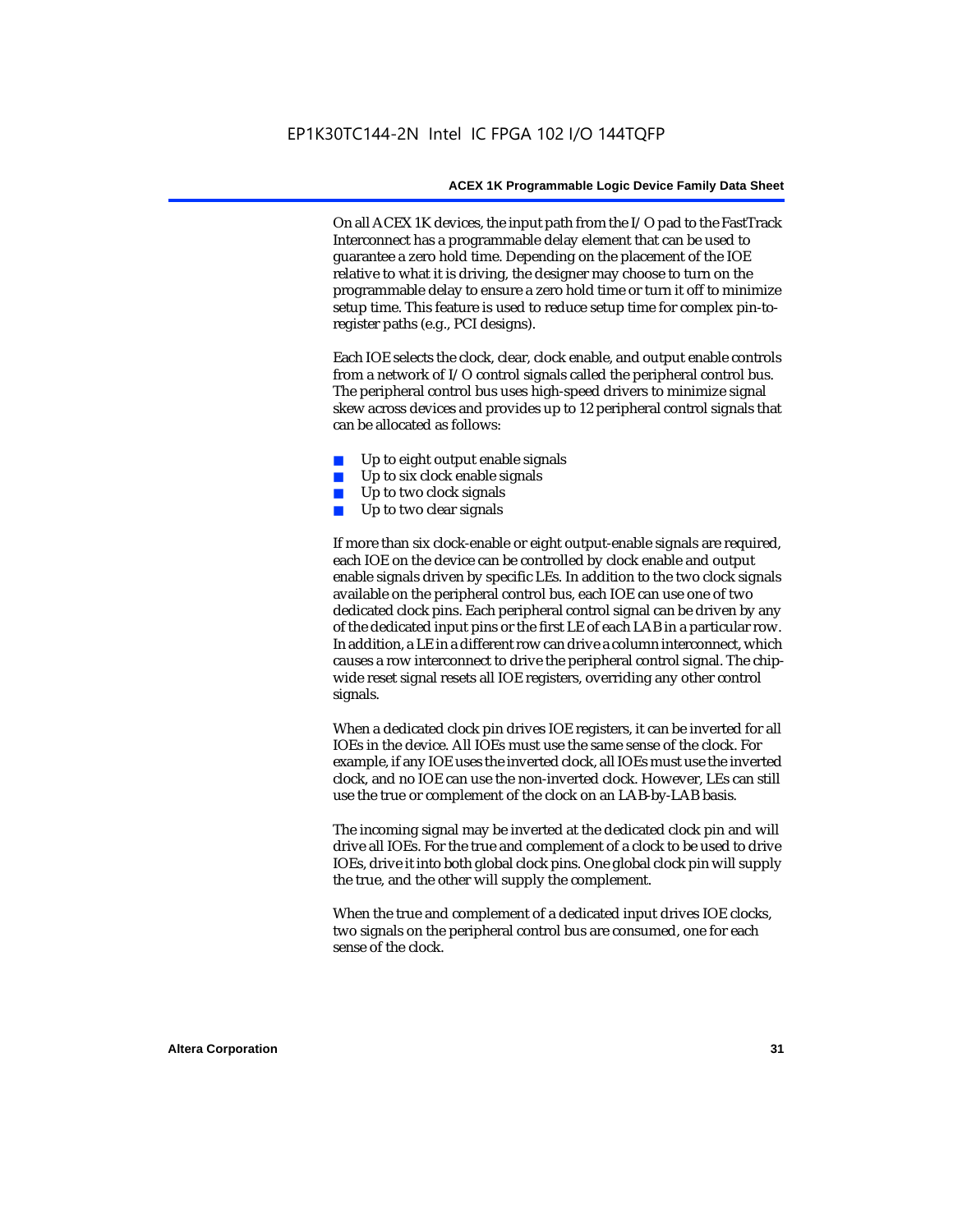On all ACEX 1K devices, the input path from the I/O pad to the FastTrack Interconnect has a programmable delay element that can be used to guarantee a zero hold time. Depending on the placement of the IOE relative to what it is driving, the designer may choose to turn on the programmable delay to ensure a zero hold time or turn it off to minimize setup time. This feature is used to reduce setup time for complex pin-toregister paths (e.g., PCI designs).

Each IOE selects the clock, clear, clock enable, and output enable controls from a network of I/O control signals called the peripheral control bus. The peripheral control bus uses high-speed drivers to minimize signal skew across devices and provides up to 12 peripheral control signals that can be allocated as follows:

- Up to eight output enable signals
- Up to six clock enable signals
- Up to two clock signals
- Up to two clear signals

If more than six clock-enable or eight output-enable signals are required, each IOE on the device can be controlled by clock enable and output enable signals driven by specific LEs. In addition to the two clock signals available on the peripheral control bus, each IOE can use one of two dedicated clock pins. Each peripheral control signal can be driven by any of the dedicated input pins or the first LE of each LAB in a particular row. In addition, a LE in a different row can drive a column interconnect, which causes a row interconnect to drive the peripheral control signal. The chipwide reset signal resets all IOE registers, overriding any other control signals.

When a dedicated clock pin drives IOE registers, it can be inverted for all IOEs in the device. All IOEs must use the same sense of the clock. For example, if any IOE uses the inverted clock, all IOEs must use the inverted clock, and no IOE can use the non-inverted clock. However, LEs can still use the true or complement of the clock on an LAB-by-LAB basis.

The incoming signal may be inverted at the dedicated clock pin and will drive all IOEs. For the true and complement of a clock to be used to drive IOEs, drive it into both global clock pins. One global clock pin will supply the true, and the other will supply the complement.

When the true and complement of a dedicated input drives IOE clocks, two signals on the peripheral control bus are consumed, one for each sense of the clock.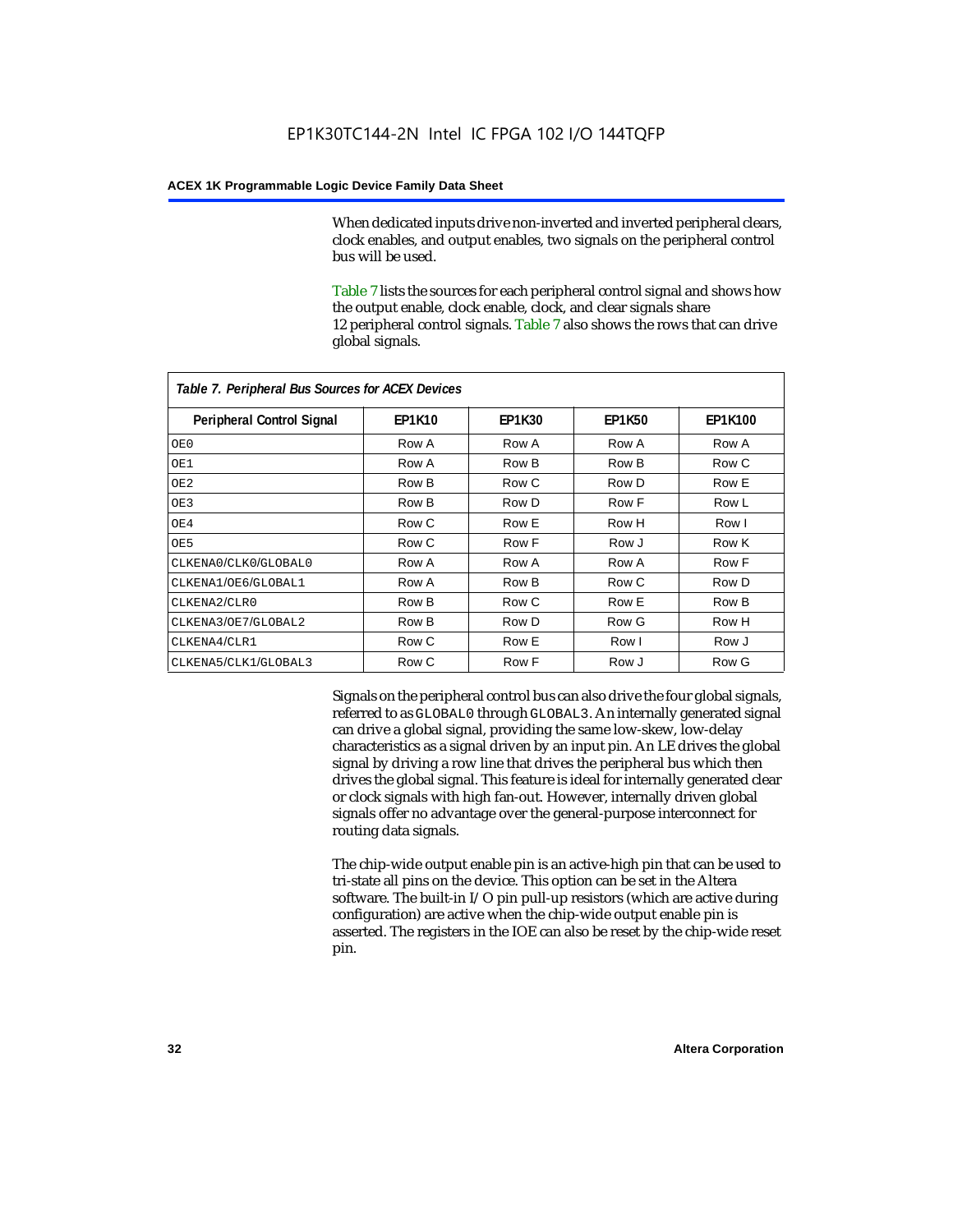When dedicated inputs drive non-inverted and inverted peripheral clears, clock enables, and output enables, two signals on the peripheral control bus will be used.

Table 7 lists the sources for each peripheral control signal and shows how the output enable, clock enable, clock, and clear signals share 12 peripheral control signals. Table 7 also shows the rows that can drive global signals.

| Table 7. Peripheral Bus Sources for ACEX Devices |               |               |               |                |  |  |
|--------------------------------------------------|---------------|---------------|---------------|----------------|--|--|
| Peripheral Control Signal                        | <b>EP1K10</b> | <b>EP1K30</b> | <b>EP1K50</b> | <b>EP1K100</b> |  |  |
| OE0                                              | Row A         | Row A         | Row A         | Row A          |  |  |
| OE1                                              | Row A         | Row B         | Row B         | Row C          |  |  |
| OE <sub>2</sub>                                  | Row B         | Row C         | Row D         | Row E          |  |  |
| OE3                                              | Row B         | Row D         | Row F         | Row L          |  |  |
| OE4                                              | Row C         | Row E         | Row H         | Row I          |  |  |
| OE5                                              | Row C         | Row F         | Row J         | Row K          |  |  |
| CLKENA0/CLK0/GLOBAL0                             | Row A         | Row A         | Row A         | Row F          |  |  |
| CLKENA1/OE6/GLOBAL1                              | Row A         | Row B         | Row C         | Row D          |  |  |
| CLKENA2/CLR0                                     | Row B         | Row C         | Row E         | Row B          |  |  |
| CLKENA3/OE7/GLOBAL2                              | Row B         | Row D         | Row G         | Row H          |  |  |
| CLKENA4/CLR1                                     | Row C         | Row E         | Row I         | Row J          |  |  |
| CLKENA5/CLK1/GLOBAL3                             | Row C         | Row F         | Row J         | Row G          |  |  |

Signals on the peripheral control bus can also drive the four global signals, referred to as GLOBAL0 through GLOBAL3. An internally generated signal can drive a global signal, providing the same low-skew, low-delay characteristics as a signal driven by an input pin. An LE drives the global signal by driving a row line that drives the peripheral bus which then drives the global signal. This feature is ideal for internally generated clear or clock signals with high fan-out. However, internally driven global signals offer no advantage over the general-purpose interconnect for routing data signals.

The chip-wide output enable pin is an active-high pin that can be used to tri-state all pins on the device. This option can be set in the Altera software. The built-in I/O pin pull-up resistors (which are active during configuration) are active when the chip-wide output enable pin is asserted. The registers in the IOE can also be reset by the chip-wide reset pin.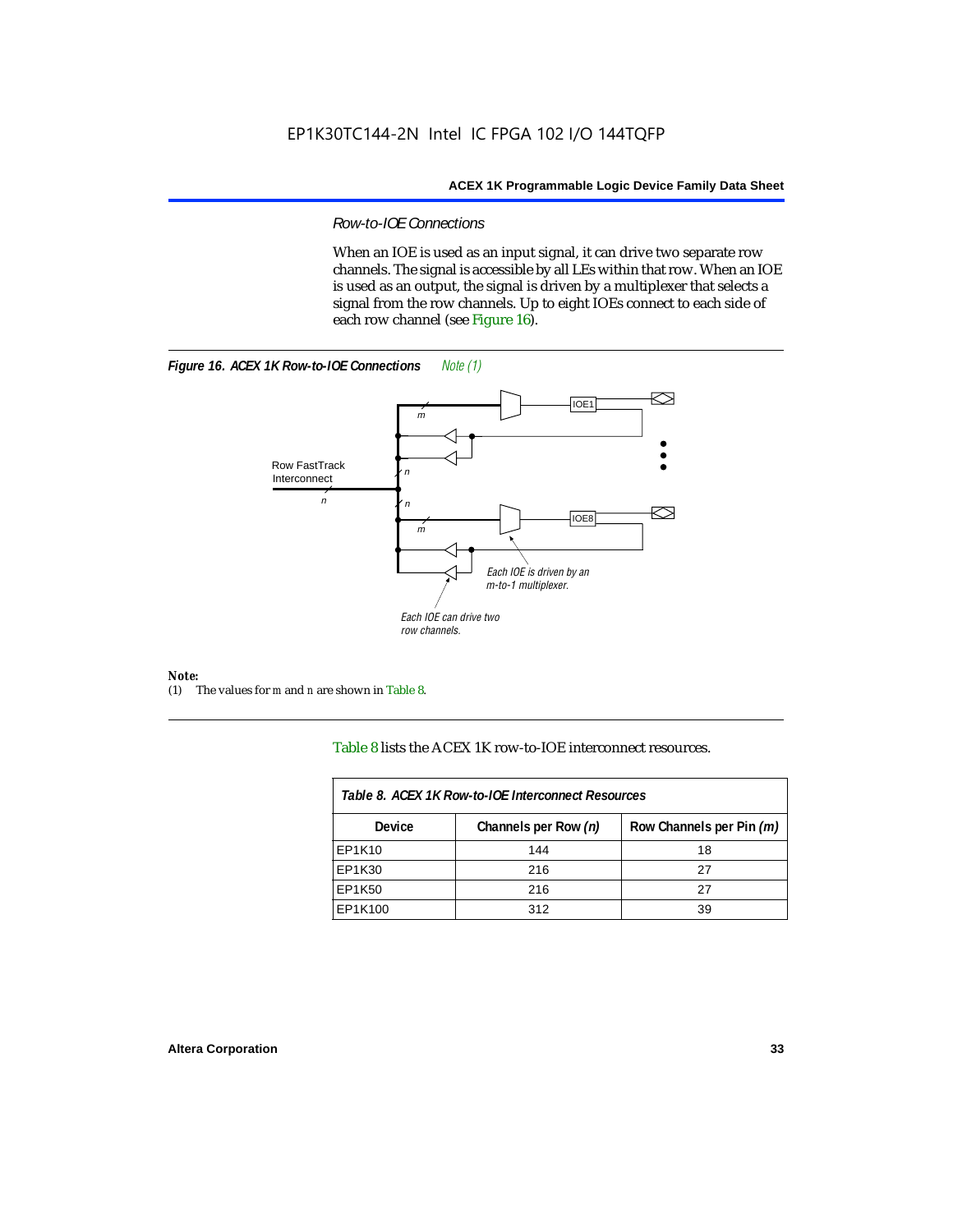### *Row-to-IOE Connections*

When an IOE is used as an input signal, it can drive two separate row channels. The signal is accessible by all LEs within that row. When an IOE is used as an output, the signal is driven by a multiplexer that selects a signal from the row channels. Up to eight IOEs connect to each side of each row channel (see Figure 16).





*Note:*<br>(1) 7 (1) The values for *m* and *n* are shown in Table 8.

Table 8 lists the ACEX 1K row-to-IOE interconnect resources.

| Table 8. ACEX 1K Row-to-IOE Interconnect Resources |                      |                          |  |  |  |
|----------------------------------------------------|----------------------|--------------------------|--|--|--|
| Device                                             | Channels per Row (n) | Row Channels per Pin (m) |  |  |  |
| EP1K10                                             | 144                  | 18                       |  |  |  |
| EP1K30                                             | 216                  | 27                       |  |  |  |
| EP1K50                                             | 216                  | 27                       |  |  |  |
| EP1K100                                            | 312                  | 39                       |  |  |  |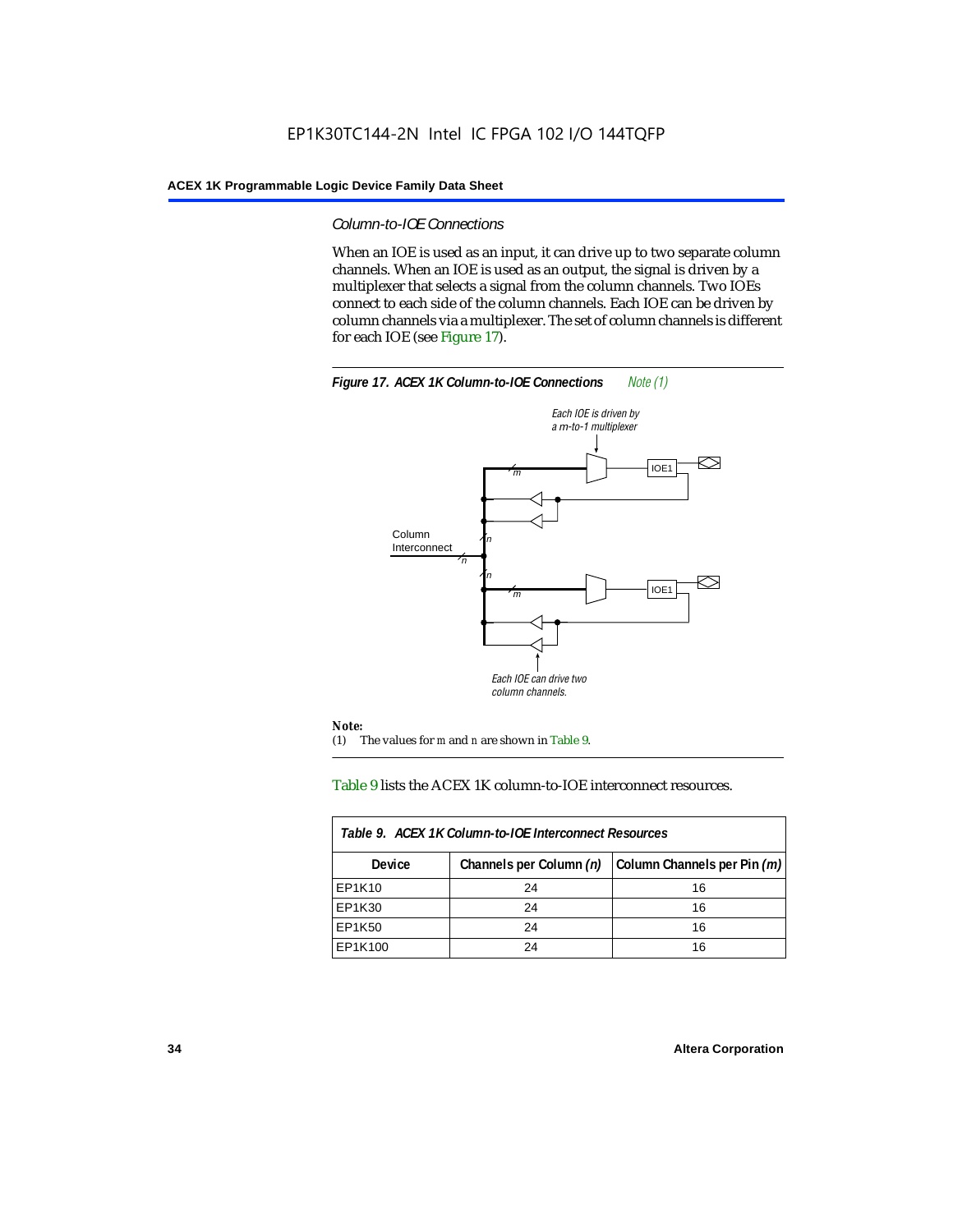### *Column-to-IOE Connections*

When an IOE is used as an input, it can drive up to two separate column channels. When an IOE is used as an output, the signal is driven by a multiplexer that selects a signal from the column channels. Two IOEs connect to each side of the column channels. Each IOE can be driven by column channels via a multiplexer. The set of column channels is different for each IOE (see Figure 17).



### Table 9 lists the ACEX 1K column-to-IOE interconnect resources.

| Table 9. ACEX 1K Column-to-IOE Interconnect Resources |                         |                             |  |  |  |
|-------------------------------------------------------|-------------------------|-----------------------------|--|--|--|
| <b>Device</b>                                         | Channels per Column (n) | Column Channels per Pin (m) |  |  |  |
| EP1K10                                                | 24                      | 16                          |  |  |  |
| EP1K30                                                | 24                      | 16                          |  |  |  |
| EP1K50                                                | 24                      | 16                          |  |  |  |
| EP1K100                                               | 24                      | 16                          |  |  |  |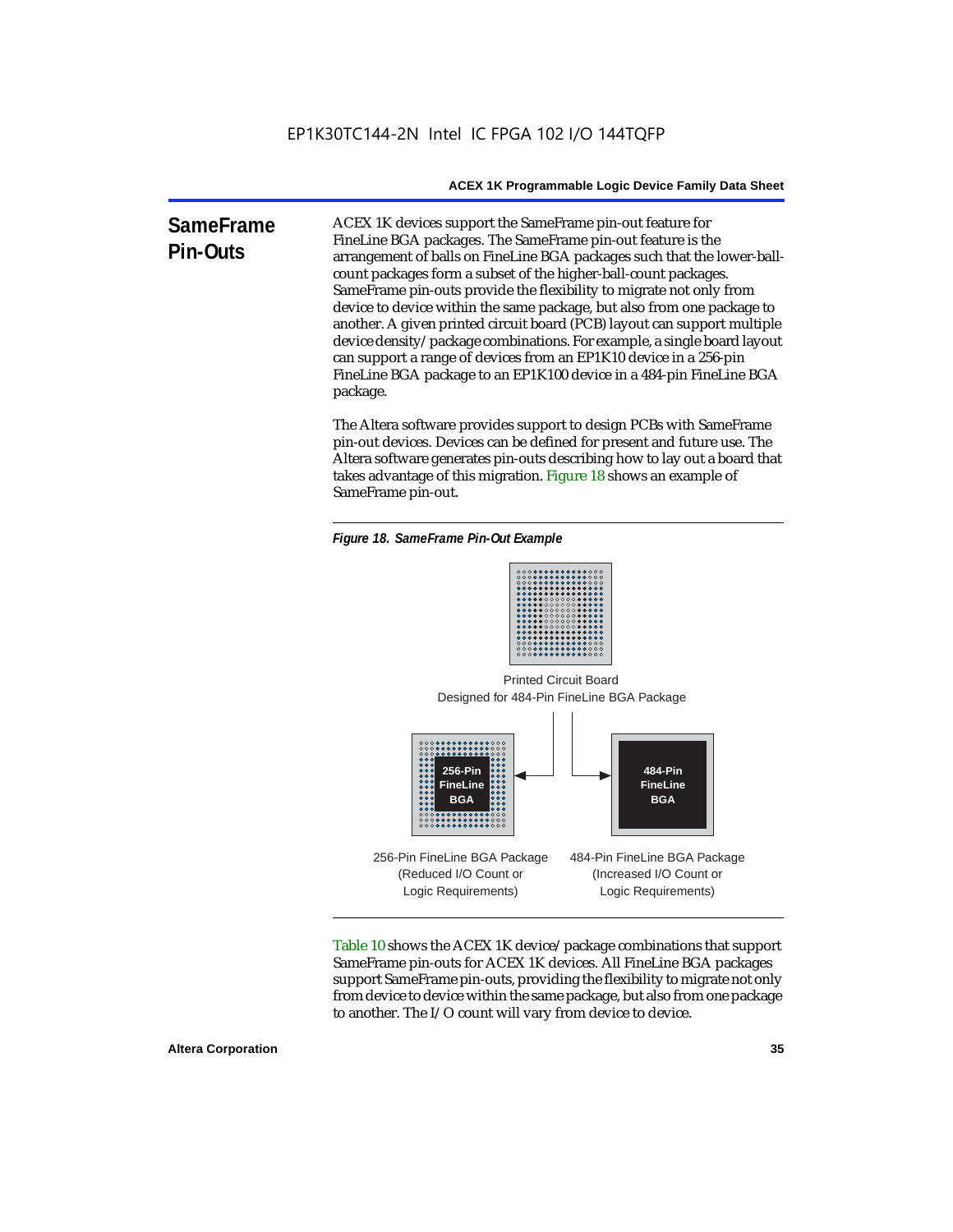**SameFrame Pin-Outs** ACEX 1K devices support the SameFrame pin-out feature for FineLine BGA packages. The SameFrame pin-out feature is the arrangement of balls on FineLine BGA packages such that the lower-ballcount packages form a subset of the higher-ball-count packages. SameFrame pin-outs provide the flexibility to migrate not only from device to device within the same package, but also from one package to another. A given printed circuit board (PCB) layout can support multiple device density/package combinations. For example, a single board layout can support a range of devices from an EP1K10 device in a 256-pin FineLine BGA package to an EP1K100 device in a 484-pin FineLine BGA package.

> The Altera software provides support to design PCBs with SameFrame pin-out devices. Devices can be defined for present and future use. The Altera software generates pin-outs describing how to lay out a board that takes advantage of this migration. Figure 18 shows an example of SameFrame pin-out.

*Figure 18. SameFrame Pin-Out Example*



Designed for 484-Pin FineLine BGA Package Printed Circuit Board



Table 10 shows the ACEX 1K device/package combinations that support SameFrame pin-outs for ACEX 1K devices. All FineLine BGA packages support SameFrame pin-outs, providing the flexibility to migrate not only from device to device within the same package, but also from one package to another. The I/O count will vary from device to device.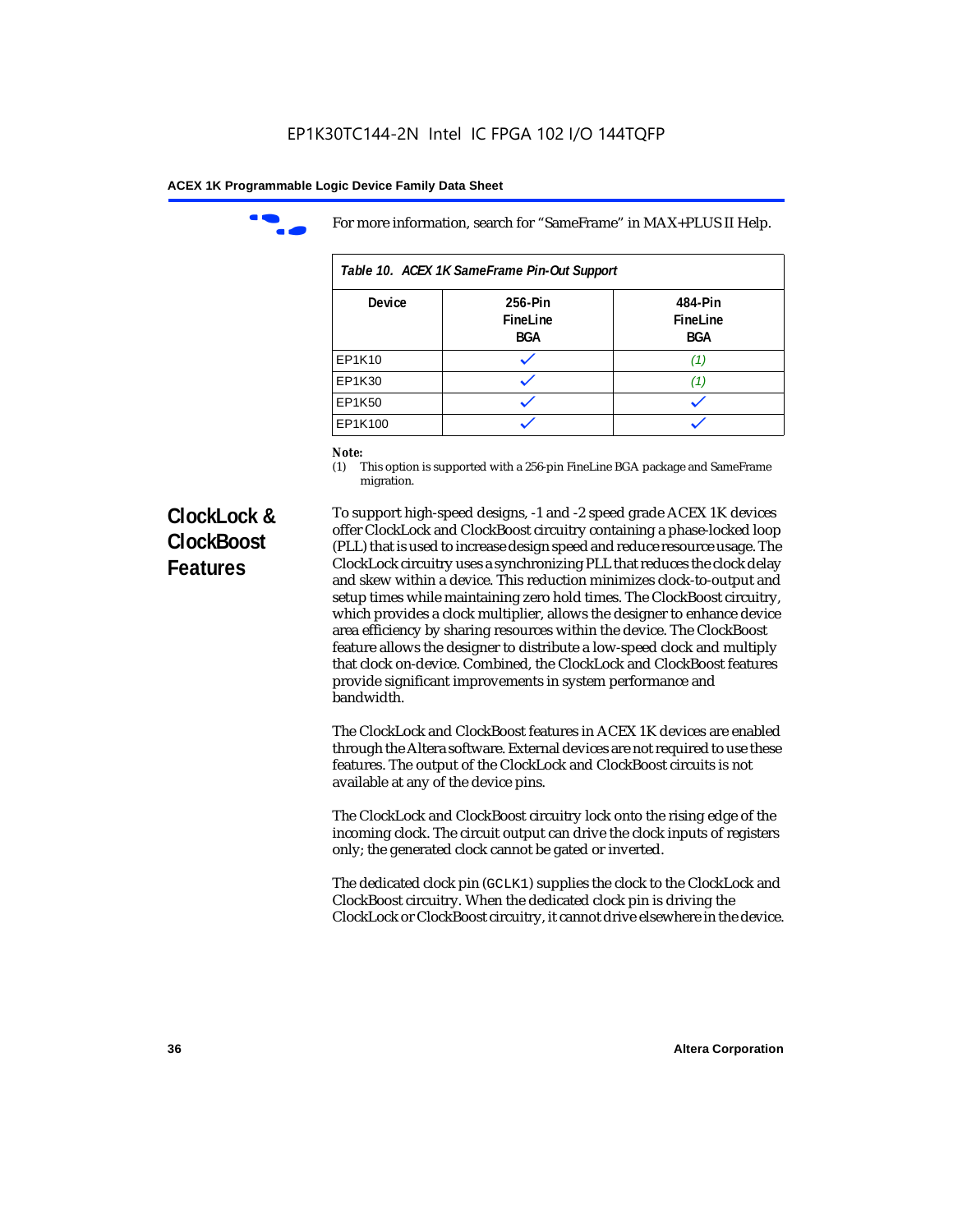

For more information, search for "SameFrame" in MAX+PLUS II Help.

| Table 10. ACEX 1K SameFrame Pin-Out Support |                                   |                                   |  |  |  |
|---------------------------------------------|-----------------------------------|-----------------------------------|--|--|--|
| <b>Device</b>                               | 256-Pin<br>FineLine<br><b>BGA</b> | 484-Pin<br>FineLine<br><b>BGA</b> |  |  |  |
| EP1K10                                      |                                   | 71.                               |  |  |  |
| EP1K30                                      |                                   |                                   |  |  |  |
| EP1K50                                      |                                   |                                   |  |  |  |
| EP1K100                                     |                                   |                                   |  |  |  |

# *Note:*<br>(1) **7**

This option is supported with a 256-pin FineLine BGA package and SameFrame migration.

# **ClockLock & ClockBoost Features**

To support high-speed designs, -1 and -2 speed grade ACEX 1K devices offer ClockLock and ClockBoost circuitry containing a phase-locked loop (PLL) that is used to increase design speed and reduce resource usage. The ClockLock circuitry uses a synchronizing PLL that reduces the clock delay and skew within a device. This reduction minimizes clock-to-output and setup times while maintaining zero hold times. The ClockBoost circuitry, which provides a clock multiplier, allows the designer to enhance device area efficiency by sharing resources within the device. The ClockBoost feature allows the designer to distribute a low-speed clock and multiply that clock on-device. Combined, the ClockLock and ClockBoost features provide significant improvements in system performance and bandwidth.

The ClockLock and ClockBoost features in ACEX 1K devices are enabled through the Altera software. External devices are not required to use these features. The output of the ClockLock and ClockBoost circuits is not available at any of the device pins.

The ClockLock and ClockBoost circuitry lock onto the rising edge of the incoming clock. The circuit output can drive the clock inputs of registers only; the generated clock cannot be gated or inverted.

The dedicated clock pin (GCLK1) supplies the clock to the ClockLock and ClockBoost circuitry. When the dedicated clock pin is driving the ClockLock or ClockBoost circuitry, it cannot drive elsewhere in the device.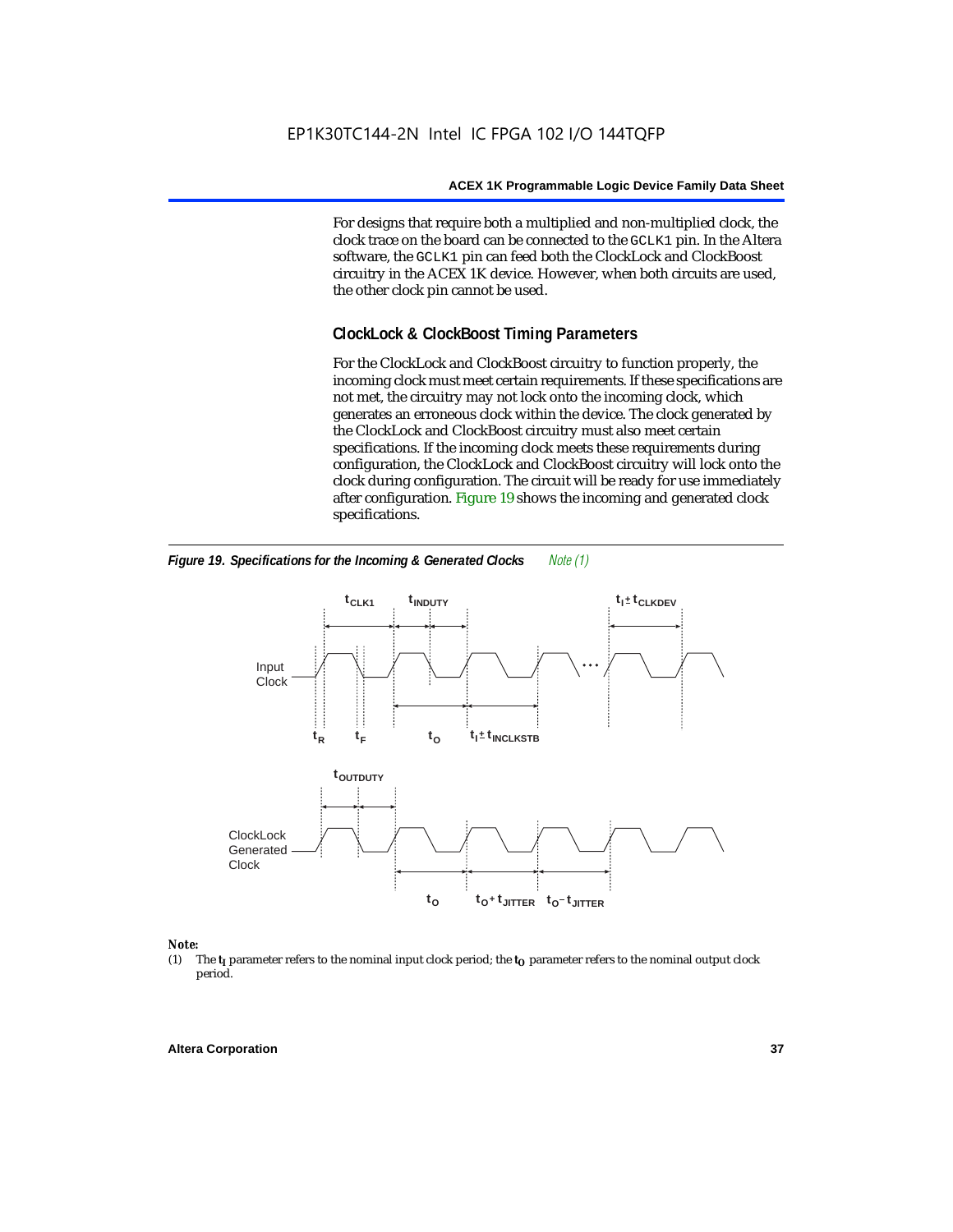For designs that require both a multiplied and non-multiplied clock, the clock trace on the board can be connected to the GCLK1 pin. In the Altera software, the GCLK1 pin can feed both the ClockLock and ClockBoost circuitry in the ACEX 1K device. However, when both circuits are used, the other clock pin cannot be used.

## **ClockLock & ClockBoost Timing Parameters**

For the ClockLock and ClockBoost circuitry to function properly, the incoming clock must meet certain requirements. If these specifications are not met, the circuitry may not lock onto the incoming clock, which generates an erroneous clock within the device. The clock generated by the ClockLock and ClockBoost circuitry must also meet certain specifications. If the incoming clock meets these requirements during configuration, the ClockLock and ClockBoost circuitry will lock onto the clock during configuration. The circuit will be ready for use immediately after configuration. Figure 19 shows the incoming and generated clock specifications.



*Figure 19. Specifications for the Incoming & Generated Clocks Note (1)*

# *Note:*<br>(1) 1

The  $t<sub>I</sub>$  parameter refers to the nominal input clock period; the  $t<sub>O</sub>$  parameter refers to the nominal output clock period.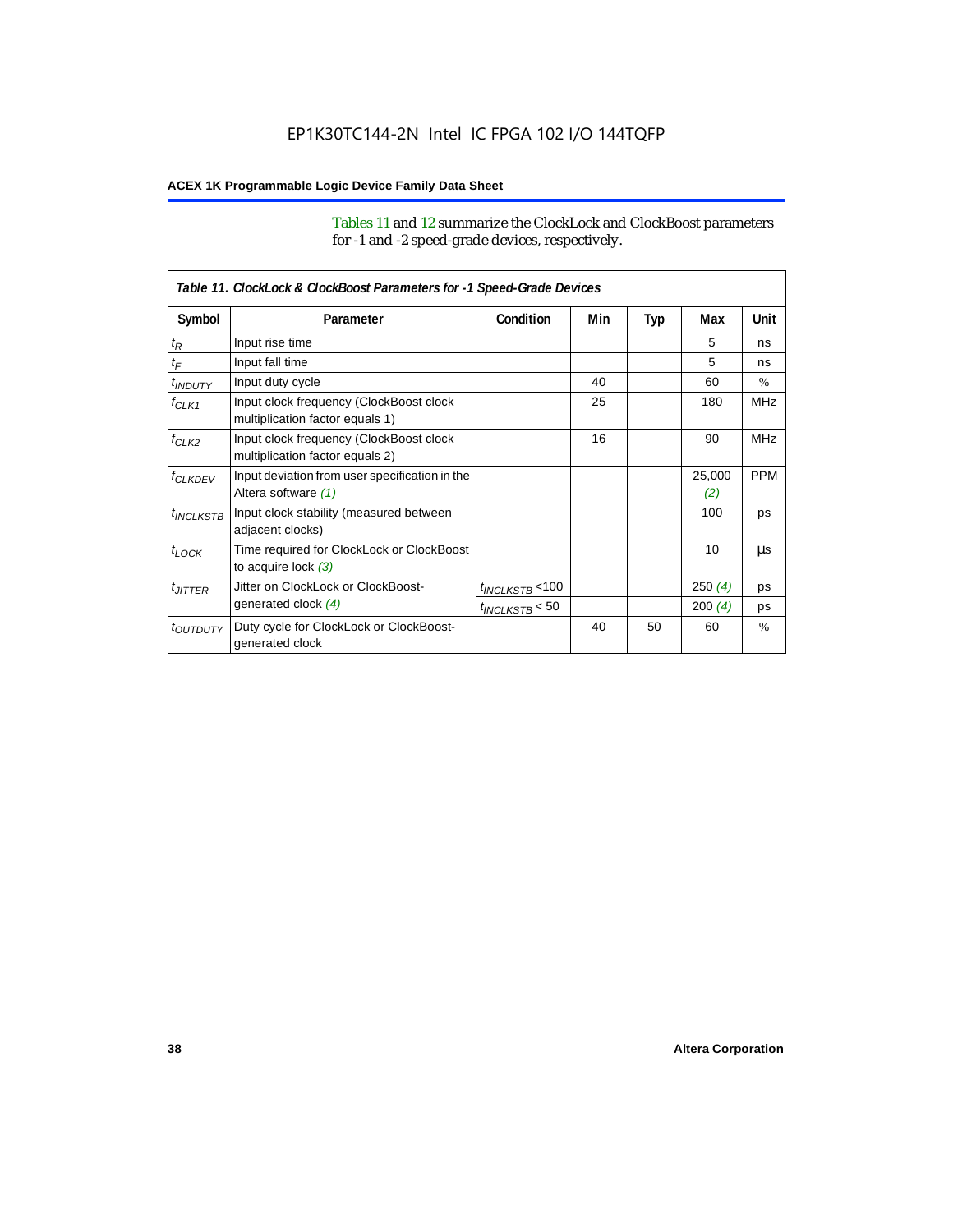Tables 11 and 12 summarize the ClockLock and ClockBoost parameters for -1 and -2 speed-grade devices, respectively.

|                       | Table 11. ClockLock & ClockBoost Parameters for -1 Speed-Grade Devices     |                      |     |     |               |            |  |
|-----------------------|----------------------------------------------------------------------------|----------------------|-----|-----|---------------|------------|--|
| Symbol                | Parameter                                                                  | Condition            | Min | Typ | Max           | Unit       |  |
| $t_{\mathsf{R}}$      | Input rise time                                                            |                      |     |     | 5             | ns         |  |
| $t_{\mathsf{F}}$      | Input fall time                                                            |                      |     |     | 5             | ns         |  |
| $t_{INDUTY}$          | Input duty cycle                                                           |                      | 40  |     | 60            | $\%$       |  |
| $f_{CLK1}$            | Input clock frequency (ClockBoost clock<br>multiplication factor equals 1) |                      | 25  |     | 180           | <b>MHz</b> |  |
| $f_{CLK2}$            | Input clock frequency (ClockBoost clock<br>multiplication factor equals 2) |                      | 16  |     | 90            | <b>MHz</b> |  |
| <b><i>fCLKDEV</i></b> | Input deviation from user specification in the<br>Altera software (1)      |                      |     |     | 25,000<br>(2) | <b>PPM</b> |  |
| $t_{INCLKSTB}$        | Input clock stability (measured between<br>adjacent clocks)                |                      |     |     | 100           | ps         |  |
| $t_{LOCK}$            | Time required for ClockLock or ClockBoost<br>to acquire lock $(3)$         |                      |     |     | 10            | μs         |  |
| $t_{JITTER}$          | Jitter on ClockLock or ClockBoost-                                         | $t_{INCLKSTB}$ < 100 |     |     | 250(4)        | ps         |  |
|                       | generated clock (4)                                                        | $t_{INCLKSTB}$ < 50  |     |     | 200(4)        | ps         |  |
| <i>toutbuty</i>       | Duty cycle for ClockLock or ClockBoost-<br>generated clock                 |                      | 40  | 50  | 60            | $\%$       |  |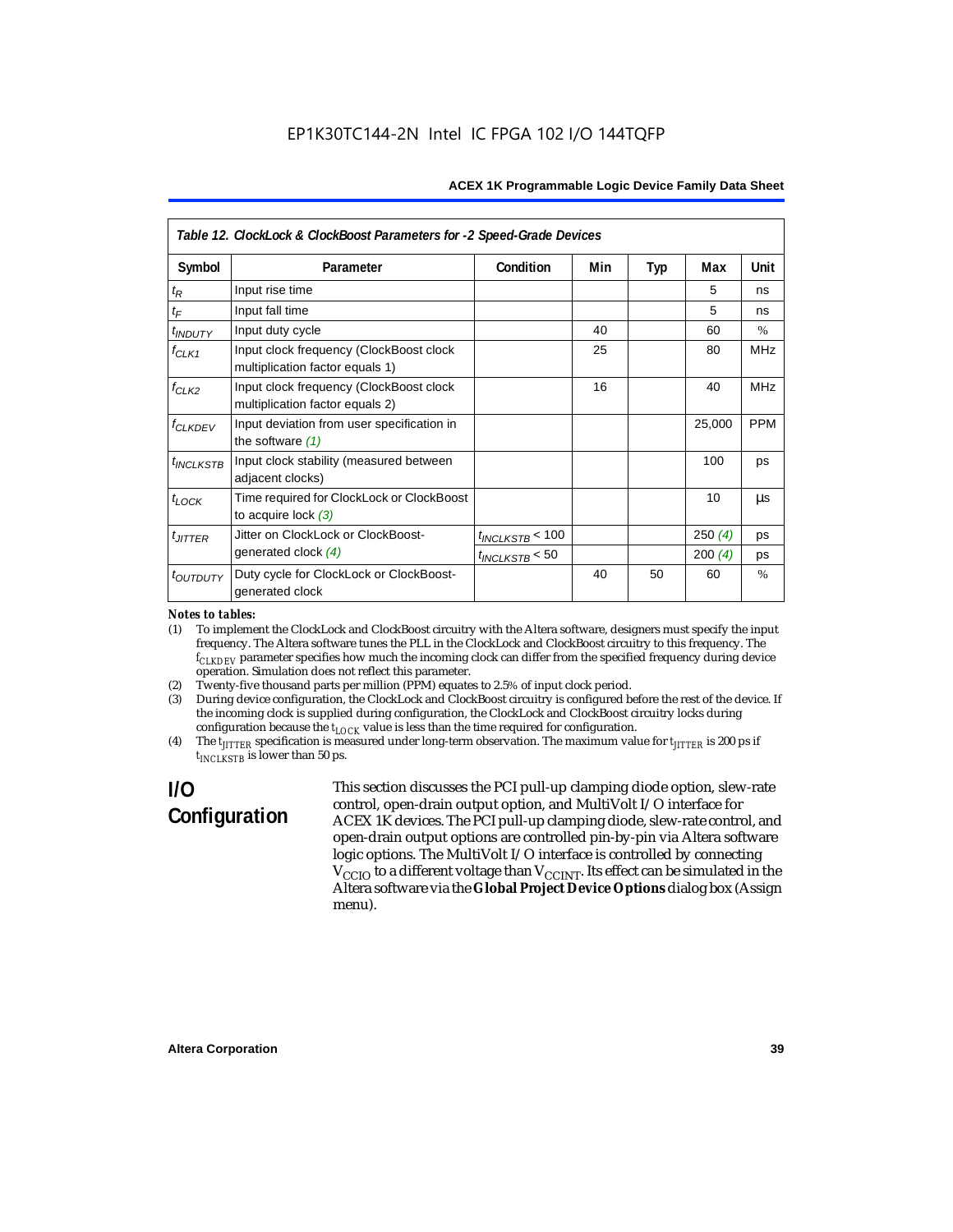|                           | Table 12. ClockLock & ClockBoost Parameters for -2 Speed-Grade Devices     |                      |     |     |        |               |  |
|---------------------------|----------------------------------------------------------------------------|----------------------|-----|-----|--------|---------------|--|
| Symbol                    | Parameter                                                                  | Condition            | Min | Typ | Max    | Unit          |  |
| $t_{\mathsf{R}}$          | Input rise time                                                            |                      |     |     | 5      | ns            |  |
| $t_{\digamma}$            | Input fall time                                                            |                      |     |     | 5      | ns            |  |
| t <sub>INDUTY</sub>       | Input duty cycle                                                           |                      | 40  |     | 60     | $\%$          |  |
| $f_{CLK1}$                | Input clock frequency (ClockBoost clock<br>multiplication factor equals 1) |                      | 25  |     | 80     | <b>MHz</b>    |  |
| $f_{CLK2}$                | Input clock frequency (ClockBoost clock<br>multiplication factor equals 2) |                      | 16  |     | 40     | <b>MHz</b>    |  |
| <b>f<sub>CLKDEV</sub></b> | Input deviation from user specification in<br>the software $(1)$           |                      |     |     | 25,000 | <b>PPM</b>    |  |
| $t_{INCLKSTB}$            | Input clock stability (measured between<br>adjacent clocks)                |                      |     |     | 100    | ps            |  |
| $t_{LOCK}$                | Time required for ClockLock or ClockBoost<br>to acquire lock $(3)$         |                      |     |     | 10     | μs            |  |
| $t_{JITTER}$              | Jitter on ClockLock or ClockBoost-                                         | $t_{INCLKSTB}$ < 100 |     |     | 250(4) | ps            |  |
|                           | generated clock (4)                                                        | $t_{INCLKSTB}$ < 50  |     |     | 200(4) | ps            |  |
| <i>toutputy</i>           | Duty cycle for ClockLock or ClockBoost-<br>generated clock                 |                      | 40  | 50  | 60     | $\frac{0}{0}$ |  |

#### *Notes to tables:*

(1) To implement the ClockLock and ClockBoost circuitry with the Altera software, designers must specify the input frequency. The Altera software tunes the PLL in the ClockLock and ClockBoost circuitry to this frequency. The *fCLKDEV* parameter specifies how much the incoming clock can differ from the specified frequency during device operation. Simulation does not reflect this parameter.

(2) Twenty-five thousand parts per million (PPM) equates to 2.5% of input clock period.

(3) During device configuration, the ClockLock and ClockBoost circuitry is configured before the rest of the device. If the incoming clock is supplied during configuration, the ClockLock and ClockBoost circuitry locks during configuration because the  $t_{LOCK}$  value is less than the time required for configuration.

(4) The  $t_{\text{ITTTER}}$  specification is measured under long-term observation. The maximum value for  $t_{\text{ITTTER}}$  is 200 ps if *tINCLKSTB* is lower than 50 ps.

# **I/O Configuration**

This section discusses the PCI pull-up clamping diode option, slew-rate control, open-drain output option, and MultiVolt I/O interface for ACEX 1K devices. The PCI pull-up clamping diode, slew-rate control, and open-drain output options are controlled pin-by-pin via Altera software logic options. The MultiVolt I/O interface is controlled by connecting  $V_{\rm CCD}$  to a different voltage than  $V_{\rm CCINT}$ . Its effect can be simulated in the Altera software via the **Global Project Device Options** dialog box (Assign menu).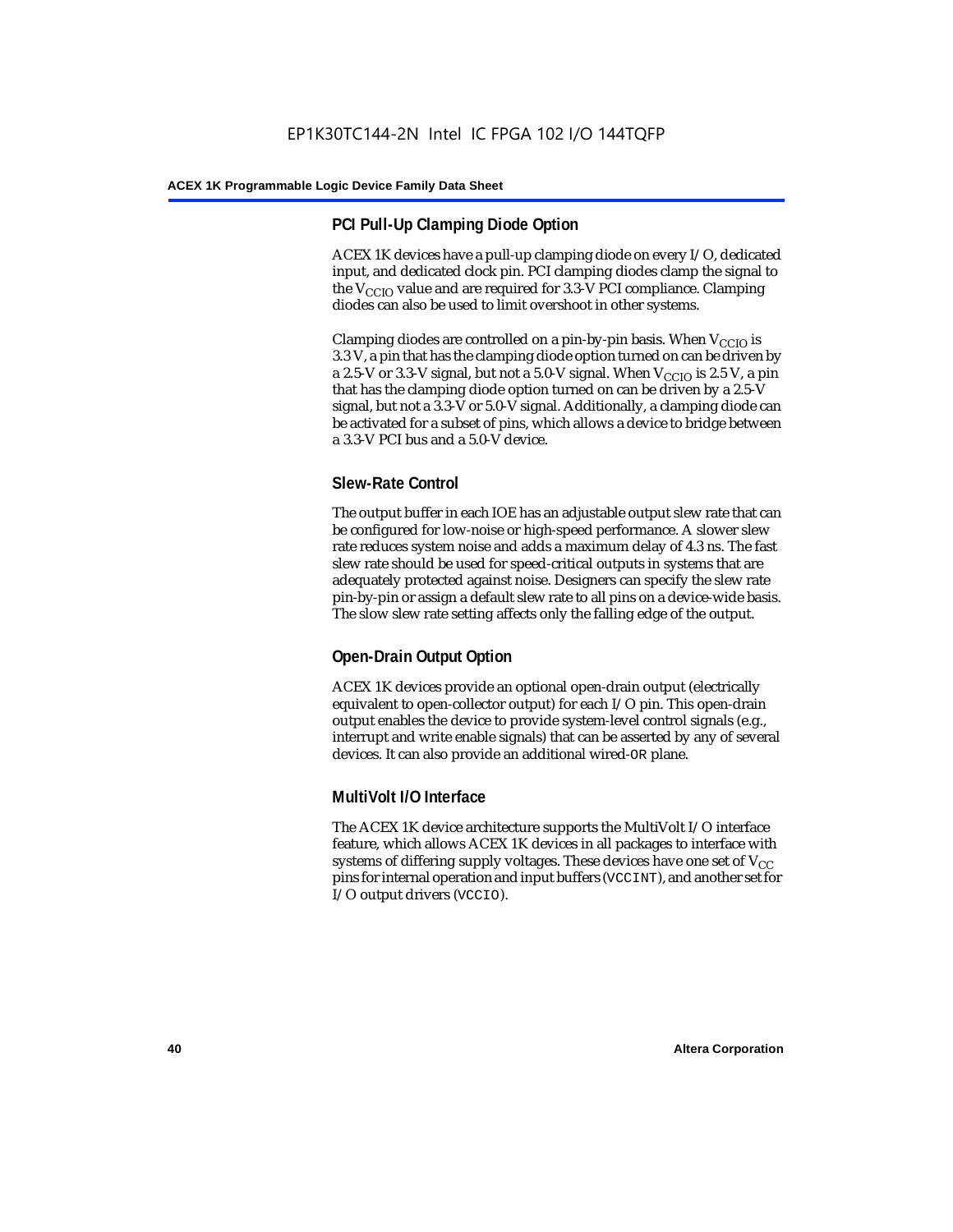## **PCI Pull-Up Clamping Diode Option**

ACEX 1K devices have a pull-up clamping diode on every I/O, dedicated input, and dedicated clock pin. PCI clamping diodes clamp the signal to the  $V_{\text{CCIO}}$  value and are required for 3.3-V PCI compliance. Clamping diodes can also be used to limit overshoot in other systems.

Clamping diodes are controlled on a pin-by-pin basis. When  $V_{CCIO}$  is 3.3 V, a pin that has the clamping diode option turned on can be driven by a 2.5-V or 3.3-V signal, but not a 5.0-V signal. When  $V_{CCIO}$  is 2.5 V, a pin that has the clamping diode option turned on can be driven by a 2.5-V signal, but not a 3.3-V or 5.0-V signal. Additionally, a clamping diode can be activated for a subset of pins, which allows a device to bridge between a 3.3-V PCI bus and a 5.0-V device.

## **Slew-Rate Control**

The output buffer in each IOE has an adjustable output slew rate that can be configured for low-noise or high-speed performance. A slower slew rate reduces system noise and adds a maximum delay of 4.3 ns. The fast slew rate should be used for speed-critical outputs in systems that are adequately protected against noise. Designers can specify the slew rate pin-by-pin or assign a default slew rate to all pins on a device-wide basis. The slow slew rate setting affects only the falling edge of the output.

## **Open-Drain Output Option**

ACEX 1K devices provide an optional open-drain output (electrically equivalent to open-collector output) for each I/O pin. This open-drain output enables the device to provide system-level control signals (e.g., interrupt and write enable signals) that can be asserted by any of several devices. It can also provide an additional wired-OR plane.

## **MultiVolt I/O Interface**

The ACEX 1K device architecture supports the MultiVolt I/O interface feature, which allows ACEX 1K devices in all packages to interface with systems of differing supply voltages. These devices have one set of  $V_{CC}$ pins for internal operation and input buffers (VCCINT), and another set for I/O output drivers (VCCIO).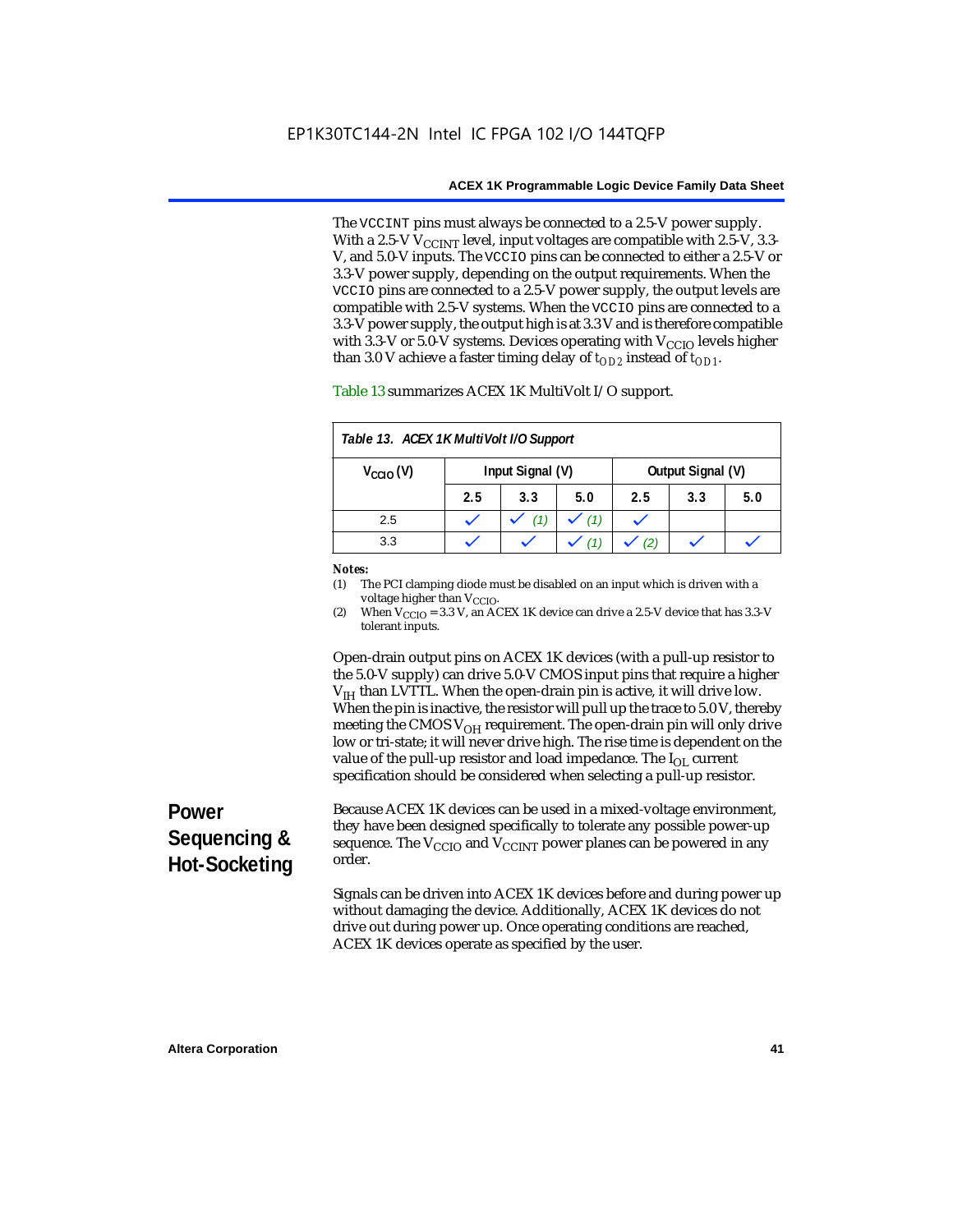The VCCINT pins must always be connected to a 2.5-V power supply. With a 2.5-V  $V_{CCMT}$  level, input voltages are compatible with 2.5-V, 3.3-V, and 5.0-V inputs. The VCCIO pins can be connected to either a 2.5-V or 3.3-V power supply, depending on the output requirements. When the VCCIO pins are connected to a 2.5-V power supply, the output levels are compatible with 2.5-V systems. When the VCCIO pins are connected to a 3.3-V power supply, the output high is at 3.3 V and is therefore compatible with 3.3-V or 5.0-V systems. Devices operating with  $V_{\text{CCIO}}$  levels higher than 3.0 V achieve a faster timing delay of  $t_{OD2}$  instead of  $t_{OD1}$ .

| Table 13. ACEX 1K MultiVolt I/O Support                       |     |     |     |     |     |     |
|---------------------------------------------------------------|-----|-----|-----|-----|-----|-----|
| Input Signal (V)<br>Output Signal (V)<br>$V_{\text{CCIO}}(V)$ |     |     |     |     |     |     |
|                                                               | 2.5 | 3.3 | 5.0 | 2.5 | 3.3 | 5.0 |
| 2.5                                                           |     |     | (1) |     |     |     |
| 3.3                                                           |     |     |     |     |     |     |

Table 13 summarizes ACEX 1K MultiVolt I/O support.

#### *Notes:*

(1) The PCI clamping diode must be disabled on an input which is driven with a voltage higher than V<sub>CCIO</sub>.

(2) When  $V_{\text{CCIO}} = 3.3$  V, an ACEX 1K device can drive a 2.5-V device that has 3.3-V tolerant inputs.

Open-drain output pins on ACEX 1K devices (with a pull-up resistor to the 5.0-V supply) can drive 5.0-V CMOS input pins that require a higher  $V<sub>IH</sub>$  than LVTTL. When the open-drain pin is active, it will drive low. When the pin is inactive, the resistor will pull up the trace to 5.0 V, thereby meeting the CMOS  $V_{OH}$  requirement. The open-drain pin will only drive low or tri-state; it will never drive high. The rise time is dependent on the value of the pull-up resistor and load impedance. The  $I_{OL}$  current specification should be considered when selecting a pull-up resistor.

# **Power Sequencing & Hot-Socketing**

Because ACEX 1K devices can be used in a mixed-voltage environment, they have been designed specifically to tolerate any possible power-up sequence. The  $V_{\text{CCIO}}$  and  $V_{\text{CCINT}}$  power planes can be powered in any order.

Signals can be driven into ACEX 1K devices before and during power up without damaging the device. Additionally, ACEX 1K devices do not drive out during power up. Once operating conditions are reached, ACEX 1K devices operate as specified by the user.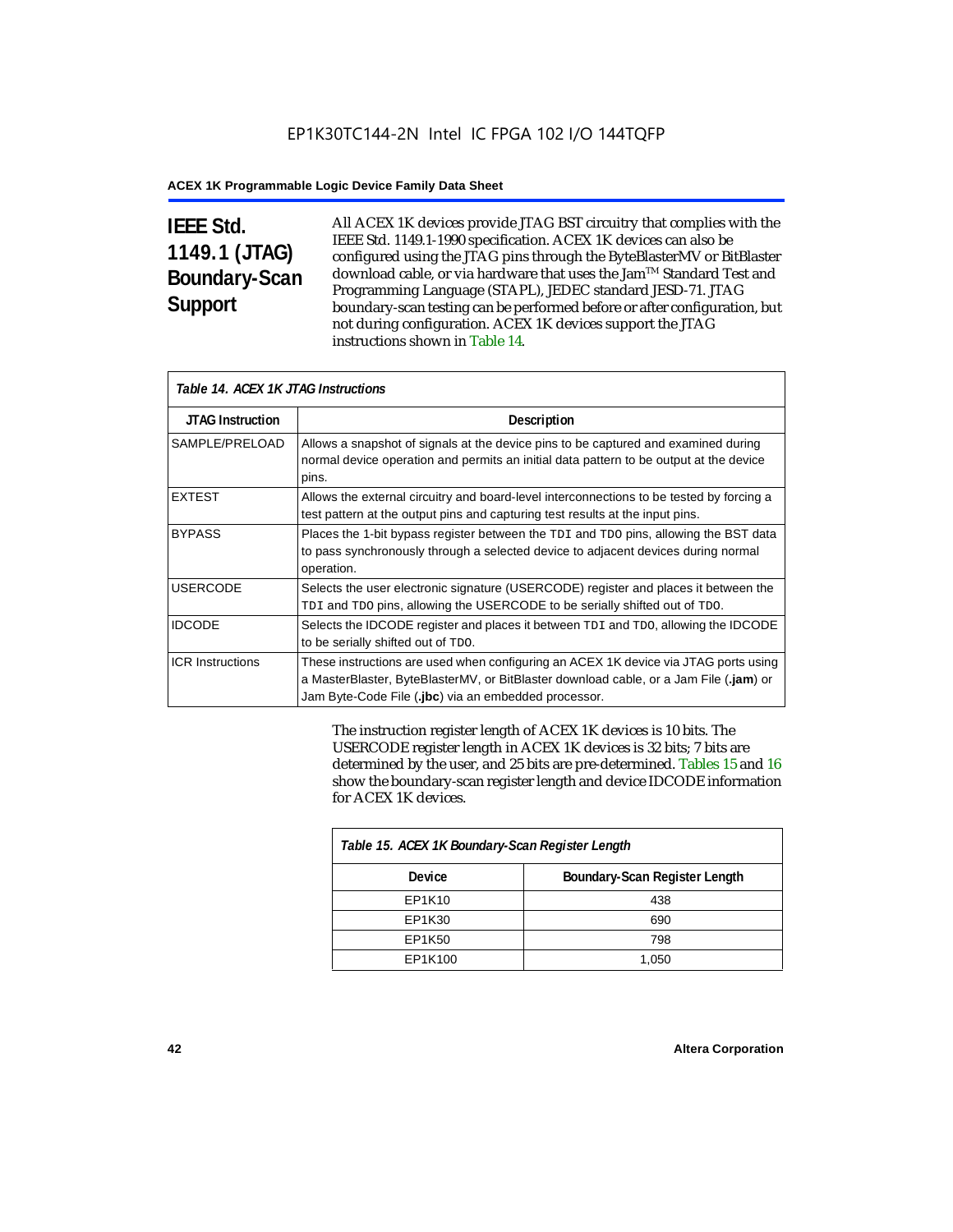# **IEEE Std. 1149.1 (JTAG) Boundary-Scan Support**

All ACEX 1K devices provide JTAG BST circuitry that complies with the IEEE Std. 1149.1-1990 specification. ACEX 1K devices can also be configured using the JTAG pins through the ByteBlasterMV or BitBlaster download cable, or via hardware that uses the Jam™ Standard Test and Programming Language (STAPL), JEDEC standard JESD-71. JTAG boundary-scan testing can be performed before or after configuration, but not during configuration. ACEX 1K devices support the JTAG instructions shown in Table 14.

| Table 14. ACEX 1K JTAG Instructions |                                                                                                                                                                                                                                      |  |  |  |
|-------------------------------------|--------------------------------------------------------------------------------------------------------------------------------------------------------------------------------------------------------------------------------------|--|--|--|
| <b>JTAG Instruction</b>             | <b>Description</b>                                                                                                                                                                                                                   |  |  |  |
| SAMPLE/PRELOAD                      | Allows a snapshot of signals at the device pins to be captured and examined during<br>normal device operation and permits an initial data pattern to be output at the device<br>pins.                                                |  |  |  |
| <b>EXTEST</b>                       | Allows the external circuitry and board-level interconnections to be tested by forcing a<br>test pattern at the output pins and capturing test results at the input pins.                                                            |  |  |  |
| <b>BYPASS</b>                       | Places the 1-bit bypass register between the TDI and TDO pins, allowing the BST data<br>to pass synchronously through a selected device to adjacent devices during normal<br>operation.                                              |  |  |  |
| <b>USERCODE</b>                     | Selects the user electronic signature (USERCODE) register and places it between the<br>TDI and TDO pins, allowing the USERCODE to be serially shifted out of TDO.                                                                    |  |  |  |
| <b>IDCODE</b>                       | Selects the IDCODE register and places it between $TDI$ and $TDO$ , allowing the IDCODE<br>to be serially shifted out of TDO.                                                                                                        |  |  |  |
| <b>ICR Instructions</b>             | These instructions are used when configuring an ACEX 1K device via JTAG ports using<br>a MasterBlaster, ByteBlasterMV, or BitBlaster download cable, or a Jam File (.jam) or<br>Jam Byte-Code File (.jbc) via an embedded processor. |  |  |  |

The instruction register length of ACEX 1K devices is 10 bits. The USERCODE register length in ACEX 1K devices is 32 bits; 7 bits are determined by the user, and 25 bits are pre-determined. Tables 15 and 16 show the boundary-scan register length and device IDCODE information for ACEX 1K devices.

| Table 15. ACEX 1K Boundary-Scan Register Length |                               |  |  |  |
|-------------------------------------------------|-------------------------------|--|--|--|
| Device                                          | Boundary-Scan Register Length |  |  |  |
| EP1K10                                          | 438                           |  |  |  |
| EP1K30                                          | 690                           |  |  |  |
| EP1K50                                          | 798                           |  |  |  |
| EP1K100                                         | 1,050                         |  |  |  |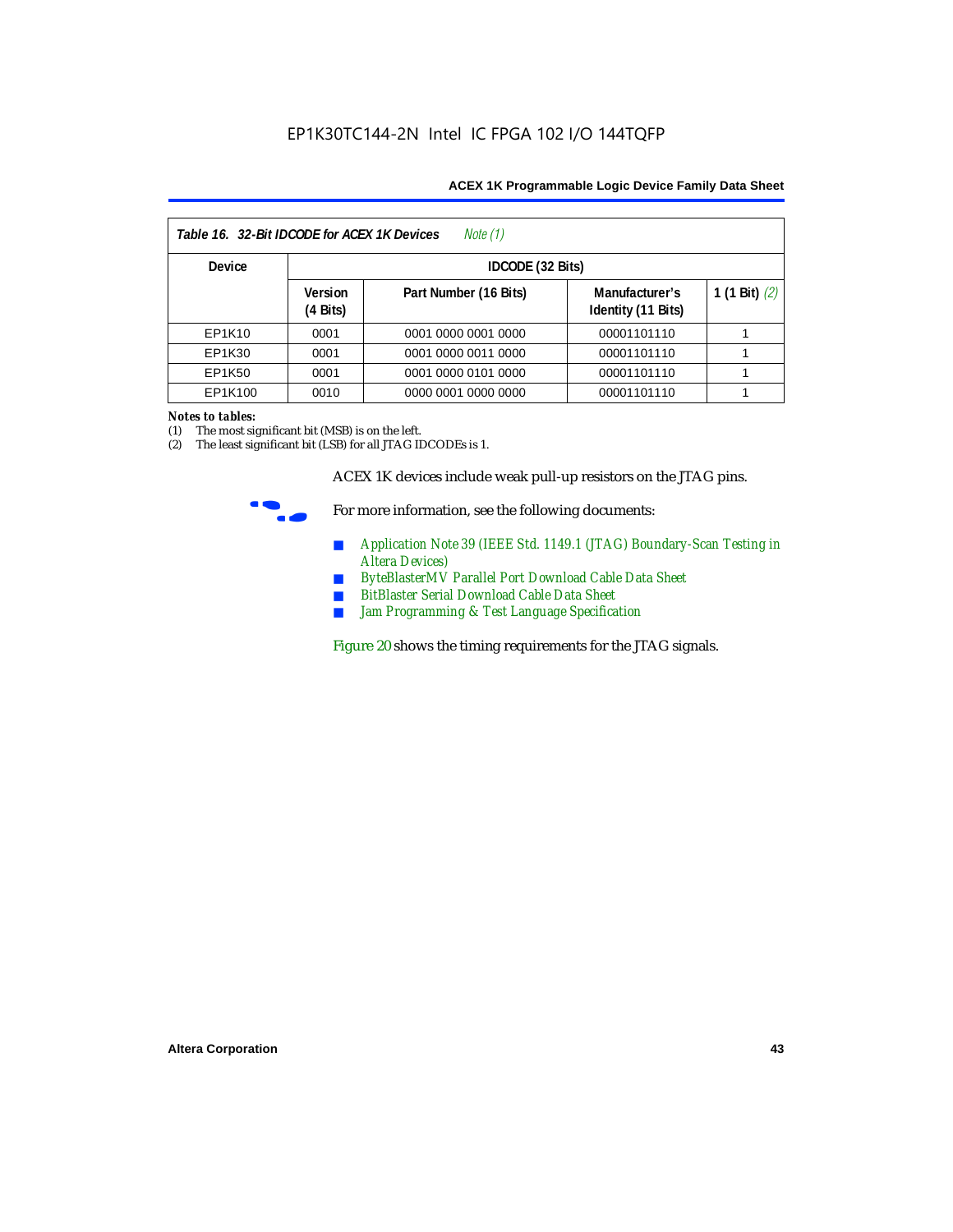| Table 16. 32-Bit IDCODE for ACEX 1K Devices<br>Note (1) |                                      |                       |                                      |                 |  |  |
|---------------------------------------------------------|--------------------------------------|-----------------------|--------------------------------------|-----------------|--|--|
| <b>Device</b>                                           |                                      | IDCODE (32 Bits)      |                                      |                 |  |  |
|                                                         | <b>Version</b><br>$(4 \text{ Bits})$ | Part Number (16 Bits) | Manufacturer's<br>Identity (11 Bits) | 1 (1 Bit) $(2)$ |  |  |
| EP1K10                                                  | 0001                                 | 0001 0000 0001 0000   | 00001101110                          |                 |  |  |
| EP1K30                                                  | 0001                                 | 0001 0000 0011 0000   | 00001101110                          |                 |  |  |
| EP1K50                                                  | 0001                                 | 0001 0000 0101 0000   | 00001101110                          |                 |  |  |
| EP1K100                                                 | 0010                                 | 0000 0001 0000 0000   | 00001101110                          |                 |  |  |

#### *Notes to tables:*

(1) The most significant bit (MSB) is on the left.

(2) The least significant bit (LSB) for all JTAG IDCODEs is 1.

ACEX 1K devices include weak pull-up resistors on the JTAG pins.



For more information, see the following documents:

- *Application Note 39 (IEEE Std. 1149.1 (JTAG) Boundary-Scan Testing in Altera Devices)*
- *ByteBlasterMV Parallel Port Download Cable Data Sheet*
- *BitBlaster Serial Download Cable Data Sheet*
- *Jam Programming & Test Language Specification*

Figure 20 shows the timing requirements for the JTAG signals.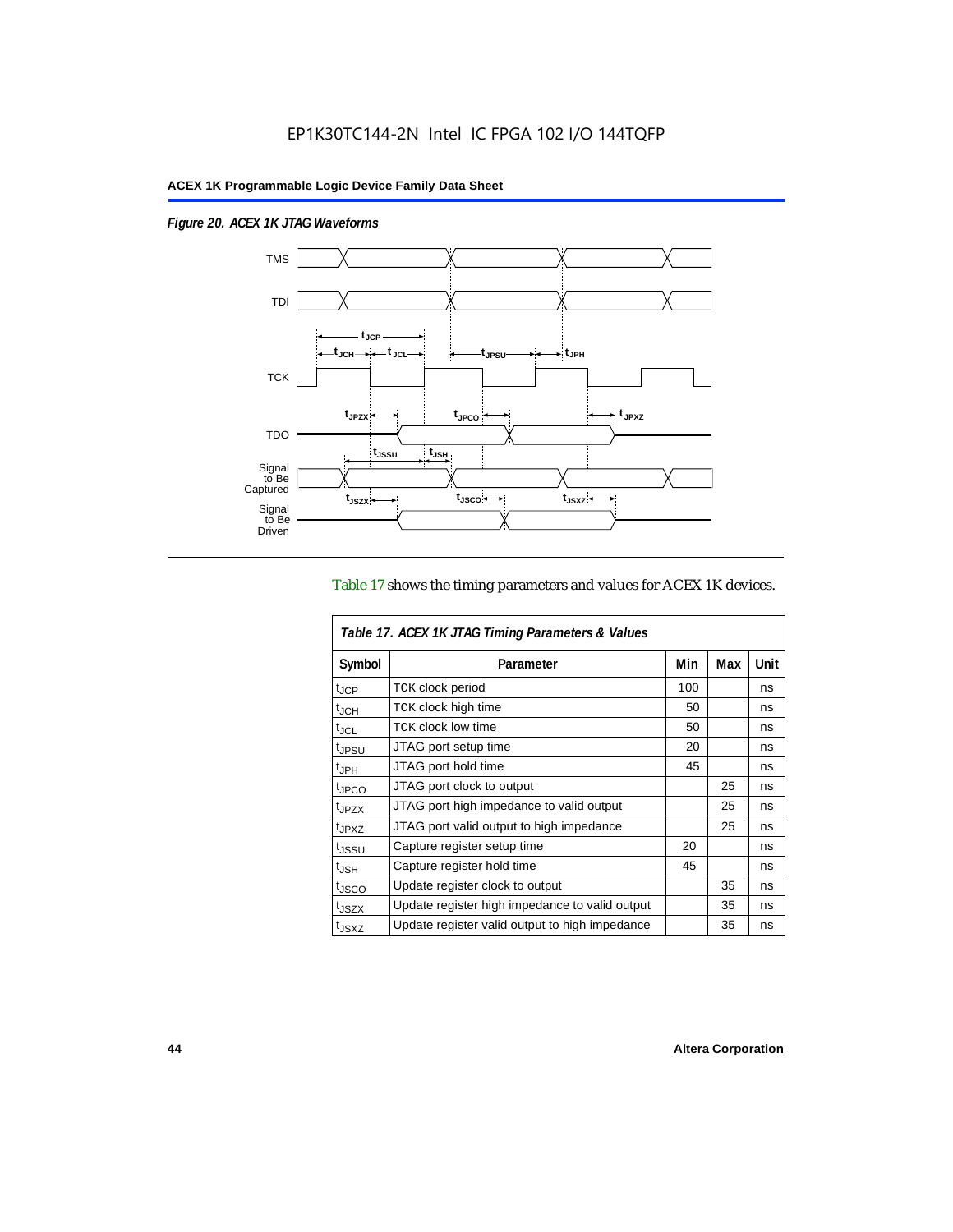$\overline{1}$ 

*Figure 20. ACEX 1K JTAG Waveforms*



#### Table 17 shows the timing parameters and values for ACEX 1K devices.

| Table 17. ACEX 1K JTAG Timing Parameters & Values |                                                |     |     |      |  |  |
|---------------------------------------------------|------------------------------------------------|-----|-----|------|--|--|
| Symbol                                            | Parameter                                      | Min | Max | Unit |  |  |
| t <sub>JCP</sub>                                  | <b>TCK clock period</b>                        | 100 |     | ns   |  |  |
| $t_{JCH}$                                         | TCK clock high time                            | 50  |     | ns   |  |  |
| t <sub>JCL</sub>                                  | <b>TCK clock low time</b>                      | 50  |     | ns   |  |  |
| <sup>t</sup> JPSU                                 | JTAG port setup time                           | 20  |     | ns   |  |  |
| $t_{\sf JPH}$                                     | JTAG port hold time                            | 45  |     | ns   |  |  |
| <sup>t</sup> JPCO                                 | JTAG port clock to output                      |     | 25  | ns   |  |  |
| t <sub>JPZX</sub>                                 | JTAG port high impedance to valid output       |     | 25  | ns   |  |  |
| t <sub>JPXZ</sub>                                 | JTAG port valid output to high impedance       |     | 25  | ns   |  |  |
| tjssu                                             | Capture register setup time                    | 20  |     | ns   |  |  |
| $t_{\mathsf{JSH}}$                                | Capture register hold time                     | 45  |     | ns   |  |  |
| t <sub>JSCO</sub>                                 | Update register clock to output                |     | 35  | ns   |  |  |
| t <sub>JSZX</sub>                                 | Update register high impedance to valid output |     | 35  | ns   |  |  |
| t <sub>JSXZ</sub>                                 | Update register valid output to high impedance |     | 35  | ns   |  |  |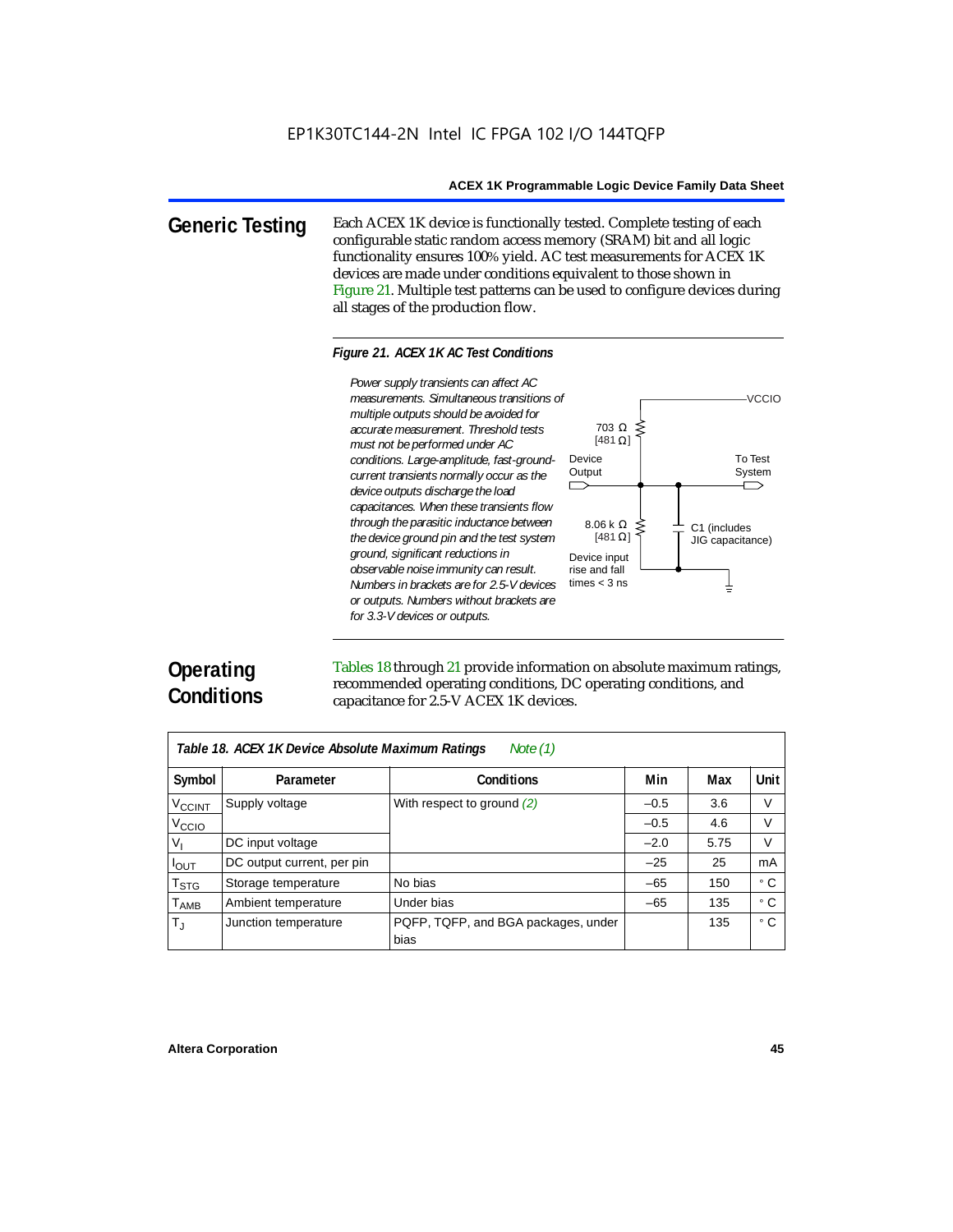**Generic Testing** Each ACEX 1K device is functionally tested. Complete testing of each configurable static random access memory (SRAM) bit and all logic functionality ensures 100% yield. AC test measurements for ACEX 1K devices are made under conditions equivalent to those shown in Figure 21. Multiple test patterns can be used to configure devices during all stages of the production flow.

#### *Figure 21. ACEX 1K AC Test Conditions*



# **Operating Conditions**

Tables 18 through 21 provide information on absolute maximum ratings, recommended operating conditions, DC operating conditions, and capacitance for 2.5-V ACEX 1K devices.

| Note $(1)$<br>Table 18. ACEX 1K Device Absolute Maximum Ratings |                            |                                             |        |      |           |  |  |
|-----------------------------------------------------------------|----------------------------|---------------------------------------------|--------|------|-----------|--|--|
| Symbol                                                          | Parameter                  | <b>Conditions</b>                           | Min    | Max  | Unit      |  |  |
| <b>V<sub>CCINT</sub></b>                                        | Supply voltage             | With respect to ground (2)                  | $-0.5$ | 3.6  | V         |  |  |
| V <sub>CCIO</sub>                                               |                            |                                             | $-0.5$ | 4.6  | V         |  |  |
| V,                                                              | DC input voltage           |                                             | $-2.0$ | 5.75 | V         |  |  |
| $I_{OUT}$                                                       | DC output current, per pin |                                             | $-25$  | 25   | mA        |  |  |
| $\mathsf{T}_{\textsf{STG}}$                                     | Storage temperature        | No bias                                     | $-65$  | 150  | ۰c        |  |  |
| $T_{\sf AMB}$                                                   | Ambient temperature        | Under bias                                  | $-65$  | 135  | $\circ$ C |  |  |
| $T_{\rm J}$                                                     | Junction temperature       | PQFP, TQFP, and BGA packages, under<br>bias |        | 135  | ۰c        |  |  |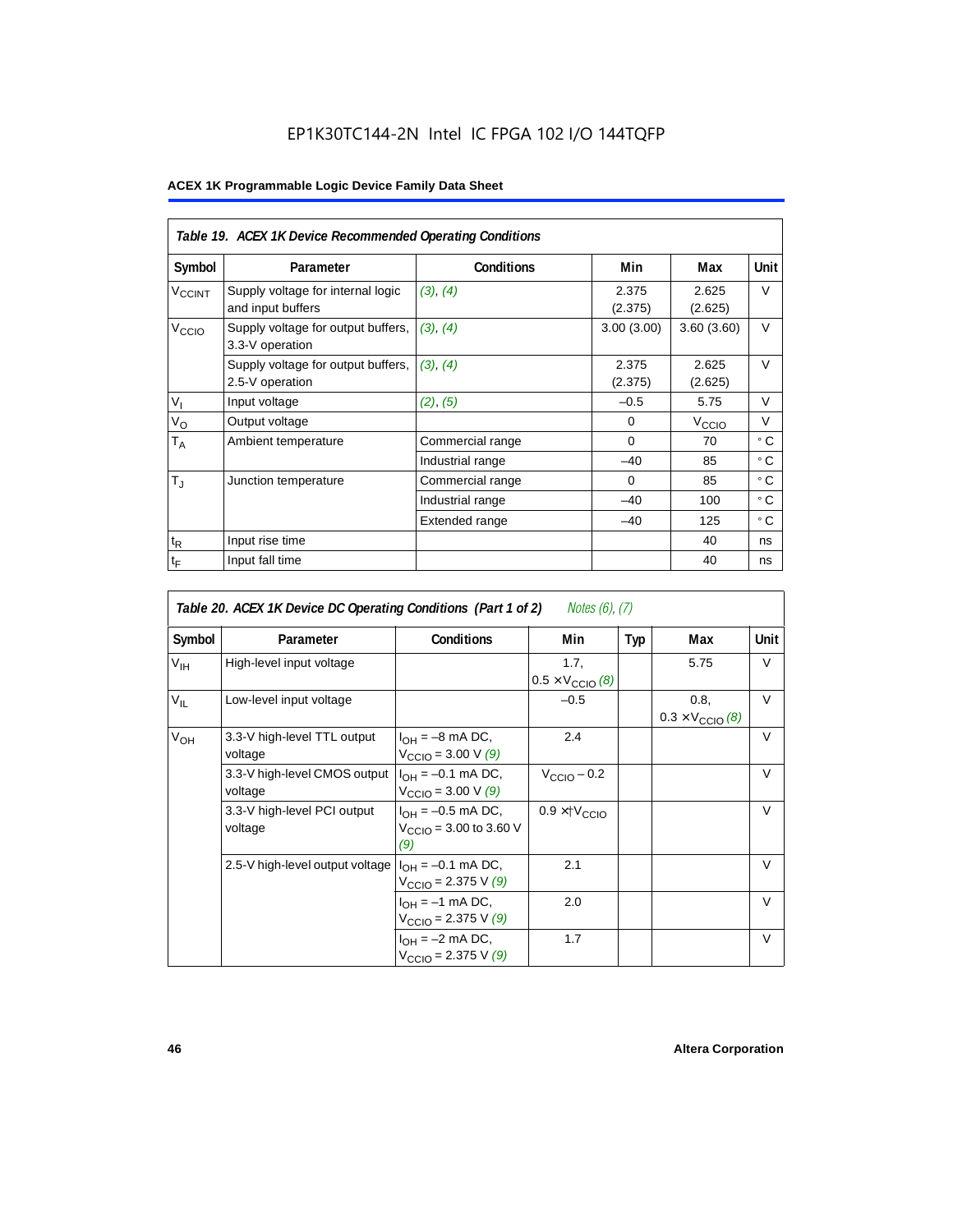## EP1K30TC144-2N Intel IC FPGA 102 I/O 144TQFP

|                    | Table 19. ACEX 1K Device Recommended Operating Conditions |                   |                  |                   |             |  |  |  |
|--------------------|-----------------------------------------------------------|-------------------|------------------|-------------------|-------------|--|--|--|
| Symbol             | Parameter                                                 | <b>Conditions</b> | Min              | Max               | <b>Unit</b> |  |  |  |
| V <sub>CCINT</sub> | Supply voltage for internal logic<br>and input buffers    | (3), (4)          | 2.375<br>(2.375) | 2.625<br>(2.625)  | V           |  |  |  |
| V <sub>CCIO</sub>  | Supply voltage for output buffers,<br>3.3-V operation     | (3), (4)          | 3.00(3.00)       | 3.60(3.60)        | $\vee$      |  |  |  |
|                    | Supply voltage for output buffers,<br>2.5-V operation     | (3), (4)          | 2.375<br>(2.375) | 2.625<br>(2.625)  | $\vee$      |  |  |  |
| $V_{I}$            | Input voltage                                             | (2), (5)          | $-0.5$           | 5.75              | $\vee$      |  |  |  |
| $V_{\rm O}$        | Output voltage                                            |                   | $\Omega$         | V <sub>ccio</sub> | V           |  |  |  |
| $T_A$              | Ambient temperature                                       | Commercial range  | $\Omega$         | 70                | ۰c          |  |  |  |
|                    |                                                           | Industrial range  | $-40$            | 85                | ۰c          |  |  |  |
| $T_{\rm J}$        | Junction temperature                                      | Commercial range  | $\Omega$         | 85                | ۰c          |  |  |  |
|                    |                                                           | Industrial range  | $-40$            | 100               | ۰c          |  |  |  |
|                    |                                                           | Extended range    | $-40$            | 125               | ° C         |  |  |  |
| $t_{R}$            | Input rise time                                           |                   |                  | 40                | ns          |  |  |  |
| $t_{\mathsf{F}}$   | Input fall time                                           |                   |                  | 40                | ns          |  |  |  |

| Notes (6), (7)<br>Table 20. ACEX 1K Device DC Operating Conditions (Part 1 of 2) |                                         |                                                                     |                                          |     |                                          |        |  |  |
|----------------------------------------------------------------------------------|-----------------------------------------|---------------------------------------------------------------------|------------------------------------------|-----|------------------------------------------|--------|--|--|
| Symbol                                                                           | Parameter                               | <b>Conditions</b>                                                   | Min                                      | Typ | Max                                      | Unit   |  |  |
| $V_{\text{IH}}$                                                                  | High-level input voltage                |                                                                     | 1.7,<br>$0.5 \times V_{\text{CCIO}}$ (8) |     | 5.75                                     | V      |  |  |
| $V_{IL}$                                                                         | Low-level input voltage                 |                                                                     | $-0.5$                                   |     | 0.8.<br>$0.3 \times V_{\text{CCIO}}$ (8) | $\vee$ |  |  |
| $V_{OH}$                                                                         | 3.3-V high-level TTL output<br>voltage  | $I_{OH} = -8$ mA DC,<br>$V_{\text{CCIO}} = 3.00 \text{ V } (9)$     | 2.4                                      |     |                                          | V      |  |  |
|                                                                                  | 3.3-V high-level CMOS output<br>voltage | $I_{OH} = -0.1$ mA DC,<br>$V_{\text{CCIO}} = 3.00 \text{ V } (9)$   | $V_{\text{CCIO}} - 0.2$                  |     |                                          | $\vee$ |  |  |
|                                                                                  | 3.3-V high-level PCI output<br>voltage  | $I_{OH} = -0.5$ mA DC,<br>$V_{\text{CCIO}} = 3.00$ to 3.60 V<br>(9) | $0.9 \times$ † $V_{\text{CCIO}}$         |     |                                          | $\vee$ |  |  |
|                                                                                  | 2.5-V high-level output voltage         | $I_{OH} = -0.1$ mA DC,<br>$V_{\text{CCIO}} = 2.375 \text{ V } (9)$  | 2.1                                      |     |                                          | $\vee$ |  |  |
|                                                                                  |                                         | $I_{OH} = -1$ mA DC,<br>$V_{\text{CCIO}} = 2.375 \text{ V} (9)$     | 2.0                                      |     |                                          | $\vee$ |  |  |
|                                                                                  |                                         | $I_{OH} = -2$ mA DC,<br>$V_{\text{CCIO}} = 2.375 \text{ V} (9)$     | 1.7                                      |     |                                          | $\vee$ |  |  |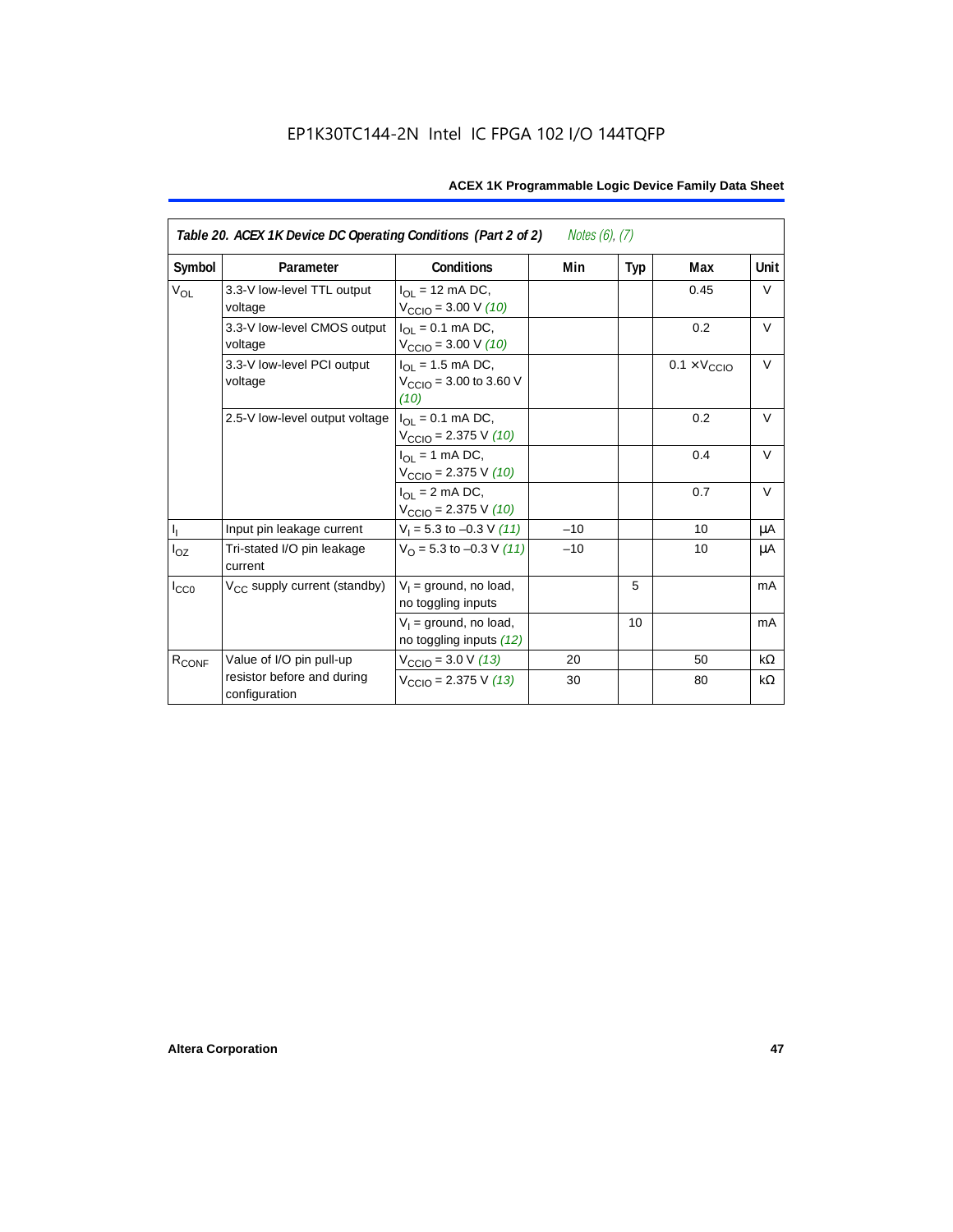| Table 20. ACEX 1K Device DC Operating Conditions (Part 2 of 2)<br>Notes $(6)$ , $(7)$ |                                             |                                                                         |       |     |                              |           |  |
|---------------------------------------------------------------------------------------|---------------------------------------------|-------------------------------------------------------------------------|-------|-----|------------------------------|-----------|--|
| Symbol                                                                                | Parameter                                   | Conditions                                                              | Min   | Typ | Max                          | Unit      |  |
| $V_{OL}$                                                                              | 3.3-V low-level TTL output<br>voltage       | $I_{\Omega}$ = 12 mA DC,<br>$V_{\text{CCIO}} = 3.00 \text{ V} (10)$     |       |     | 0.45                         | V         |  |
|                                                                                       | 3.3-V low-level CMOS output<br>voltage      | $I_{\Omega} = 0.1$ mA DC,<br>$V_{\text{CCIO}} = 3.00 \text{ V} (10)$    |       |     | 0.2                          | $\vee$    |  |
|                                                                                       | 3.3-V low-level PCI output<br>voltage       | $I_{OL} = 1.5$ mA DC,<br>$V_{\text{CCIO}} = 3.00$ to 3.60 V<br>(10)     |       |     | $0.1 \times V_{\text{CCIO}}$ | $\vee$    |  |
|                                                                                       | 2.5-V low-level output voltage              | $I_{\Omega I} = 0.1$ mA DC,<br>$V_{\text{CCIO}} = 2.375 \text{ V} (10)$ |       |     | 0.2                          | $\vee$    |  |
|                                                                                       |                                             | $I_{OL}$ = 1 mA DC,<br>$V_{\text{CCIO}} = 2.375 \text{ V} (10)$         |       |     | 0.4                          | $\vee$    |  |
|                                                                                       |                                             | $I_{\Omega}$ = 2 mA DC,<br>$V_{\text{CCIO}}$ = 2.375 V (10)             |       |     | 0.7                          | $\vee$    |  |
| $\mathbf{I}_\mathrm{I}$                                                               | Input pin leakage current                   | $V_1 = 5.3$ to $-0.3$ V (11)                                            | $-10$ |     | 10                           | μA        |  |
| $I_{OZ}$                                                                              | Tri-stated I/O pin leakage<br>current       | $V_{\Omega}$ = 5.3 to -0.3 V (11)                                       | $-10$ |     | 10                           | μA        |  |
| $I_{CC0}$                                                                             | V <sub>CC</sub> supply current (standby)    | $V_1$ = ground, no load,<br>no toggling inputs                          |       | 5   |                              | mA        |  |
|                                                                                       |                                             | $V_1$ = ground, no load,<br>no toggling inputs (12)                     |       | 10  |                              | mA        |  |
| R <sub>CONF</sub>                                                                     | Value of I/O pin pull-up                    | $V_{\text{CCIO}} = 3.0 \text{ V} (13)$                                  | 20    |     | 50                           | $k\Omega$ |  |
|                                                                                       | resistor before and during<br>configuration | $V_{\text{CCIO}}$ = 2.375 V (13)                                        | 30    |     | 80                           | kΩ        |  |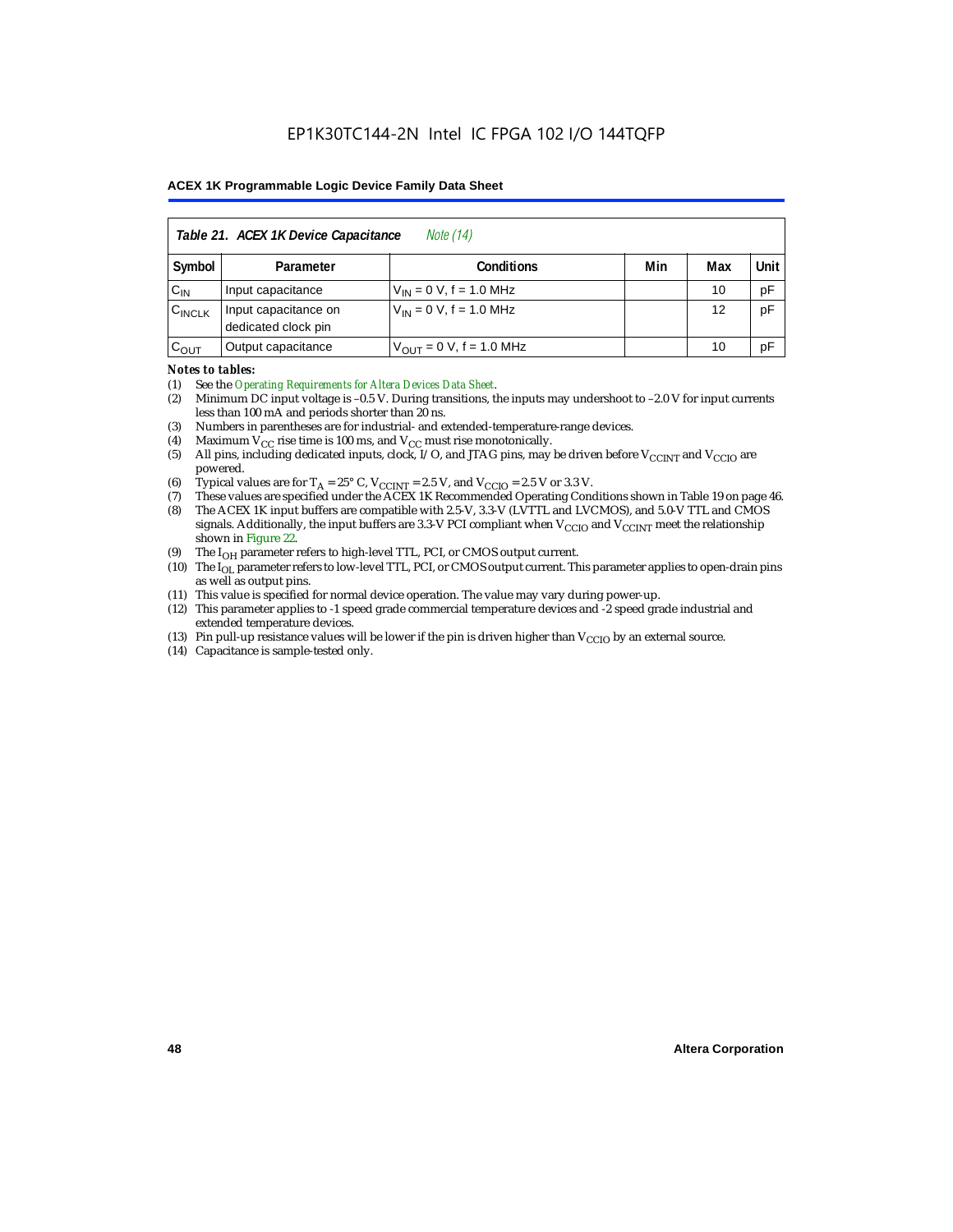| Table 21. ACEX 1K Device Capacitance<br><i>Note</i> (14) |                                             |                               |     |     |      |  |
|----------------------------------------------------------|---------------------------------------------|-------------------------------|-----|-----|------|--|
| Symbol                                                   | Parameter                                   | <b>Conditions</b>             | Min | Max | Unit |  |
| $C_{IN}$                                                 | Input capacitance                           | $V_{IN} = 0 V$ , f = 1.0 MHz  |     | 10  | pF   |  |
| $C_{\text{INCLK}}$                                       | Input capacitance on<br>dedicated clock pin | $V_{1N} = 0 V$ , f = 1.0 MHz  |     | 12  | pF   |  |
| $C_{OUT}$                                                | Output capacitance                          | $V_{OUT} = 0 V$ , f = 1.0 MHz |     | 10  | рF   |  |

#### *Notes to tables:*

(1) See the *Operating Requirements for Altera Devices Data Sheet*.

- (2) Minimum DC input voltage is –0.5 V. During transitions, the inputs may undershoot to –2.0 V for input currents less than 100 mA and periods shorter than 20 ns.
- (3) Numbers in parentheses are for industrial- and extended-temperature-range devices.
- (4) Maximum  $V_{CC}$  rise time is 100 ms, and  $V_{CC}$  must rise monotonically.<br>(5) All pins, including dedicated inputs, clock, I/O, and JTAG pins, may
- All pins, including dedicated inputs, clock, I/O, and JTAG pins, may be driven before  $V_{\text{CCINT}}$  and  $V_{\text{CCIO}}$  are powered.
- (6) Typical values are for  $T_A = 25^\circ$  C,  $V_{CClNT} = 2.5$  V, and  $V_{CClO} = 2.5$  V or 3.3 V.<br>(7) These values are specified under the ACEX 1K Recommended Operating Cone
- (7) These values are specified under the ACEX 1K Recommended Operating Conditions shown in Table 19 on page 46.<br>(8) The ACEX 1K input buffers are compatible with 2.5-V. 3.3-V (LVTTL and LVCMOS), and 5.0-V TTL and CMOS
- The ACEX 1K input buffers are compatible with 2.5-V, 3.3-V (LVTTL and LVCMOS), and 5.0-V TTL and CMOS signals. Additionally, the input buffers are 3.3-V PCI compliant when  $V_{CCIO}$  and  $V_{CCINT}$  meet the relationship shown in Figure 22.
- (9) The  $I_{OH}$  parameter refers to high-level TTL, PCI, or CMOS output current.
- (10) The I<sub>OL</sub> parameter refers to low-level TTL, PCI, or CMOS output current. This parameter applies to open-drain pins as well as output pins.
- (11) This value is specified for normal device operation. The value may vary during power-up.
- (12) This parameter applies to -1 speed grade commercial temperature devices and -2 speed grade industrial and extended temperature devices.
- (13) Pin pull-up resistance values will be lower if the pin is driven higher than  $V_{\text{CCIO}}$  by an external source.
- (14) Capacitance is sample-tested only.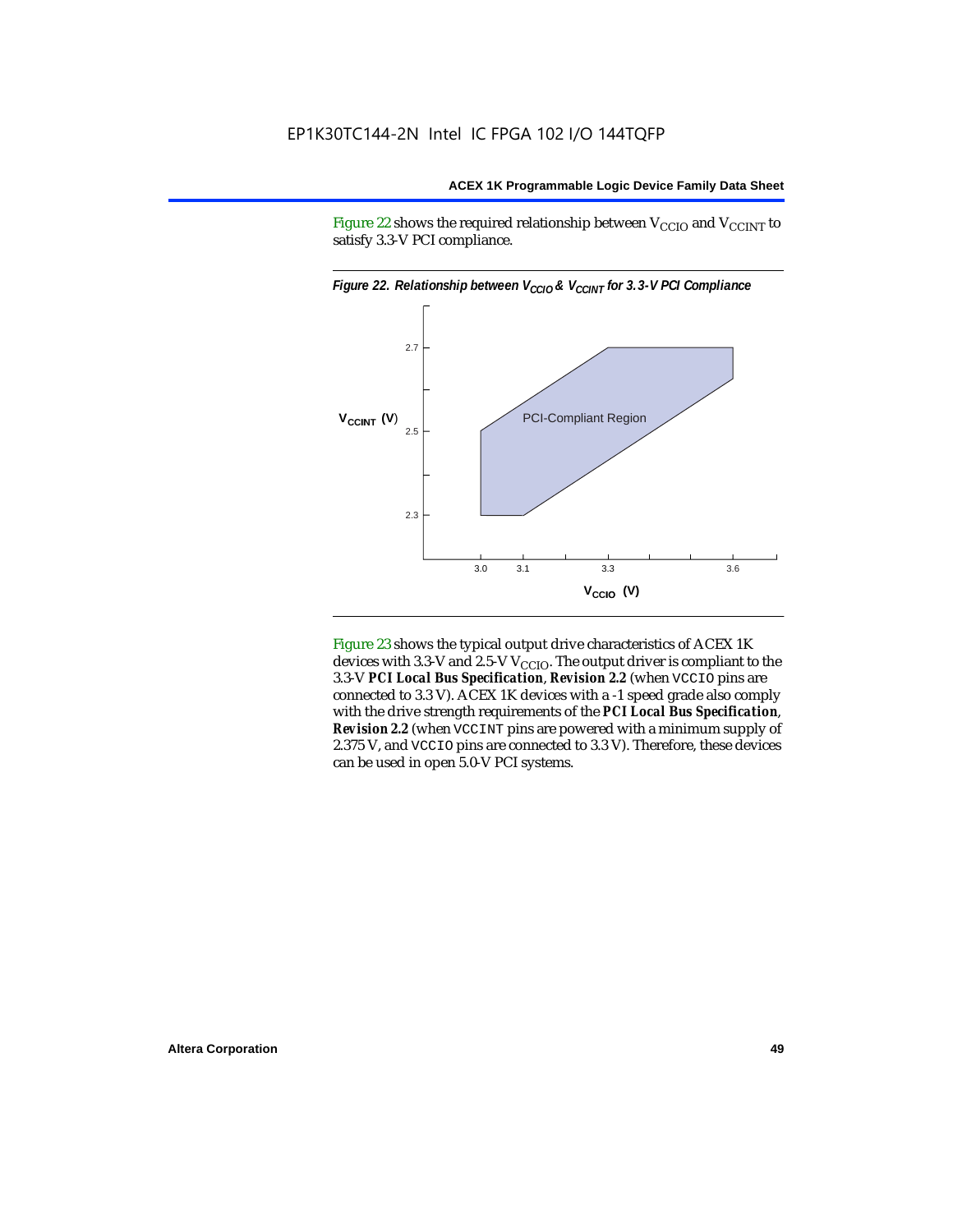Figure 22 shows the required relationship between  $V_{\text{CCIO}}$  and  $V_{\text{CCINT}}$  to satisfy 3.3-V PCI compliance.



Figure 23 shows the typical output drive characteristics of ACEX 1K devices with 3.3-V and 2.5-V  $V_{\text{CCIO}}$ . The output driver is compliant to the 3.3-V *PCI Local Bus Specification*, *Revision 2.2* (when VCCIO pins are connected to 3.3 V). ACEX 1K devices with a -1 speed grade also comply with the drive strength requirements of the *PCI Local Bus Specification*, *Revision 2.2* (when VCCINT pins are powered with a minimum supply of 2.375 V, and VCCIO pins are connected to 3.3 V). Therefore, these devices can be used in open 5.0-V PCI systems.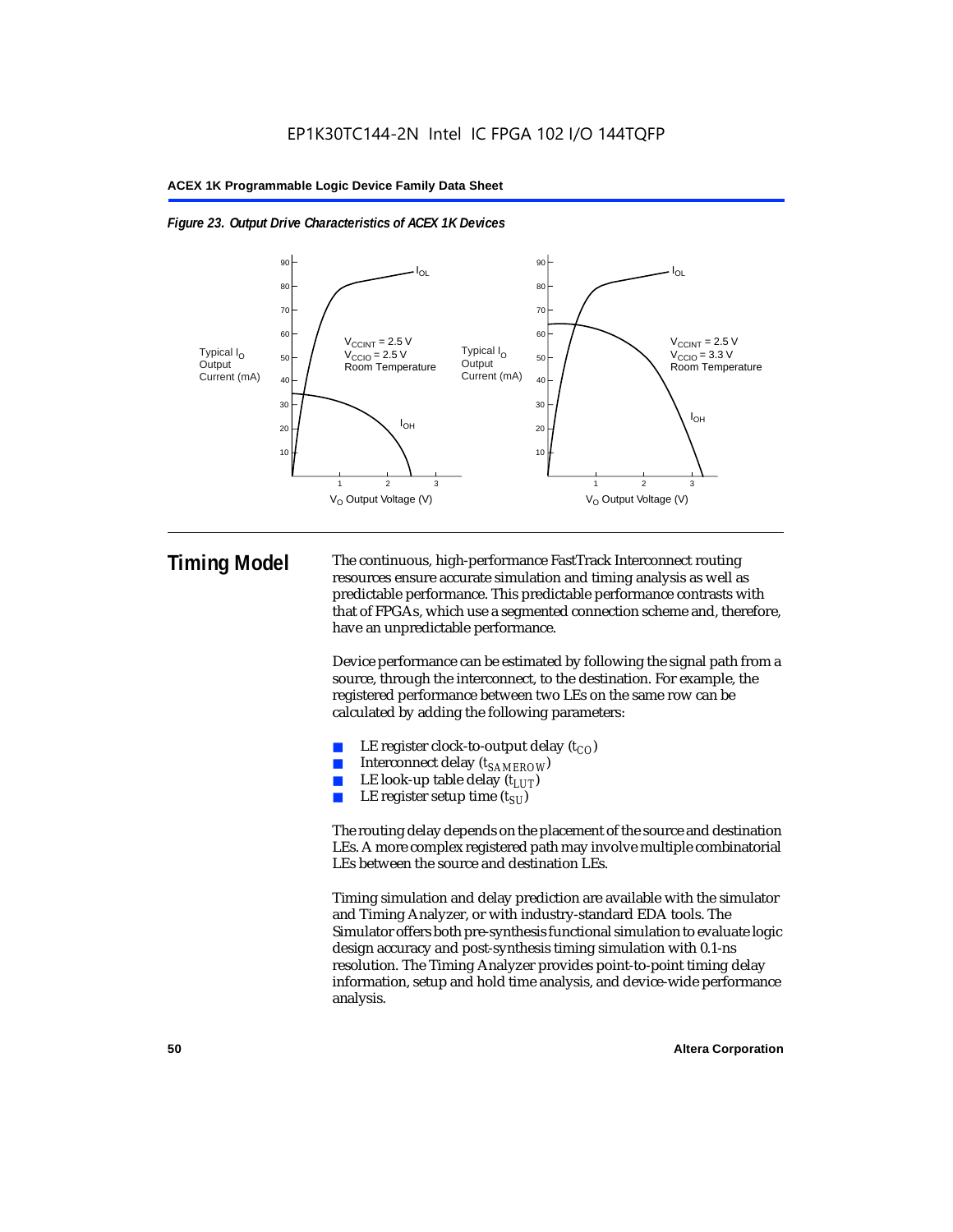



**Timing Model** The continuous, high-performance FastTrack Interconnect routing resources ensure accurate simulation and timing analysis as well as predictable performance. This predictable performance contrasts with that of FPGAs, which use a segmented connection scheme and, therefore, have an unpredictable performance.

> Device performance can be estimated by following the signal path from a source, through the interconnect, to the destination. For example, the registered performance between two LEs on the same row can be calculated by adding the following parameters:

- LE register clock-to-output delay  $(t_{CO})$
- Interconnect delay ( $t_{SAMFROW}$ )
- **■** LE look-up table delay  $(t_{LUT})$ <br>
 LE register setup time  $(t_{SL})$
- LE register setup time  $(t_{SI})$

The routing delay depends on the placement of the source and destination LEs. A more complex registered path may involve multiple combinatorial LEs between the source and destination LEs.

Timing simulation and delay prediction are available with the simulator and Timing Analyzer, or with industry-standard EDA tools. The Simulator offers both pre-synthesis functional simulation to evaluate logic design accuracy and post-synthesis timing simulation with 0.1-ns resolution. The Timing Analyzer provides point-to-point timing delay information, setup and hold time analysis, and device-wide performance analysis.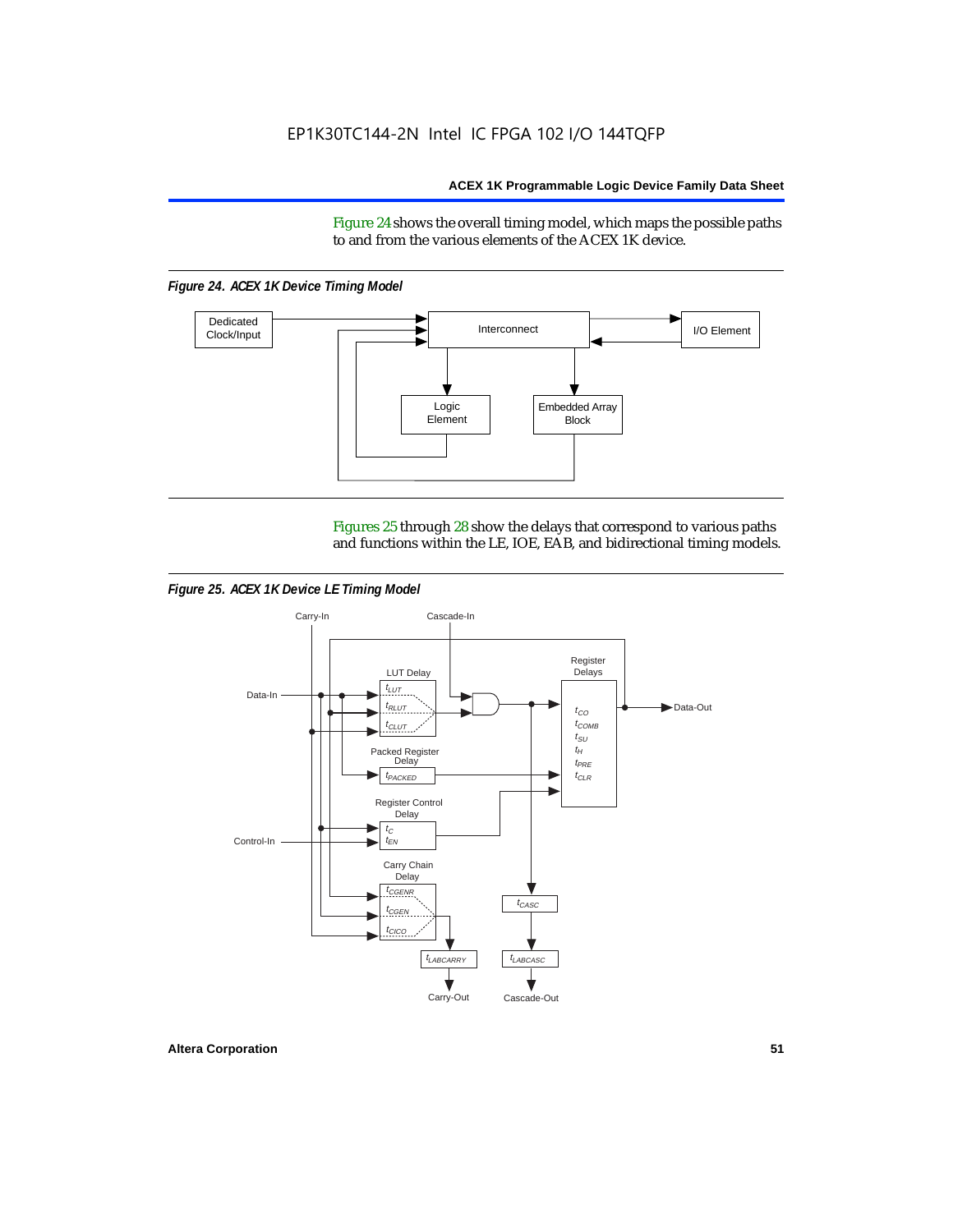Figure 24 shows the overall timing model, which maps the possible paths to and from the various elements of the ACEX 1K device.

*Figure 24. ACEX 1K Device Timing Model*



Figures 25 through 28 show the delays that correspond to various paths and functions within the LE, IOE, EAB, and bidirectional timing models.

*Figure 25. ACEX 1K Device LE Timing Model*

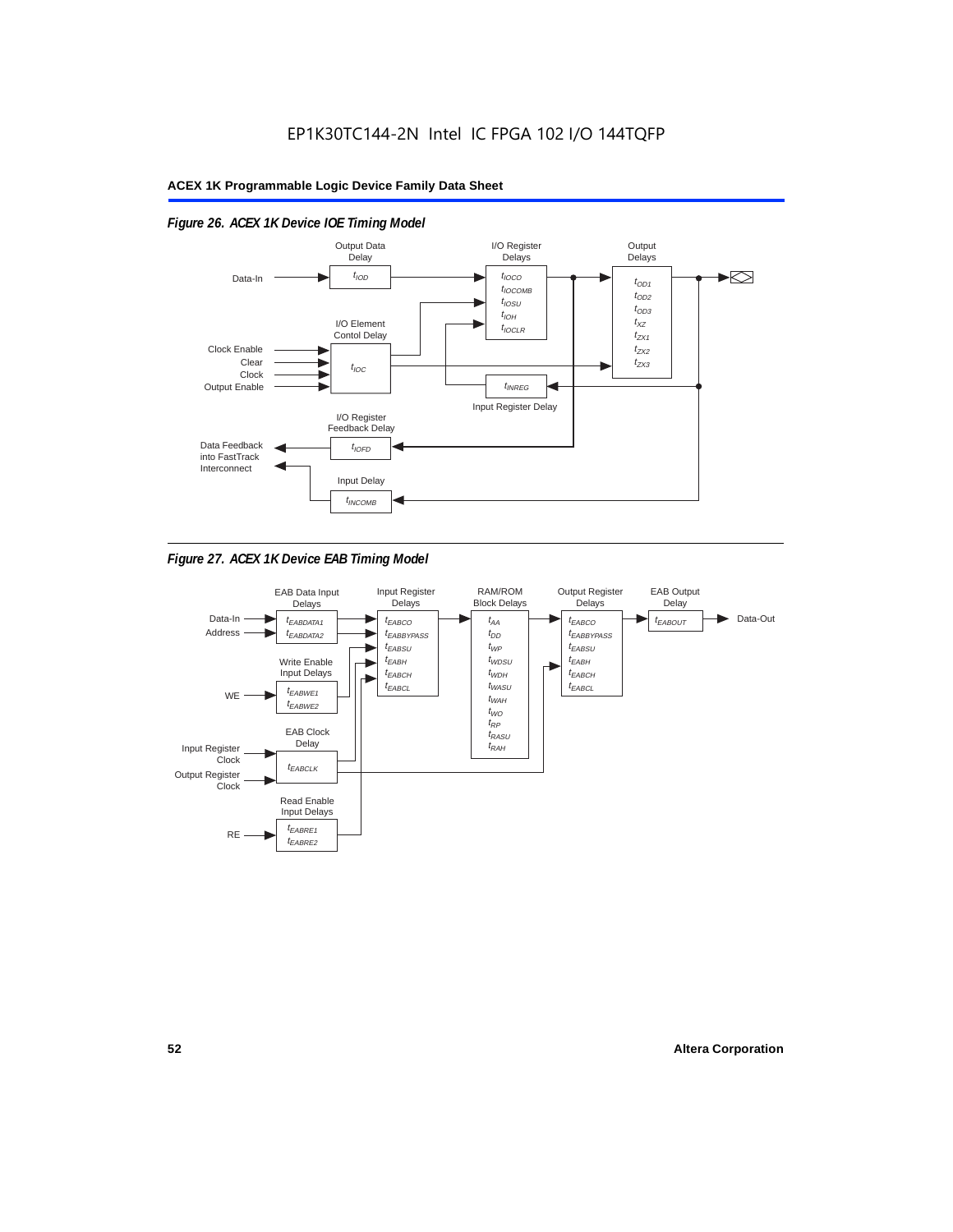

## *Figure 26. ACEX 1K Device IOE Timing Model*



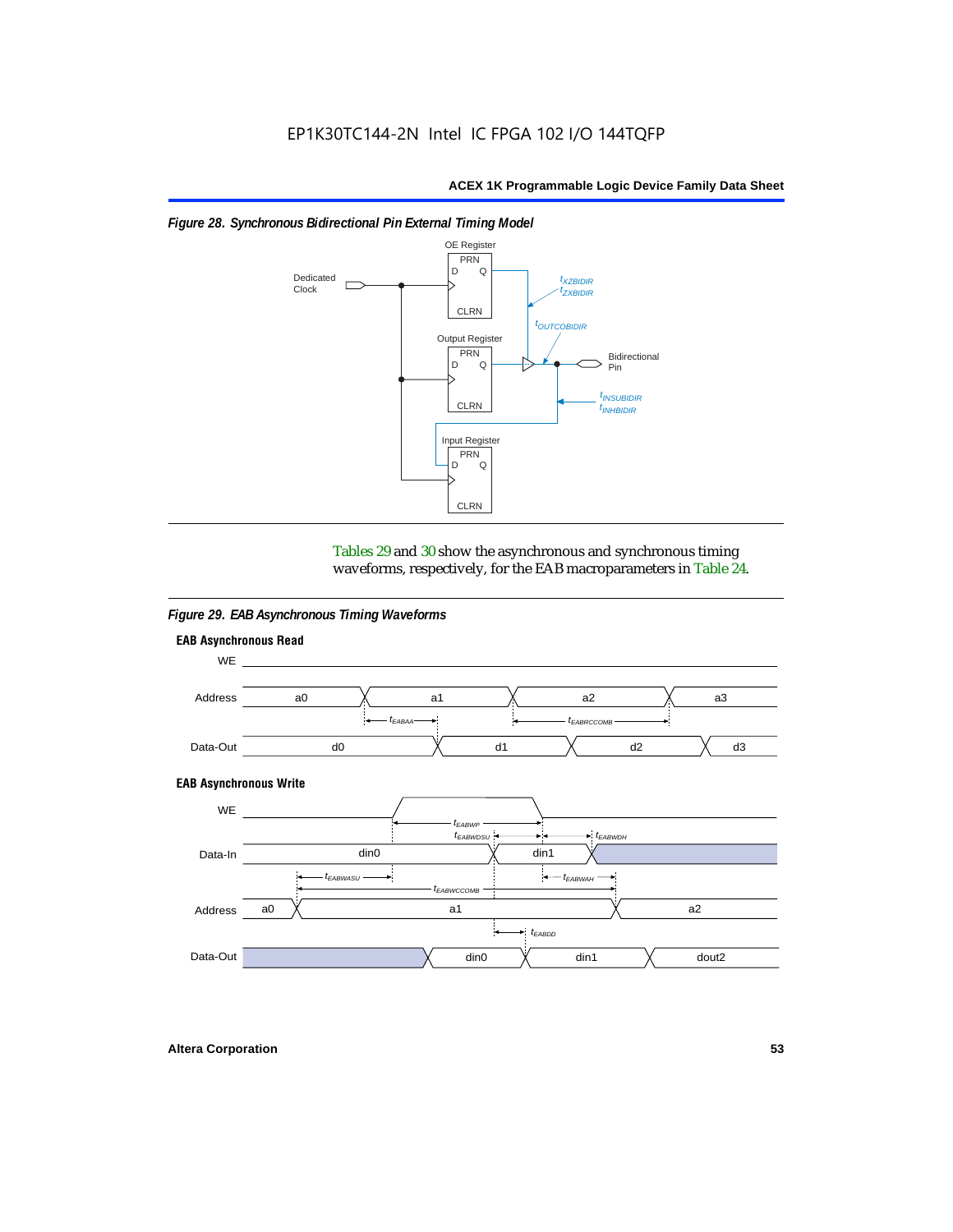



Tables 29 and 30 show the asynchronous and synchronous timing waveforms, respectively, for the EAB macroparameters in Table 24.

*Figure 29. EAB Asynchronous Timing Waveforms*



**Altera Corporation 53**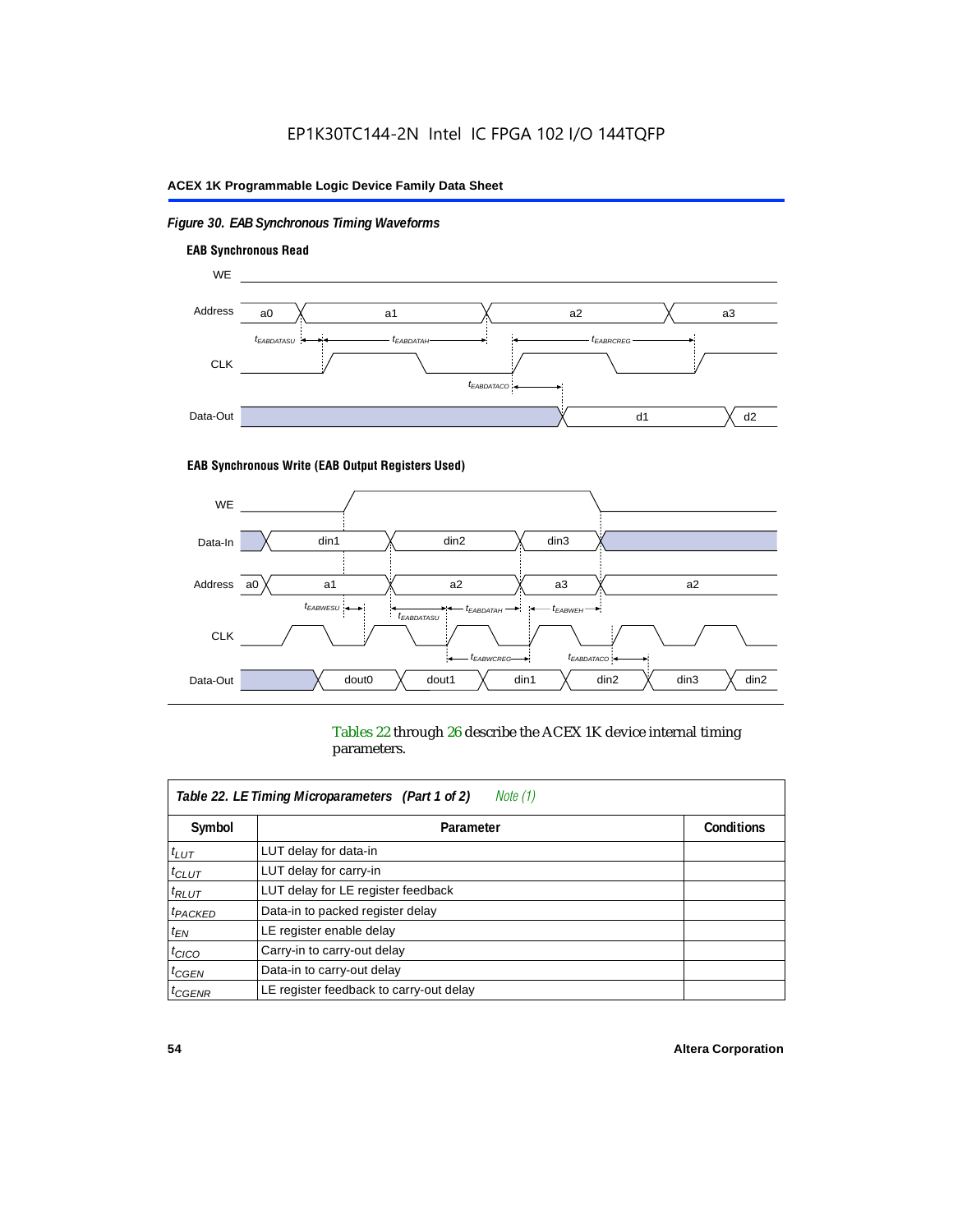## *Figure 30. EAB Synchronous Timing Waveforms*



#### **EAB Synchronous Write (EAB Output Registers Used)**



Tables 22 through 26 describe the ACEX 1K device internal timing parameters.

| Note (1)<br>Table 22. LE Timing Microparameters (Part 1 of 2) |                                         |                   |  |  |  |
|---------------------------------------------------------------|-----------------------------------------|-------------------|--|--|--|
| Symbol                                                        | Parameter                               | <b>Conditions</b> |  |  |  |
| $t_{LUT}$                                                     | LUT delay for data-in                   |                   |  |  |  |
| $t_{CLUT}$                                                    | LUT delay for carry-in                  |                   |  |  |  |
| $t_{RLUT}$                                                    | LUT delay for LE register feedback      |                   |  |  |  |
| <sup>t</sup> PACKED                                           | Data-in to packed register delay        |                   |  |  |  |
| $t_{EN}$                                                      | LE register enable delay                |                   |  |  |  |
| $t_{CICO}$                                                    | Carry-in to carry-out delay             |                   |  |  |  |
| $t_{G\text{E}\text{N}}$                                       | Data-in to carry-out delay              |                   |  |  |  |
| ${}^t$ CGENR                                                  | LE register feedback to carry-out delay |                   |  |  |  |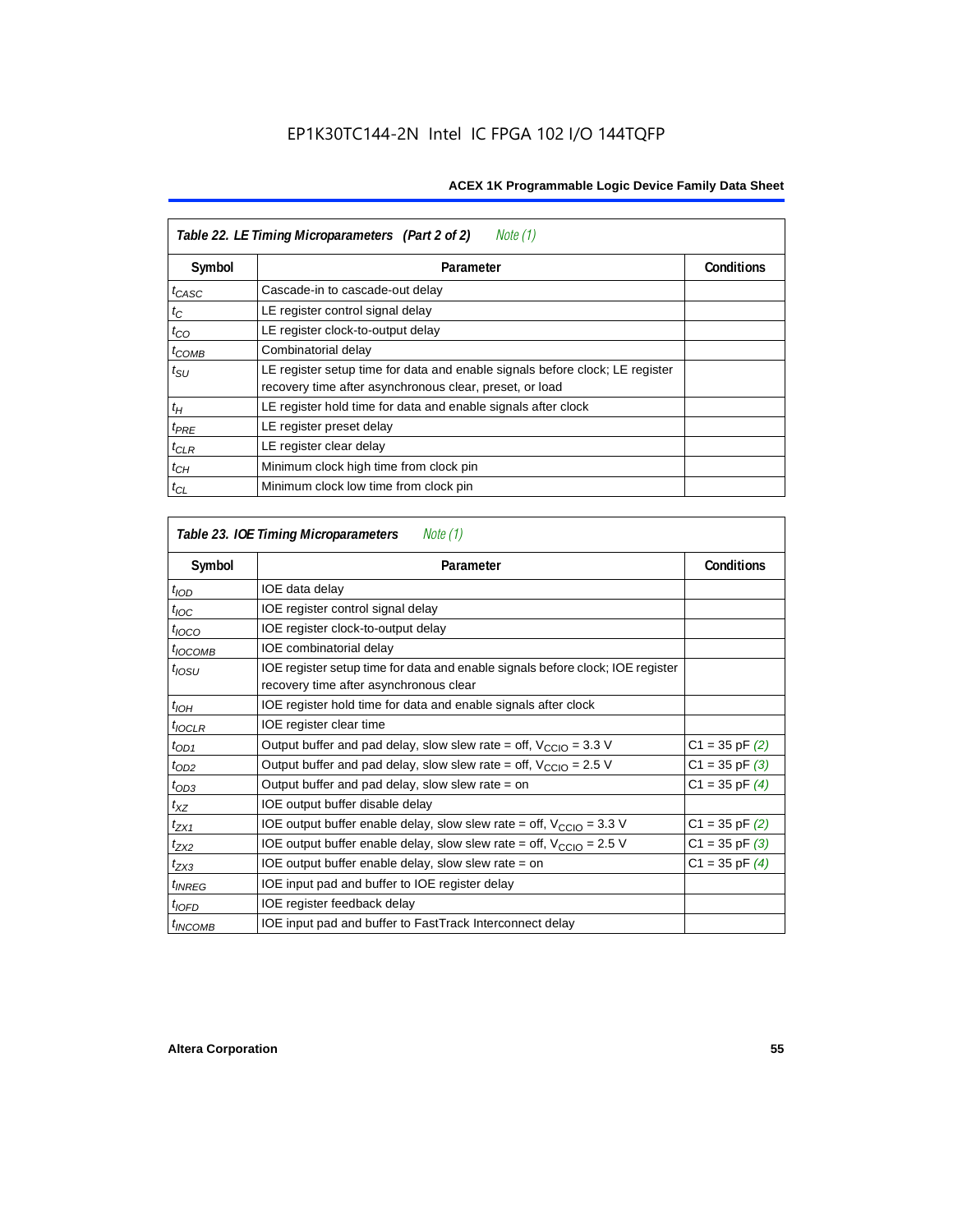| Table 22. LE Timing Microparameters (Part 2 of 2)<br>Note (1) |                                                                                                                                         |                   |  |  |  |
|---------------------------------------------------------------|-----------------------------------------------------------------------------------------------------------------------------------------|-------------------|--|--|--|
| Symbol                                                        | Parameter                                                                                                                               | <b>Conditions</b> |  |  |  |
| t <sub>CASC</sub>                                             | Cascade-in to cascade-out delay                                                                                                         |                   |  |  |  |
| $t_C$                                                         | LE register control signal delay                                                                                                        |                   |  |  |  |
| $t_{CO}$                                                      | LE register clock-to-output delay                                                                                                       |                   |  |  |  |
| $t_{COMB}$                                                    | Combinatorial delay                                                                                                                     |                   |  |  |  |
| $t_{\rm SU}$                                                  | LE register setup time for data and enable signals before clock; LE register<br>recovery time after asynchronous clear, preset, or load |                   |  |  |  |
| $t_H$                                                         | LE register hold time for data and enable signals after clock                                                                           |                   |  |  |  |
| $t_{PRE}$                                                     | LE register preset delay                                                                                                                |                   |  |  |  |
| $t_{CLR}$                                                     | LE register clear delay                                                                                                                 |                   |  |  |  |
| $t_{CH}$                                                      | Minimum clock high time from clock pin                                                                                                  |                   |  |  |  |
| $t_{CL}$                                                      | Minimum clock low time from clock pin                                                                                                   |                   |  |  |  |

| Table 23. IOE Timing Microparameters<br>Note (1) |                                                                                                                          |                    |  |  |  |
|--------------------------------------------------|--------------------------------------------------------------------------------------------------------------------------|--------------------|--|--|--|
| Symbol                                           | Parameter                                                                                                                | <b>Conditions</b>  |  |  |  |
| $t$ <sub>IOD</sub>                               | IOE data delay                                                                                                           |                    |  |  |  |
| $t_{\text{IOC}}$                                 | IOE register control signal delay                                                                                        |                    |  |  |  |
| $t_{\text{IOCO}}$                                | IOE register clock-to-output delay                                                                                       |                    |  |  |  |
| $t_{IOCOMB}$                                     | IOE combinatorial delay                                                                                                  |                    |  |  |  |
| t <sub>IOSU</sub>                                | IOE register setup time for data and enable signals before clock; IOE register<br>recovery time after asynchronous clear |                    |  |  |  |
| $t_{IOH}$                                        | IOE register hold time for data and enable signals after clock                                                           |                    |  |  |  |
| $t_{IOCLR}$                                      | IOE register clear time                                                                                                  |                    |  |  |  |
| $t_{OD1}$                                        | Output buffer and pad delay, slow slew rate = off, $V_{\text{CCIO}} = 3.3$ V                                             | $C1 = 35$ pF $(2)$ |  |  |  |
| $t_{OD2}$                                        | Output buffer and pad delay, slow slew rate = off, $V_{\text{CCIO}} = 2.5 V$                                             | $C1 = 35$ pF $(3)$ |  |  |  |
| $t_{OD3}$                                        | Output buffer and pad delay, slow slew rate $=$ on                                                                       | $C1 = 35$ pF $(4)$ |  |  |  |
| $t_{XZ}$                                         | IOE output buffer disable delay                                                                                          |                    |  |  |  |
| $t_{ZX1}$                                        | IOE output buffer enable delay, slow slew rate = off, $V_{\text{CCIO}} = 3.3 V$                                          | $C1 = 35$ pF $(2)$ |  |  |  |
| $t_{ZX2}$                                        | IOE output buffer enable delay, slow slew rate = off, $V_{\text{CCIO}} = 2.5$ V                                          | $C1 = 35$ pF $(3)$ |  |  |  |
| $t_{ZX3}$                                        | IOE output buffer enable delay, slow slew rate $=$ on                                                                    | $C1 = 35$ pF $(4)$ |  |  |  |
| <sup>t</sup> INREG                               | IOE input pad and buffer to IOE register delay                                                                           |                    |  |  |  |
| $t_{IOFD}$                                       | IOE register feedback delay                                                                                              |                    |  |  |  |
| <sup>t</sup> INCOMB                              | IOE input pad and buffer to FastTrack Interconnect delay                                                                 |                    |  |  |  |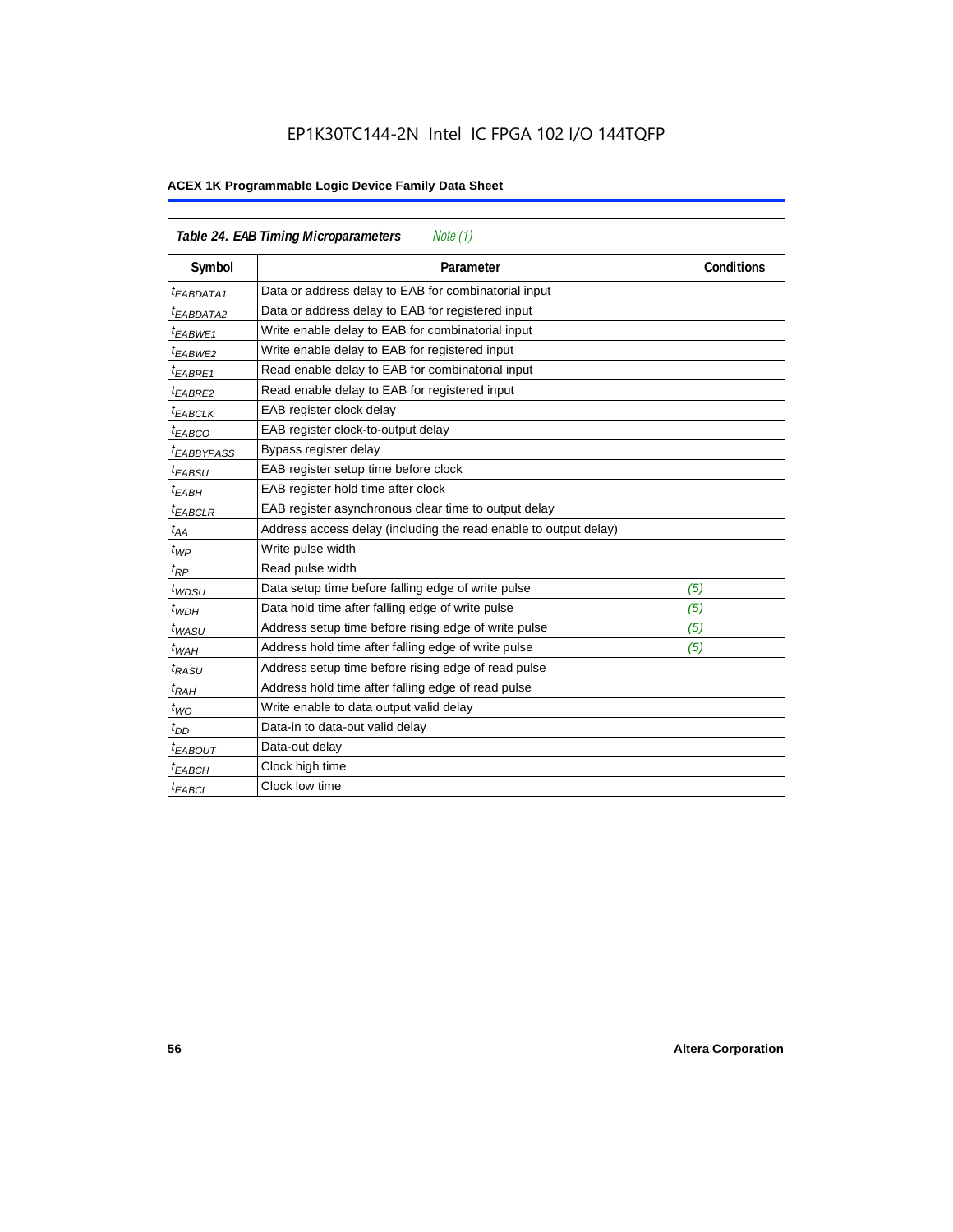## EP1K30TC144-2N Intel IC FPGA 102 I/O 144TQFP

| <b>Table 24. EAB Timing Microparameters</b><br>Note (1) |                                                                  |                   |  |  |  |
|---------------------------------------------------------|------------------------------------------------------------------|-------------------|--|--|--|
| Symbol                                                  | Parameter                                                        | <b>Conditions</b> |  |  |  |
| <sup>t</sup> EABDATA1                                   | Data or address delay to EAB for combinatorial input             |                   |  |  |  |
| <sup>t</sup> EABDATA2                                   | Data or address delay to EAB for registered input                |                   |  |  |  |
| <sup>t</sup> EABWE1                                     | Write enable delay to EAB for combinatorial input                |                   |  |  |  |
| t <sub>EABWE2</sub>                                     | Write enable delay to EAB for registered input                   |                   |  |  |  |
| $t_{EABRE1}$                                            | Read enable delay to EAB for combinatorial input                 |                   |  |  |  |
| $t_{EABRE2}$                                            | Read enable delay to EAB for registered input                    |                   |  |  |  |
| $t_{EABCLK}$                                            | EAB register clock delay                                         |                   |  |  |  |
| $t_{EABCO}$                                             | EAB register clock-to-output delay                               |                   |  |  |  |
| <sup>t</sup> EABBYPASS                                  | Bypass register delay                                            |                   |  |  |  |
| t <sub>EABSU</sub>                                      | EAB register setup time before clock                             |                   |  |  |  |
| t <sub>EABH</sub>                                       | EAB register hold time after clock                               |                   |  |  |  |
| $t_{EABCLR}$                                            | EAB register asynchronous clear time to output delay             |                   |  |  |  |
| $t_{AA}$                                                | Address access delay (including the read enable to output delay) |                   |  |  |  |
| $t_{WP}$                                                | Write pulse width                                                |                   |  |  |  |
| $t_{RP}$                                                | Read pulse width                                                 |                   |  |  |  |
| $t_{WDSU}$                                              | Data setup time before falling edge of write pulse               | (5)               |  |  |  |
| $t_{WDH}$                                               | Data hold time after falling edge of write pulse                 | (5)               |  |  |  |
| $t_{WASU}$                                              | Address setup time before rising edge of write pulse             | (5)               |  |  |  |
| $t_{WAH}$                                               | Address hold time after falling edge of write pulse              | (5)               |  |  |  |
| t <sub>RASU</sub>                                       | Address setup time before rising edge of read pulse              |                   |  |  |  |
| $t_{RAH}$                                               | Address hold time after falling edge of read pulse               |                   |  |  |  |
| $t_{WO}$                                                | Write enable to data output valid delay                          |                   |  |  |  |
| $t_{DD}$                                                | Data-in to data-out valid delay                                  |                   |  |  |  |
| $t_{EABOUT}$                                            | Data-out delay                                                   |                   |  |  |  |
| <sup>t</sup> ЕАВСН                                      | Clock high time                                                  |                   |  |  |  |
| <sup>t</sup> EABCL                                      | Clock low time                                                   |                   |  |  |  |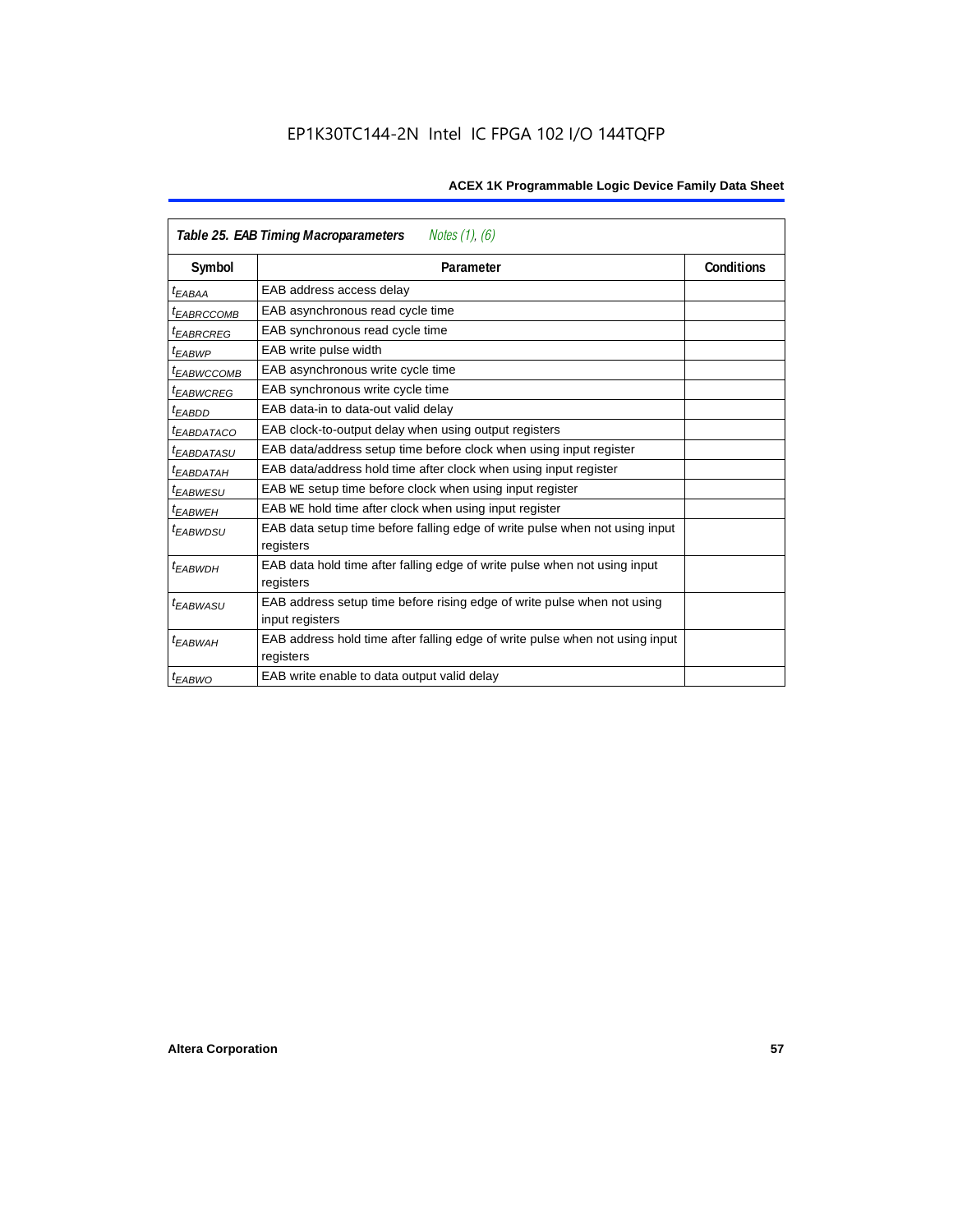| Notes (1), (6)<br>Table 25. EAB Timing Macroparameters |                                                                                           |                   |  |  |  |
|--------------------------------------------------------|-------------------------------------------------------------------------------------------|-------------------|--|--|--|
| Symbol                                                 | Parameter                                                                                 | <b>Conditions</b> |  |  |  |
| <sup>t</sup> ЕАВАА                                     | EAB address access delay                                                                  |                   |  |  |  |
| <sup>t</sup> EABRCCOMB                                 | EAB asynchronous read cycle time                                                          |                   |  |  |  |
| <sup>t</sup> EABRCREG                                  | EAB synchronous read cycle time                                                           |                   |  |  |  |
| t <sub>EABWP</sub>                                     | EAB write pulse width                                                                     |                   |  |  |  |
| <sup>t</sup> EABWCCOMB                                 | EAB asynchronous write cycle time                                                         |                   |  |  |  |
| <sup>t</sup> EABWCREG                                  | EAB synchronous write cycle time                                                          |                   |  |  |  |
| <sup>t</sup> EABDD                                     | EAB data-in to data-out valid delay                                                       |                   |  |  |  |
| <sup>t</sup> EABDATACO                                 | EAB clock-to-output delay when using output registers                                     |                   |  |  |  |
| <sup>t</sup> EABDATASU                                 | EAB data/address setup time before clock when using input register                        |                   |  |  |  |
| <sup>t</sup> EABDATAH                                  | EAB data/address hold time after clock when using input register                          |                   |  |  |  |
| <sup>t</sup> EABWESU                                   | EAB WE setup time before clock when using input register                                  |                   |  |  |  |
| <sup>t</sup> EABWEH                                    | EAB WE hold time after clock when using input register                                    |                   |  |  |  |
| <sup>t</sup> EABWDSU                                   | EAB data setup time before falling edge of write pulse when not using input<br>registers  |                   |  |  |  |
| t <sub>EABWDH</sub>                                    | EAB data hold time after falling edge of write pulse when not using input                 |                   |  |  |  |
|                                                        | registers                                                                                 |                   |  |  |  |
| t <sub>EABWASU</sub>                                   | EAB address setup time before rising edge of write pulse when not using                   |                   |  |  |  |
|                                                        | input registers                                                                           |                   |  |  |  |
| t <sub>EABWAH</sub>                                    | EAB address hold time after falling edge of write pulse when not using input<br>registers |                   |  |  |  |
| $t_{EABWO}$                                            | EAB write enable to data output valid delay                                               |                   |  |  |  |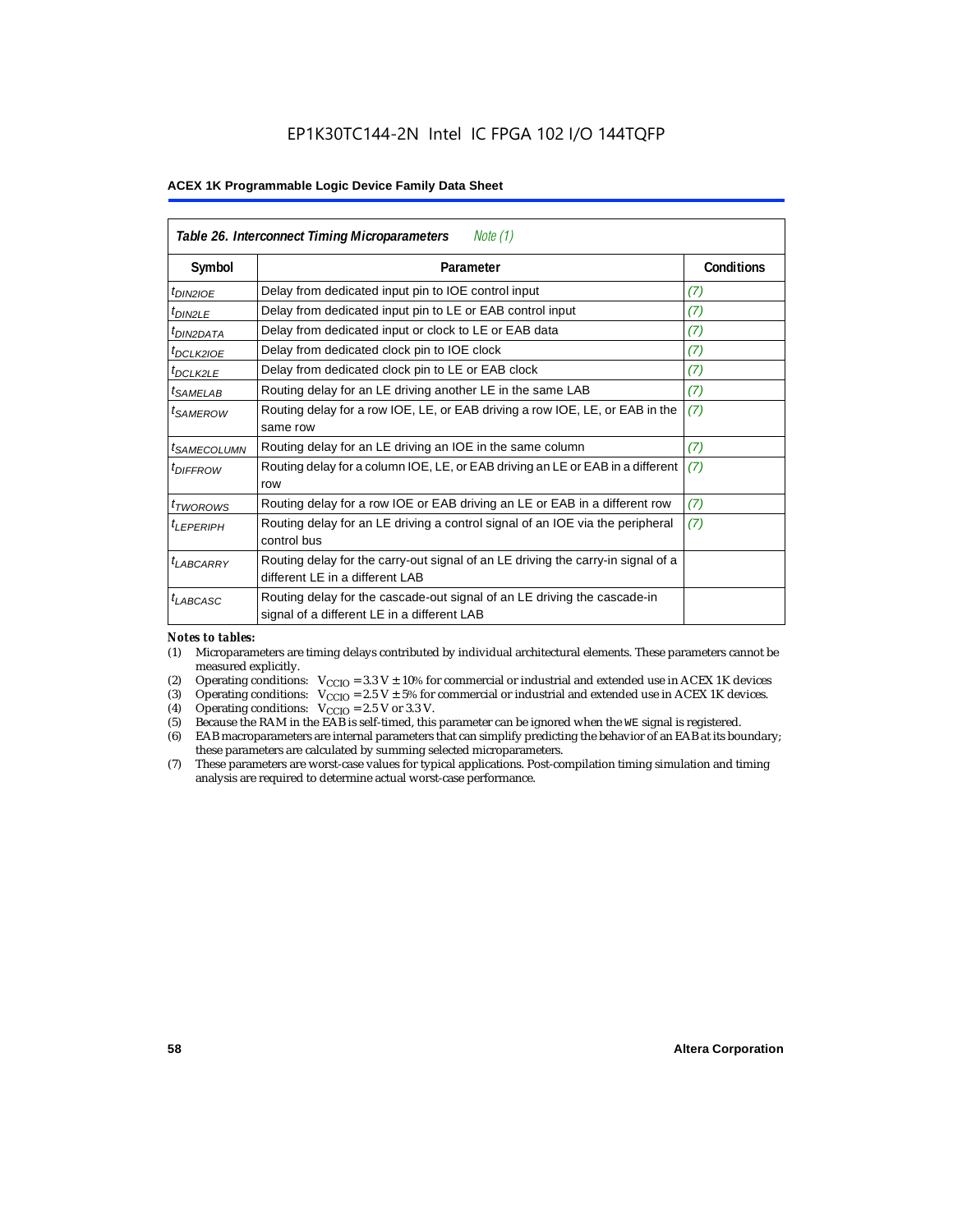| Table 26. Interconnect Timing Microparameters<br>Note $(1)$ |                                                                                                                         |            |  |  |
|-------------------------------------------------------------|-------------------------------------------------------------------------------------------------------------------------|------------|--|--|
| Symbol                                                      | Parameter                                                                                                               | Conditions |  |  |
| $t_{DIN2IOE}$                                               | Delay from dedicated input pin to IOE control input                                                                     | (7)        |  |  |
| t <sub>DIN2LE</sub>                                         | Delay from dedicated input pin to LE or EAB control input                                                               | (7)        |  |  |
| <sup>t</sup> DIN2DATA                                       | Delay from dedicated input or clock to LE or EAB data                                                                   | (7)        |  |  |
| <sup>t</sup> DCLK2IOE                                       | Delay from dedicated clock pin to IOE clock                                                                             | (7)        |  |  |
| $t_{DCLK2LE}$                                               | Delay from dedicated clock pin to LE or EAB clock                                                                       | (7)        |  |  |
| <sup>t</sup> SAMELAB                                        | Routing delay for an LE driving another LE in the same LAB                                                              | (7)        |  |  |
| <sup>t</sup> SAMEROW                                        | Routing delay for a row IOE, LE, or EAB driving a row IOE, LE, or EAB in the<br>same row                                | (7)        |  |  |
| <i>t<sub>SAMECOLUMN</sub></i>                               | Routing delay for an LE driving an IOE in the same column                                                               | (7)        |  |  |
| <i>t<sub>DIFFROW</sub></i>                                  | Routing delay for a column IOE, LE, or EAB driving an LE or EAB in a different<br>row                                   | (7)        |  |  |
| <i>t</i> <sub>TWOROWS</sub>                                 | Routing delay for a row IOE or EAB driving an LE or EAB in a different row                                              | (7)        |  |  |
| <sup>t</sup> I FPFRIPH                                      | Routing delay for an LE driving a control signal of an IOE via the peripheral<br>control bus                            | (7)        |  |  |
| t <sub>LABCARRY</sub>                                       | Routing delay for the carry-out signal of an LE driving the carry-in signal of a<br>different LE in a different LAB     |            |  |  |
| $t_{LABCASC}$                                               | Routing delay for the cascade-out signal of an LE driving the cascade-in<br>signal of a different LE in a different LAB |            |  |  |

#### *Notes to tables:*

- (1) Microparameters are timing delays contributed by individual architectural elements. These parameters cannot be measured explicitly.
- (2) Operating conditions:  $V_{\text{CCIO}} = 3.3 V \pm 10\%$  for commercial or industrial and extended use in ACEX 1K devices (3) Operating conditions:  $V_{\text{CCIO}} = 2.5 V \pm 5\%$  for commercial or industrial and extended use in ACEX 1K
- (3) Operating conditions:  $V_{CCIO} = 2.5 V \pm 5\%$  for commercial or industrial and extended use in ACEX 1K devices.<br>(4) Operating conditions:  $V_{CCIO} = 2.5 V$  or 3.3 V.
- (4) Operating conditions:  $V_{\text{CCIO}} = 2.5 \text{ V or } 3.3 \text{ V.}$ <br>(5) Because the RAM in the EAB is self-timed, this
- Because the RAM in the EAB is self-timed, this parameter can be ignored when the WE signal is registered.
- (6) EAB macroparameters are internal parameters that can simplify predicting the behavior of an EAB at its boundary; these parameters are calculated by summing selected microparameters.
- (7) These parameters are worst-case values for typical applications. Post-compilation timing simulation and timing analysis are required to determine actual worst-case performance.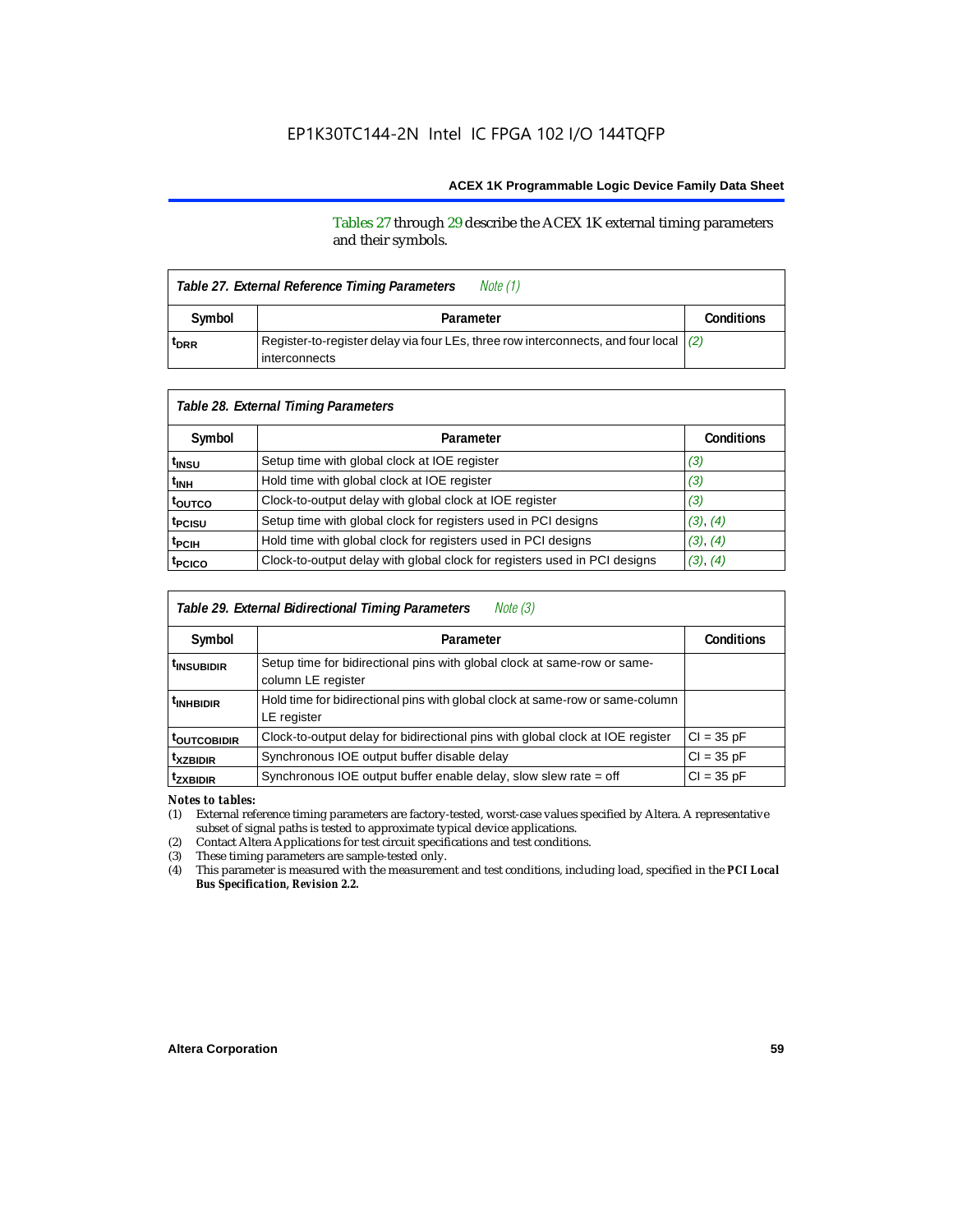#### Tables 27 through 29 describe the ACEX 1K external timing parameters and their symbols.

| Note (1)<br>Table 27. External Reference Timing Parameters |                                                                                                         |                   |  |  |  |
|------------------------------------------------------------|---------------------------------------------------------------------------------------------------------|-------------------|--|--|--|
| Symbol                                                     | Parameter                                                                                               | <b>Conditions</b> |  |  |  |
| <sup>t</sup> DRR                                           | Register-to-register delay via four LEs, three row interconnects, and four local $(2)$<br>interconnects |                   |  |  |  |

| Table 28. External Timing Parameters |                                                                           |                   |  |  |  |
|--------------------------------------|---------------------------------------------------------------------------|-------------------|--|--|--|
| Symbol                               | Parameter                                                                 | <b>Conditions</b> |  |  |  |
| t <sub>insu</sub>                    | Setup time with global clock at IOE register                              | (3)               |  |  |  |
| t <sub>INH</sub>                     | Hold time with global clock at IOE register                               | (3)               |  |  |  |
| toutco                               | Clock-to-output delay with global clock at IOE register                   | (3)               |  |  |  |
| t <sub>PCISU</sub>                   | Setup time with global clock for registers used in PCI designs            | (3), (4)          |  |  |  |
| <sup>t</sup> PCIH                    | Hold time with global clock for registers used in PCI designs             | (3), (4)          |  |  |  |
| t <sub>PCICO</sub>                   | Clock-to-output delay with global clock for registers used in PCI designs | (3), (4)          |  |  |  |

| Table 29. External Bidirectional Timing Parameters<br>Note (3) |                                                                                                |                   |  |  |  |
|----------------------------------------------------------------|------------------------------------------------------------------------------------------------|-------------------|--|--|--|
| Symbol                                                         | Parameter                                                                                      | <b>Conditions</b> |  |  |  |
| <sup>t</sup> INSUBIDIR                                         | Setup time for bidirectional pins with global clock at same-row or same-<br>column LE register |                   |  |  |  |
| <sup>t</sup> INHBIDIR                                          | Hold time for bidirectional pins with global clock at same-row or same-column<br>LE register   |                   |  |  |  |
| <b>toutcobidir</b>                                             | Clock-to-output delay for bidirectional pins with global clock at IOE register                 | $Cl = 35 pF$      |  |  |  |
| <sup>t</sup> xzbidir                                           | Synchronous IOE output buffer disable delay                                                    | $CI = 35 pF$      |  |  |  |
| <sup>t</sup> zxbidir                                           | Synchronous IOE output buffer enable delay, slow slew rate = off                               | $CI = 35 pF$      |  |  |  |

*Notes to tables:*

(1) External reference timing parameters are factory-tested, worst-case values specified by Altera. A representative subset of signal paths is tested to approximate typical device applications.

(2) Contact Altera Applications for test circuit specifications and test conditions.

(3) These timing parameters are sample-tested only.

(4) This parameter is measured with the measurement and test conditions, including load, specified in the *PCI Local Bus Specification, Revision 2.2.*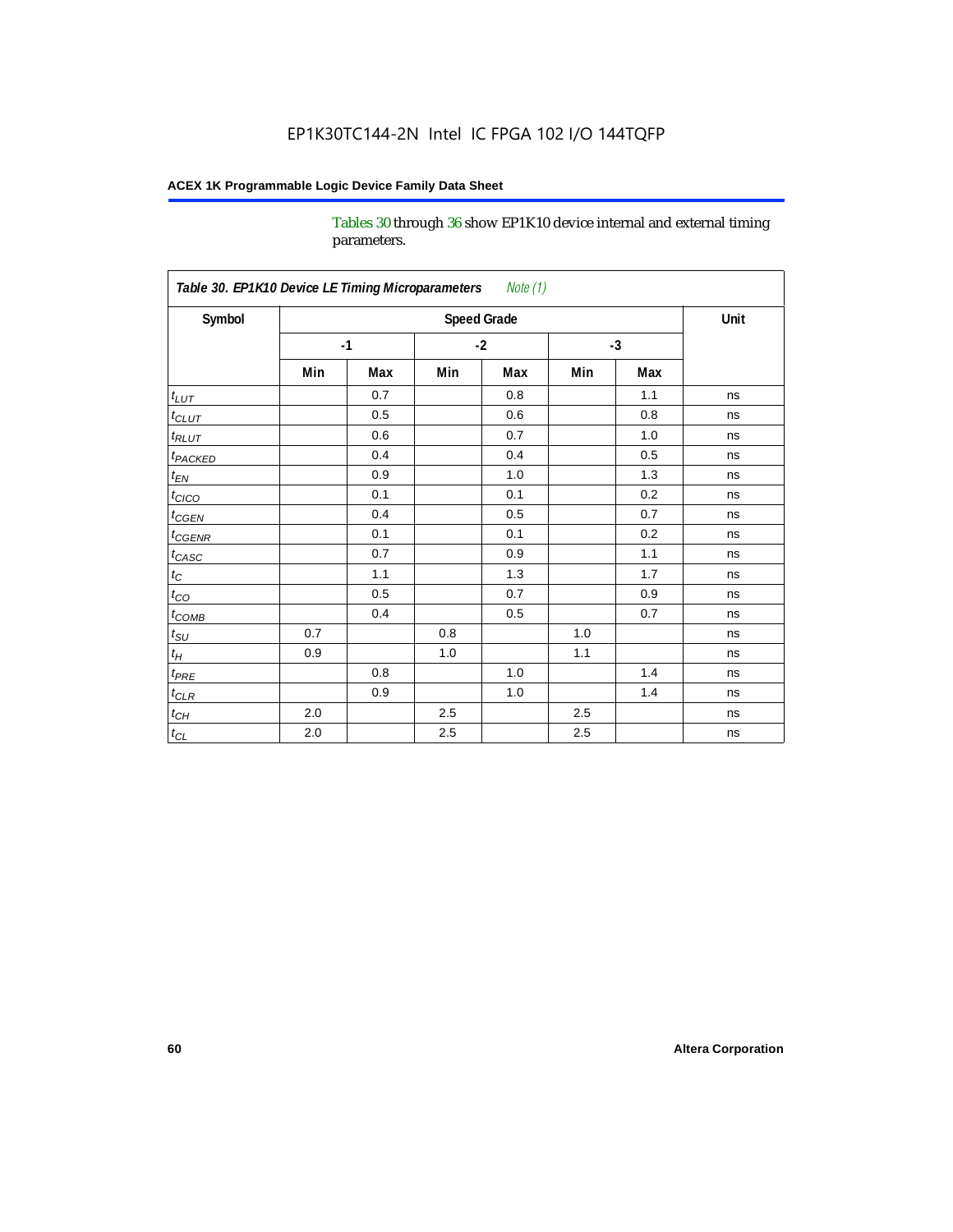Tables 30 through 36 show EP1K10 device internal and external timing parameters.

| Table 30. EP1K10 Device LE Timing Microparameters<br>Note (1) |     |                    |         |      |     |      |      |
|---------------------------------------------------------------|-----|--------------------|---------|------|-----|------|------|
| Symbol                                                        |     | <b>Speed Grade</b> |         |      |     |      | Unit |
|                                                               |     | $-1$               |         | $-2$ |     | $-3$ |      |
|                                                               | Min | Max                | Min     | Max  | Min | Max  |      |
| $t_{LUT}$                                                     |     | 0.7                |         | 0.8  |     | 1.1  | ns   |
| $t_{CLUT}$                                                    |     | 0.5                |         | 0.6  |     | 0.8  | ns   |
| $t_{RLUT}$                                                    |     | 0.6                |         | 0.7  |     | 1.0  | ns   |
| <b>t</b> <sub>PACKED</sub>                                    |     | 0.4                |         | 0.4  |     | 0.5  | ns   |
| $t_{EN}$                                                      |     | 0.9                |         | 1.0  |     | 1.3  | ns   |
| $t_{CICO}$                                                    |     | 0.1                |         | 0.1  |     | 0.2  | ns   |
| $t_{\text{CGEN}}$                                             |     | 0.4                |         | 0.5  |     | 0.7  | ns   |
| $t_{GENR}$                                                    |     | 0.1                |         | 0.1  |     | 0.2  | ns   |
| $t_{CASC}$                                                    |     | 0.7                |         | 0.9  |     | 1.1  | ns   |
| $t_{\rm C}$                                                   |     | 1.1                |         | 1.3  |     | 1.7  | ns   |
| $t_{CO}$                                                      |     | 0.5                |         | 0.7  |     | 0.9  | ns   |
| $t$ <sub>COMB</sub>                                           |     | 0.4                |         | 0.5  |     | 0.7  | ns   |
| $t_{\rm SU}$                                                  | 0.7 |                    | 0.8     |      | 1.0 |      | ns   |
| $t_H\,$                                                       | 0.9 |                    | 1.0     |      | 1.1 |      | ns   |
| $t_{PRE}$                                                     |     | 0.8                |         | 1.0  |     | 1.4  | ns   |
| $t_{CLR}$                                                     |     | 0.9                |         | 1.0  |     | 1.4  | ns   |
| $t_{\mathit{CH}}$                                             | 2.0 |                    | 2.5     |      | 2.5 |      | ns   |
| $t_{CL}$                                                      | 2.0 |                    | $2.5\,$ |      | 2.5 |      | ns   |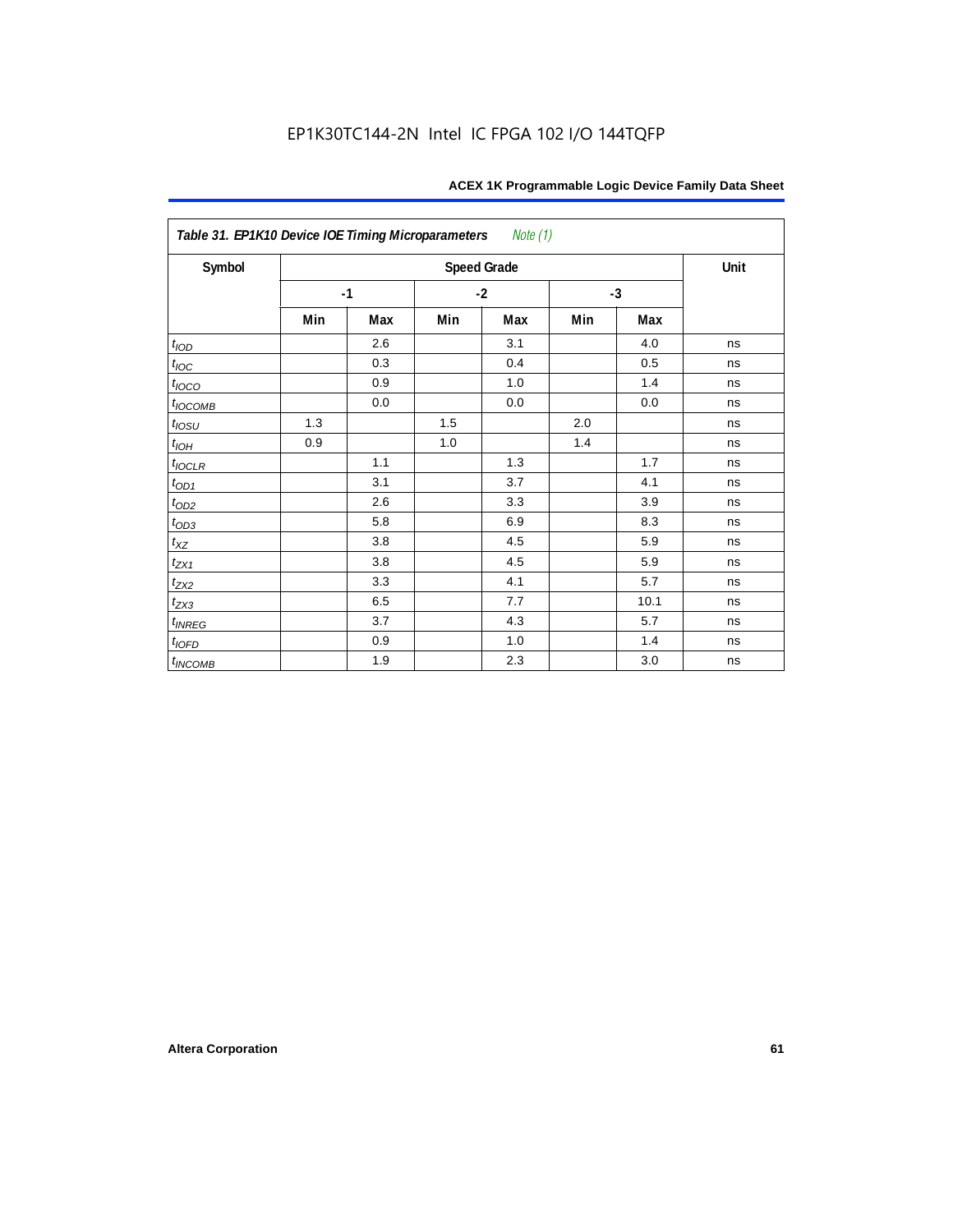| Table 31. EP1K10 Device IOE Timing Microparameters Note (1) |      |     |      |                    |      |      |      |  |  |  |
|-------------------------------------------------------------|------|-----|------|--------------------|------|------|------|--|--|--|
| Symbol                                                      |      |     |      | <b>Speed Grade</b> |      |      | Unit |  |  |  |
|                                                             | $-1$ |     | $-2$ |                    | $-3$ |      |      |  |  |  |
|                                                             | Min  | Max | Min  | Max                | Min  | Max  |      |  |  |  |
| t <sub>IOD</sub>                                            |      | 2.6 |      | 3.1                |      | 4.0  | ns   |  |  |  |
| $t_{\text{IOC}}$                                            |      | 0.3 |      | 0.4                |      | 0.5  | ns   |  |  |  |
| $t_{IOCO}$                                                  |      | 0.9 |      | 1.0                |      | 1.4  | ns   |  |  |  |
| $t_{IOCOMB}$                                                |      | 0.0 |      | 0.0                |      | 0.0  | ns   |  |  |  |
| $t_{IOSU}$                                                  | 1.3  |     | 1.5  |                    | 2.0  |      | ns   |  |  |  |
| $t_{IOH}$                                                   | 0.9  |     | 1.0  |                    | 1.4  |      | ns   |  |  |  |
| $t_{IOCLR}$                                                 |      | 1.1 |      | 1.3                |      | 1.7  | ns   |  |  |  |
| $t_{OD1}$                                                   |      | 3.1 |      | 3.7                |      | 4.1  | ns   |  |  |  |
| $t_{OD2}$                                                   |      | 2.6 |      | 3.3                |      | 3.9  | ns   |  |  |  |
| $t_{OD3}$                                                   |      | 5.8 |      | 6.9                |      | 8.3  | ns   |  |  |  |
| $t_{\text{XZ}}$                                             |      | 3.8 |      | 4.5                |      | 5.9  | ns   |  |  |  |
| $t_{ZX1}$                                                   |      | 3.8 |      | 4.5                |      | 5.9  | ns   |  |  |  |
| $t_{ZX2}$                                                   |      | 3.3 |      | 4.1                |      | 5.7  | ns   |  |  |  |
| $t_{ZX3}$                                                   |      | 6.5 |      | 7.7                |      | 10.1 | ns   |  |  |  |
| $t_{INREG}$                                                 |      | 3.7 |      | 4.3                |      | 5.7  | ns   |  |  |  |
| $t_{IOFD}$                                                  |      | 0.9 |      | 1.0                |      | 1.4  | ns   |  |  |  |
| $t_{INCOMB}$                                                |      | 1.9 |      | 2.3                |      | 3.0  | ns   |  |  |  |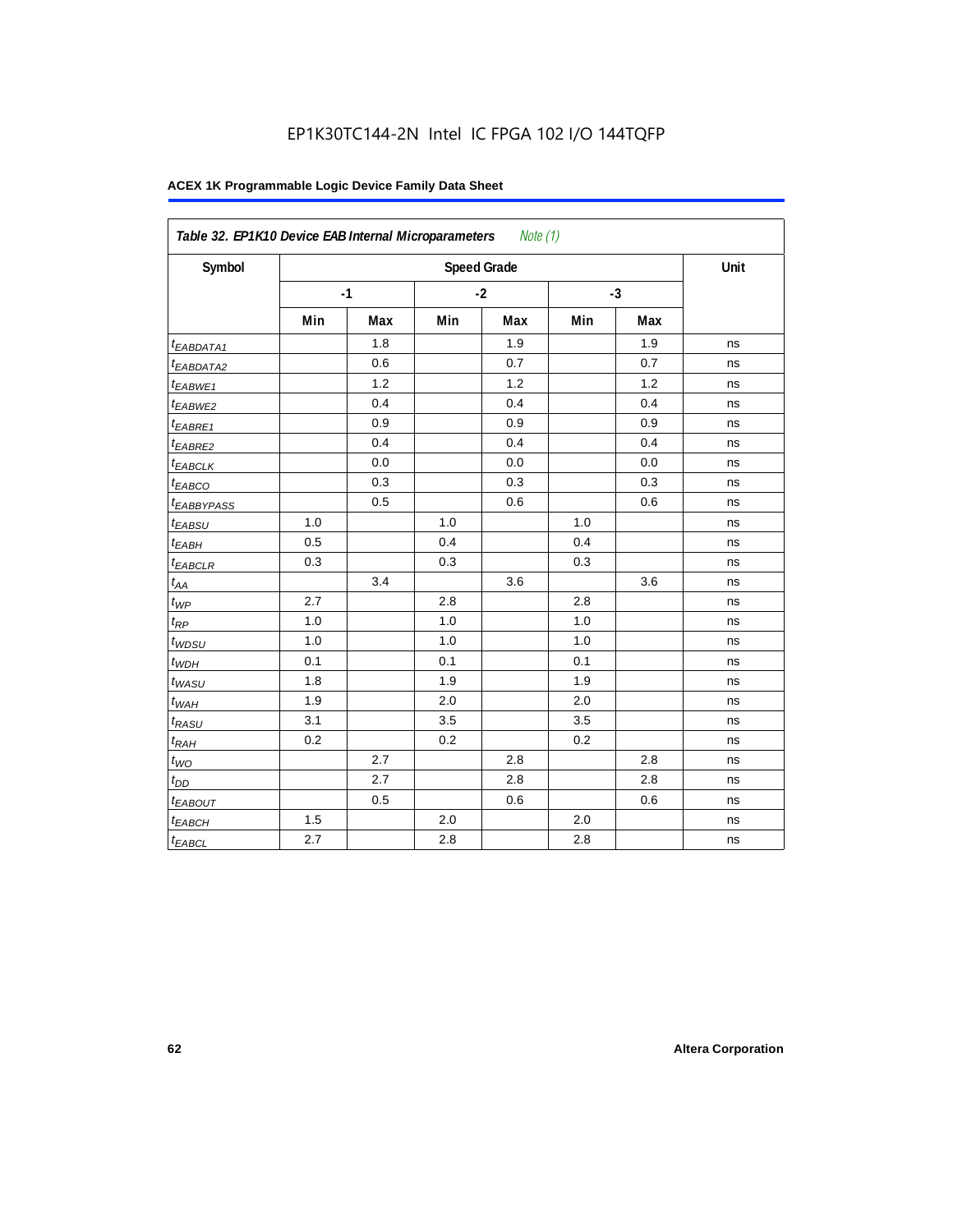| Symbol                  |     |      |     | <b>Speed Grade</b> |      |     | Unit |
|-------------------------|-----|------|-----|--------------------|------|-----|------|
|                         |     | $-1$ |     | $-2$               | $-3$ |     |      |
|                         | Min | Max  | Min | Max                | Min  | Max |      |
| t <sub>EABDATA1</sub>   |     | 1.8  |     | 1.9                |      | 1.9 | ns   |
| <sup>t</sup> EABDATA2   |     | 0.6  |     | 0.7                |      | 0.7 | ns   |
| t <sub>EABWE1</sub>     |     | 1.2  |     | 1.2                |      | 1.2 | ns   |
| <sup>t</sup> EABWE2     |     | 0.4  |     | 0.4                |      | 0.4 | ns   |
| <sup>t</sup> EABRE1     |     | 0.9  |     | 0.9                |      | 0.9 | ns   |
| <sup>t</sup> EABRE2     |     | 0.4  |     | 0.4                |      | 0.4 | ns   |
| <sup>t</sup> EABCLK     |     | 0.0  |     | 0.0                |      | 0.0 | ns   |
| t <sub>EABCO</sub>      |     | 0.3  |     | 0.3                |      | 0.3 | ns   |
| <i><b>EABBYPASS</b></i> |     | 0.5  |     | 0.6                |      | 0.6 | ns   |
| t <sub>EABSU</sub>      | 1.0 |      | 1.0 |                    | 1.0  |     | ns   |
| t <sub>EABH</sub>       | 0.5 |      | 0.4 |                    | 0.4  |     | ns   |
| <sup>t</sup> EABCLR     | 0.3 |      | 0.3 |                    | 0.3  |     | ns   |
| $t_{AA}$                |     | 3.4  |     | 3.6                |      | 3.6 | ns   |
| $t_{\mathit{WP}}$       | 2.7 |      | 2.8 |                    | 2.8  |     | ns   |
| $t_{RP}$                | 1.0 |      | 1.0 |                    | 1.0  |     | ns   |
| $t_{WDSU}$              | 1.0 |      | 1.0 |                    | 1.0  |     | ns   |
| $t_{WDH}$               | 0.1 |      | 0.1 |                    | 0.1  |     | ns   |
| $t_{WASU}$              | 1.8 |      | 1.9 |                    | 1.9  |     | ns   |
| $t_{WAH}$               | 1.9 |      | 2.0 |                    | 2.0  |     | ns   |
| t <sub>RASU</sub>       | 3.1 |      | 3.5 |                    | 3.5  |     | ns   |
| $t_{RAH}$               | 0.2 |      | 0.2 |                    | 0.2  |     | ns   |
| $t_{WQ}$                |     | 2.7  |     | 2.8                |      | 2.8 | ns   |
| $t_{DD}$                |     | 2.7  |     | 2.8                |      | 2.8 | ns   |
| t <sub>EABOUT</sub>     |     | 0.5  |     | 0.6                |      | 0.6 | ns   |
| t <sub>EABCH</sub>      | 1.5 |      | 2.0 |                    | 2.0  |     | ns   |
| $t_{EABCL}$             | 2.7 |      | 2.8 |                    | 2.8  |     | ns   |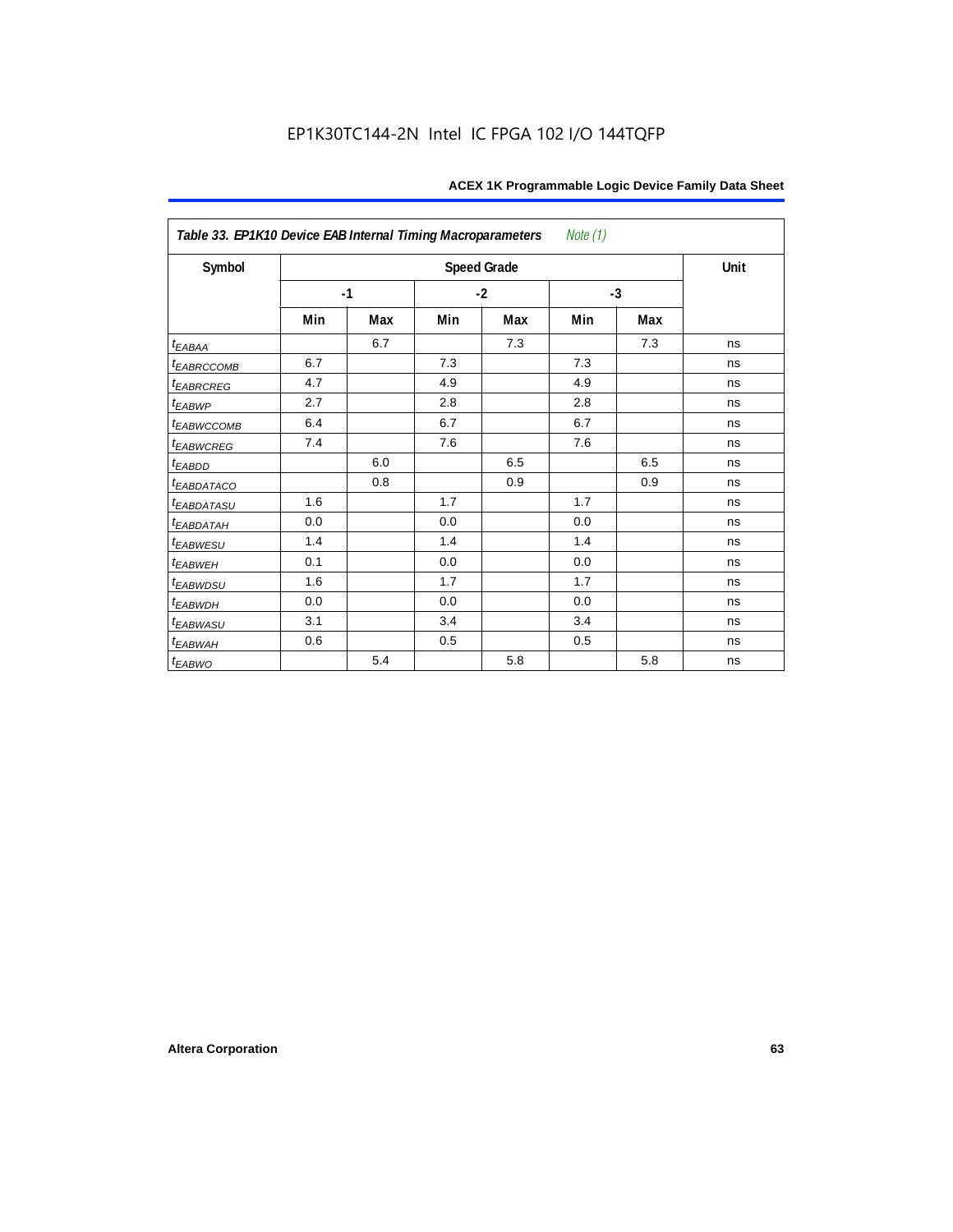| Table 33. EP1K10 Device EAB Internal Timing Macroparameters<br>Note (1) |      |     |      |                    |      |     |      |  |  |  |
|-------------------------------------------------------------------------|------|-----|------|--------------------|------|-----|------|--|--|--|
| Symbol                                                                  |      |     |      | <b>Speed Grade</b> |      |     | Unit |  |  |  |
|                                                                         | $-1$ |     | $-2$ |                    | $-3$ |     |      |  |  |  |
|                                                                         | Min  | Max | Min  | Max                | Min  | Max |      |  |  |  |
| $t_{EABA}$                                                              |      | 6.7 |      | 7.3                |      | 7.3 | ns   |  |  |  |
| t <sub>EABRCCOMB</sub>                                                  | 6.7  |     | 7.3  |                    | 7.3  |     | ns   |  |  |  |
| t <sub>EABRCREG</sub>                                                   | 4.7  |     | 4.9  |                    | 4.9  |     | ns   |  |  |  |
| $t_{EABWP}$                                                             | 2.7  |     | 2.8  |                    | 2.8  |     | ns   |  |  |  |
| <sup>t</sup> EABWCCOMB                                                  | 6.4  |     | 6.7  |                    | 6.7  |     | ns   |  |  |  |
| t <sub>EABWCREG</sub>                                                   | 7.4  |     | 7.6  |                    | 7.6  |     | ns   |  |  |  |
| <sup>t</sup> EABDD                                                      |      | 6.0 |      | 6.5                |      | 6.5 | ns   |  |  |  |
| t <sub>eabdataco</sub>                                                  |      | 0.8 |      | 0.9                |      | 0.9 | ns   |  |  |  |
| <sup>t</sup> EABDATASU                                                  | 1.6  |     | 1.7  |                    | 1.7  |     | ns   |  |  |  |
| <sup>t</sup> EABDATAH                                                   | 0.0  |     | 0.0  |                    | 0.0  |     | ns   |  |  |  |
| t <sub>EABWESU</sub>                                                    | 1.4  |     | 1.4  |                    | 1.4  |     | ns   |  |  |  |
| $t_{EABWEH}$                                                            | 0.1  |     | 0.0  |                    | 0.0  |     | ns   |  |  |  |
| <sup>t</sup> EABWDSU                                                    | 1.6  |     | 1.7  |                    | 1.7  |     | ns   |  |  |  |
| <sup>t</sup> EABWDH                                                     | 0.0  |     | 0.0  |                    | 0.0  |     | ns   |  |  |  |
| <sup>t</sup> EABWASU                                                    | 3.1  |     | 3.4  |                    | 3.4  |     | ns   |  |  |  |
| t <sub>ЕАВWАН</sub>                                                     | 0.6  |     | 0.5  |                    | 0.5  |     | ns   |  |  |  |
| t <sub>EABWO</sub>                                                      |      | 5.4 |      | 5.8                |      | 5.8 | ns   |  |  |  |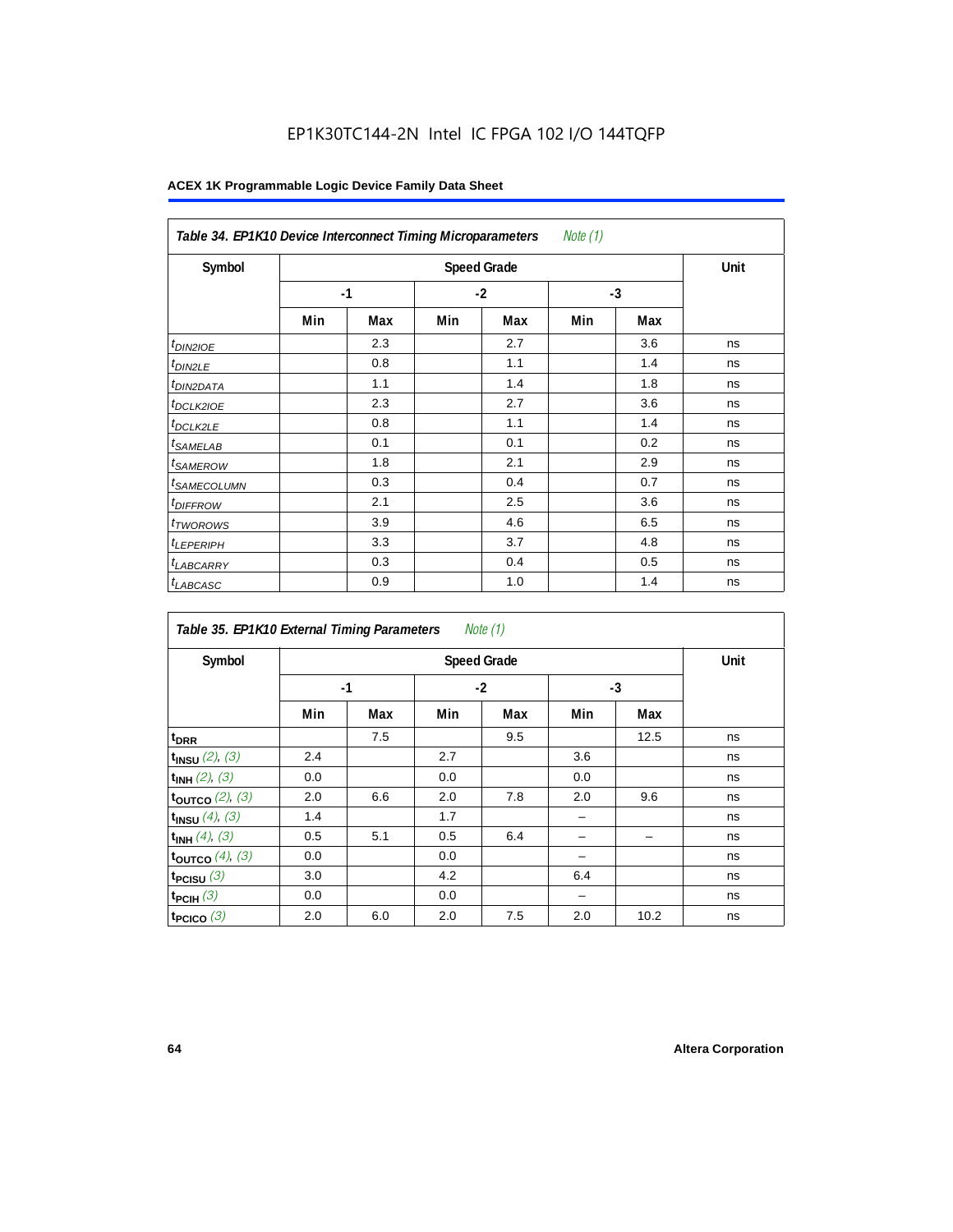## EP1K30TC144-2N Intel IC FPGA 102 I/O 144TQFP

| Note (1)<br>Table 34. EP1K10 Device Interconnect Timing Microparameters |     |                    |     |      |     |      |    |  |  |  |
|-------------------------------------------------------------------------|-----|--------------------|-----|------|-----|------|----|--|--|--|
| Symbol                                                                  |     | <b>Speed Grade</b> |     |      |     |      |    |  |  |  |
|                                                                         |     | $-1$               |     | $-2$ |     | $-3$ |    |  |  |  |
|                                                                         | Min | Max                | Min | Max  | Min | Max  |    |  |  |  |
| t <sub>DIN2IOE</sub>                                                    |     | 2.3                |     | 2.7  |     | 3.6  | ns |  |  |  |
| <sup>t</sup> DIN2LE                                                     |     | 0.8                |     | 1.1  |     | 1.4  | ns |  |  |  |
| <sup>t</sup> DIN2DATA                                                   |     | 1.1                |     | 1.4  |     | 1.8  | ns |  |  |  |
| <sup>t</sup> DCLK2IOE                                                   |     | 2.3                |     | 2.7  |     | 3.6  | ns |  |  |  |
| <sup>t</sup> DCLK2LE                                                    |     | 0.8                |     | 1.1  |     | 1.4  | ns |  |  |  |
| <sup>t</sup> SAMELAB                                                    |     | 0.1                |     | 0.1  |     | 0.2  | ns |  |  |  |
| <sup>t</sup> SAMEROW                                                    |     | 1.8                |     | 2.1  |     | 2.9  | ns |  |  |  |
| <sup>t</sup> SAMECOLUMN                                                 |     | 0.3                |     | 0.4  |     | 0.7  | ns |  |  |  |
| <i><b>IDIFFROW</b></i>                                                  |     | 2.1                |     | 2.5  |     | 3.6  | ns |  |  |  |
| <sup>t</sup> TWOROWS                                                    |     | 3.9                |     | 4.6  |     | 6.5  | ns |  |  |  |
| <sup>t</sup> LEPERIPH                                                   |     | 3.3                |     | 3.7  |     | 4.8  | ns |  |  |  |
| <sup>t</sup> LABCARRY                                                   |     | 0.3                |     | 0.4  |     | 0.5  | ns |  |  |  |
| <sup>t</sup> LABCASC                                                    |     | 0.9                |     | 1.0  |     | 1.4  | ns |  |  |  |

| <i>Note</i> $(1)$<br>Table 35. EP1K10 External Timing Parameters |      |     |     |                    |     |      |      |  |  |  |
|------------------------------------------------------------------|------|-----|-----|--------------------|-----|------|------|--|--|--|
| Symbol                                                           |      |     |     | <b>Speed Grade</b> |     |      | Unit |  |  |  |
|                                                                  | $-1$ |     |     | $-2$               |     | $-3$ |      |  |  |  |
|                                                                  | Min  | Max | Min | Max                | Min | Max  |      |  |  |  |
| t <sub>DRR</sub>                                                 |      | 7.5 |     | 9.5                |     | 12.5 | ns   |  |  |  |
| $t_{INSU}$ (2), (3)                                              | 2.4  |     | 2.7 |                    | 3.6 |      | ns   |  |  |  |
| $t_{INH}$ (2), (3)                                               | 0.0  |     | 0.0 |                    | 0.0 |      | ns   |  |  |  |
| toutco $(2)$ , $(3)$                                             | 2.0  | 6.6 | 2.0 | 7.8                | 2.0 | 9.6  | ns   |  |  |  |
| $t_{INSU}$ (4), (3)                                              | 1.4  |     | 1.7 |                    |     |      | ns   |  |  |  |
| $t_{INH}$ (4), (3)                                               | 0.5  | 5.1 | 0.5 | 6.4                |     |      | ns   |  |  |  |
| toutco $(4)$ , $(3)$                                             | 0.0  |     | 0.0 |                    |     |      | ns   |  |  |  |
| t <sub>PCISU</sub> $(3)$                                         | 3.0  |     | 4.2 |                    | 6.4 |      | ns   |  |  |  |
| $t_{PCH}(3)$                                                     | 0.0  |     | 0.0 |                    |     |      | ns   |  |  |  |
| t <sub>PCICO</sub> $(3)$                                         | 2.0  | 6.0 | 2.0 | 7.5                | 2.0 | 10.2 | ns   |  |  |  |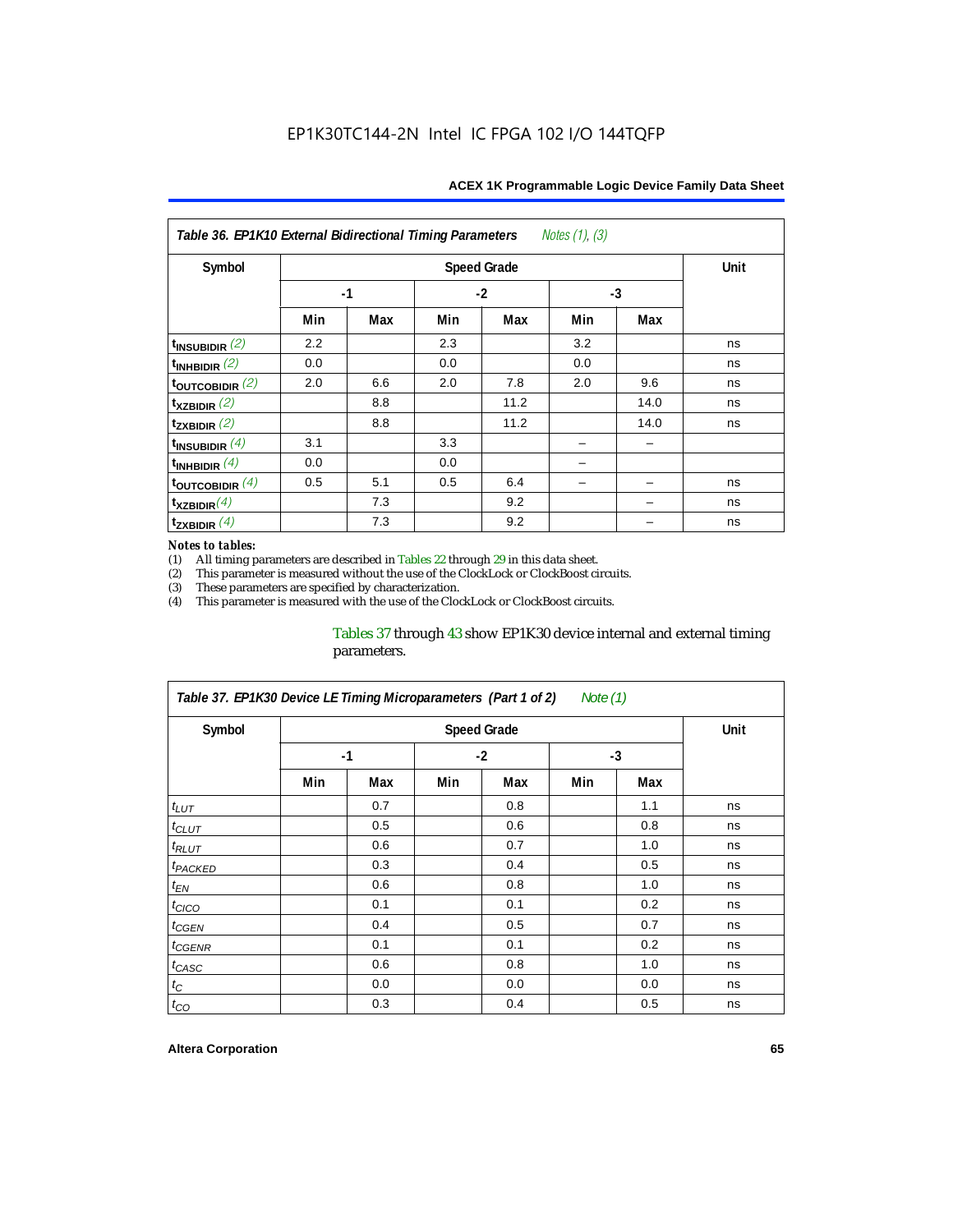| Notes $(1)$ , $(3)$<br>Table 36. EP1K10 External Bidirectional Timing Parameters |      |                    |      |      |      |      |    |  |  |  |
|----------------------------------------------------------------------------------|------|--------------------|------|------|------|------|----|--|--|--|
| Symbol                                                                           |      | <b>Speed Grade</b> |      |      |      |      |    |  |  |  |
|                                                                                  | $-1$ |                    | $-2$ |      | $-3$ |      |    |  |  |  |
|                                                                                  | Min  | Max                | Min  | Max  | Min  | Max  |    |  |  |  |
| $t_{INSUBIDIR}$ (2)                                                              | 2.2  |                    | 2.3  |      | 3.2  |      | ns |  |  |  |
| $t_{INHBIDIR}$ $(2)$                                                             | 0.0  |                    | 0.0  |      | 0.0  |      | ns |  |  |  |
| $t_{\text{OUTC}OBIDIR}$ (2)                                                      | 2.0  | 6.6                | 2.0  | 7.8  | 2.0  | 9.6  | ns |  |  |  |
| $t_{XZBIDIR}$ (2)                                                                |      | 8.8                |      | 11.2 |      | 14.0 | ns |  |  |  |
| $t_{ZXBIDIR}$ (2)                                                                |      | 8.8                |      | 11.2 |      | 14.0 | ns |  |  |  |
| $t_{INSUBIDIR}$ $(4)$                                                            | 3.1  |                    | 3.3  |      |      |      |    |  |  |  |
| $t_{INHBIDIR}(4)$                                                                | 0.0  |                    | 0.0  |      |      |      |    |  |  |  |
| $t_{\text{OUTCOBIDIR}}(4)$                                                       | 0.5  | 5.1                | 0.5  | 6.4  |      |      | ns |  |  |  |
| $t_{XZBIDIR}(4)$                                                                 |      | 7.3                |      | 9.2  |      |      | ns |  |  |  |
| $t_{ZXBIDIR}$ (4)                                                                |      | 7.3                |      | 9.2  |      |      | ns |  |  |  |

#### *Notes to tables:*

(1) All timing parameters are described in Tables  $22$  through  $29$  in this data sheet.<br>(2) This parameter is measured without the use of the ClockLock or ClockBoost cir This parameter is measured without the use of the ClockLock or ClockBoost circuits.

(3) These parameters are specified by characterization.<br>
(4) This parameter is measured with the use of the Cloc This parameter is measured with the use of the ClockLock or ClockBoost circuits.

#### Tables 37 through 43 show EP1K30 device internal and external timing parameters.

| Table 37. EP1K30 Device LE Timing Microparameters (Part 1 of 2)<br>Note $(1)$ |     |                    |     |      |     |      |    |  |  |  |
|-------------------------------------------------------------------------------|-----|--------------------|-----|------|-----|------|----|--|--|--|
| Symbol                                                                        |     | <b>Speed Grade</b> |     |      |     |      |    |  |  |  |
|                                                                               |     | $-1$               |     | $-2$ |     | $-3$ |    |  |  |  |
|                                                                               | Min | Max                | Min | Max  | Min | Max  |    |  |  |  |
| $t_{LUT}$                                                                     |     | 0.7                |     | 0.8  |     | 1.1  | ns |  |  |  |
| $t_{CLUT}$                                                                    |     | 0.5                |     | 0.6  |     | 0.8  | ns |  |  |  |
| $t_{RLUT}$                                                                    |     | 0.6                |     | 0.7  |     | 1.0  | ns |  |  |  |
| <sup>t</sup> PACKED                                                           |     | 0.3                |     | 0.4  |     | 0.5  | ns |  |  |  |
| $t_{EN}$                                                                      |     | 0.6                |     | 0.8  |     | 1.0  | ns |  |  |  |
| $t_{CICO}$                                                                    |     | 0.1                |     | 0.1  |     | 0.2  | ns |  |  |  |
| $t_{GEN}$                                                                     |     | 0.4                |     | 0.5  |     | 0.7  | ns |  |  |  |
| t <sub>CGENR</sub>                                                            |     | 0.1                |     | 0.1  |     | 0.2  | ns |  |  |  |
| t <sub>CASC</sub>                                                             |     | 0.6                |     | 0.8  |     | 1.0  | ns |  |  |  |
| $t_C$                                                                         |     | 0.0                |     | 0.0  |     | 0.0  | ns |  |  |  |
| $t_{CO}$                                                                      |     | 0.3                |     | 0.4  |     | 0.5  | ns |  |  |  |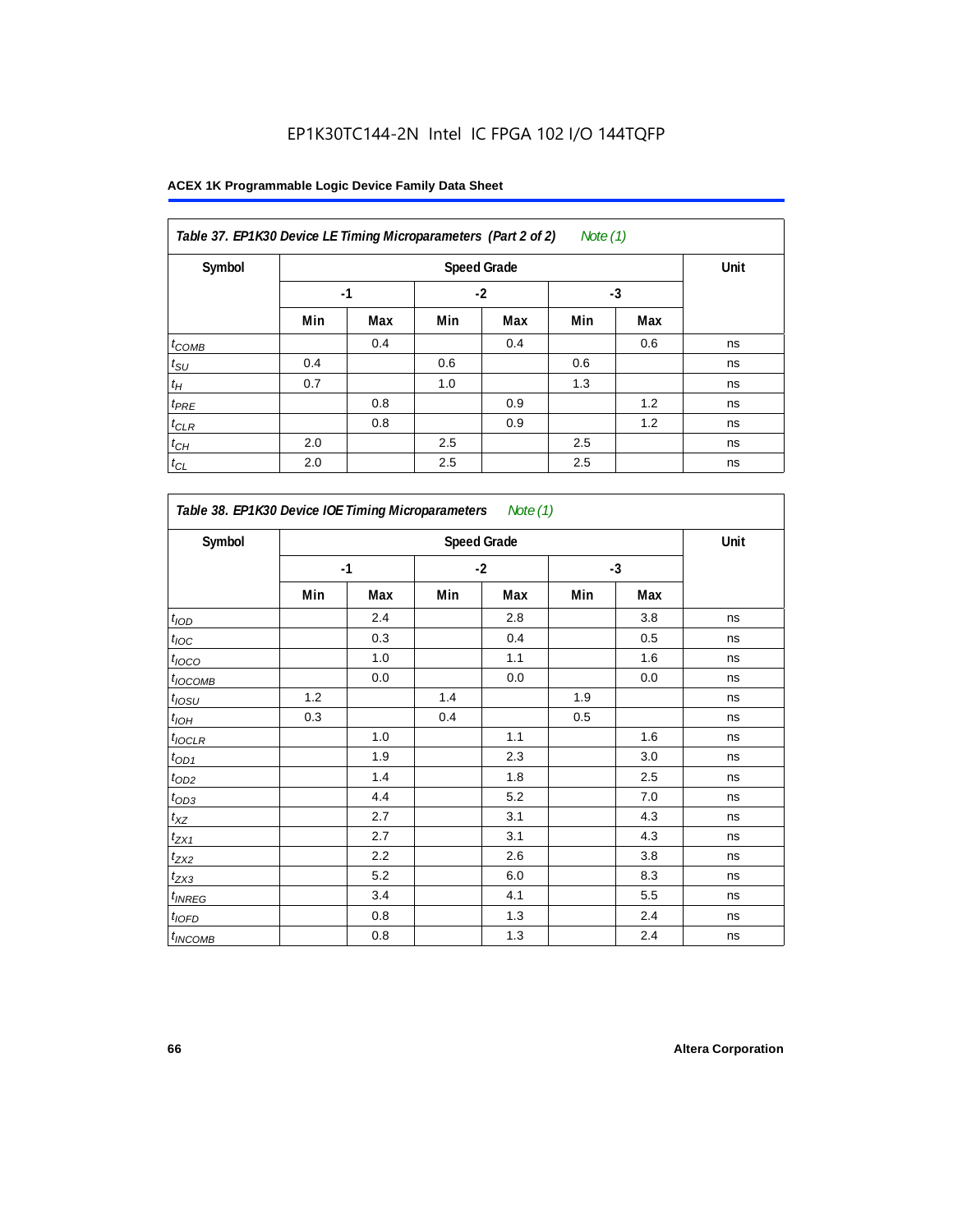| Table 37. EP1K30 Device LE Timing Microparameters (Part 2 of 2)<br>Note $(1)$ |      |      |     |      |     |      |    |  |  |
|-------------------------------------------------------------------------------|------|------|-----|------|-----|------|----|--|--|
| Symbol                                                                        |      | Unit |     |      |     |      |    |  |  |
|                                                                               | $-1$ |      |     | $-2$ |     | $-3$ |    |  |  |
|                                                                               | Min  | Max  | Min | Max  | Min | Max  |    |  |  |
| $t_{COMB}$                                                                    |      | 0.4  |     | 0.4  |     | 0.6  | ns |  |  |
| $t_{\text{SU}}$                                                               | 0.4  |      | 0.6 |      | 0.6 |      | ns |  |  |
| $t_H$                                                                         | 0.7  |      | 1.0 |      | 1.3 |      | ns |  |  |
| $t_{PRE}$                                                                     |      | 0.8  |     | 0.9  |     | 1.2  | ns |  |  |
| $t_{CLR}$                                                                     |      | 0.8  |     | 0.9  |     | 1.2  | ns |  |  |
| $t_{CH}$                                                                      | 2.0  |      | 2.5 |      | 2.5 |      | ns |  |  |
| $t_{CL}$                                                                      | 2.0  |      | 2.5 |      | 2.5 |      | ns |  |  |

| Symbol                     |      |         |     | <b>Speed Grade</b> |     |      | Unit |
|----------------------------|------|---------|-----|--------------------|-----|------|------|
|                            | $-1$ |         |     | $-2$               |     | $-3$ |      |
|                            | Min  | Max     | Min | Max                | Min | Max  |      |
| t <sub>IOD</sub>           |      | 2.4     |     | 2.8                |     | 3.8  | ns   |
| $t_{\text{IOC}}$           |      | 0.3     |     | 0.4                |     | 0.5  | ns   |
| t <sub>IOCO</sub>          |      | 1.0     |     | 1.1                |     | 1.6  | ns   |
| $t_{IOCOMB}$               |      | 0.0     |     | $0.0\,$            |     | 0.0  | ns   |
| $t_{IOSU}$                 | 1.2  |         | 1.4 |                    | 1.9 |      | ns   |
| $t_{I\underline{OH}}$      | 0.3  |         | 0.4 |                    | 0.5 |      | ns   |
| $t_{IOCLR}$                |      | 1.0     |     | 1.1                |     | 1.6  | ns   |
| $t_{OD1}$                  |      | 1.9     |     | 2.3                |     | 3.0  | ns   |
| $t_{OD2}$                  |      | 1.4     |     | 1.8                |     | 2.5  | ns   |
| $t_{OD3}$                  |      | 4.4     |     | 5.2                |     | 7.0  | ns   |
| $t_{XZ}$                   |      | 2.7     |     | 3.1                |     | 4.3  | ns   |
| $t_{ZX1}$                  |      | 2.7     |     | 3.1                |     | 4.3  | ns   |
| t <sub>ZX2</sub>           |      | 2.2     |     | 2.6                |     | 3.8  | ns   |
| $t_{ZX3}$                  |      | 5.2     |     | 6.0                |     | 8.3  | ns   |
| $t_{INREG}$                |      | 3.4     |     | 4.1                |     | 5.5  | ns   |
| $t_{IOFD}$                 |      | 0.8     |     | 1.3                |     | 2.4  | ns   |
| <i>t</i> <sub>INCOMB</sub> |      | $0.8\,$ |     | 1.3                |     | 2.4  | ns   |

r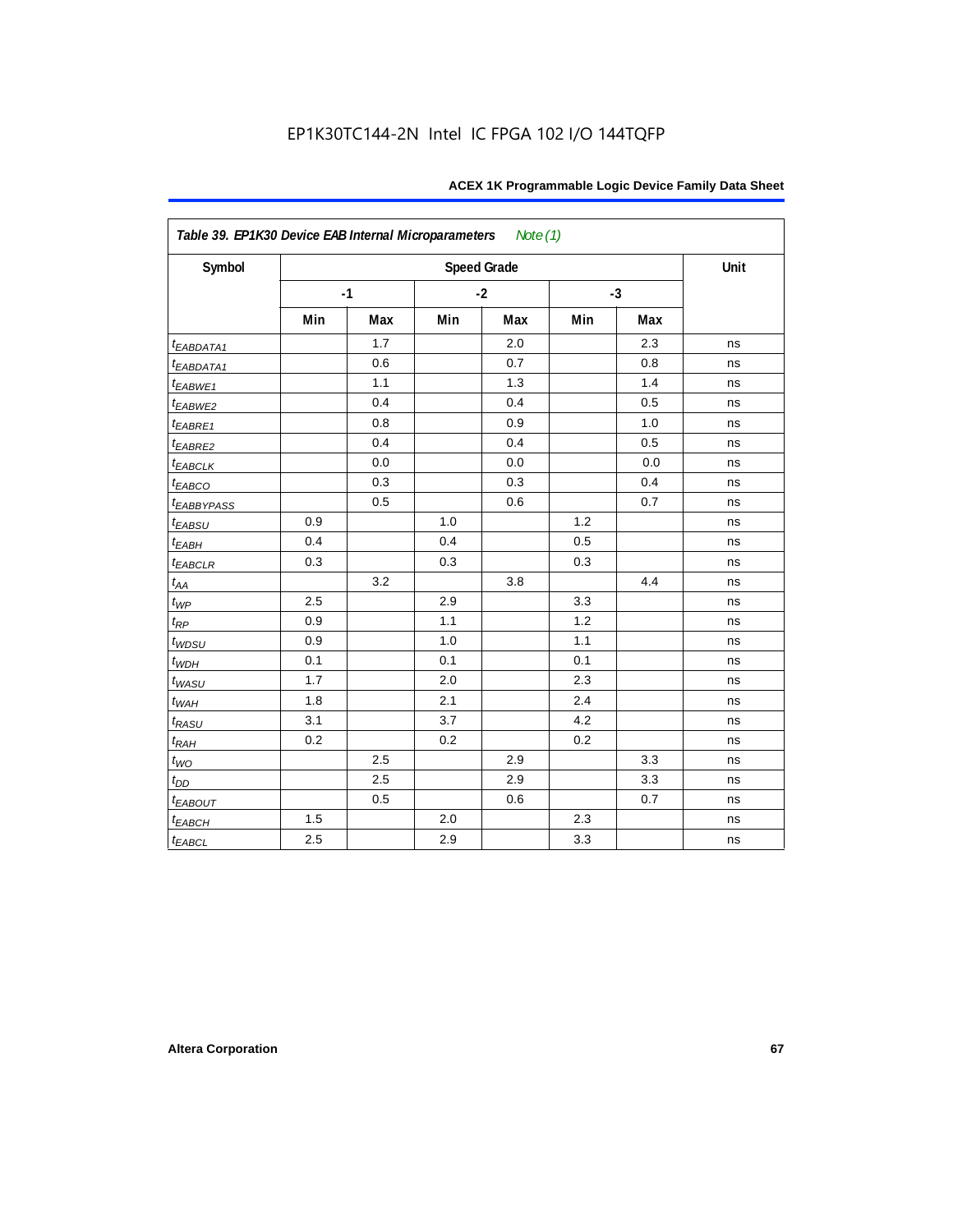| Symbol                  |     |      |     | <b>Speed Grade</b> |     |      | Unit |
|-------------------------|-----|------|-----|--------------------|-----|------|------|
|                         |     | $-1$ |     | $-2$               |     | $-3$ |      |
|                         | Min | Max  | Min | Max                | Min | Max  |      |
| t <sub>EABDATA1</sub>   |     | 1.7  |     | 2.0                |     | 2.3  | ns   |
| t <sub>EABDATA1</sub>   |     | 0.6  |     | 0.7                |     | 0.8  | ns   |
| $t_{EABWE1}$            |     | 1.1  |     | 1.3                |     | 1.4  | ns   |
| $t_{EABWE2}$            |     | 0.4  |     | 0.4                |     | 0.5  | ns   |
| $t_{EABRE1}$            |     | 0.8  |     | 0.9                |     | 1.0  | ns   |
| $t_{EABRE2}$            |     | 0.4  |     | 0.4                |     | 0.5  | ns   |
| $t_{EABCLK}$            |     | 0.0  |     | 0.0                |     | 0.0  | ns   |
| $t_{EABCO}$             |     | 0.3  |     | 0.3                |     | 0.4  | ns   |
| <i><b>EABBYPASS</b></i> |     | 0.5  |     | 0.6                |     | 0.7  | ns   |
| $t_{EABSU}$             | 0.9 |      | 1.0 |                    | 1.2 |      | ns   |
| $t_{EABH}$              | 0.4 |      | 0.4 |                    | 0.5 |      | ns   |
| $t_{EABCLR}$            | 0.3 |      | 0.3 |                    | 0.3 |      | ns   |
| $t_{\rm AA}$            |     | 3.2  |     | 3.8                |     | 4.4  | ns   |
| $t_{WP}$                | 2.5 |      | 2.9 |                    | 3.3 |      | ns   |
| $t_{\!R\!P}$            | 0.9 |      | 1.1 |                    | 1.2 |      | ns   |
| $t_{WDSU}$              | 0.9 |      | 1.0 |                    | 1.1 |      | ns   |
| $t_{WDH}$               | 0.1 |      | 0.1 |                    | 0.1 |      | ns   |
| $t_{WASU}$              | 1.7 |      | 2.0 |                    | 2.3 |      | ns   |
| $t_{WAH}$               | 1.8 |      | 2.1 |                    | 2.4 |      | ns   |
| $t_{RASU}$              | 3.1 |      | 3.7 |                    | 4.2 |      | ns   |
| $t_{RAH}$               | 0.2 |      | 0.2 |                    | 0.2 |      | ns   |
| $t_{WO}$                |     | 2.5  |     | 2.9                |     | 3.3  | ns   |
| $t_{DD}$                |     | 2.5  |     | 2.9                |     | 3.3  | ns   |
| $t_{EABOUT}$            |     | 0.5  |     | 0.6                |     | 0.7  | ns   |
| $t_{EABCH}$             | 1.5 |      | 2.0 |                    | 2.3 |      | ns   |
| $t_{EABCL}$             | 2.5 |      | 2.9 |                    | 3.3 |      | ns   |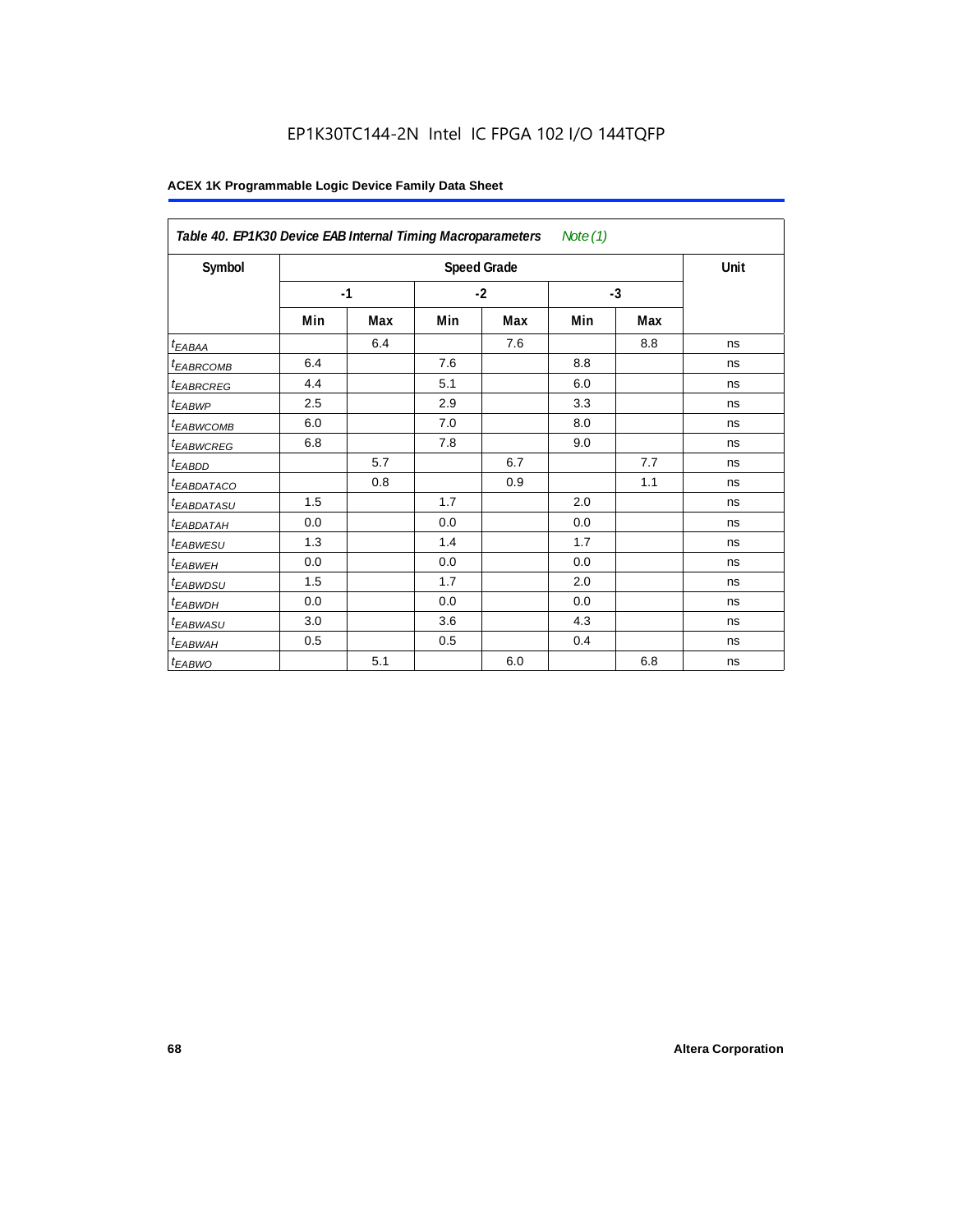## EP1K30TC144-2N Intel IC FPGA 102 I/O 144TQFP

|                        | Table 40. EP1K30 Device EAB Internal Timing Macroparameters<br>Note $(1)$ |     |      |                    |      |     |      |  |  |  |
|------------------------|---------------------------------------------------------------------------|-----|------|--------------------|------|-----|------|--|--|--|
| Symbol                 |                                                                           |     |      | <b>Speed Grade</b> |      |     | Unit |  |  |  |
|                        | $-1$                                                                      |     | $-2$ |                    | $-3$ |     |      |  |  |  |
|                        | Min                                                                       | Max | Min  | Max                | Min  | Max |      |  |  |  |
| <sup>t</sup> EABAA     |                                                                           | 6.4 |      | 7.6                |      | 8.8 | ns   |  |  |  |
| <sup>t</sup> EABRCOMB  | 6.4                                                                       |     | 7.6  |                    | 8.8  |     | ns   |  |  |  |
| <sup>t</sup> EABRCREG  | 4.4                                                                       |     | 5.1  |                    | 6.0  |     | ns   |  |  |  |
| <sup>t</sup> EABWP     | 2.5                                                                       |     | 2.9  |                    | 3.3  |     | ns   |  |  |  |
| <sup>t</sup> EABWCOMB  | 6.0                                                                       |     | 7.0  |                    | 8.0  |     | ns   |  |  |  |
| <sup>t</sup> EABWCREG  | 6.8                                                                       |     | 7.8  |                    | 9.0  |     | ns   |  |  |  |
| t <sub>EABDD</sub>     |                                                                           | 5.7 |      | 6.7                |      | 7.7 | ns   |  |  |  |
| <sup>t</sup> EABDATACO |                                                                           | 0.8 |      | 0.9                |      | 1.1 | ns   |  |  |  |
| <sup>t</sup> EABDATASU | 1.5                                                                       |     | 1.7  |                    | 2.0  |     | ns   |  |  |  |
| <sup>t</sup> EABDATAH  | 0.0                                                                       |     | 0.0  |                    | 0.0  |     | ns   |  |  |  |
| <sup>t</sup> EABWESU   | 1.3                                                                       |     | 1.4  |                    | 1.7  |     | ns   |  |  |  |
| <sup>t</sup> EABWEH    | 0.0                                                                       |     | 0.0  |                    | 0.0  |     | ns   |  |  |  |
| <sup>t</sup> EABWDSU   | 1.5                                                                       |     | 1.7  |                    | 2.0  |     | ns   |  |  |  |
| <sup>t</sup> EABWDH    | 0.0                                                                       |     | 0.0  |                    | 0.0  |     | ns   |  |  |  |
| <sup>t</sup> EABWASU   | 3.0                                                                       |     | 3.6  |                    | 4.3  |     | ns   |  |  |  |
| <sup>t</sup> EABWAH    | 0.5                                                                       |     | 0.5  |                    | 0.4  |     | ns   |  |  |  |
| t <sub>EABWO</sub>     |                                                                           | 5.1 |      | 6.0                |      | 6.8 | ns   |  |  |  |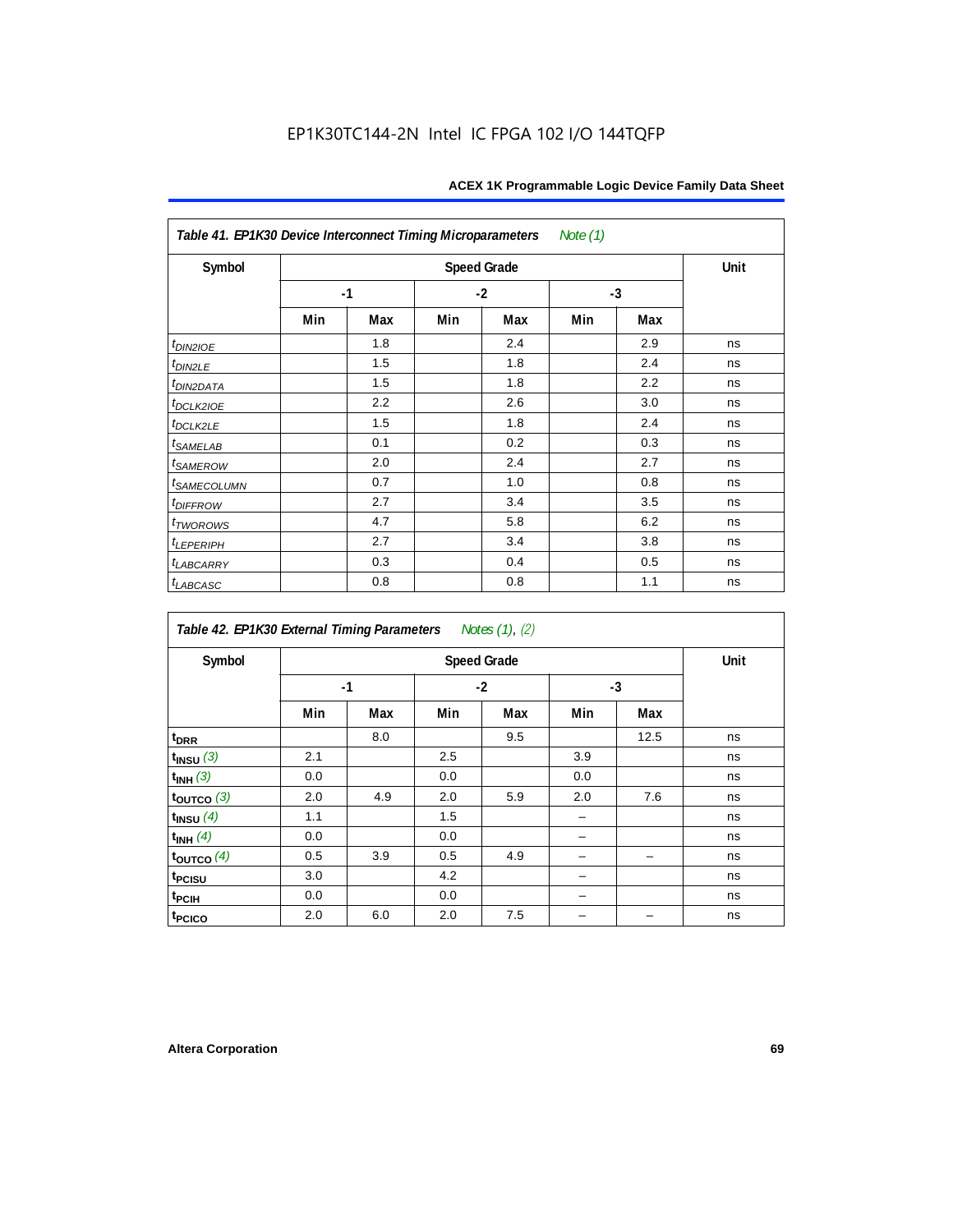| Table 41. EP1K30 Device Interconnect Timing Microparameters |      |      |      |     | Note (1) |     |    |
|-------------------------------------------------------------|------|------|------|-----|----------|-----|----|
| Symbol                                                      |      | Unit |      |     |          |     |    |
|                                                             | $-1$ |      | $-2$ |     | $-3$     |     |    |
|                                                             | Min  | Max  | Min  | Max | Min      | Max |    |
| $t_{DIN2IOE}$                                               |      | 1.8  |      | 2.4 |          | 2.9 | ns |
| $t_{DIN2LE}$                                                |      | 1.5  |      | 1.8 |          | 2.4 | ns |
| <sup>t</sup> DIN2DATA                                       |      | 1.5  |      | 1.8 |          | 2.2 | ns |
| t <sub>DCLK2IOE</sub>                                       |      | 2.2  |      | 2.6 |          | 3.0 | ns |
| $t_{DCLK2LE}$                                               |      | 1.5  |      | 1.8 |          | 2.4 | ns |
| $t_{SAMELAB}$                                               |      | 0.1  |      | 0.2 |          | 0.3 | ns |
| <i>t</i> <sub>SAMEROW</sub>                                 |      | 2.0  |      | 2.4 |          | 2.7 | ns |
| <i>t<sub>SAMECOLUMN</sub></i>                               |      | 0.7  |      | 1.0 |          | 0.8 | ns |
| $t$ DIFFROW                                                 |      | 2.7  |      | 3.4 |          | 3.5 | ns |
| t <sub>TWOROWS</sub>                                        |      | 4.7  |      | 5.8 |          | 6.2 | ns |
| $t_{LEPERIPH}$                                              |      | 2.7  |      | 3.4 |          | 3.8 | ns |
| <b><i>t<sub>LABCARRY</sub></i></b>                          |      | 0.3  |      | 0.4 |          | 0.5 | ns |
| $t_{LABCASC}$                                               |      | 0.8  |      | 0.8 |          | 1.1 | ns |

| Table 42. EP1K30 External Timing Parameters |      |      |      | Notes (1), (2) |      |      |    |
|---------------------------------------------|------|------|------|----------------|------|------|----|
| Symbol                                      |      | Unit |      |                |      |      |    |
|                                             | $-1$ |      | $-2$ |                | $-3$ |      |    |
|                                             | Min  | Max  | Min  | Max            | Min  | Max  |    |
| t <sub>DRR</sub>                            |      | 8.0  |      | 9.5            |      | 12.5 | ns |
| $t_{INSU}$ (3)                              | 2.1  |      | 2.5  |                | 3.9  |      | ns |
| $t_{INH}$ (3)                               | 0.0  |      | 0.0  |                | 0.0  |      | ns |
| $t_{OUTCO}$ (3)                             | 2.0  | 4.9  | 2.0  | 5.9            | 2.0  | 7.6  | ns |
| $t$ <sub>INSU</sub> $(4)$                   | 1.1  |      | 1.5  |                |      |      | ns |
| $t_{INH}$ (4)                               | 0.0  |      | 0.0  |                |      |      | ns |
| $t_{\text{OUTCO}}(4)$                       | 0.5  | 3.9  | 0.5  | 4.9            |      |      | ns |
| t <sub>PCISU</sub>                          | 3.0  |      | 4.2  |                |      |      | ns |
| t <sub>PCIH</sub>                           | 0.0  |      | 0.0  |                |      |      | ns |
| t <sub>PCICO</sub>                          | 2.0  | 6.0  | 2.0  | 7.5            |      |      | ns |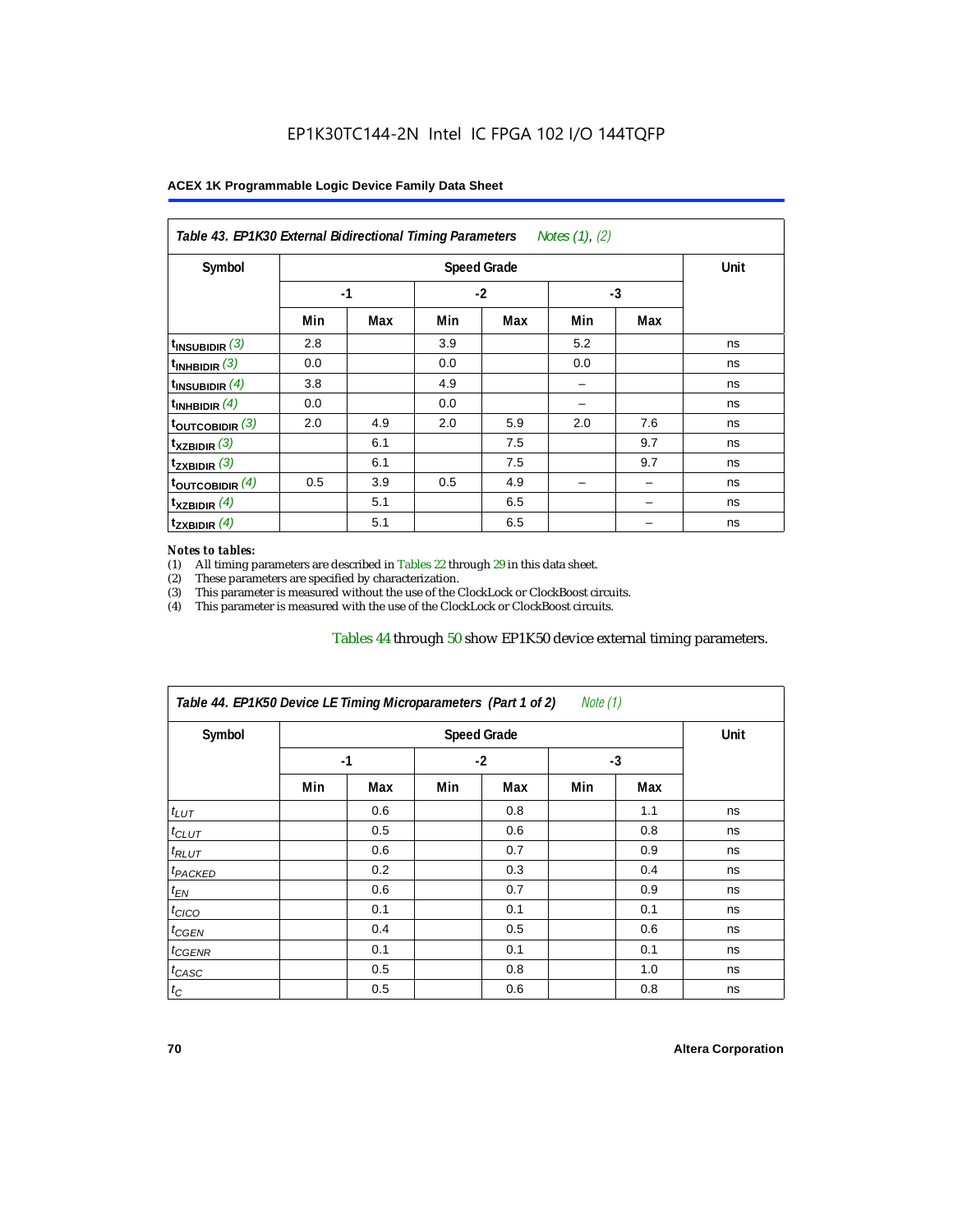| Symbol                      |      | Unit |      |     |      |     |    |
|-----------------------------|------|------|------|-----|------|-----|----|
|                             | $-1$ |      | $-2$ |     | $-3$ |     |    |
|                             | Min  | Max  | Min  | Max | Min  | Max |    |
| $t_{\text{INSUBIDIR}}$ (3)  | 2.8  |      | 3.9  |     | 5.2  |     | ns |
| $t_{INHBIDIR}$ (3)          | 0.0  |      | 0.0  |     | 0.0  |     | ns |
| $t_{INSUBIDIR}(4)$          | 3.8  |      | 4.9  |     |      |     | ns |
| $t_{INHBIDIR}$ (4)          | 0.0  |      | 0.0  |     |      |     | ns |
| $t_{\text{OUTCOBIDIR}}$ (3) | 2.0  | 4.9  | 2.0  | 5.9 | 2.0  | 7.6 | ns |
| $t_{XZBIDIR}$ (3)           |      | 6.1  |      | 7.5 |      | 9.7 | ns |
| $t_{ZXBIDIR}$ (3)           |      | 6.1  |      | 7.5 |      | 9.7 | ns |
| toutcobidir $(4)$           | 0.5  | 3.9  | 0.5  | 4.9 |      |     | ns |
| $t_{XZBIDIR}$ (4)           |      | 5.1  |      | 6.5 |      |     | ns |
| $t_{ZXBIDIR}$ (4)           |      | 5.1  |      | 6.5 |      |     | ns |

#### *Notes to tables:*

(1) All timing parameters are described in Tables 22 through  $29$  in this data sheet.<br>(2) These parameters are specified by characterization.

(2) These parameters are specified by characterization.<br>
(3) This parameter is measured without the use of the C This parameter is measured without the use of the ClockLock or ClockBoost circuits.

(4) This parameter is measured with the use of the ClockLock or ClockBoost circuits.

#### Tables 44 through 50 show EP1K50 device external timing parameters.

| Table 44. EP1K50 Device LE Timing Microparameters (Part 1 of 2) |     |      |     |      | Note $(1)$ |     |    |
|-----------------------------------------------------------------|-----|------|-----|------|------------|-----|----|
| Symbol                                                          |     | Unit |     |      |            |     |    |
|                                                                 |     | $-1$ |     | $-2$ |            | -3  |    |
|                                                                 | Min | Max  | Min | Max  | Min        | Max |    |
| $t_{LUT}$                                                       |     | 0.6  |     | 0.8  |            | 1.1 | ns |
| $t_{CLUT}$                                                      |     | 0.5  |     | 0.6  |            | 0.8 | ns |
| $t_{RLUT}$                                                      |     | 0.6  |     | 0.7  |            | 0.9 | ns |
| <sup>t</sup> PACKED                                             |     | 0.2  |     | 0.3  |            | 0.4 | ns |
| $t_{EN}$                                                        |     | 0.6  |     | 0.7  |            | 0.9 | ns |
| $t_{CICO}$                                                      |     | 0.1  |     | 0.1  |            | 0.1 | ns |
| $t_{GEN}$                                                       |     | 0.4  |     | 0.5  |            | 0.6 | ns |
| $t_{GENR}$                                                      |     | 0.1  |     | 0.1  |            | 0.1 | ns |
| $t_{CASC}$                                                      |     | 0.5  |     | 0.8  |            | 1.0 | ns |
| $t_C$                                                           |     | 0.5  |     | 0.6  |            | 0.8 | ns |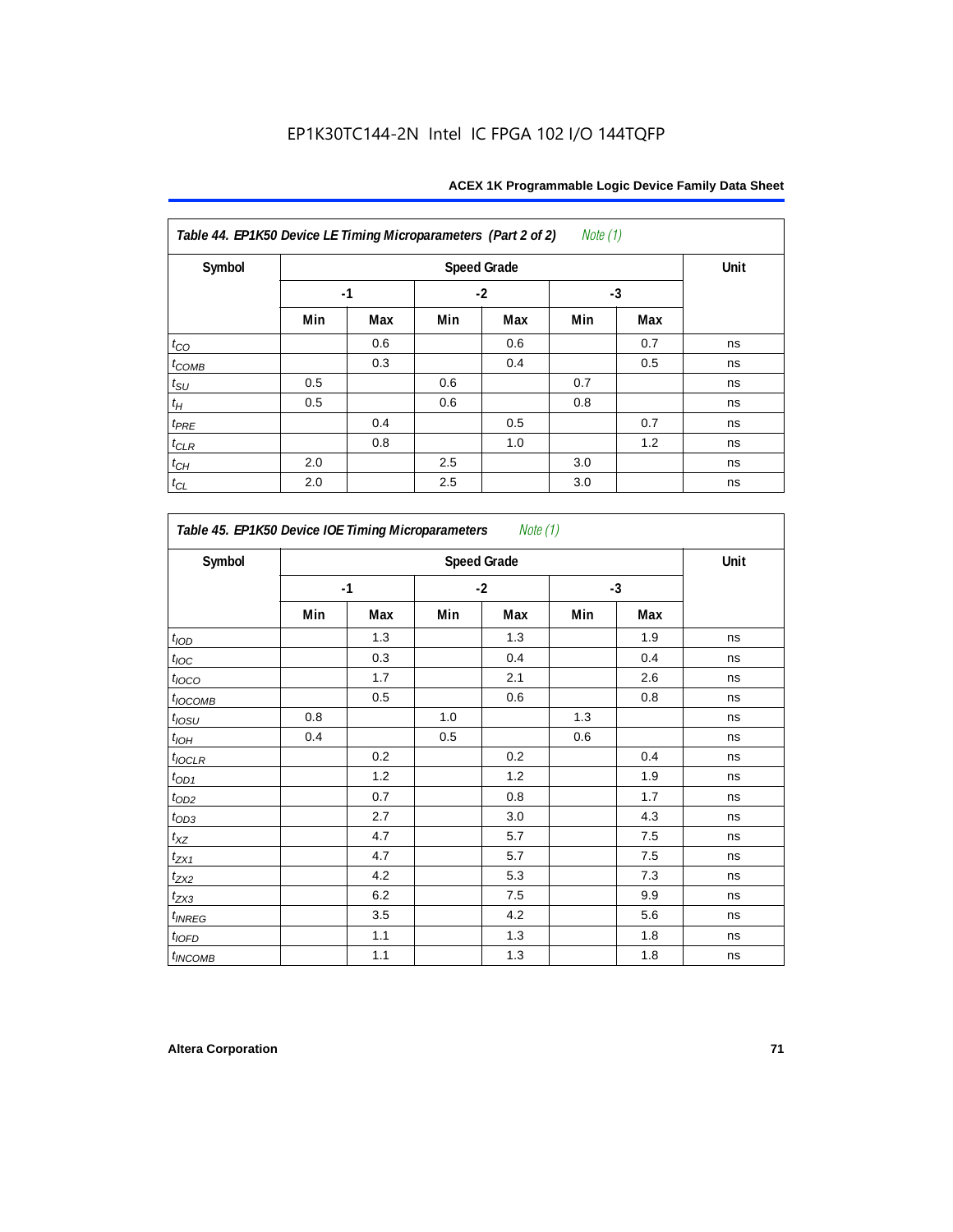| Table 44. EP1K50 Device LE Timing Microparameters (Part 2 of 2) |     |      |     |      | <i>Note</i> $(1)$ |      |    |
|-----------------------------------------------------------------|-----|------|-----|------|-------------------|------|----|
| Symbol                                                          |     | Unit |     |      |                   |      |    |
|                                                                 |     | $-1$ |     | $-2$ |                   | $-3$ |    |
|                                                                 | Min | Max  | Min | Max  | Min               | Max  |    |
| $t_{CO}$                                                        |     | 0.6  |     | 0.6  |                   | 0.7  | ns |
| $t_{COMB}$                                                      |     | 0.3  |     | 0.4  |                   | 0.5  | ns |
| $t_{\rm SU}$                                                    | 0.5 |      | 0.6 |      | 0.7               |      | ns |
| $t_{\!H}$                                                       | 0.5 |      | 0.6 |      | 0.8               |      | ns |
| $t_{PRE}$                                                       |     | 0.4  |     | 0.5  |                   | 0.7  | ns |
| $t_{CLR}$                                                       |     | 0.8  |     | 1.0  |                   | 1.2  | ns |
| $t_{\mathbb{C} H}$                                              | 2.0 |      | 2.5 |      | 3.0               |      | ns |
| $t_{CL}$                                                        | 2.0 |      | 2.5 |      | 3.0               |      | ns |

| Symbol             |      | <b>Speed Grade</b> |      |     |      |     |    |  |  |
|--------------------|------|--------------------|------|-----|------|-----|----|--|--|
|                    | $-1$ |                    | $-2$ |     | $-3$ |     |    |  |  |
|                    | Min  | Max                | Min  | Max | Min  | Max |    |  |  |
| t <sub>IOD</sub>   |      | 1.3                |      | 1.3 |      | 1.9 | ns |  |  |
| $t_{\text{IOC}}$   |      | 0.3                |      | 0.4 |      | 0.4 | ns |  |  |
| $t_{IOCO}$         |      | 1.7                |      | 2.1 |      | 2.6 | ns |  |  |
| $t_{IOCOMB}$       |      | 0.5                |      | 0.6 |      | 0.8 | ns |  |  |
| $t_{IOSU}$         | 0.8  |                    | 1.0  |     | 1.3  |     | ns |  |  |
| $t_{IOH}$          | 0.4  |                    | 0.5  |     | 0.6  |     | ns |  |  |
| $t_{\text{IOCLR}}$ |      | 0.2                |      | 0.2 |      | 0.4 | ns |  |  |
| $t_{OD1}$          |      | 1.2                |      | 1.2 |      | 1.9 | ns |  |  |
| $t_{OD2}$          |      | 0.7                |      | 0.8 |      | 1.7 | ns |  |  |
| $t_{OD3}$          |      | 2.7                |      | 3.0 |      | 4.3 | ns |  |  |
| $t_{XZ}$           |      | 4.7                |      | 5.7 |      | 7.5 | ns |  |  |
| $t_{ZX1}$          |      | 4.7                |      | 5.7 |      | 7.5 | ns |  |  |
| $t_{ZX2}$          |      | 4.2                |      | 5.3 |      | 7.3 | ns |  |  |
| $t_{ZX3}$          |      | 6.2                |      | 7.5 |      | 9.9 | ns |  |  |
| $t_{INREG}$        |      | 3.5                |      | 4.2 |      | 5.6 | ns |  |  |
| $t_{IOED}$         |      | 1.1                |      | 1.3 |      | 1.8 | ns |  |  |
| $t_{INCOMB}$       |      | 1.1                |      | 1.3 |      | 1.8 | ns |  |  |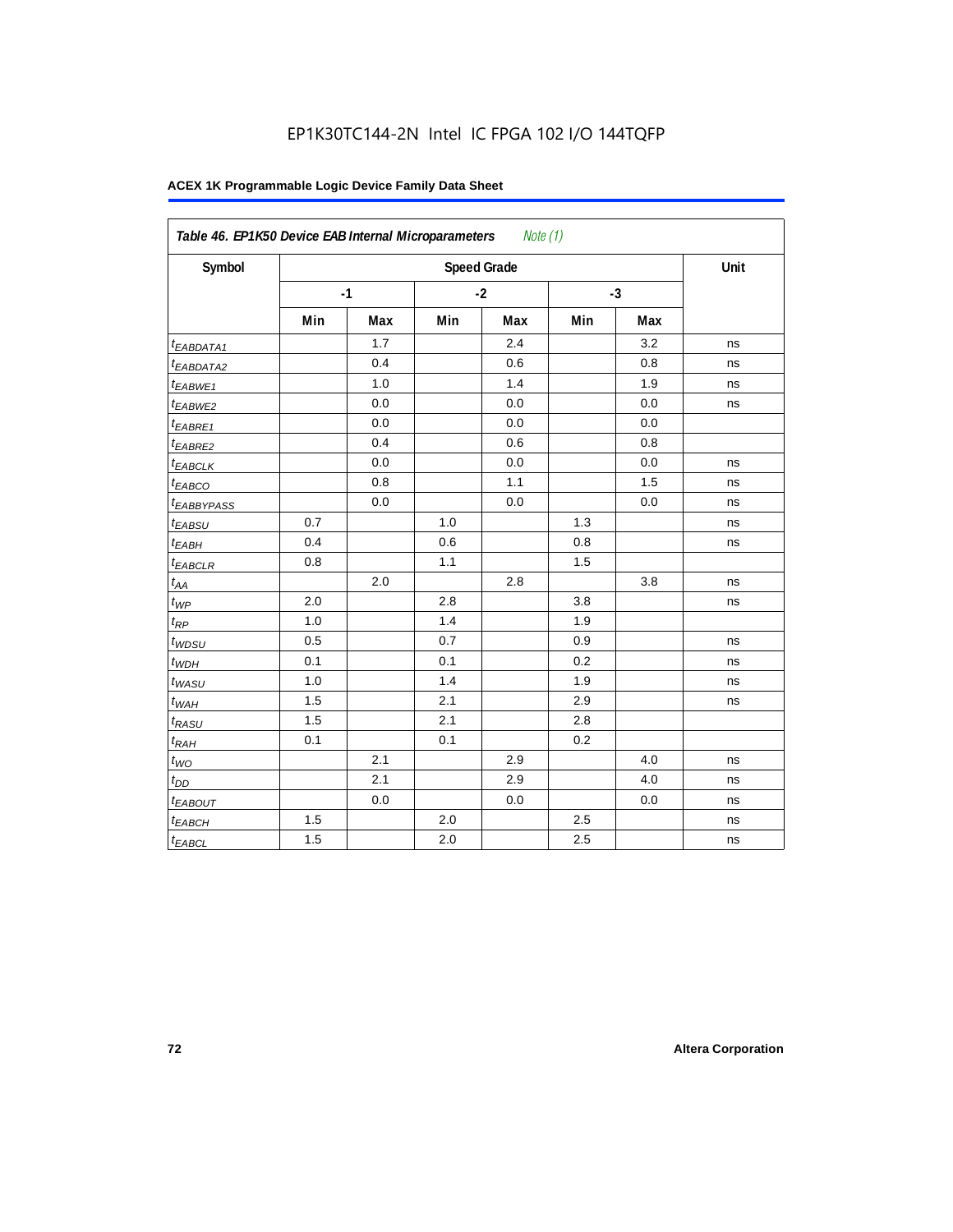|                        | Table 46. EP1K50 Device EAB Internal Microparameters<br>Note (1) |      |      |                    |      |     |      |  |  |  |
|------------------------|------------------------------------------------------------------|------|------|--------------------|------|-----|------|--|--|--|
| Symbol                 |                                                                  |      |      | <b>Speed Grade</b> |      |     | Unit |  |  |  |
|                        |                                                                  | $-1$ | $-2$ |                    | $-3$ |     |      |  |  |  |
|                        | Min                                                              | Max  | Min  | Max                | Min  | Max |      |  |  |  |
| t <sub>EABDATA1</sub>  |                                                                  | 1.7  |      | 2.4                |      | 3.2 | ns   |  |  |  |
| <sup>t</sup> EABDATA2  |                                                                  | 0.4  |      | 0.6                |      | 0.8 | ns   |  |  |  |
| t <sub>EABWE1</sub>    |                                                                  | 1.0  |      | 1.4                |      | 1.9 | ns   |  |  |  |
| <sup>t</sup> EABWE2    |                                                                  | 0.0  |      | 0.0                |      | 0.0 | ns   |  |  |  |
| <sup>t</sup> EABRE1    |                                                                  | 0.0  |      | 0.0                |      | 0.0 |      |  |  |  |
| t <sub>EABRE2</sub>    |                                                                  | 0.4  |      | 0.6                |      | 0.8 |      |  |  |  |
| <sup>t</sup> EABCLK    |                                                                  | 0.0  |      | 0.0                |      | 0.0 | ns   |  |  |  |
| t <sub>EABCO</sub>     |                                                                  | 0.8  |      | 1.1                |      | 1.5 | ns   |  |  |  |
| <sup>t</sup> EABBYPASS |                                                                  | 0.0  |      | 0.0                |      | 0.0 | ns   |  |  |  |
| t <sub>EABSU</sub>     | 0.7                                                              |      | 1.0  |                    | 1.3  |     | ns   |  |  |  |
| $t_{EABH}$             | 0.4                                                              |      | 0.6  |                    | 0.8  |     | ns   |  |  |  |
| $t_{EABCLR}$           | 0.8                                                              |      | 1.1  |                    | 1.5  |     |      |  |  |  |
| $t_{AA}$               |                                                                  | 2.0  |      | 2.8                |      | 3.8 | ns   |  |  |  |
| $t_{WP}$               | 2.0                                                              |      | 2.8  |                    | 3.8  |     | ns   |  |  |  |
| $t_{RP}$               | 1.0                                                              |      | 1.4  |                    | 1.9  |     |      |  |  |  |
| $t_{WDSU}$             | 0.5                                                              |      | 0.7  |                    | 0.9  |     | ns   |  |  |  |
| $t_{WDH}$              | 0.1                                                              |      | 0.1  |                    | 0.2  |     | ns   |  |  |  |
| $t_{WASU}$             | 1.0                                                              |      | 1.4  |                    | 1.9  |     | ns   |  |  |  |
| $t_{WAH}$              | 1.5                                                              |      | 2.1  |                    | 2.9  |     | ns   |  |  |  |
| t <sub>RASU</sub>      | 1.5                                                              |      | 2.1  |                    | 2.8  |     |      |  |  |  |
| $t_{RAH}$              | 0.1                                                              |      | 0.1  |                    | 0.2  |     |      |  |  |  |
| $t_{WO}$               |                                                                  | 2.1  |      | 2.9                |      | 4.0 | ns   |  |  |  |
| $t_{DD}$               |                                                                  | 2.1  |      | 2.9                |      | 4.0 | ns   |  |  |  |
| t <sub>EABOUT</sub>    |                                                                  | 0.0  |      | 0.0                |      | 0.0 | ns   |  |  |  |
| $t_{EABCH}$            | 1.5                                                              |      | 2.0  |                    | 2.5  |     | ns   |  |  |  |
| <sup>t</sup> EABCL     | 1.5                                                              |      | 2.0  |                    | 2.5  |     | ns   |  |  |  |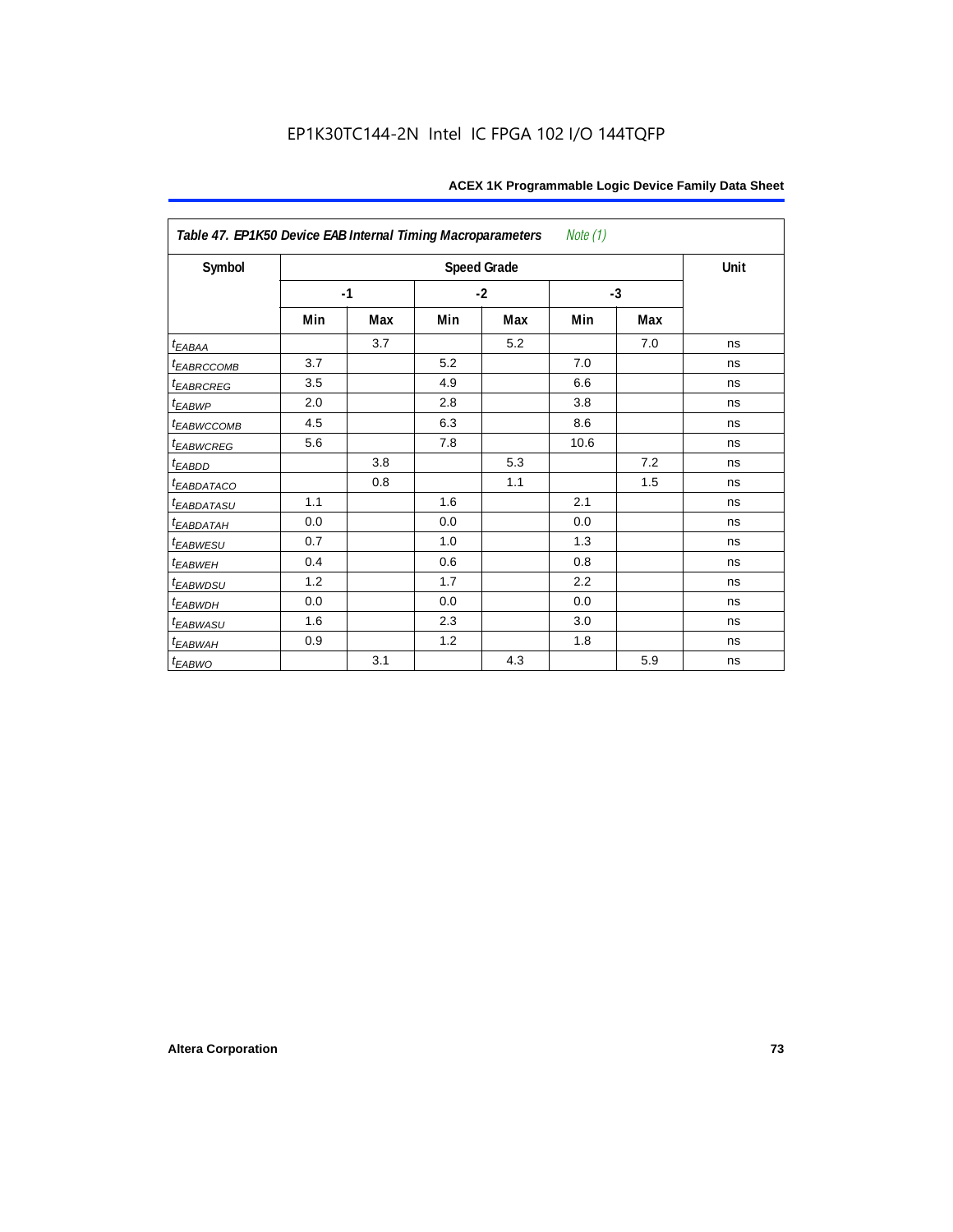| Table 47. EP1K50 Device EAB Internal Timing Macroparameters<br>Note (1) |      |     |      |                    |      |      |      |  |  |  |
|-------------------------------------------------------------------------|------|-----|------|--------------------|------|------|------|--|--|--|
| Symbol                                                                  |      |     |      | <b>Speed Grade</b> |      |      | Unit |  |  |  |
|                                                                         | $-1$ |     | $-2$ |                    |      | $-3$ |      |  |  |  |
|                                                                         | Min  | Max | Min  | Max                | Min  | Max  |      |  |  |  |
| $t_{EABA}$                                                              |      | 3.7 |      | 5.2                |      | 7.0  | ns   |  |  |  |
| t <sub>EABRCCOMB</sub>                                                  | 3.7  |     | 5.2  |                    | 7.0  |      | ns   |  |  |  |
| <b><i>EABRCREG</i></b>                                                  | 3.5  |     | 4.9  |                    | 6.6  |      | ns   |  |  |  |
| $t_{EABWP}$                                                             | 2.0  |     | 2.8  |                    | 3.8  |      | ns   |  |  |  |
| <sup>t</sup> EABWCCOMB                                                  | 4.5  |     | 6.3  |                    | 8.6  |      | ns   |  |  |  |
| t <sub>EABWCREG</sub>                                                   | 5.6  |     | 7.8  |                    | 10.6 |      | ns   |  |  |  |
| t <sub>EABDD</sub>                                                      |      | 3.8 |      | 5.3                |      | 7.2  | ns   |  |  |  |
| <i>EABDATACO</i>                                                        |      | 0.8 |      | 1.1                |      | 1.5  | ns   |  |  |  |
| <i>EABDATASU</i>                                                        | 1.1  |     | 1.6  |                    | 2.1  |      | ns   |  |  |  |
| <sup>t</sup> EABDATAH                                                   | 0.0  |     | 0.0  |                    | 0.0  |      | ns   |  |  |  |
| t <sub>EABWESU</sub>                                                    | 0.7  |     | 1.0  |                    | 1.3  |      | ns   |  |  |  |
| <b>t</b> EABWEH                                                         | 0.4  |     | 0.6  |                    | 0.8  |      | ns   |  |  |  |
| t <sub>EABWDSU</sub>                                                    | 1.2  |     | 1.7  |                    | 2.2  |      | ns   |  |  |  |
| t <sub>EABWDH</sub>                                                     | 0.0  |     | 0.0  |                    | 0.0  |      | ns   |  |  |  |
| t <sub>EABWASU</sub>                                                    | 1.6  |     | 2.3  |                    | 3.0  |      | ns   |  |  |  |
| $t_{EABWAH}$                                                            | 0.9  |     | 1.2  |                    | 1.8  |      | ns   |  |  |  |
| $t_{EABWO}$                                                             |      | 3.1 |      | 4.3                |      | 5.9  | ns   |  |  |  |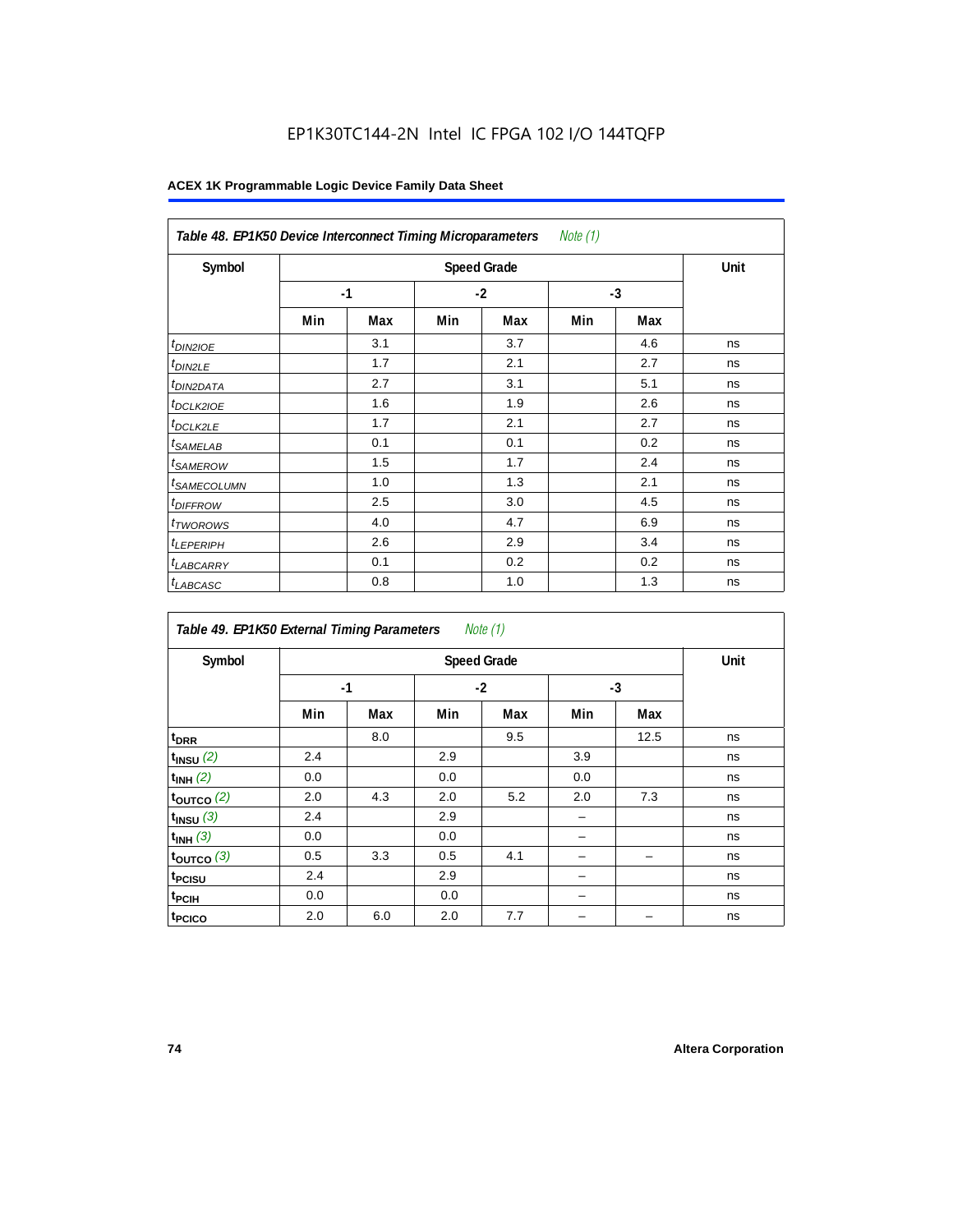## EP1K30TC144-2N Intel IC FPGA 102 I/O 144TQFP

| Table 48. EP1K50 Device Interconnect Timing Microparameters<br>Note (1) |     |      |     |                    |      |     |      |  |  |  |
|-------------------------------------------------------------------------|-----|------|-----|--------------------|------|-----|------|--|--|--|
| Symbol                                                                  |     |      |     | <b>Speed Grade</b> |      |     | Unit |  |  |  |
|                                                                         |     | $-1$ |     | $-2$               | $-3$ |     |      |  |  |  |
|                                                                         | Min | Max  | Min | Max                | Min  | Max |      |  |  |  |
| $t_{DINZIOE}$                                                           |     | 3.1  |     | 3.7                |      | 4.6 | ns   |  |  |  |
| t <sub>DIN2LE</sub>                                                     |     | 1.7  |     | 2.1                |      | 2.7 | ns   |  |  |  |
| <sup>t</sup> DIN2DATA                                                   |     | 2.7  |     | 3.1                |      | 5.1 | ns   |  |  |  |
| <sup>t</sup> DCLK2IOE                                                   |     | 1.6  |     | 1.9                |      | 2.6 | ns   |  |  |  |
| <sup>t</sup> DCLK2LE                                                    |     | 1.7  |     | 2.1                |      | 2.7 | ns   |  |  |  |
| <sup>t</sup> SAMELAB                                                    |     | 0.1  |     | 0.1                |      | 0.2 | ns   |  |  |  |
| <sup>t</sup> SAMEROW                                                    |     | 1.5  |     | 1.7                |      | 2.4 | ns   |  |  |  |
| <sup>t</sup> SAMECOLUMN                                                 |     | 1.0  |     | 1.3                |      | 2.1 | ns   |  |  |  |
| <i>t<sub>DIFFROW</sub></i>                                              |     | 2.5  |     | 3.0                |      | 4.5 | ns   |  |  |  |
| <sup>t</sup> TWOROWS                                                    |     | 4.0  |     | 4.7                |      | 6.9 | ns   |  |  |  |
| <sup>t</sup> LEPERIPH                                                   |     | 2.6  |     | 2.9                |      | 3.4 | ns   |  |  |  |
| <sup>t</sup> LABCARRY                                                   |     | 0.1  |     | 0.2                |      | 0.2 | ns   |  |  |  |
| <b>LABCASC</b>                                                          |     | 0.8  |     | 1.0                |      | 1.3 | ns   |  |  |  |

| Note $(1)$<br>Table 49. EP1K50 External Timing Parameters |     |                    |     |      |      |      |    |  |  |  |
|-----------------------------------------------------------|-----|--------------------|-----|------|------|------|----|--|--|--|
| Symbol                                                    |     | <b>Speed Grade</b> |     |      |      |      |    |  |  |  |
|                                                           |     | $-1$               |     | $-2$ | $-3$ |      |    |  |  |  |
|                                                           | Min | Max                | Min | Max  | Min  | Max  |    |  |  |  |
| t <sub>DRR</sub>                                          |     | 8.0                |     | 9.5  |      | 12.5 | ns |  |  |  |
| $t_{INSU}$ (2)                                            | 2.4 |                    | 2.9 |      | 3.9  |      | ns |  |  |  |
| $t_{INH}$ (2)                                             | 0.0 |                    | 0.0 |      | 0.0  |      | ns |  |  |  |
| $t_{OUTCO}$ (2)                                           | 2.0 | 4.3                | 2.0 | 5.2  | 2.0  | 7.3  | ns |  |  |  |
| $t_{INSU}$ (3)                                            | 2.4 |                    | 2.9 |      |      |      | ns |  |  |  |
| $t_{INH}$ (3)                                             | 0.0 |                    | 0.0 |      |      |      | ns |  |  |  |
| $t_{OUTCO}$ (3)                                           | 0.5 | 3.3                | 0.5 | 4.1  |      |      | ns |  |  |  |
| t <sub>PCISU</sub>                                        | 2.4 |                    | 2.9 |      |      |      | ns |  |  |  |
| t <sub>PCIH</sub>                                         | 0.0 |                    | 0.0 |      |      |      | ns |  |  |  |
| t <sub>PCICO</sub>                                        | 2.0 | 6.0                | 2.0 | 7.7  |      |      | ns |  |  |  |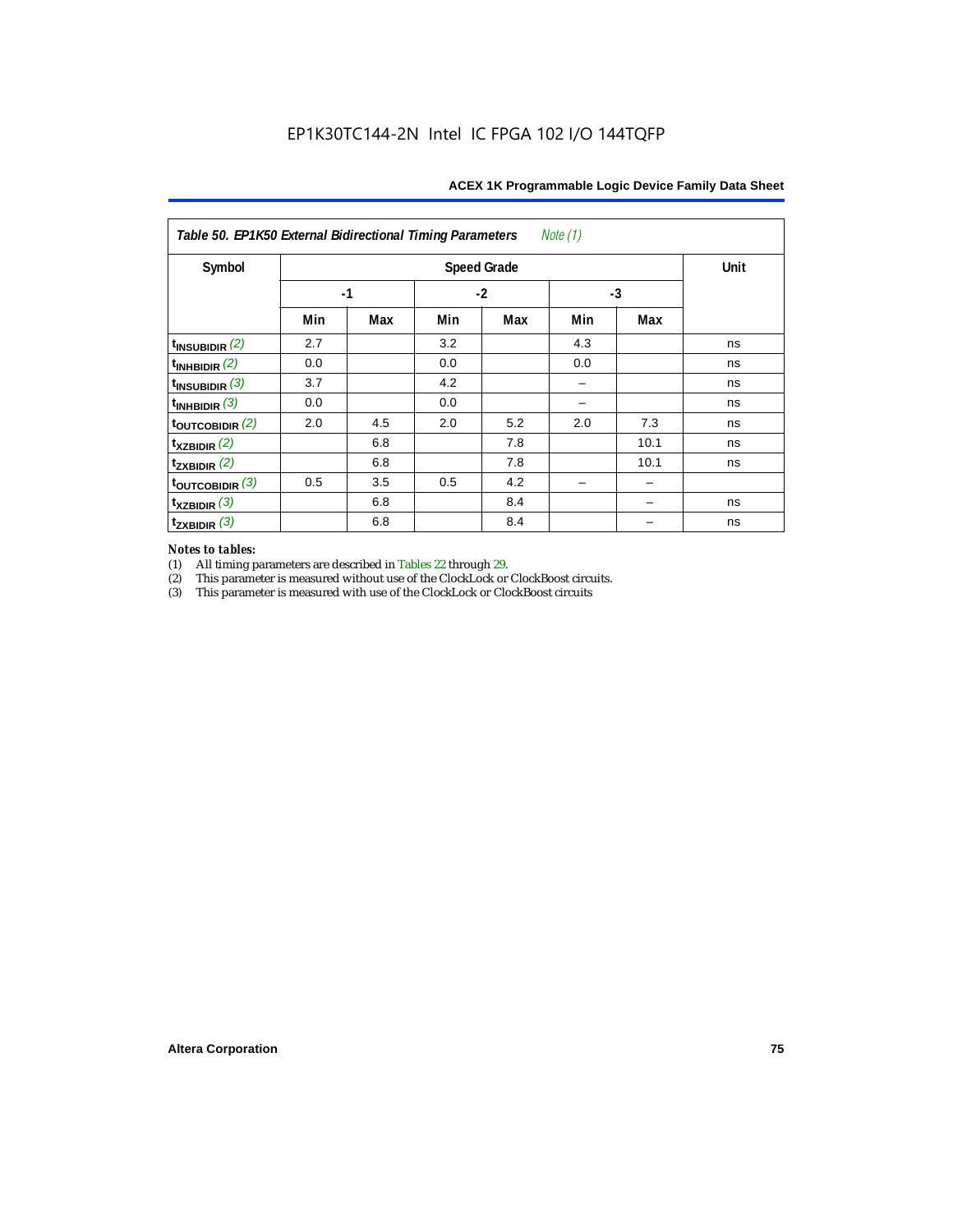| Table 50. EP1K50 External Bidirectional Timing Parameters<br>Note $(1)$ |      |      |     |      |      |      |    |  |  |  |
|-------------------------------------------------------------------------|------|------|-----|------|------|------|----|--|--|--|
| Symbol                                                                  |      | Unit |     |      |      |      |    |  |  |  |
|                                                                         | $-1$ |      |     | $-2$ | $-3$ |      |    |  |  |  |
|                                                                         | Min  | Max  | Min | Max  | Min  | Max  |    |  |  |  |
| $t_{INSUBIDIR}$ (2)                                                     | 2.7  |      | 3.2 |      | 4.3  |      | ns |  |  |  |
| $t_{INHBIDIR}$ (2)                                                      | 0.0  |      | 0.0 |      | 0.0  |      | ns |  |  |  |
| $t_{INSUBIDIR}$ (3)                                                     | 3.7  |      | 4.2 |      |      |      | ns |  |  |  |
| $t_{INHBIDIR}$ (3)                                                      | 0.0  |      | 0.0 |      |      |      | ns |  |  |  |
| toutcobidir $(2)$                                                       | 2.0  | 4.5  | 2.0 | 5.2  | 2.0  | 7.3  | ns |  |  |  |
| $t_{XZBIDIR}$ (2)                                                       |      | 6.8  |     | 7.8  |      | 10.1 | ns |  |  |  |
| $t_{ZXBIDIR}$ (2)                                                       |      | 6.8  |     | 7.8  |      | 10.1 | ns |  |  |  |
| $t_{\text{OUTCOBIDIR}}$ (3)                                             | 0.5  | 3.5  | 0.5 | 4.2  |      |      |    |  |  |  |
| $t_{XZBIDIR}$ (3)                                                       |      | 6.8  |     | 8.4  |      |      | ns |  |  |  |
| $t_{ZXBIDIR}$ (3)                                                       |      | 6.8  |     | 8.4  |      |      | ns |  |  |  |

# *Notes to tables:*

(1) All timing parameters are described in Tables 22 through 29.<br>
(2) This parameter is measured without use of the ClockLock or

(2) This parameter is measured without use of the ClockLock or ClockBoost circuits.<br>
(3) This parameter is measured with use of the ClockLock or ClockBoost circuits

This parameter is measured with use of the ClockLock or ClockBoost circuits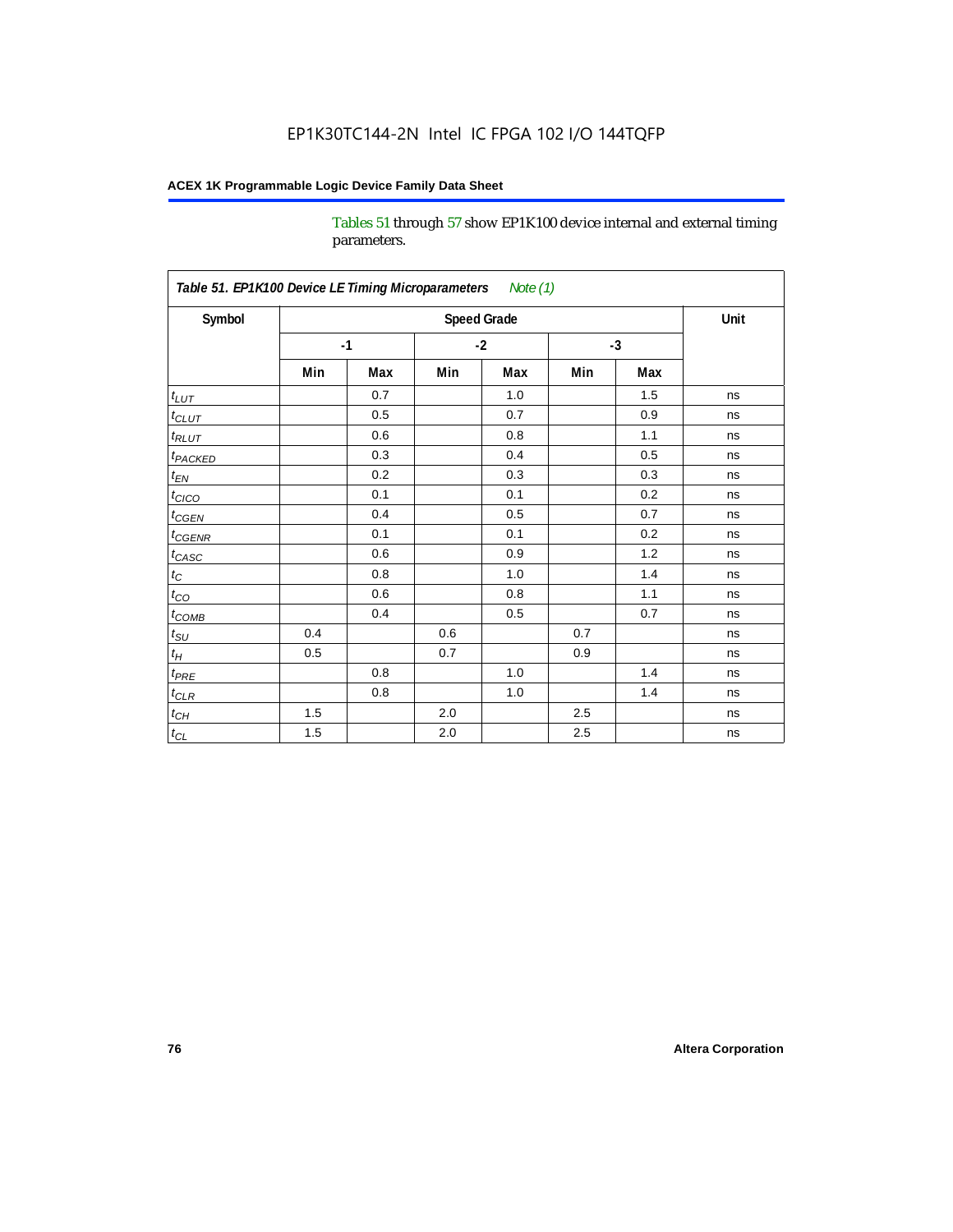Tables 51 through 57 show EP1K100 device internal and external timing parameters.

| Symbol                     |     | <b>Speed Grade</b> |         |      |     |      |    |  |  |  |
|----------------------------|-----|--------------------|---------|------|-----|------|----|--|--|--|
|                            |     | $-1$               |         | $-2$ |     | $-3$ |    |  |  |  |
|                            | Min | Max                | Min     | Max  | Min | Max  |    |  |  |  |
| $t_{LUT}$                  |     | 0.7                |         | 1.0  |     | 1.5  | ns |  |  |  |
| $t_{CLUT}$                 |     | 0.5                |         | 0.7  |     | 0.9  | ns |  |  |  |
| $t_{RLUT}$                 |     | 0.6                |         | 0.8  |     | 1.1  | ns |  |  |  |
| <b>t</b> <sub>PACKED</sub> |     | 0.3                |         | 0.4  |     | 0.5  | ns |  |  |  |
| $t_{EN}$                   |     | 0.2                |         | 0.3  |     | 0.3  | ns |  |  |  |
| $t_{CICO}$                 |     | 0.1                |         | 0.1  |     | 0.2  | ns |  |  |  |
| $t_{\text{CGEN}}$          |     | 0.4                |         | 0.5  |     | 0.7  | ns |  |  |  |
| $t_{GENR}$                 |     | 0.1                |         | 0.1  |     | 0.2  | ns |  |  |  |
| $t_{CASC}$                 |     | 0.6                |         | 0.9  |     | 1.2  | ns |  |  |  |
| $t_C$                      |     | 0.8                |         | 1.0  |     | 1.4  | ns |  |  |  |
| $t_{\rm CO}$               |     | 0.6                |         | 0.8  |     | 1.1  | ns |  |  |  |
| $t$ <sub>COMB</sub>        |     | 0.4                |         | 0.5  |     | 0.7  | ns |  |  |  |
| $t_{\rm SU}$               | 0.4 |                    | 0.6     |      | 0.7 |      | ns |  |  |  |
| $t_H\,$                    | 0.5 |                    | 0.7     |      | 0.9 |      | ns |  |  |  |
| $t_{PRE}$                  |     | 0.8                |         | 1.0  |     | 1.4  | ns |  |  |  |
| $t_{CLR}$                  |     | 0.8                |         | 1.0  |     | 1.4  | ns |  |  |  |
| $t_{CH}$                   | 1.5 |                    | 2.0     |      | 2.5 |      | ns |  |  |  |
| $t_{CL}$                   | 1.5 |                    | $2.0\,$ |      | 2.5 |      | ns |  |  |  |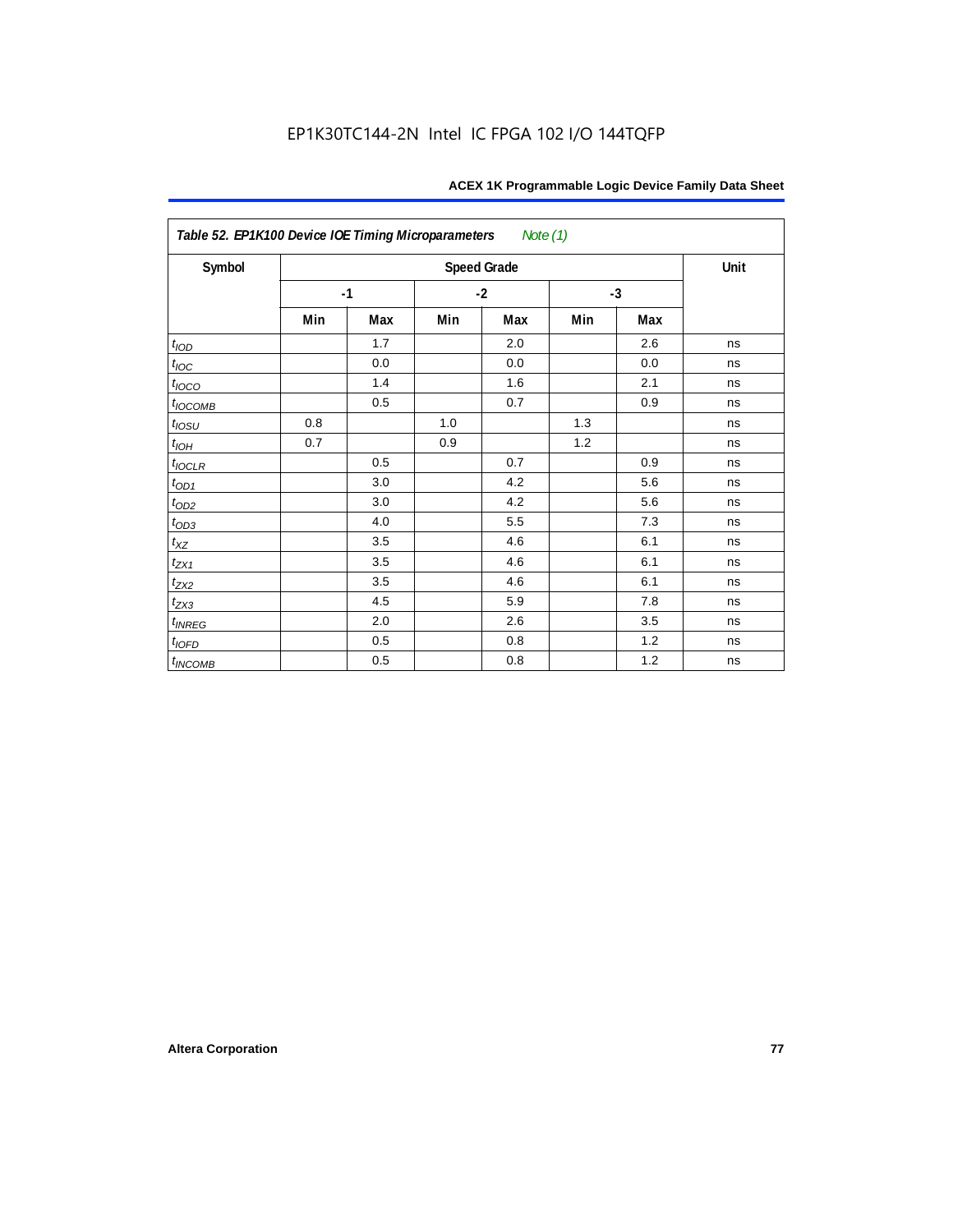| Table 52. EP1K100 Device IOE Timing Microparameters<br>Note (1) |     |      |      |                    |      |     |      |  |  |  |
|-----------------------------------------------------------------|-----|------|------|--------------------|------|-----|------|--|--|--|
| Symbol                                                          |     |      |      | <b>Speed Grade</b> |      |     | Unit |  |  |  |
|                                                                 |     | $-1$ | $-2$ |                    | $-3$ |     |      |  |  |  |
|                                                                 | Min | Max  | Min  | Max                | Min  | Max |      |  |  |  |
| t <sub>IOD</sub>                                                |     | 1.7  |      | 2.0                |      | 2.6 | ns   |  |  |  |
| $t_{\text{IOC}}$                                                |     | 0.0  |      | 0.0                |      | 0.0 | ns   |  |  |  |
| $t_{IOCO}$                                                      |     | 1.4  |      | 1.6                |      | 2.1 | ns   |  |  |  |
| $t_{IOCOMB}$                                                    |     | 0.5  |      | 0.7                |      | 0.9 | ns   |  |  |  |
| $t_{IOSU}$                                                      | 0.8 |      | 1.0  |                    | 1.3  |     | ns   |  |  |  |
| $t_{IOH}$                                                       | 0.7 |      | 0.9  |                    | 1.2  |     | ns   |  |  |  |
| $t_{IOCLR}$                                                     |     | 0.5  |      | 0.7                |      | 0.9 | ns   |  |  |  |
| $t_{OD1}$                                                       |     | 3.0  |      | 4.2                |      | 5.6 | ns   |  |  |  |
| $t_{OD2}$                                                       |     | 3.0  |      | 4.2                |      | 5.6 | ns   |  |  |  |
| $t_{OD3}$                                                       |     | 4.0  |      | 5.5                |      | 7.3 | ns   |  |  |  |
| $t_{XZ}$                                                        |     | 3.5  |      | 4.6                |      | 6.1 | ns   |  |  |  |
| $t_{ZX1}$                                                       |     | 3.5  |      | 4.6                |      | 6.1 | ns   |  |  |  |
| $t_{ZX2}$                                                       |     | 3.5  |      | 4.6                |      | 6.1 | ns   |  |  |  |
| $t_{ZX3}$                                                       |     | 4.5  |      | 5.9                |      | 7.8 | ns   |  |  |  |
| $t_{INREG}$                                                     |     | 2.0  |      | 2.6                |      | 3.5 | ns   |  |  |  |
| $t_{IOFD}$                                                      |     | 0.5  |      | 0.8                |      | 1.2 | ns   |  |  |  |
| $t_{INCOMB}$                                                    |     | 0.5  |      | 0.8                |      | 1.2 | ns   |  |  |  |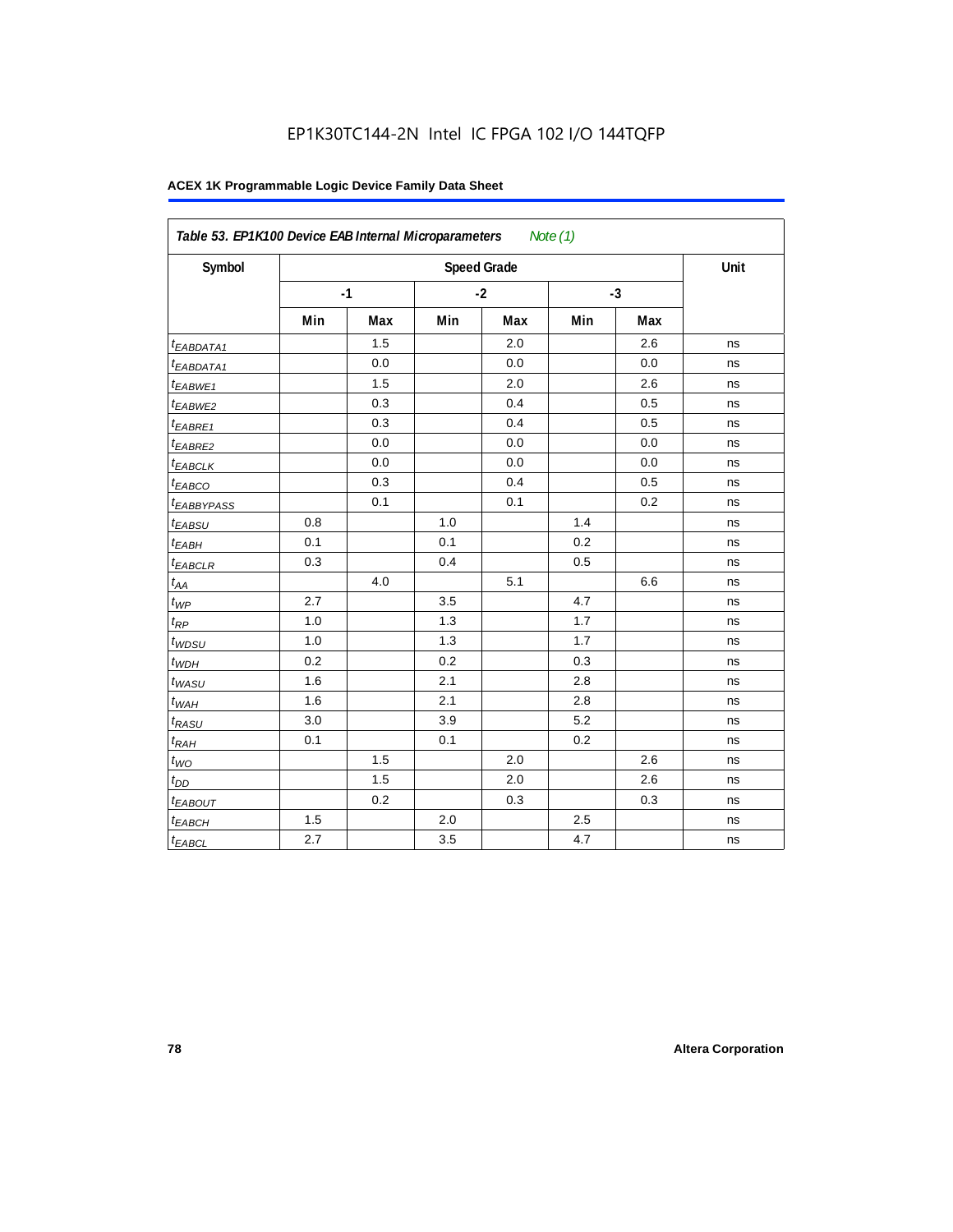| Symbol                  |     |      |     | <b>Speed Grade</b> |     |      | Unit |
|-------------------------|-----|------|-----|--------------------|-----|------|------|
|                         |     | $-1$ |     | $-2$               |     | $-3$ |      |
|                         | Min | Max  | Min | Max                | Min | Max  |      |
| <sup>t</sup> EABDATA1   |     | 1.5  |     | 2.0                |     | 2.6  | ns   |
| <sup>t</sup> EABDATA1   |     | 0.0  |     | 0.0                |     | 0.0  | ns   |
| t <sub>EABWE1</sub>     |     | 1.5  |     | 2.0                |     | 2.6  | ns   |
| <sup>t</sup> EABWE2     |     | 0.3  |     | 0.4                |     | 0.5  | ns   |
| <sup>t</sup> EABRE1     |     | 0.3  |     | 0.4                |     | 0.5  | ns   |
| <sup>t</sup> EABRE2     |     | 0.0  |     | 0.0                |     | 0.0  | ns   |
| <sup>t</sup> EABCLK     |     | 0.0  |     | 0.0                |     | 0.0  | ns   |
| t <sub>EABCO</sub>      |     | 0.3  |     | 0.4                |     | 0.5  | ns   |
| <i><b>EABBYPASS</b></i> |     | 0.1  |     | 0.1                |     | 0.2  | ns   |
| t <sub>EABSU</sub>      | 0.8 |      | 1.0 |                    | 1.4 |      | ns   |
| t <sub>EABH</sub>       | 0.1 |      | 0.1 |                    | 0.2 |      | ns   |
| <sup>t</sup> EABCLR     | 0.3 |      | 0.4 |                    | 0.5 |      | ns   |
| $t_{AA}$                |     | 4.0  |     | 5.1                |     | 6.6  | ns   |
| $t_{\mathit{WP}}$       | 2.7 |      | 3.5 |                    | 4.7 |      | ns   |
| $t_{RP}$                | 1.0 |      | 1.3 |                    | 1.7 |      | ns   |
| $t_{WDSU}$              | 1.0 |      | 1.3 |                    | 1.7 |      | ns   |
| $t_{WDH}$               | 0.2 |      | 0.2 |                    | 0.3 |      | ns   |
| $t_{WASU}$              | 1.6 |      | 2.1 |                    | 2.8 |      | ns   |
| $t_{WAH}$               | 1.6 |      | 2.1 |                    | 2.8 |      | ns   |
| t <sub>RASU</sub>       | 3.0 |      | 3.9 |                    | 5.2 |      | ns   |
| $t_{RAH}$               | 0.1 |      | 0.1 |                    | 0.2 |      | ns   |
| $t_{WO}$                |     | 1.5  |     | 2.0                |     | 2.6  | ns   |
| $t_{DD}$                |     | 1.5  |     | 2.0                |     | 2.6  | ns   |
| t <sub>EABOUT</sub>     |     | 0.2  |     | 0.3                |     | 0.3  | ns   |
| t <sub>EABCH</sub>      | 1.5 |      | 2.0 |                    | 2.5 |      | ns   |
| $t_{EABCL}$             | 2.7 |      | 3.5 |                    | 4.7 |      | ns   |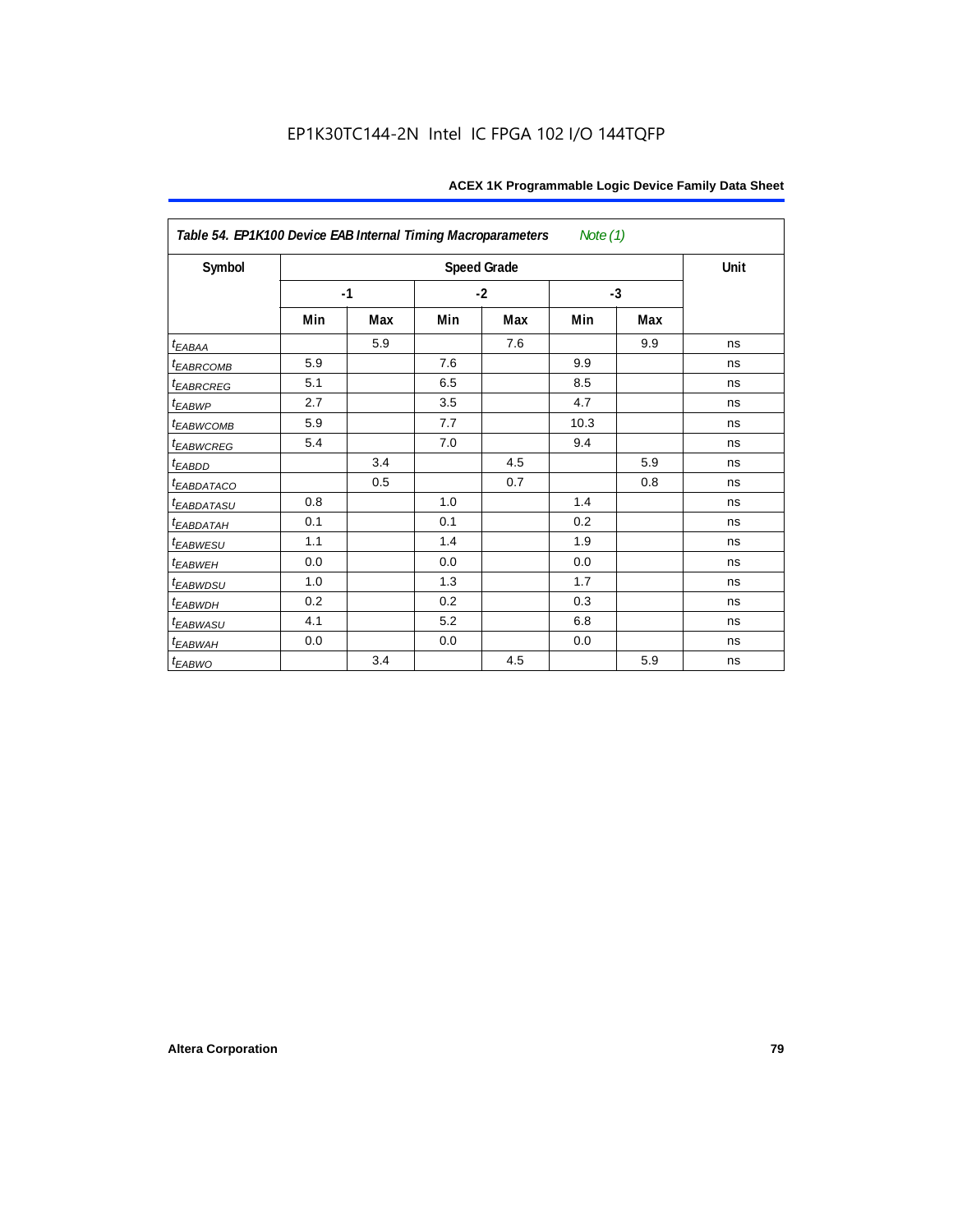| Table 54. EP1K100 Device EAB Internal Timing Macroparameters<br>Note $(1)$ |      |     |      |                    |      |      |      |  |  |  |
|----------------------------------------------------------------------------|------|-----|------|--------------------|------|------|------|--|--|--|
| Symbol                                                                     |      |     |      | <b>Speed Grade</b> |      |      | Unit |  |  |  |
|                                                                            | $-1$ |     | $-2$ |                    |      | $-3$ |      |  |  |  |
|                                                                            | Min  | Max | Min  | Max                | Min  | Max  |      |  |  |  |
| $t_{EABA}$                                                                 |      | 5.9 |      | 7.6                |      | 9.9  | ns   |  |  |  |
| <sup>t</sup> EABRCOMB                                                      | 5.9  |     | 7.6  |                    | 9.9  |      | ns   |  |  |  |
| <b><i>EABRCREG</i></b>                                                     | 5.1  |     | 6.5  |                    | 8.5  |      | ns   |  |  |  |
| $t_{EABWP}$                                                                | 2.7  |     | 3.5  |                    | 4.7  |      | ns   |  |  |  |
| t <sub>EABWCOMB</sub>                                                      | 5.9  |     | 7.7  |                    | 10.3 |      | ns   |  |  |  |
| <i>EABWCREG</i>                                                            | 5.4  |     | 7.0  |                    | 9.4  |      | ns   |  |  |  |
| $t_{EABDD}$                                                                |      | 3.4 |      | 4.5                |      | 5.9  | ns   |  |  |  |
| t <sub>eabdataco</sub>                                                     |      | 0.5 |      | 0.7                |      | 0.8  | ns   |  |  |  |
| <i><b>EABDATASU</b></i>                                                    | 0.8  |     | 1.0  |                    | 1.4  |      | ns   |  |  |  |
| t <sub>EABDATAH</sub>                                                      | 0.1  |     | 0.1  |                    | 0.2  |      | ns   |  |  |  |
| t <sub>EABWESU</sub>                                                       | 1.1  |     | 1.4  |                    | 1.9  |      | ns   |  |  |  |
| t <sub>EABWEH</sub>                                                        | 0.0  |     | 0.0  |                    | 0.0  |      | ns   |  |  |  |
| <sup>t</sup> EABWDSU                                                       | 1.0  |     | 1.3  |                    | 1.7  |      | ns   |  |  |  |
| <sup>t</sup> EABWDH                                                        | 0.2  |     | 0.2  |                    | 0.3  |      | ns   |  |  |  |
| <sup>t</sup> EABWASU                                                       | 4.1  |     | 5.2  |                    | 6.8  |      | ns   |  |  |  |
| t <sub>ЕАВWАН</sub>                                                        | 0.0  |     | 0.0  |                    | 0.0  |      | ns   |  |  |  |
| t <sub>EABWO</sub>                                                         |      | 3.4 |      | 4.5                |      | 5.9  | ns   |  |  |  |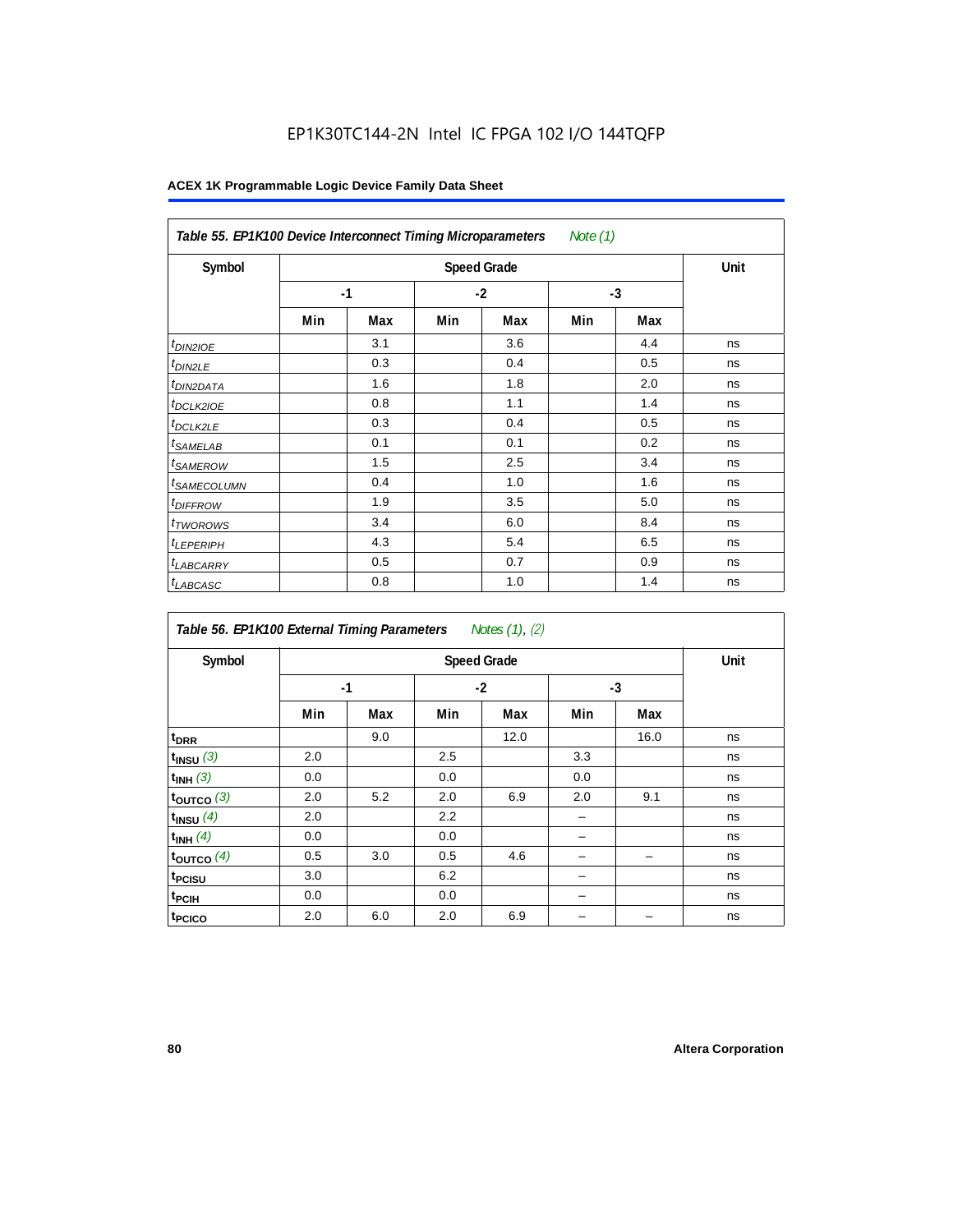## EP1K30TC144-2N Intel IC FPGA 102 I/O 144TQFP

| Table 55. EP1K100 Device Interconnect Timing Microparameters<br>Note (1) |     |                    |     |      |      |     |    |  |  |  |
|--------------------------------------------------------------------------|-----|--------------------|-----|------|------|-----|----|--|--|--|
| Symbol                                                                   |     | <b>Speed Grade</b> |     |      |      |     |    |  |  |  |
|                                                                          |     | $-1$               |     | $-2$ | $-3$ |     |    |  |  |  |
|                                                                          | Min | Max                | Min | Max  | Min  | Max |    |  |  |  |
| <i>t<sub>DIN2IOE</sub></i>                                               |     | 3.1                |     | 3.6  |      | 4.4 | ns |  |  |  |
| <sup>t</sup> DIN2LE                                                      |     | 0.3                |     | 0.4  |      | 0.5 | ns |  |  |  |
| <sup>t</sup> DIN2DATA                                                    |     | 1.6                |     | 1.8  |      | 2.0 | ns |  |  |  |
| <sup>t</sup> DCLK2IOE                                                    |     | 0.8                |     | 1.1  |      | 1.4 | ns |  |  |  |
| <sup>t</sup> DCLK2LE                                                     |     | 0.3                |     | 0.4  |      | 0.5 | ns |  |  |  |
| <sup>t</sup> SAMELAB                                                     |     | 0.1                |     | 0.1  |      | 0.2 | ns |  |  |  |
| <sup>t</sup> SAMEROW                                                     |     | 1.5                |     | 2.5  |      | 3.4 | ns |  |  |  |
| <sup>t</sup> SAMECOLUMN                                                  |     | 0.4                |     | 1.0  |      | 1.6 | ns |  |  |  |
| <i>t<sub>DIFFROW</sub></i>                                               |     | 1.9                |     | 3.5  |      | 5.0 | ns |  |  |  |
| <sup>t</sup> TWOROWS                                                     |     | 3.4                |     | 6.0  |      | 8.4 | ns |  |  |  |
| <sup>t</sup> LEPERIPH                                                    |     | 4.3                |     | 5.4  |      | 6.5 | ns |  |  |  |
| <sup>t</sup> LABCARRY                                                    |     | 0.5                |     | 0.7  |      | 0.9 | ns |  |  |  |
| <sup>t</sup> LABCASC                                                     |     | 0.8                |     | 1.0  |      | 1.4 | ns |  |  |  |

| Table 56. EP1K100 External Timing Parameters Notes (1), (2) |                    |     |     |      |     |      |    |  |  |  |
|-------------------------------------------------------------|--------------------|-----|-----|------|-----|------|----|--|--|--|
| Symbol                                                      | <b>Speed Grade</b> |     |     |      |     |      |    |  |  |  |
|                                                             | $-1$               |     |     | $-2$ |     | $-3$ |    |  |  |  |
|                                                             | Min                | Max | Min | Max  | Min | Max  |    |  |  |  |
| t <sub>DRR</sub>                                            |                    | 9.0 |     | 12.0 |     | 16.0 | ns |  |  |  |
| $t_{INSU}$ (3)                                              | 2.0                |     | 2.5 |      | 3.3 |      | ns |  |  |  |
| $t_{INH}$ (3)                                               | 0.0                |     | 0.0 |      | 0.0 |      | ns |  |  |  |
| $t_{OUTCO}$ (3)                                             | 2.0                | 5.2 | 2.0 | 6.9  | 2.0 | 9.1  | ns |  |  |  |
| $t_{INSU}$ (4)                                              | 2.0                |     | 2.2 |      |     |      | ns |  |  |  |
| $t_{INH}$ (4)                                               | 0.0                |     | 0.0 |      |     |      | ns |  |  |  |
| toutco $(4)$                                                | 0.5                | 3.0 | 0.5 | 4.6  |     |      | ns |  |  |  |
| t <sub>PCISU</sub>                                          | 3.0                |     | 6.2 |      |     |      | ns |  |  |  |
| <sup>t</sup> PCIH                                           | 0.0                |     | 0.0 |      | -   |      | ns |  |  |  |
| t <sub>PCICO</sub>                                          | 2.0                | 6.0 | 2.0 | 6.9  |     |      | ns |  |  |  |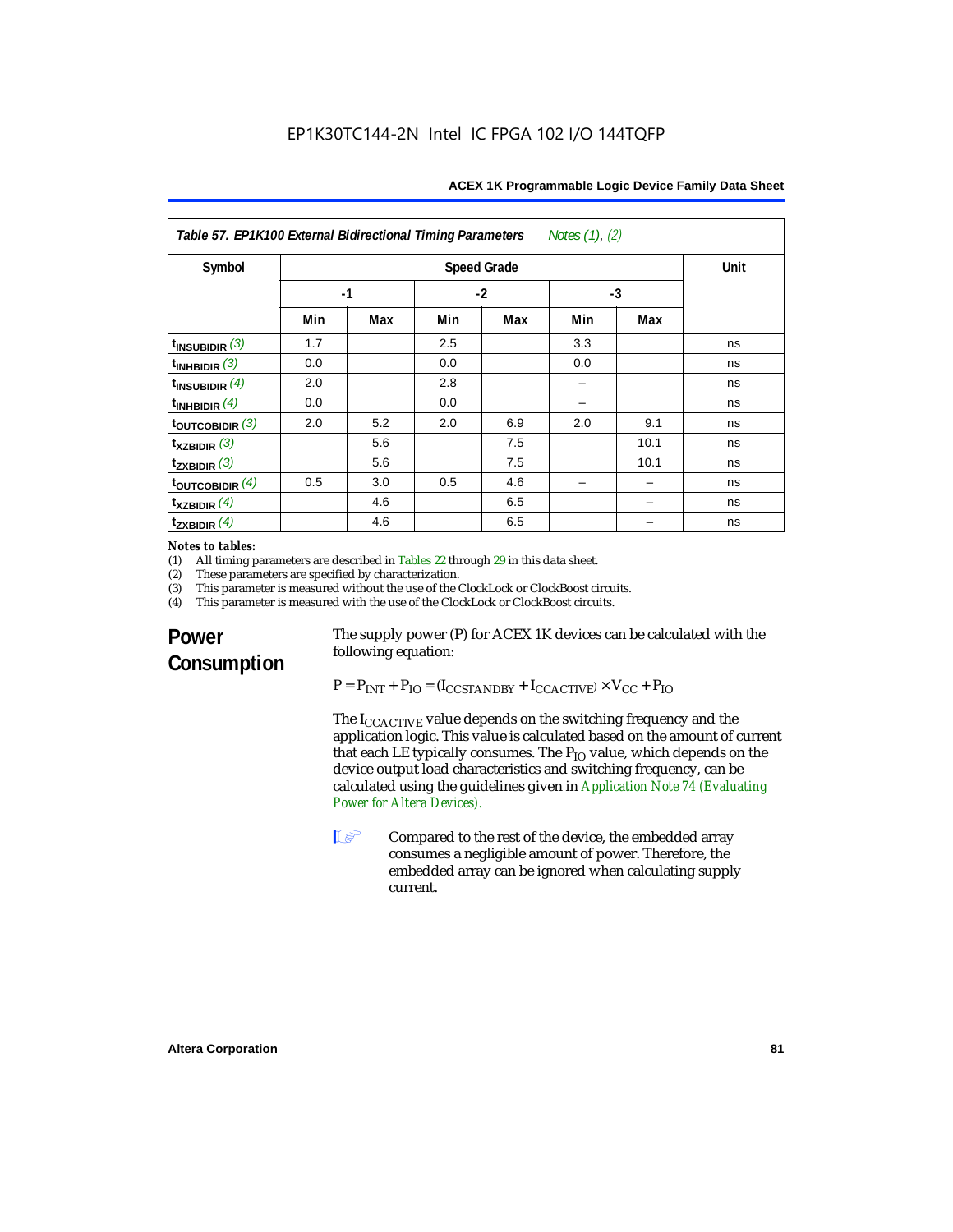|  | ACEX 1K Programmable Logic Device Family Data Sheet |  |  |  |
|--|-----------------------------------------------------|--|--|--|
|  |                                                     |  |  |  |
|  |                                                     |  |  |  |

| Table 57. EP1K100 External Bidirectional Timing Parameters<br>Notes $(1)$ , $(2)$ |                    |     |      |     |      |      |    |
|-----------------------------------------------------------------------------------|--------------------|-----|------|-----|------|------|----|
| Symbol                                                                            | <b>Speed Grade</b> |     |      |     | Unit |      |    |
|                                                                                   | $-1$               |     | $-2$ |     | $-3$ |      |    |
|                                                                                   | Min                | Max | Min  | Max | Min  | Max  |    |
| $t_{INSUBIDIR}$ (3)                                                               | 1.7                |     | 2.5  |     | 3.3  |      | ns |
| $t_{INHBIDIR}$ (3)                                                                | 0.0                |     | 0.0  |     | 0.0  |      | ns |
| $t_{INSUBIDIR}(4)$                                                                | 2.0                |     | 2.8  |     |      |      | ns |
| $t_{INHBIDIR}$ (4)                                                                | 0.0                |     | 0.0  |     |      |      | ns |
| $t_{\text{OUTCOBIDIR}}$ (3)                                                       | 2.0                | 5.2 | 2.0  | 6.9 | 2.0  | 9.1  | ns |
| $\mathbf{t}_{\text{XZBIDIR}}$ (3)                                                 |                    | 5.6 |      | 7.5 |      | 10.1 | ns |
| $t_{ZXBIDIR}$ (3)                                                                 |                    | 5.6 |      | 7.5 |      | 10.1 | ns |
| $t_{\text{OUTCOBIDIR}}$ (4)                                                       | 0.5                | 3.0 | 0.5  | 4.6 |      |      | ns |
| $t_{XZBIDIR}$ (4)                                                                 |                    | 4.6 |      | 6.5 |      |      | ns |
| $t_{ZXBIDIR}$ (4)                                                                 |                    | 4.6 |      | 6.5 |      |      | ns |

## *Notes to tables:*<br>(1) All timing p

(1) All timing parameters are described in Tables 22 through  $29$  in this data sheet.<br>(2) These parameters are specified by characterization.

(2) These parameters are specified by characterization.<br>(3) This parameter is measured without the use of the C

(3) This parameter is measured without the use of the ClockLock or ClockBoost circuits.<br>(4) This parameter is measured with the use of the ClockLock or ClockBoost circuits.

This parameter is measured with the use of the ClockLock or ClockBoost circuits.

## **Power Consumption**

The supply power (P) for ACEX 1K devices can be calculated with the following equation:

 $P = P_{INT} + P_{IO} = (I_{CCSTANDBY} + I_{CCACTIVE}) \times V_{CC} + P_{IO}$ 

The I<sub>CCACTIVE</sub> value depends on the switching frequency and the application logic. This value is calculated based on the amount of current that each LE typically consumes. The  $P_{IO}$  value, which depends on the device output load characteristics and switching frequency, can be calculated using the guidelines given in *Application Note 74 (Evaluating Power for Altera Devices)*.

**1 Compared to the rest of the device, the embedded array** consumes a negligible amount of power. Therefore, the embedded array can be ignored when calculating supply current.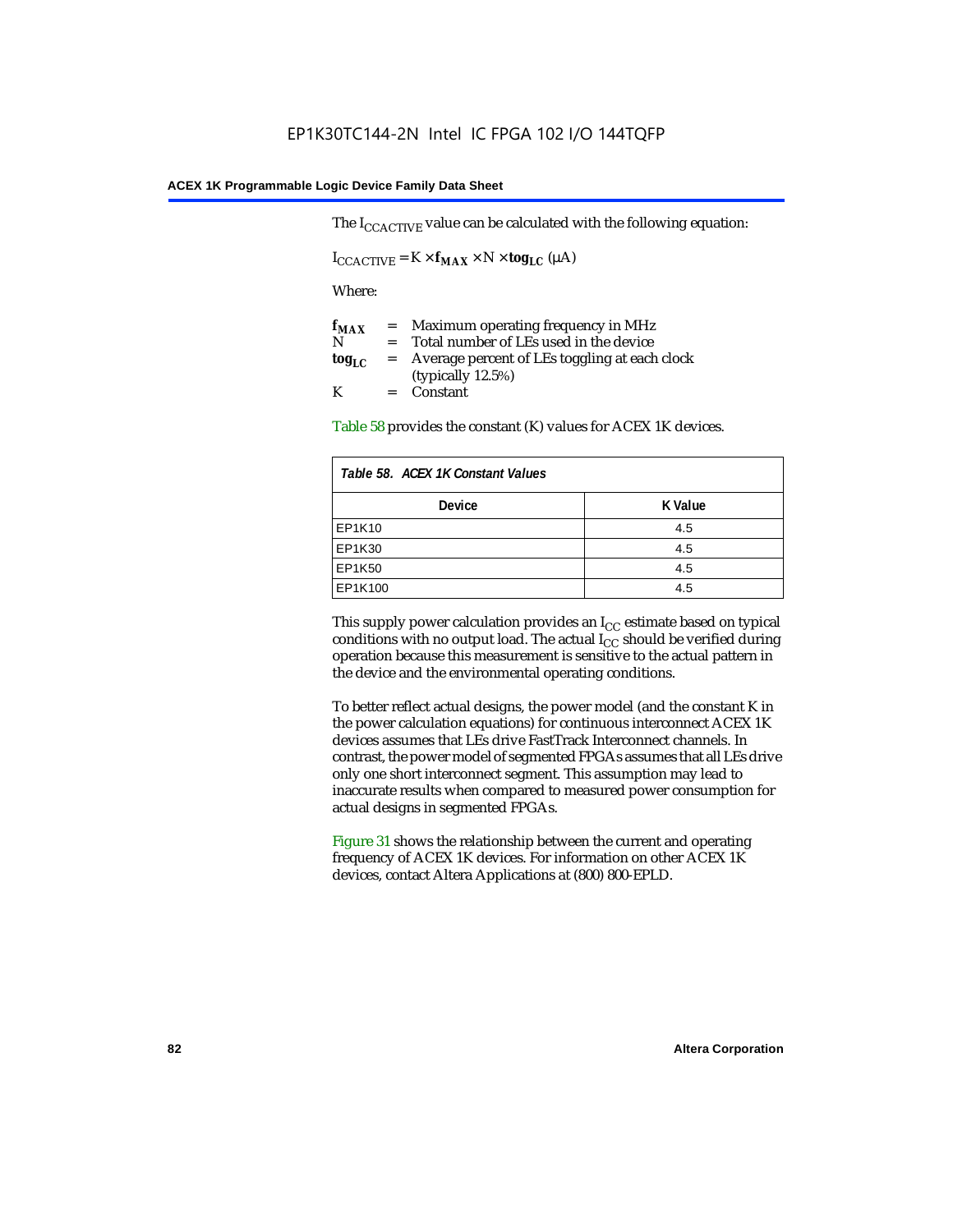The  $I_{CCACTIVE}$  value can be calculated with the following equation:

 $I_{\text{CCACTIVE}} = K \times f_{\text{MAX}} \times N \times \text{tog}_{\text{LC}} (\mu A)$ 

Where:

| $f_{MAX}$  | $=$     | Maximum operating frequency in MHz            |
|------------|---------|-----------------------------------------------|
| N          | $=$ $-$ | Total number of LEs used in the device        |
| $log_{LC}$ | $=$     | Average percent of LEs toggling at each clock |
|            |         | (typically $12.5\%$ )                         |
| K          |         | $=$ Constant                                  |

Table 58 provides the constant (K) values for ACEX 1K devices.

| Table 58. ACEX 1K Constant Values |         |  |
|-----------------------------------|---------|--|
| <b>Device</b>                     | K Value |  |
| EP1K10                            | 4.5     |  |
| EP1K30                            | 4.5     |  |
| EP1K50                            | 4.5     |  |
| EP1K100                           | 4.5     |  |

This supply power calculation provides an  $I_{CC}$  estimate based on typical conditions with no output load. The actual  $I_{CC}$  should be verified during operation because this measurement is sensitive to the actual pattern in the device and the environmental operating conditions.

To better reflect actual designs, the power model (and the constant K in the power calculation equations) for continuous interconnect ACEX 1K devices assumes that LEs drive FastTrack Interconnect channels. In contrast, the power model of segmented FPGAs assumes that all LEs drive only one short interconnect segment. This assumption may lead to inaccurate results when compared to measured power consumption for actual designs in segmented FPGAs.

Figure 31 shows the relationship between the current and operating frequency of ACEX 1K devices. For information on other ACEX 1K devices, contact Altera Applications at (800) 800-EPLD.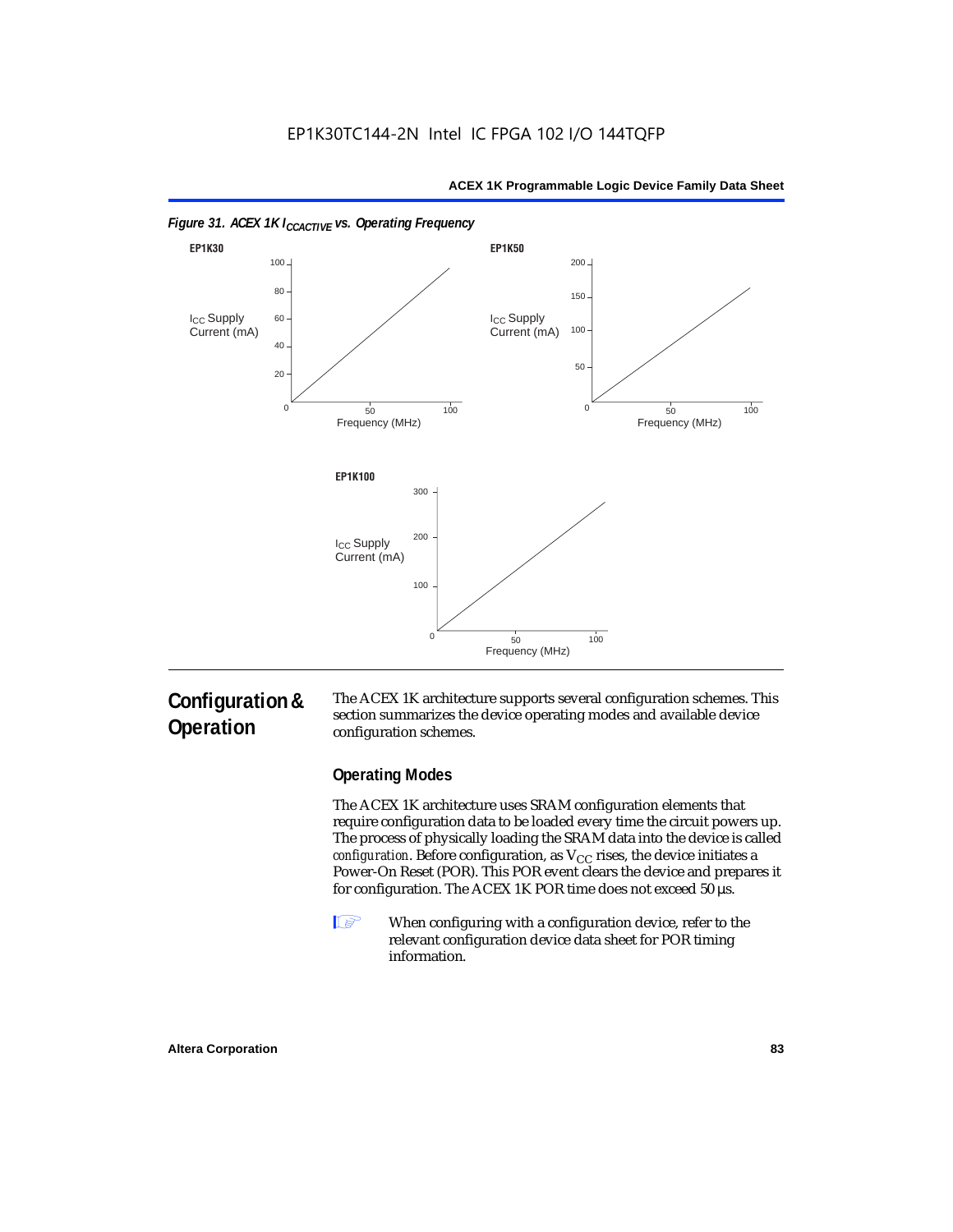

## **Configuration & Operation**

The ACEX 1K architecture supports several configuration schemes. This section summarizes the device operating modes and available device configuration schemes.

### **Operating Modes**

The ACEX 1K architecture uses SRAM configuration elements that require configuration data to be loaded every time the circuit powers up. The process of physically loading the SRAM data into the device is called *configuration*. Before configuration, as  $V_{CC}$  rises, the device initiates a Power-On Reset (POR). This POR event clears the device and prepares it for configuration. The ACEX 1K POR time does not exceed 50 µs.

**1** When configuring with a configuration device, refer to the relevant configuration device data sheet for POR timing information.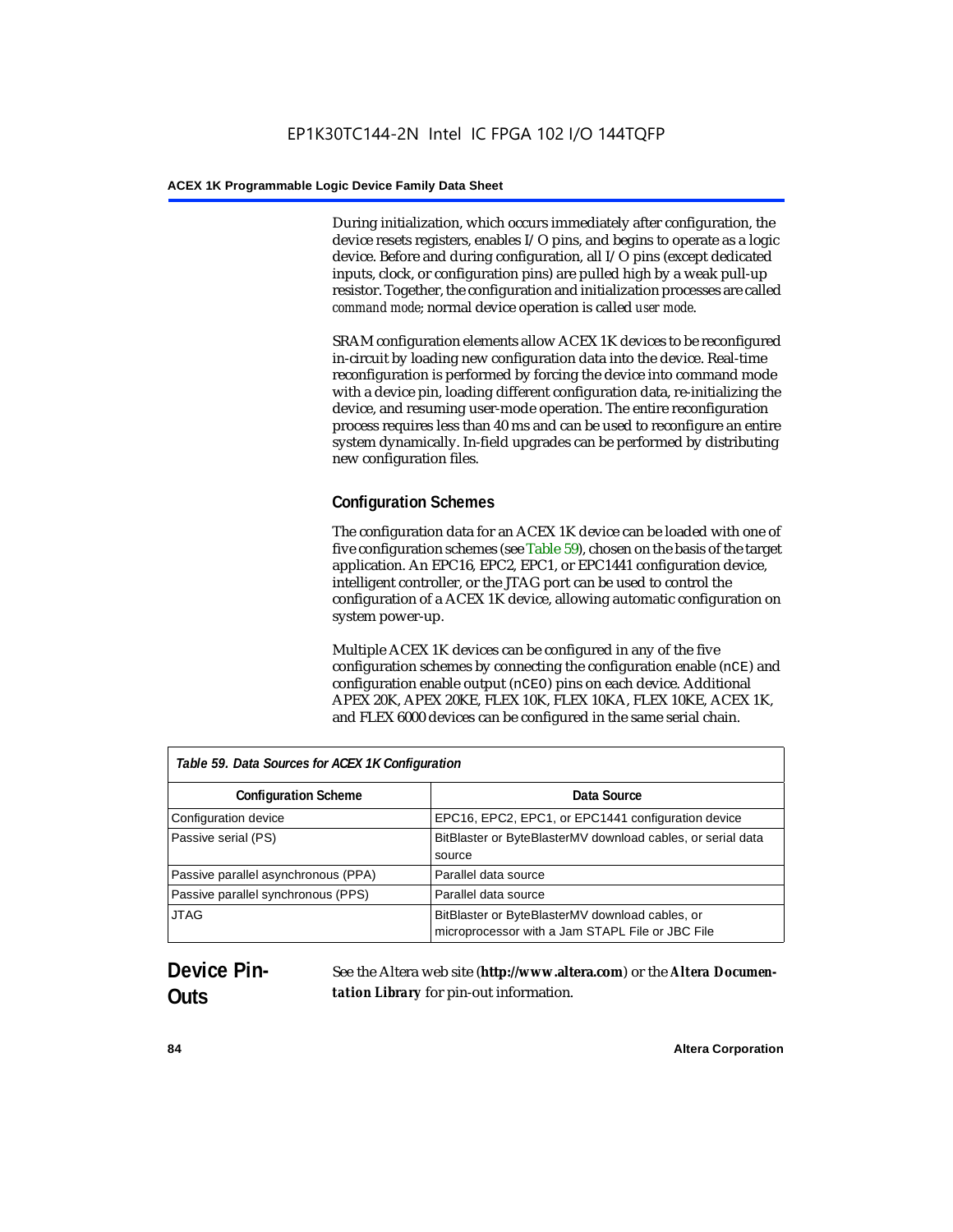During initialization, which occurs immediately after configuration, the device resets registers, enables I/O pins, and begins to operate as a logic device. Before and during configuration, all I/O pins (except dedicated inputs, clock, or configuration pins) are pulled high by a weak pull-up resistor. Together, the configuration and initialization processes are called *command mode*; normal device operation is called *user mode*.

SRAM configuration elements allow ACEX 1K devices to be reconfigured in-circuit by loading new configuration data into the device. Real-time reconfiguration is performed by forcing the device into command mode with a device pin, loading different configuration data, re-initializing the device, and resuming user-mode operation. The entire reconfiguration process requires less than 40 ms and can be used to reconfigure an entire system dynamically. In-field upgrades can be performed by distributing new configuration files.

## **Configuration Schemes**

The configuration data for an ACEX 1K device can be loaded with one of five configuration schemes (see Table 59), chosen on the basis of the target application. An EPC16, EPC2, EPC1, or EPC1441 configuration device, intelligent controller, or the JTAG port can be used to control the configuration of a ACEX 1K device, allowing automatic configuration on system power-up.

Multiple ACEX 1K devices can be configured in any of the five configuration schemes by connecting the configuration enable (nCE) and configuration enable output (nCEO) pins on each device. Additional APEX 20K, APEX 20KE, FLEX 10K, FLEX 10KA, FLEX 10KE, ACEX 1K, and FLEX 6000 devices can be configured in the same serial chain.

| Table 59. Data Sources for ACEX 1K Configuration |                                                                                                     |  |  |
|--------------------------------------------------|-----------------------------------------------------------------------------------------------------|--|--|
| <b>Configuration Scheme</b>                      | Data Source                                                                                         |  |  |
| Configuration device                             | EPC16, EPC2, EPC1, or EPC1441 configuration device                                                  |  |  |
| Passive serial (PS)                              | BitBlaster or ByteBlasterMV download cables, or serial data<br>source                               |  |  |
| Passive parallel asynchronous (PPA)              | Parallel data source                                                                                |  |  |
| Passive parallel synchronous (PPS)               | Parallel data source                                                                                |  |  |
| <b>JTAG</b>                                      | BitBlaster or ByteBlasterMV download cables, or<br>microprocessor with a Jam STAPL File or JBC File |  |  |

## **Device Pin-Outs**

See the Altera web site (**http://www.altera.com**) or the *Altera Documentation Library* for pin-out information.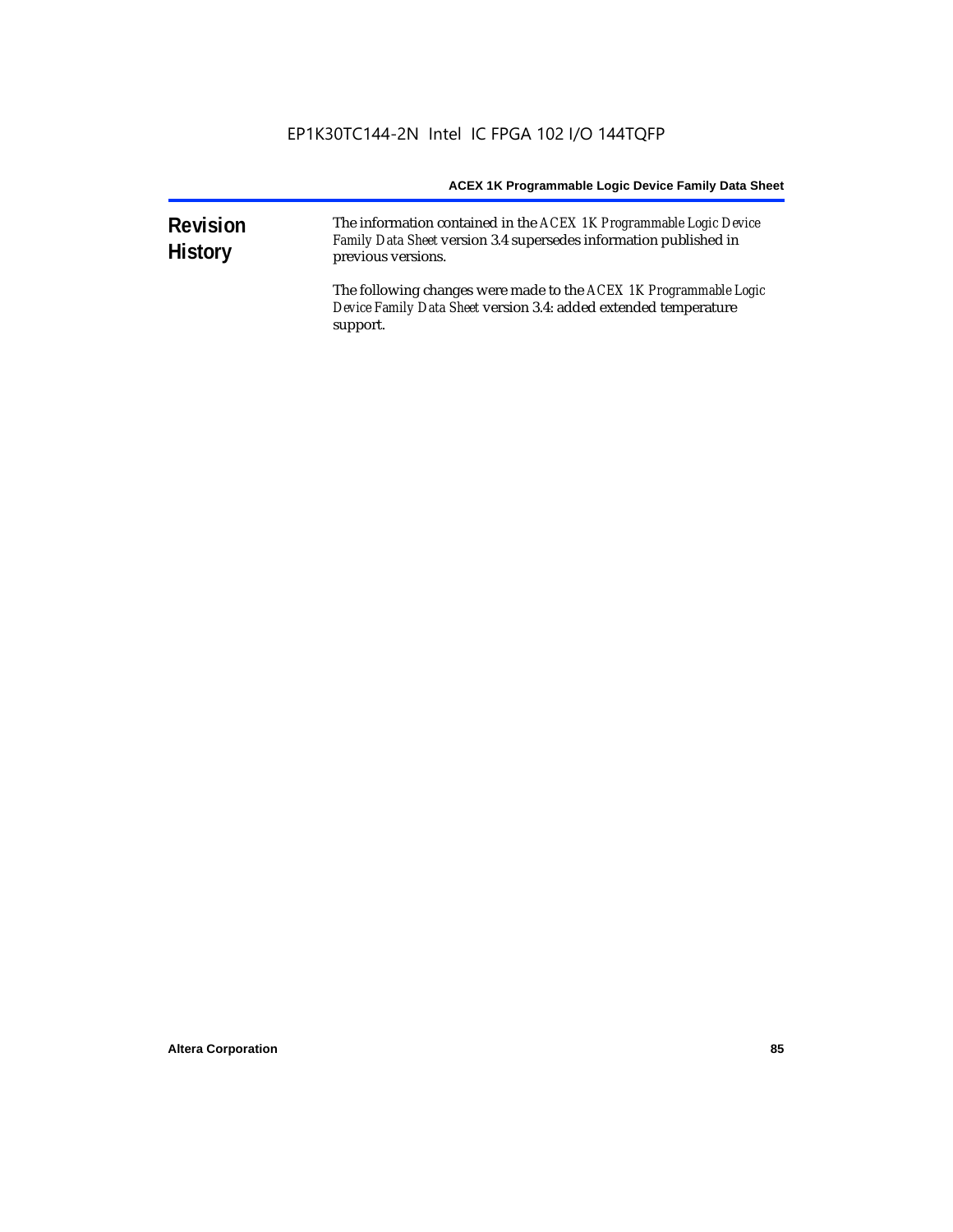| <b>Revision</b><br><b>History</b> | The information contained in the ACEX 1K Programmable Logic Device<br>Family Data Sheet version 3.4 supersedes information published in<br>previous versions. |
|-----------------------------------|---------------------------------------------------------------------------------------------------------------------------------------------------------------|
|                                   | The following changes were made to the ACEX 1K Programmable Logic<br>Device Family Data Sheet version 3.4: added extended temperature<br>support.             |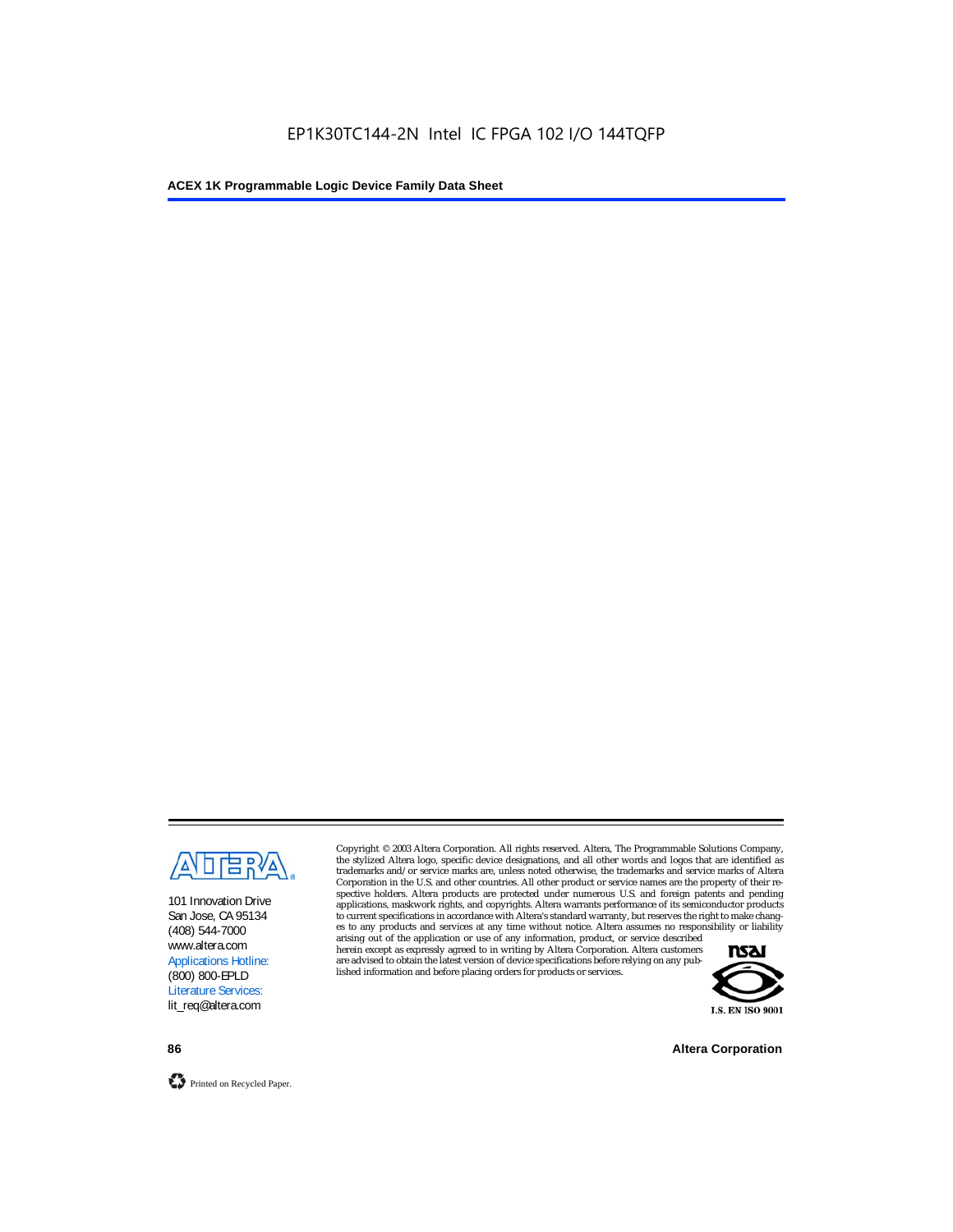

101 Innovation Drive San Jose, CA 95134 (408) 544-7000 www.altera.com Applications Hotline: (800) 800-EPLD Literature Services: lit\_req@altera.com

Copyright © 2003 Altera Corporation. All rights reserved. Altera, The Programmable Solutions Company, the stylized Altera logo, specific device designations, and all other words and logos that are identified as trademarks and/or service marks are, unless noted otherwise, the trademarks and service marks of Altera Corporation in the U.S. and other countries. All other product or service names are the property of their respective holders. Altera products are protected under numerous U.S. and foreign patents and pending applications, maskwork rights, and copyrights. Altera warrants performance of its semiconductor products to current specifications in accordance with Altera's standard warranty, but reserves the right to make changes to any products and services at any time without notice. Altera assumes no responsibility or liability

arising out of the application or use of any information, product, or service described herein except as expressly agreed to in writing by Altera Corporation. Altera customers are advised to obtain the latest version of device specifications before relying on any published information and before placing orders for products or services.



**86 Altera Corporation**